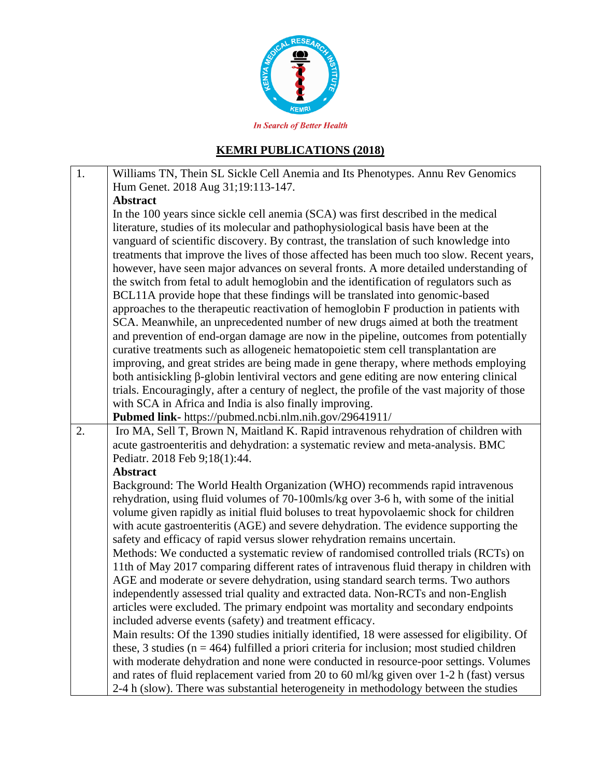

## **KEMRI PUBLICATIONS (2018)**

| 1. | Williams TN, Thein SL Sickle Cell Anemia and Its Phenotypes. Annu Rev Genomics                  |
|----|-------------------------------------------------------------------------------------------------|
|    | Hum Genet. 2018 Aug 31;19:113-147.                                                              |
|    | <b>Abstract</b>                                                                                 |
|    | In the 100 years since sickle cell anemia (SCA) was first described in the medical              |
|    | literature, studies of its molecular and pathophysiological basis have been at the              |
|    | vanguard of scientific discovery. By contrast, the translation of such knowledge into           |
|    | treatments that improve the lives of those affected has been much too slow. Recent years,       |
|    | however, have seen major advances on several fronts. A more detailed understanding of           |
|    | the switch from fetal to adult hemoglobin and the identification of regulators such as          |
|    | BCL11A provide hope that these findings will be translated into genomic-based                   |
|    | approaches to the therapeutic reactivation of hemoglobin F production in patients with          |
|    | SCA. Meanwhile, an unprecedented number of new drugs aimed at both the treatment                |
|    | and prevention of end-organ damage are now in the pipeline, outcomes from potentially           |
|    | curative treatments such as allogeneic hematopoietic stem cell transplantation are              |
|    | improving, and great strides are being made in gene therapy, where methods employing            |
|    | both antisickling β-globin lentiviral vectors and gene editing are now entering clinical        |
|    | trials. Encouragingly, after a century of neglect, the profile of the vast majority of those    |
|    | with SCA in Africa and India is also finally improving.                                         |
|    | Pubmed link- https://pubmed.ncbi.nlm.nih.gov/29641911/                                          |
| 2. | Iro MA, Sell T, Brown N, Maitland K. Rapid intravenous rehydration of children with             |
|    | acute gastroenteritis and dehydration: a systematic review and meta-analysis. BMC               |
|    | Pediatr. 2018 Feb 9;18(1):44.                                                                   |
|    | <b>Abstract</b>                                                                                 |
|    | Background: The World Health Organization (WHO) recommends rapid intravenous                    |
|    | rehydration, using fluid volumes of 70-100mls/kg over 3-6 h, with some of the initial           |
|    | volume given rapidly as initial fluid boluses to treat hypovolaemic shock for children          |
|    | with acute gastroenteritis (AGE) and severe dehydration. The evidence supporting the            |
|    | safety and efficacy of rapid versus slower rehydration remains uncertain.                       |
|    | Methods: We conducted a systematic review of randomised controlled trials (RCTs) on             |
|    | 11th of May 2017 comparing different rates of intravenous fluid therapy in children with        |
|    | AGE and moderate or severe dehydration, using standard search terms. Two authors                |
|    | independently assessed trial quality and extracted data. Non-RCTs and non-English               |
|    | articles were excluded. The primary endpoint was mortality and secondary endpoints              |
|    | included adverse events (safety) and treatment efficacy.                                        |
|    | Main results: Of the 1390 studies initially identified, 18 were assessed for eligibility. Of    |
|    | these, 3 studies ( $n = 464$ ) fulfilled a priori criteria for inclusion; most studied children |
|    | with moderate dehydration and none were conducted in resource-poor settings. Volumes            |
|    | and rates of fluid replacement varied from 20 to 60 ml/kg given over 1-2 h (fast) versus        |
|    | 2-4 h (slow). There was substantial heterogeneity in methodology between the studies            |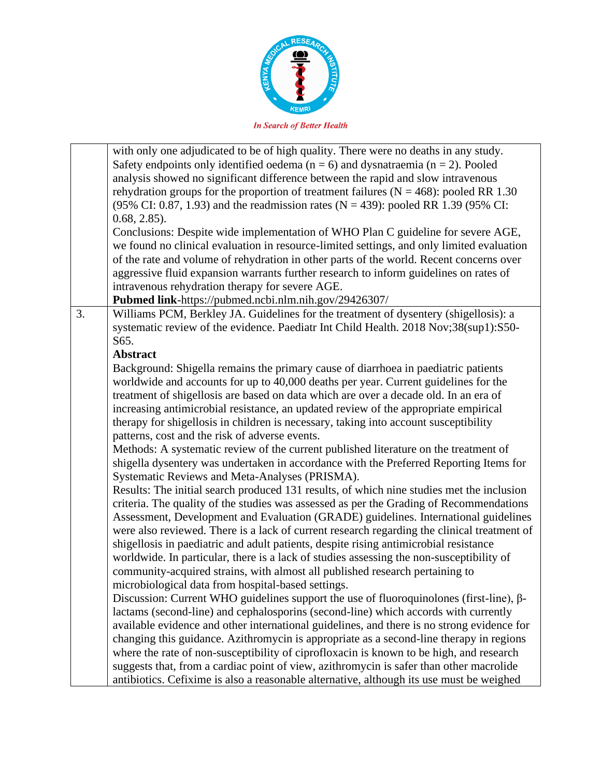

|    | with only one adjudicated to be of high quality. There were no deaths in any study.<br>Safety endpoints only identified oedema ( $n = 6$ ) and dysnatraemia ( $n = 2$ ). Pooled<br>analysis showed no significant difference between the rapid and slow intravenous<br>rehydration groups for the proportion of treatment failures ( $N = 468$ ): pooled RR 1.30<br>(95% CI: 0.87, 1.93) and the readmission rates (N = 439): pooled RR 1.39 (95% CI:<br>$0.68, 2.85$ ).<br>Conclusions: Despite wide implementation of WHO Plan C guideline for severe AGE,<br>we found no clinical evaluation in resource-limited settings, and only limited evaluation<br>of the rate and volume of rehydration in other parts of the world. Recent concerns over                                                                                                                                                                                                                                                                                                                                                                                                                                                                                                                                                                                                                                                                                                                                                                                                                                                                                                                                                                                                                                                                                                                                                                                                                                                                                                                                                                |
|----|---------------------------------------------------------------------------------------------------------------------------------------------------------------------------------------------------------------------------------------------------------------------------------------------------------------------------------------------------------------------------------------------------------------------------------------------------------------------------------------------------------------------------------------------------------------------------------------------------------------------------------------------------------------------------------------------------------------------------------------------------------------------------------------------------------------------------------------------------------------------------------------------------------------------------------------------------------------------------------------------------------------------------------------------------------------------------------------------------------------------------------------------------------------------------------------------------------------------------------------------------------------------------------------------------------------------------------------------------------------------------------------------------------------------------------------------------------------------------------------------------------------------------------------------------------------------------------------------------------------------------------------------------------------------------------------------------------------------------------------------------------------------------------------------------------------------------------------------------------------------------------------------------------------------------------------------------------------------------------------------------------------------------------------------------------------------------------------------------------------------|
|    | aggressive fluid expansion warrants further research to inform guidelines on rates of                                                                                                                                                                                                                                                                                                                                                                                                                                                                                                                                                                                                                                                                                                                                                                                                                                                                                                                                                                                                                                                                                                                                                                                                                                                                                                                                                                                                                                                                                                                                                                                                                                                                                                                                                                                                                                                                                                                                                                                                                               |
|    | intravenous rehydration therapy for severe AGE.<br>Pubmed link-https://pubmed.ncbi.nlm.nih.gov/29426307/                                                                                                                                                                                                                                                                                                                                                                                                                                                                                                                                                                                                                                                                                                                                                                                                                                                                                                                                                                                                                                                                                                                                                                                                                                                                                                                                                                                                                                                                                                                                                                                                                                                                                                                                                                                                                                                                                                                                                                                                            |
| 3. | Williams PCM, Berkley JA. Guidelines for the treatment of dysentery (shigellosis): a<br>systematic review of the evidence. Paediatr Int Child Health. 2018 Nov;38(sup1):S50-<br>S65.<br><b>Abstract</b>                                                                                                                                                                                                                                                                                                                                                                                                                                                                                                                                                                                                                                                                                                                                                                                                                                                                                                                                                                                                                                                                                                                                                                                                                                                                                                                                                                                                                                                                                                                                                                                                                                                                                                                                                                                                                                                                                                             |
|    | Background: Shigella remains the primary cause of diarrhoea in paediatric patients<br>worldwide and accounts for up to 40,000 deaths per year. Current guidelines for the<br>treatment of shigellosis are based on data which are over a decade old. In an era of<br>increasing antimicrobial resistance, an updated review of the appropriate empirical<br>therapy for shigellosis in children is necessary, taking into account susceptibility<br>patterns, cost and the risk of adverse events.<br>Methods: A systematic review of the current published literature on the treatment of<br>shigella dysentery was undertaken in accordance with the Preferred Reporting Items for<br>Systematic Reviews and Meta-Analyses (PRISMA).<br>Results: The initial search produced 131 results, of which nine studies met the inclusion<br>criteria. The quality of the studies was assessed as per the Grading of Recommendations<br>Assessment, Development and Evaluation (GRADE) guidelines. International guidelines<br>were also reviewed. There is a lack of current research regarding the clinical treatment of<br>shigellosis in paediatric and adult patients, despite rising antimicrobial resistance<br>worldwide. In particular, there is a lack of studies assessing the non-susceptibility of<br>community-acquired strains, with almost all published research pertaining to<br>microbiological data from hospital-based settings.<br>Discussion: Current WHO guidelines support the use of fluoroquinolones (first-line), $\beta$ -<br>lactams (second-line) and cephalosporins (second-line) which accords with currently<br>available evidence and other international guidelines, and there is no strong evidence for<br>changing this guidance. Azithromycin is appropriate as a second-line therapy in regions<br>where the rate of non-susceptibility of ciprofloxacin is known to be high, and research<br>suggests that, from a cardiac point of view, azithromycin is safer than other macrolide<br>antibiotics. Cefixime is also a reasonable alternative, although its use must be weighed |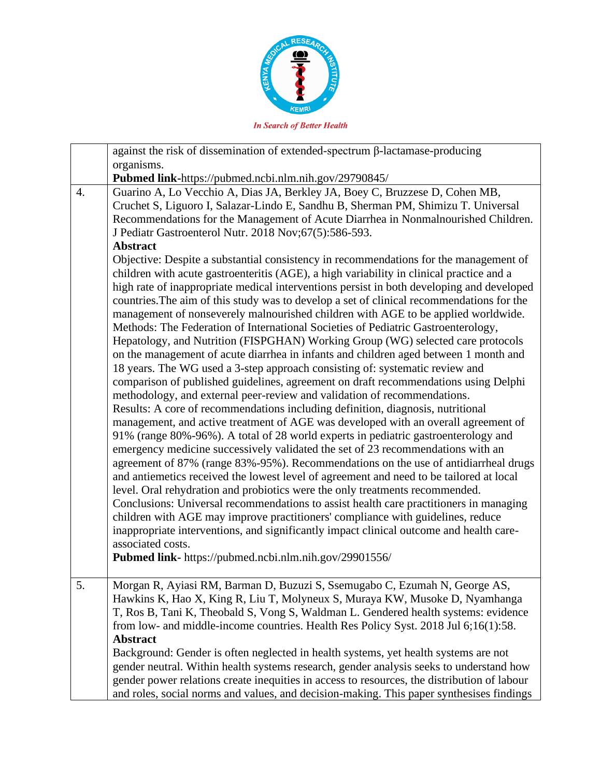

|    | against the risk of dissemination of extended-spectrum β-lactamase-producing                                                                                                                                                                                                                                                                                                                                                                                                                                                                                                                                                                                                                                                                                                                                                                                                                                                                                                                                                                                                                                                                                                                                                                                                                                                                                                                                                                                                                                                                                                                                                                                               |
|----|----------------------------------------------------------------------------------------------------------------------------------------------------------------------------------------------------------------------------------------------------------------------------------------------------------------------------------------------------------------------------------------------------------------------------------------------------------------------------------------------------------------------------------------------------------------------------------------------------------------------------------------------------------------------------------------------------------------------------------------------------------------------------------------------------------------------------------------------------------------------------------------------------------------------------------------------------------------------------------------------------------------------------------------------------------------------------------------------------------------------------------------------------------------------------------------------------------------------------------------------------------------------------------------------------------------------------------------------------------------------------------------------------------------------------------------------------------------------------------------------------------------------------------------------------------------------------------------------------------------------------------------------------------------------------|
|    | organisms.                                                                                                                                                                                                                                                                                                                                                                                                                                                                                                                                                                                                                                                                                                                                                                                                                                                                                                                                                                                                                                                                                                                                                                                                                                                                                                                                                                                                                                                                                                                                                                                                                                                                 |
|    | Pubmed link-https://pubmed.ncbi.nlm.nih.gov/29790845/                                                                                                                                                                                                                                                                                                                                                                                                                                                                                                                                                                                                                                                                                                                                                                                                                                                                                                                                                                                                                                                                                                                                                                                                                                                                                                                                                                                                                                                                                                                                                                                                                      |
| 4. | Guarino A, Lo Vecchio A, Dias JA, Berkley JA, Boey C, Bruzzese D, Cohen MB,<br>Cruchet S, Liguoro I, Salazar-Lindo E, Sandhu B, Sherman PM, Shimizu T. Universal<br>Recommendations for the Management of Acute Diarrhea in Nonmalnourished Children.<br>J Pediatr Gastroenterol Nutr. 2018 Nov;67(5):586-593.<br><b>Abstract</b><br>Objective: Despite a substantial consistency in recommendations for the management of<br>children with acute gastroenteritis (AGE), a high variability in clinical practice and a<br>high rate of inappropriate medical interventions persist in both developing and developed<br>countries. The aim of this study was to develop a set of clinical recommendations for the<br>management of nonseverely malnourished children with AGE to be applied worldwide.<br>Methods: The Federation of International Societies of Pediatric Gastroenterology,<br>Hepatology, and Nutrition (FISPGHAN) Working Group (WG) selected care protocols<br>on the management of acute diarrhea in infants and children aged between 1 month and<br>18 years. The WG used a 3-step approach consisting of: systematic review and<br>comparison of published guidelines, agreement on draft recommendations using Delphi<br>methodology, and external peer-review and validation of recommendations.<br>Results: A core of recommendations including definition, diagnosis, nutritional<br>management, and active treatment of AGE was developed with an overall agreement of<br>91% (range 80%-96%). A total of 28 world experts in pediatric gastroenterology and<br>emergency medicine successively validated the set of 23 recommendations with an |
|    | agreement of 87% (range 83%-95%). Recommendations on the use of antidiarrheal drugs<br>and antiemetics received the lowest level of agreement and need to be tailored at local<br>level. Oral rehydration and probiotics were the only treatments recommended.<br>Conclusions: Universal recommendations to assist health care practitioners in managing<br>children with AGE may improve practitioners' compliance with guidelines, reduce<br>inappropriate interventions, and significantly impact clinical outcome and health care-<br>associated costs.<br>Pubmed link- https://pubmed.ncbi.nlm.nih.gov/29901556/                                                                                                                                                                                                                                                                                                                                                                                                                                                                                                                                                                                                                                                                                                                                                                                                                                                                                                                                                                                                                                                      |
|    |                                                                                                                                                                                                                                                                                                                                                                                                                                                                                                                                                                                                                                                                                                                                                                                                                                                                                                                                                                                                                                                                                                                                                                                                                                                                                                                                                                                                                                                                                                                                                                                                                                                                            |
| 5. | Morgan R, Ayiasi RM, Barman D, Buzuzi S, Ssemugabo C, Ezumah N, George AS,<br>Hawkins K, Hao X, King R, Liu T, Molyneux S, Muraya KW, Musoke D, Nyamhanga<br>T, Ros B, Tani K, Theobald S, Vong S, Waldman L. Gendered health systems: evidence<br>from low- and middle-income countries. Health Res Policy Syst. 2018 Jul 6;16(1):58.<br>Abstract                                                                                                                                                                                                                                                                                                                                                                                                                                                                                                                                                                                                                                                                                                                                                                                                                                                                                                                                                                                                                                                                                                                                                                                                                                                                                                                         |
|    | Background: Gender is often neglected in health systems, yet health systems are not                                                                                                                                                                                                                                                                                                                                                                                                                                                                                                                                                                                                                                                                                                                                                                                                                                                                                                                                                                                                                                                                                                                                                                                                                                                                                                                                                                                                                                                                                                                                                                                        |
|    | gender neutral. Within health systems research, gender analysis seeks to understand how<br>gender power relations create inequities in access to resources, the distribution of labour                                                                                                                                                                                                                                                                                                                                                                                                                                                                                                                                                                                                                                                                                                                                                                                                                                                                                                                                                                                                                                                                                                                                                                                                                                                                                                                                                                                                                                                                                     |
|    | and roles, social norms and values, and decision-making. This paper synthesises findings                                                                                                                                                                                                                                                                                                                                                                                                                                                                                                                                                                                                                                                                                                                                                                                                                                                                                                                                                                                                                                                                                                                                                                                                                                                                                                                                                                                                                                                                                                                                                                                   |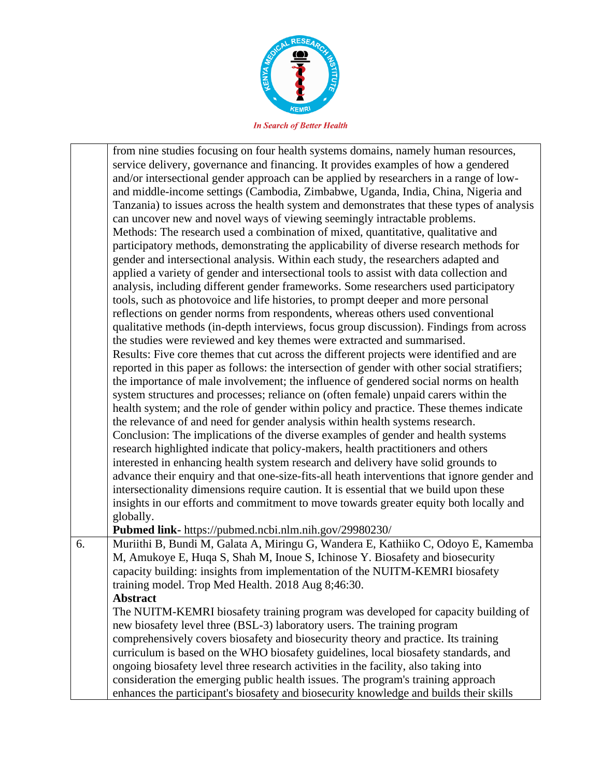

|    | from nine studies focusing on four health systems domains, namely human resources,<br>service delivery, governance and financing. It provides examples of how a gendered<br>and/or intersectional gender approach can be applied by researchers in a range of low-<br>and middle-income settings (Cambodia, Zimbabwe, Uganda, India, China, Nigeria and<br>Tanzania) to issues across the health system and demonstrates that these types of analysis<br>can uncover new and novel ways of viewing seemingly intractable problems.<br>Methods: The research used a combination of mixed, quantitative, qualitative and<br>participatory methods, demonstrating the applicability of diverse research methods for<br>gender and intersectional analysis. Within each study, the researchers adapted and<br>applied a variety of gender and intersectional tools to assist with data collection and<br>analysis, including different gender frameworks. Some researchers used participatory<br>tools, such as photovoice and life histories, to prompt deeper and more personal<br>reflections on gender norms from respondents, whereas others used conventional<br>qualitative methods (in-depth interviews, focus group discussion). Findings from across<br>the studies were reviewed and key themes were extracted and summarised.<br>Results: Five core themes that cut across the different projects were identified and are<br>reported in this paper as follows: the intersection of gender with other social stratifiers;<br>the importance of male involvement; the influence of gendered social norms on health<br>system structures and processes; reliance on (often female) unpaid carers within the<br>health system; and the role of gender within policy and practice. These themes indicate<br>the relevance of and need for gender analysis within health systems research.<br>Conclusion: The implications of the diverse examples of gender and health systems<br>research highlighted indicate that policy-makers, health practitioners and others<br>interested in enhancing health system research and delivery have solid grounds to<br>advance their enquiry and that one-size-fits-all heath interventions that ignore gender and<br>intersectionality dimensions require caution. It is essential that we build upon these<br>insights in our efforts and commitment to move towards greater equity both locally and<br>globally. |
|----|--------------------------------------------------------------------------------------------------------------------------------------------------------------------------------------------------------------------------------------------------------------------------------------------------------------------------------------------------------------------------------------------------------------------------------------------------------------------------------------------------------------------------------------------------------------------------------------------------------------------------------------------------------------------------------------------------------------------------------------------------------------------------------------------------------------------------------------------------------------------------------------------------------------------------------------------------------------------------------------------------------------------------------------------------------------------------------------------------------------------------------------------------------------------------------------------------------------------------------------------------------------------------------------------------------------------------------------------------------------------------------------------------------------------------------------------------------------------------------------------------------------------------------------------------------------------------------------------------------------------------------------------------------------------------------------------------------------------------------------------------------------------------------------------------------------------------------------------------------------------------------------------------------------------------------------------------------------------------------------------------------------------------------------------------------------------------------------------------------------------------------------------------------------------------------------------------------------------------------------------------------------------------------------------------------------------------------------------------------------------------------------------------------------------------------------------------------------|
|    | Pubmed link- https://pubmed.ncbi.nlm.nih.gov/29980230/                                                                                                                                                                                                                                                                                                                                                                                                                                                                                                                                                                                                                                                                                                                                                                                                                                                                                                                                                                                                                                                                                                                                                                                                                                                                                                                                                                                                                                                                                                                                                                                                                                                                                                                                                                                                                                                                                                                                                                                                                                                                                                                                                                                                                                                                                                                                                                                                       |
| 6. | Muriithi B, Bundi M, Galata A, Miringu G, Wandera E, Kathiiko C, Odoyo E, Kamemba<br>M, Amukoye E, Huqa S, Shah M, Inoue S, Ichinose Y. Biosafety and biosecurity<br>capacity building: insights from implementation of the NUITM-KEMRI biosafety<br>training model. Trop Med Health. 2018 Aug 8;46:30.<br><b>Abstract</b>                                                                                                                                                                                                                                                                                                                                                                                                                                                                                                                                                                                                                                                                                                                                                                                                                                                                                                                                                                                                                                                                                                                                                                                                                                                                                                                                                                                                                                                                                                                                                                                                                                                                                                                                                                                                                                                                                                                                                                                                                                                                                                                                   |
|    | The NUITM-KEMRI biosafety training program was developed for capacity building of                                                                                                                                                                                                                                                                                                                                                                                                                                                                                                                                                                                                                                                                                                                                                                                                                                                                                                                                                                                                                                                                                                                                                                                                                                                                                                                                                                                                                                                                                                                                                                                                                                                                                                                                                                                                                                                                                                                                                                                                                                                                                                                                                                                                                                                                                                                                                                            |
|    | new biosafety level three (BSL-3) laboratory users. The training program                                                                                                                                                                                                                                                                                                                                                                                                                                                                                                                                                                                                                                                                                                                                                                                                                                                                                                                                                                                                                                                                                                                                                                                                                                                                                                                                                                                                                                                                                                                                                                                                                                                                                                                                                                                                                                                                                                                                                                                                                                                                                                                                                                                                                                                                                                                                                                                     |
|    | comprehensively covers biosafety and biosecurity theory and practice. Its training                                                                                                                                                                                                                                                                                                                                                                                                                                                                                                                                                                                                                                                                                                                                                                                                                                                                                                                                                                                                                                                                                                                                                                                                                                                                                                                                                                                                                                                                                                                                                                                                                                                                                                                                                                                                                                                                                                                                                                                                                                                                                                                                                                                                                                                                                                                                                                           |
|    | curriculum is based on the WHO biosafety guidelines, local biosafety standards, and                                                                                                                                                                                                                                                                                                                                                                                                                                                                                                                                                                                                                                                                                                                                                                                                                                                                                                                                                                                                                                                                                                                                                                                                                                                                                                                                                                                                                                                                                                                                                                                                                                                                                                                                                                                                                                                                                                                                                                                                                                                                                                                                                                                                                                                                                                                                                                          |
|    | ongoing biosafety level three research activities in the facility, also taking into                                                                                                                                                                                                                                                                                                                                                                                                                                                                                                                                                                                                                                                                                                                                                                                                                                                                                                                                                                                                                                                                                                                                                                                                                                                                                                                                                                                                                                                                                                                                                                                                                                                                                                                                                                                                                                                                                                                                                                                                                                                                                                                                                                                                                                                                                                                                                                          |
|    | consideration the emerging public health issues. The program's training approach                                                                                                                                                                                                                                                                                                                                                                                                                                                                                                                                                                                                                                                                                                                                                                                                                                                                                                                                                                                                                                                                                                                                                                                                                                                                                                                                                                                                                                                                                                                                                                                                                                                                                                                                                                                                                                                                                                                                                                                                                                                                                                                                                                                                                                                                                                                                                                             |
|    | enhances the participant's biosafety and biosecurity knowledge and builds their skills                                                                                                                                                                                                                                                                                                                                                                                                                                                                                                                                                                                                                                                                                                                                                                                                                                                                                                                                                                                                                                                                                                                                                                                                                                                                                                                                                                                                                                                                                                                                                                                                                                                                                                                                                                                                                                                                                                                                                                                                                                                                                                                                                                                                                                                                                                                                                                       |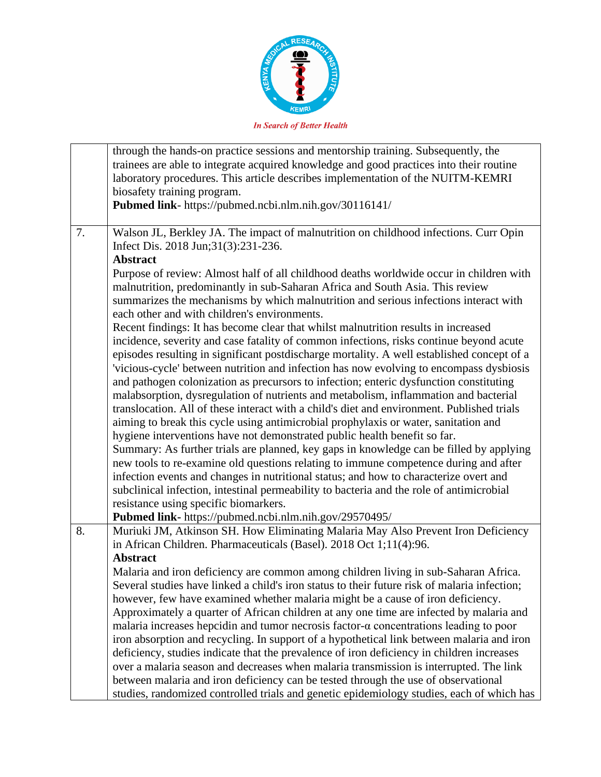

|    | through the hands-on practice sessions and mentorship training. Subsequently, the<br>trainees are able to integrate acquired knowledge and good practices into their routine<br>laboratory procedures. This article describes implementation of the NUITM-KEMRI<br>biosafety training program.<br>Pubmed link- https://pubmed.ncbi.nlm.nih.gov/30116141/ |
|----|----------------------------------------------------------------------------------------------------------------------------------------------------------------------------------------------------------------------------------------------------------------------------------------------------------------------------------------------------------|
| 7. | Walson JL, Berkley JA. The impact of malnutrition on childhood infections. Curr Opin                                                                                                                                                                                                                                                                     |
|    | Infect Dis. 2018 Jun; 31(3): 231-236.                                                                                                                                                                                                                                                                                                                    |
|    | <b>Abstract</b>                                                                                                                                                                                                                                                                                                                                          |
|    | Purpose of review: Almost half of all childhood deaths worldwide occur in children with                                                                                                                                                                                                                                                                  |
|    | malnutrition, predominantly in sub-Saharan Africa and South Asia. This review                                                                                                                                                                                                                                                                            |
|    | summarizes the mechanisms by which malnutrition and serious infections interact with                                                                                                                                                                                                                                                                     |
|    | each other and with children's environments.                                                                                                                                                                                                                                                                                                             |
|    | Recent findings: It has become clear that whilst malnutrition results in increased                                                                                                                                                                                                                                                                       |
|    | incidence, severity and case fatality of common infections, risks continue beyond acute                                                                                                                                                                                                                                                                  |
|    | episodes resulting in significant postdischarge mortality. A well established concept of a                                                                                                                                                                                                                                                               |
|    | 'vicious-cycle' between nutrition and infection has now evolving to encompass dysbiosis                                                                                                                                                                                                                                                                  |
|    | and pathogen colonization as precursors to infection; enteric dysfunction constituting                                                                                                                                                                                                                                                                   |
|    | malabsorption, dysregulation of nutrients and metabolism, inflammation and bacterial                                                                                                                                                                                                                                                                     |
|    | translocation. All of these interact with a child's diet and environment. Published trials                                                                                                                                                                                                                                                               |
|    | aiming to break this cycle using antimicrobial prophylaxis or water, sanitation and                                                                                                                                                                                                                                                                      |
|    | hygiene interventions have not demonstrated public health benefit so far.                                                                                                                                                                                                                                                                                |
|    | Summary: As further trials are planned, key gaps in knowledge can be filled by applying                                                                                                                                                                                                                                                                  |
|    | new tools to re-examine old questions relating to immune competence during and after                                                                                                                                                                                                                                                                     |
|    | infection events and changes in nutritional status; and how to characterize overt and                                                                                                                                                                                                                                                                    |
|    | subclinical infection, intestinal permeability to bacteria and the role of antimicrobial                                                                                                                                                                                                                                                                 |
|    | resistance using specific biomarkers.                                                                                                                                                                                                                                                                                                                    |
|    | Pubmed link- https://pubmed.ncbi.nlm.nih.gov/29570495/                                                                                                                                                                                                                                                                                                   |
| 8. | Muriuki JM, Atkinson SH. How Eliminating Malaria May Also Prevent Iron Deficiency                                                                                                                                                                                                                                                                        |
|    | in African Children. Pharmaceuticals (Basel). 2018 Oct 1;11(4):96.                                                                                                                                                                                                                                                                                       |
|    | <b>Abstract</b>                                                                                                                                                                                                                                                                                                                                          |
|    | Malaria and iron deficiency are common among children living in sub-Saharan Africa.                                                                                                                                                                                                                                                                      |
|    | Several studies have linked a child's iron status to their future risk of malaria infection;                                                                                                                                                                                                                                                             |
|    | however, few have examined whether malaria might be a cause of iron deficiency.                                                                                                                                                                                                                                                                          |
|    | Approximately a quarter of African children at any one time are infected by malaria and                                                                                                                                                                                                                                                                  |
|    | malaria increases hepcidin and tumor necrosis factor- $\alpha$ concentrations leading to poor                                                                                                                                                                                                                                                            |
|    | iron absorption and recycling. In support of a hypothetical link between malaria and iron                                                                                                                                                                                                                                                                |
|    | deficiency, studies indicate that the prevalence of iron deficiency in children increases                                                                                                                                                                                                                                                                |
|    | over a malaria season and decreases when malaria transmission is interrupted. The link                                                                                                                                                                                                                                                                   |
|    | between malaria and iron deficiency can be tested through the use of observational                                                                                                                                                                                                                                                                       |
|    | studies, randomized controlled trials and genetic epidemiology studies, each of which has                                                                                                                                                                                                                                                                |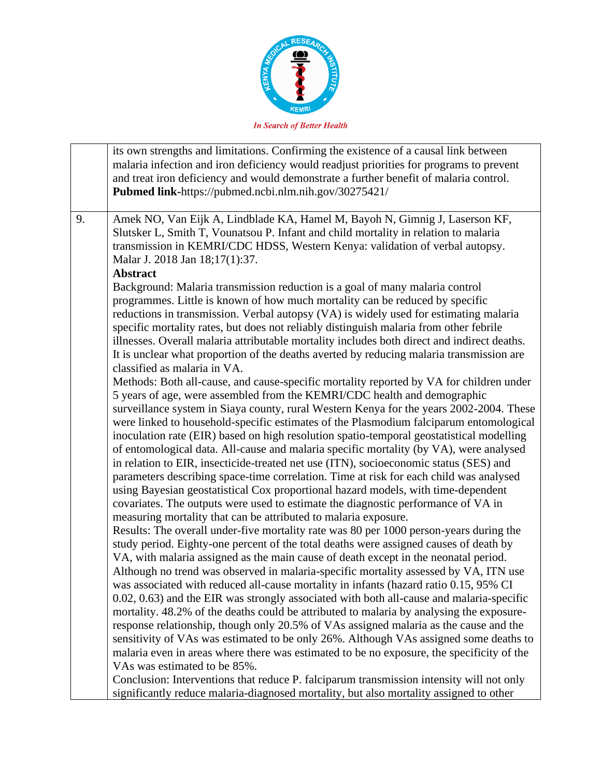

its own strengths and limitations. Confirming the existence of a causal link between malaria infection and iron deficiency would readjust priorities for programs to prevent and treat iron deficiency and would demonstrate a further benefit of malaria control. **Pubmed link-**https://pubmed.ncbi.nlm.nih.gov/30275421/ 9. Amek NO, Van Eijk A, Lindblade KA, Hamel M, Bayoh N, Gimnig J, Laserson KF, Slutsker L, Smith T, Vounatsou P. Infant and child mortality in relation to malaria transmission in KEMRI/CDC HDSS, Western Kenya: validation of verbal autopsy. Malar J. 2018 Jan 18;17(1):37. **Abstract**  Background: Malaria transmission reduction is a goal of many malaria control programmes. Little is known of how much mortality can be reduced by specific reductions in transmission. Verbal autopsy (VA) is widely used for estimating malaria specific mortality rates, but does not reliably distinguish malaria from other febrile illnesses. Overall malaria attributable mortality includes both direct and indirect deaths. It is unclear what proportion of the deaths averted by reducing malaria transmission are classified as malaria in VA. Methods: Both all-cause, and cause-specific mortality reported by VA for children under 5 years of age, were assembled from the KEMRI/CDC health and demographic surveillance system in Siaya county, rural Western Kenya for the years 2002-2004. These were linked to household-specific estimates of the Plasmodium falciparum entomological inoculation rate (EIR) based on high resolution spatio-temporal geostatistical modelling of entomological data. All-cause and malaria specific mortality (by VA), were analysed in relation to EIR, insecticide-treated net use (ITN), socioeconomic status (SES) and parameters describing space-time correlation. Time at risk for each child was analysed using Bayesian geostatistical Cox proportional hazard models, with time-dependent covariates. The outputs were used to estimate the diagnostic performance of VA in measuring mortality that can be attributed to malaria exposure. Results: The overall under-five mortality rate was 80 per 1000 person-years during the study period. Eighty-one percent of the total deaths were assigned causes of death by VA, with malaria assigned as the main cause of death except in the neonatal period. Although no trend was observed in malaria-specific mortality assessed by VA, ITN use was associated with reduced all-cause mortality in infants (hazard ratio 0.15, 95% CI 0.02, 0.63) and the EIR was strongly associated with both all-cause and malaria-specific mortality. 48.2% of the deaths could be attributed to malaria by analysing the exposureresponse relationship, though only 20.5% of VAs assigned malaria as the cause and the sensitivity of VAs was estimated to be only 26%. Although VAs assigned some deaths to malaria even in areas where there was estimated to be no exposure, the specificity of the VAs was estimated to be 85%. Conclusion: Interventions that reduce P. falciparum transmission intensity will not only significantly reduce malaria-diagnosed mortality, but also mortality assigned to other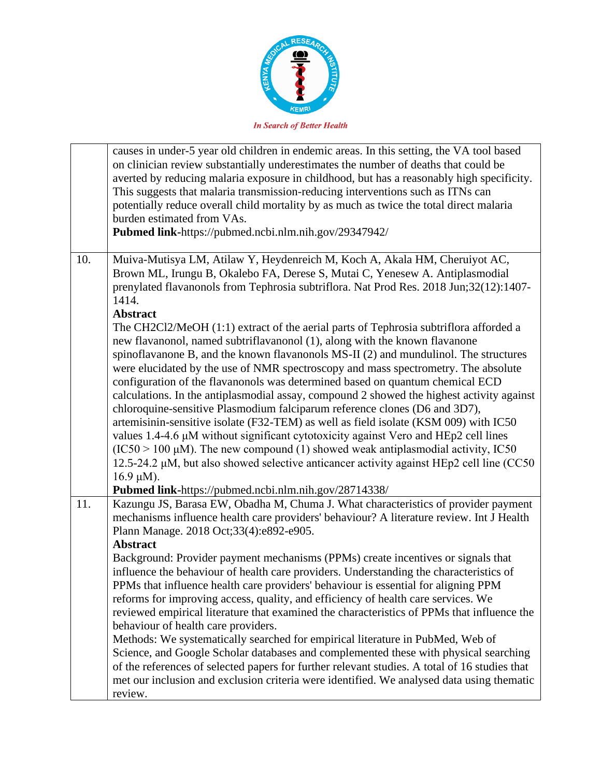

|     | causes in under-5 year old children in endemic areas. In this setting, the VA tool based<br>on clinician review substantially underestimates the number of deaths that could be<br>averted by reducing malaria exposure in childhood, but has a reasonably high specificity.<br>This suggests that malaria transmission-reducing interventions such as ITNs can<br>potentially reduce overall child mortality by as much as twice the total direct malaria<br>burden estimated from VAs.<br>Pubmed link-https://pubmed.ncbi.nlm.nih.gov/29347942/                                                                                                                                                                                                                                                                                                                                                                                                                                                    |
|-----|------------------------------------------------------------------------------------------------------------------------------------------------------------------------------------------------------------------------------------------------------------------------------------------------------------------------------------------------------------------------------------------------------------------------------------------------------------------------------------------------------------------------------------------------------------------------------------------------------------------------------------------------------------------------------------------------------------------------------------------------------------------------------------------------------------------------------------------------------------------------------------------------------------------------------------------------------------------------------------------------------|
| 10. | Muiva-Mutisya LM, Atilaw Y, Heydenreich M, Koch A, Akala HM, Cheruiyot AC,<br>Brown ML, Irungu B, Okalebo FA, Derese S, Mutai C, Yenesew A. Antiplasmodial<br>prenylated flavanonols from Tephrosia subtriflora. Nat Prod Res. 2018 Jun;32(12):1407-<br>1414.<br><b>Abstract</b>                                                                                                                                                                                                                                                                                                                                                                                                                                                                                                                                                                                                                                                                                                                     |
|     | The CH2Cl2/MeOH (1:1) extract of the aerial parts of Tephrosia subtriflora afforded a<br>new flavanonol, named subtriflavanonol (1), along with the known flavanone<br>spinoflavanone B, and the known flavanonols MS-II (2) and mundulinol. The structures<br>were elucidated by the use of NMR spectroscopy and mass spectrometry. The absolute<br>configuration of the flavanonols was determined based on quantum chemical ECD<br>calculations. In the antiplasmodial assay, compound 2 showed the highest activity against<br>chloroquine-sensitive Plasmodium falciparum reference clones (D6 and 3D7),<br>artemisinin-sensitive isolate (F32-TEM) as well as field isolate (KSM 009) with IC50<br>values 1.4-4.6 μM without significant cytotoxicity against Vero and HEp2 cell lines<br>$(IC50 > 100 \mu M)$ . The new compound (1) showed weak antiplasmodial activity, IC50<br>12.5-24.2 µM, but also showed selective anticancer activity against HEp2 cell line (CC50<br>$16.9 \mu M$ ). |
| 11. | Pubmed link-https://pubmed.ncbi.nlm.nih.gov/28714338/<br>Kazungu JS, Barasa EW, Obadha M, Chuma J. What characteristics of provider payment<br>mechanisms influence health care providers' behaviour? A literature review. Int J Health<br>Plann Manage. 2018 Oct;33(4):e892-e905.<br><b>Abstract</b>                                                                                                                                                                                                                                                                                                                                                                                                                                                                                                                                                                                                                                                                                                |
|     | Background: Provider payment mechanisms (PPMs) create incentives or signals that<br>influence the behaviour of health care providers. Understanding the characteristics of<br>PPMs that influence health care providers' behaviour is essential for aligning PPM<br>reforms for improving access, quality, and efficiency of health care services. We<br>reviewed empirical literature that examined the characteristics of PPMs that influence the<br>behaviour of health care providers.<br>Methods: We systematically searched for empirical literature in PubMed, Web of<br>Science, and Google Scholar databases and complemented these with physical searching<br>of the references of selected papers for further relevant studies. A total of 16 studies that<br>met our inclusion and exclusion criteria were identified. We analysed data using thematic<br>review.                                                                                                                        |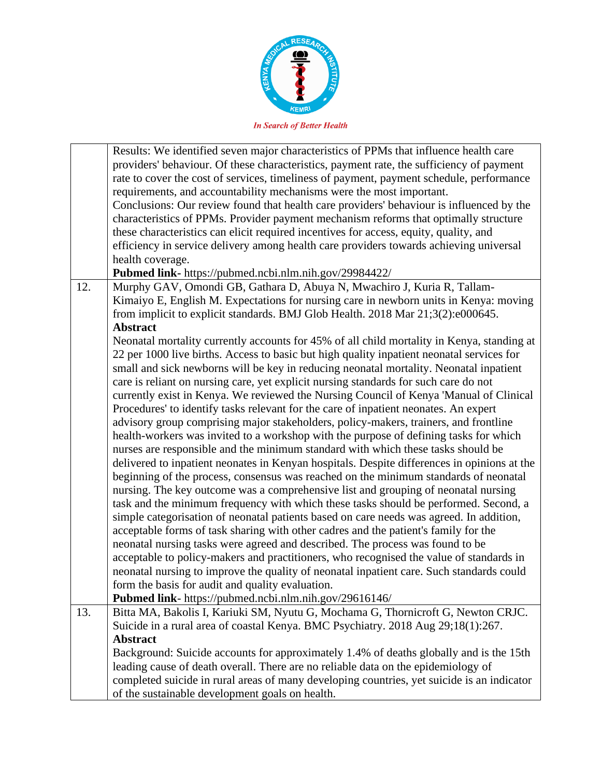

|     | Results: We identified seven major characteristics of PPMs that influence health care       |
|-----|---------------------------------------------------------------------------------------------|
|     | providers' behaviour. Of these characteristics, payment rate, the sufficiency of payment    |
|     | rate to cover the cost of services, timeliness of payment, payment schedule, performance    |
|     | requirements, and accountability mechanisms were the most important.                        |
|     | Conclusions: Our review found that health care providers' behaviour is influenced by the    |
|     | characteristics of PPMs. Provider payment mechanism reforms that optimally structure        |
|     | these characteristics can elicit required incentives for access, equity, quality, and       |
|     | efficiency in service delivery among health care providers towards achieving universal      |
|     | health coverage.                                                                            |
|     | Pubmed link- https://pubmed.ncbi.nlm.nih.gov/29984422/                                      |
| 12. | Murphy GAV, Omondi GB, Gathara D, Abuya N, Mwachiro J, Kuria R, Tallam-                     |
|     | Kimaiyo E, English M. Expectations for nursing care in newborn units in Kenya: moving       |
|     | from implicit to explicit standards. BMJ Glob Health. 2018 Mar 21;3(2):e000645.             |
|     | <b>Abstract</b>                                                                             |
|     | Neonatal mortality currently accounts for 45% of all child mortality in Kenya, standing at  |
|     | 22 per 1000 live births. Access to basic but high quality inpatient neonatal services for   |
|     | small and sick newborns will be key in reducing neonatal mortality. Neonatal inpatient      |
|     | care is reliant on nursing care, yet explicit nursing standards for such care do not        |
|     | currently exist in Kenya. We reviewed the Nursing Council of Kenya 'Manual of Clinical      |
|     | Procedures' to identify tasks relevant for the care of inpatient neonates. An expert        |
|     | advisory group comprising major stakeholders, policy-makers, trainers, and frontline        |
|     | health-workers was invited to a workshop with the purpose of defining tasks for which       |
|     | nurses are responsible and the minimum standard with which these tasks should be            |
|     | delivered to inpatient neonates in Kenyan hospitals. Despite differences in opinions at the |
|     | beginning of the process, consensus was reached on the minimum standards of neonatal        |
|     | nursing. The key outcome was a comprehensive list and grouping of neonatal nursing          |
|     | task and the minimum frequency with which these tasks should be performed. Second, a        |
|     | simple categorisation of neonatal patients based on care needs was agreed. In addition,     |
|     | acceptable forms of task sharing with other cadres and the patient's family for the         |
|     | neonatal nursing tasks were agreed and described. The process was found to be               |
|     | acceptable to policy-makers and practitioners, who recognised the value of standards in     |
|     | neonatal nursing to improve the quality of neonatal inpatient care. Such standards could    |
|     | form the basis for audit and quality evaluation.                                            |
|     | Pubmed link- https://pubmed.ncbi.nlm.nih.gov/29616146/                                      |
| 13. | Bitta MA, Bakolis I, Kariuki SM, Nyutu G, Mochama G, Thornicroft G, Newton CRJC.            |
|     | Suicide in a rural area of coastal Kenya. BMC Psychiatry. 2018 Aug 29;18(1):267.            |
|     | <b>Abstract</b>                                                                             |
|     |                                                                                             |
|     | Background: Suicide accounts for approximately 1.4% of deaths globally and is the 15th      |
|     | leading cause of death overall. There are no reliable data on the epidemiology of           |
|     | completed suicide in rural areas of many developing countries, yet suicide is an indicator  |
|     | of the sustainable development goals on health.                                             |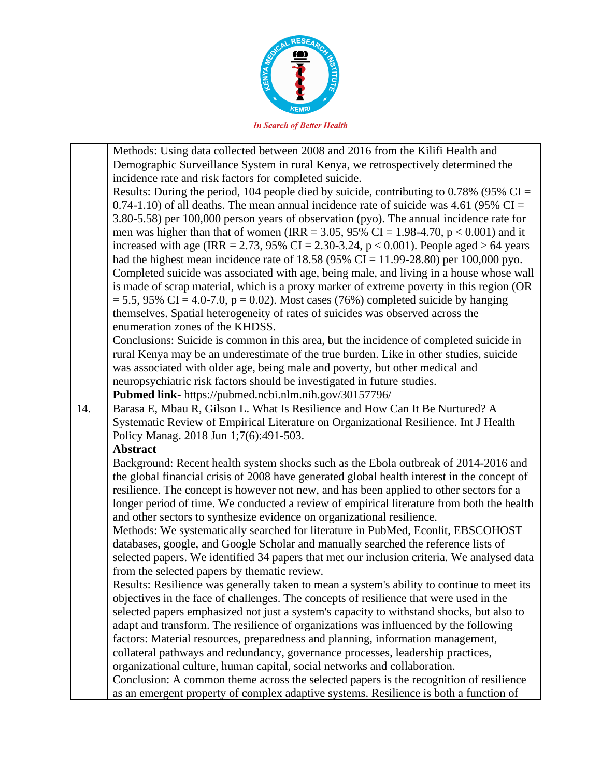

|  |     | Methods: Using data collected between 2008 and 2016 from the Kilifi Health and                  |
|--|-----|-------------------------------------------------------------------------------------------------|
|  |     | Demographic Surveillance System in rural Kenya, we retrospectively determined the               |
|  |     | incidence rate and risk factors for completed suicide.                                          |
|  |     | Results: During the period, 104 people died by suicide, contributing to 0.78% (95% $CI =$       |
|  |     | 0.74-1.10) of all deaths. The mean annual incidence rate of suicide was 4.61 (95% $CI =$        |
|  |     | 3.80-5.58) per 100,000 person years of observation (pyo). The annual incidence rate for         |
|  |     | men was higher than that of women (IRR = 3.05, 95% CI = 1.98-4.70, $p < 0.001$ ) and it         |
|  |     | increased with age (IRR = 2.73, 95% CI = 2.30-3.24, $p < 0.001$ ). People aged > 64 years       |
|  |     | had the highest mean incidence rate of 18.58 (95% CI = 11.99-28.80) per 100,000 pyo.            |
|  |     | Completed suicide was associated with age, being male, and living in a house whose wall         |
|  |     | is made of scrap material, which is a proxy marker of extreme poverty in this region (OR        |
|  |     |                                                                                                 |
|  |     | $= 5.5, 95\% \text{ CI} = 4.0 - 7.0, p = 0.02$ ). Most cases (76%) completed suicide by hanging |
|  |     | themselves. Spatial heterogeneity of rates of suicides was observed across the                  |
|  |     | enumeration zones of the KHDSS.                                                                 |
|  |     | Conclusions: Suicide is common in this area, but the incidence of completed suicide in          |
|  |     | rural Kenya may be an underestimate of the true burden. Like in other studies, suicide          |
|  |     | was associated with older age, being male and poverty, but other medical and                    |
|  |     | neuropsychiatric risk factors should be investigated in future studies.                         |
|  |     | Pubmed link- https://pubmed.ncbi.nlm.nih.gov/30157796/                                          |
|  | 14. | Barasa E, Mbau R, Gilson L. What Is Resilience and How Can It Be Nurtured? A                    |
|  |     | Systematic Review of Empirical Literature on Organizational Resilience. Int J Health            |
|  |     | Policy Manag. 2018 Jun 1;7(6):491-503.                                                          |
|  |     | <b>Abstract</b>                                                                                 |
|  |     | Background: Recent health system shocks such as the Ebola outbreak of 2014-2016 and             |
|  |     | the global financial crisis of 2008 have generated global health interest in the concept of     |
|  |     | resilience. The concept is however not new, and has been applied to other sectors for a         |
|  |     | longer period of time. We conducted a review of empirical literature from both the health       |
|  |     | and other sectors to synthesize evidence on organizational resilience.                          |
|  |     | Methods: We systematically searched for literature in PubMed, Econlit, EBSCOHOST                |
|  |     | databases, google, and Google Scholar and manually searched the reference lists of              |
|  |     | selected papers. We identified 34 papers that met our inclusion criteria. We analysed data      |
|  |     | from the selected papers by thematic review.                                                    |
|  |     | Results: Resilience was generally taken to mean a system's ability to continue to meet its      |
|  |     | objectives in the face of challenges. The concepts of resilience that were used in the          |
|  |     | selected papers emphasized not just a system's capacity to withstand shocks, but also to        |
|  |     | adapt and transform. The resilience of organizations was influenced by the following            |
|  |     | factors: Material resources, preparedness and planning, information management,                 |
|  |     | collateral pathways and redundancy, governance processes, leadership practices,                 |
|  |     |                                                                                                 |
|  |     | organizational culture, human capital, social networks and collaboration.                       |
|  |     | Conclusion: A common theme across the selected papers is the recognition of resilience          |
|  |     | as an emergent property of complex adaptive systems. Resilience is both a function of           |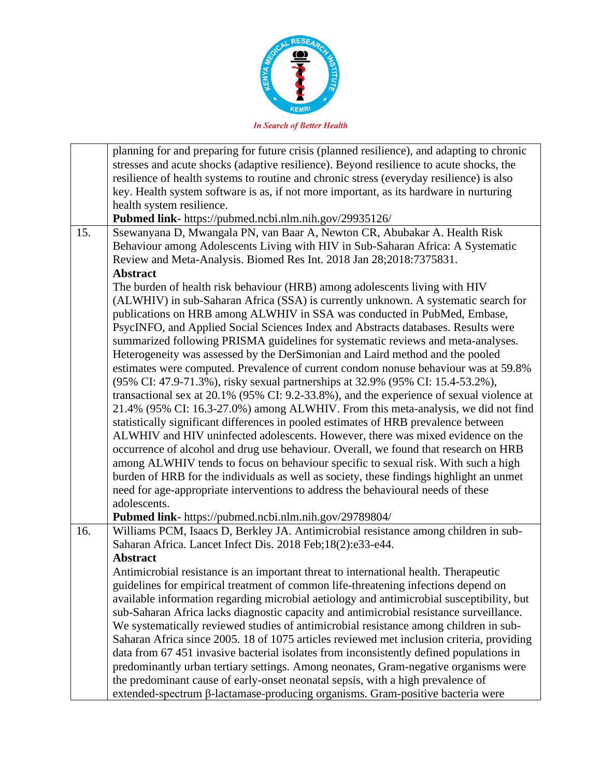

|     | planning for and preparing for future crisis (planned resilience), and adapting to chronic |
|-----|--------------------------------------------------------------------------------------------|
|     | stresses and acute shocks (adaptive resilience). Beyond resilience to acute shocks, the    |
|     | resilience of health systems to routine and chronic stress (everyday resilience) is also   |
|     | key. Health system software is as, if not more important, as its hardware in nurturing     |
|     | health system resilience.                                                                  |
|     | Pubmed link- https://pubmed.ncbi.nlm.nih.gov/29935126/                                     |
| 15. | Ssewanyana D, Mwangala PN, van Baar A, Newton CR, Abubakar A. Health Risk                  |
|     | Behaviour among Adolescents Living with HIV in Sub-Saharan Africa: A Systematic            |
|     | Review and Meta-Analysis. Biomed Res Int. 2018 Jan 28;2018:7375831.                        |
|     | <b>Abstract</b>                                                                            |
|     | The burden of health risk behaviour (HRB) among adolescents living with HIV                |
|     |                                                                                            |
|     | (ALWHIV) in sub-Saharan Africa (SSA) is currently unknown. A systematic search for         |
|     | publications on HRB among ALWHIV in SSA was conducted in PubMed, Embase,                   |
|     | PsycINFO, and Applied Social Sciences Index and Abstracts databases. Results were          |
|     | summarized following PRISMA guidelines for systematic reviews and meta-analyses.           |
|     | Heterogeneity was assessed by the DerSimonian and Laird method and the pooled              |
|     | estimates were computed. Prevalence of current condom nonuse behaviour was at 59.8%        |
|     | (95% CI: 47.9-71.3%), risky sexual partnerships at 32.9% (95% CI: 15.4-53.2%),             |
|     | transactional sex at 20.1% (95% CI: 9.2-33.8%), and the experience of sexual violence at   |
|     | 21.4% (95% CI: 16.3-27.0%) among ALWHIV. From this meta-analysis, we did not find          |
|     | statistically significant differences in pooled estimates of HRB prevalence between        |
|     | ALWHIV and HIV uninfected adolescents. However, there was mixed evidence on the            |
|     | occurrence of alcohol and drug use behaviour. Overall, we found that research on HRB       |
|     | among ALWHIV tends to focus on behaviour specific to sexual risk. With such a high         |
|     | burden of HRB for the individuals as well as society, these findings highlight an unmet    |
|     | need for age-appropriate interventions to address the behavioural needs of these           |
|     | adolescents.                                                                               |
|     | Pubmed link- https://pubmed.ncbi.nlm.nih.gov/29789804/                                     |
| 16. | Williams PCM, Isaacs D, Berkley JA. Antimicrobial resistance among children in sub-        |
|     | Saharan Africa. Lancet Infect Dis. 2018 Feb;18(2):e33-e44.                                 |
|     | <b>Abstract</b>                                                                            |
|     | Antimicrobial resistance is an important threat to international health. Therapeutic       |
|     | guidelines for empirical treatment of common life-threatening infections depend on         |
|     | available information regarding microbial aetiology and antimicrobial susceptibility, but  |
|     | sub-Saharan Africa lacks diagnostic capacity and antimicrobial resistance surveillance.    |
|     | We systematically reviewed studies of antimicrobial resistance among children in sub-      |
|     | Saharan Africa since 2005. 18 of 1075 articles reviewed met inclusion criteria, providing  |
|     | data from 67 451 invasive bacterial isolates from inconsistently defined populations in    |
|     | predominantly urban tertiary settings. Among neonates, Gram-negative organisms were        |
|     | the predominant cause of early-onset neonatal sepsis, with a high prevalence of            |
|     | extended-spectrum $\beta$ -lactamase-producing organisms. Gram-positive bacteria were      |
|     |                                                                                            |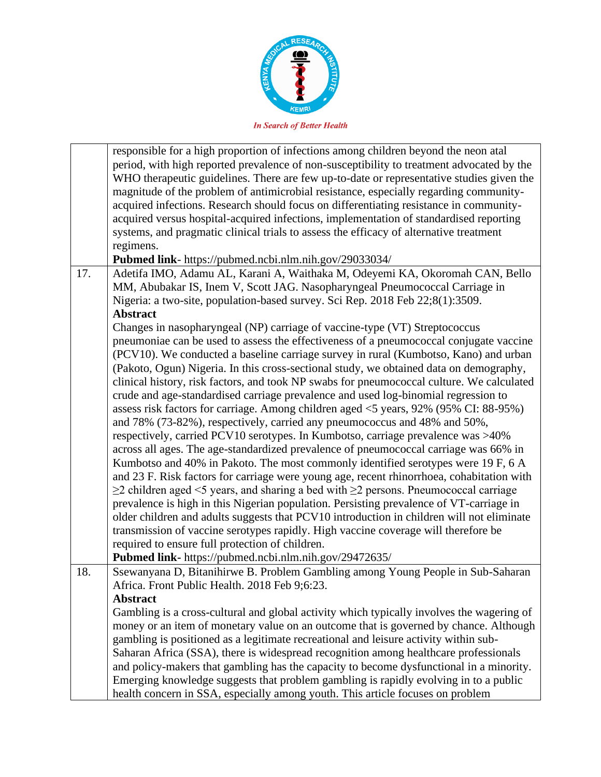

|     | responsible for a high proportion of infections among children beyond the neon atal             |
|-----|-------------------------------------------------------------------------------------------------|
|     | period, with high reported prevalence of non-susceptibility to treatment advocated by the       |
|     | WHO therapeutic guidelines. There are few up-to-date or representative studies given the        |
|     | magnitude of the problem of antimicrobial resistance, especially regarding community-           |
|     | acquired infections. Research should focus on differentiating resistance in community-          |
|     |                                                                                                 |
|     | acquired versus hospital-acquired infections, implementation of standardised reporting          |
|     | systems, and pragmatic clinical trials to assess the efficacy of alternative treatment          |
|     | regimens.                                                                                       |
|     | Pubmed link- https://pubmed.ncbi.nlm.nih.gov/29033034/                                          |
| 17. | Adetifa IMO, Adamu AL, Karani A, Waithaka M, Odeyemi KA, Okoromah CAN, Bello                    |
|     | MM, Abubakar IS, Inem V, Scott JAG. Nasopharyngeal Pneumococcal Carriage in                     |
|     | Nigeria: a two-site, population-based survey. Sci Rep. 2018 Feb 22;8(1):3509.                   |
|     | <b>Abstract</b>                                                                                 |
|     | Changes in nasopharyngeal (NP) carriage of vaccine-type (VT) Streptococcus                      |
|     | pneumoniae can be used to assess the effectiveness of a pneumococcal conjugate vaccine          |
|     | (PCV10). We conducted a baseline carriage survey in rural (Kumbotso, Kano) and urban            |
|     | (Pakoto, Ogun) Nigeria. In this cross-sectional study, we obtained data on demography,          |
|     | clinical history, risk factors, and took NP swabs for pneumococcal culture. We calculated       |
|     | crude and age-standardised carriage prevalence and used log-binomial regression to              |
|     |                                                                                                 |
|     | assess risk factors for carriage. Among children aged <5 years, 92% (95% CI: 88-95%)            |
|     | and 78% (73-82%), respectively, carried any pneumococcus and 48% and 50%,                       |
|     | respectively, carried PCV10 serotypes. In Kumbotso, carriage prevalence was >40%                |
|     | across all ages. The age-standardized prevalence of pneumococcal carriage was 66% in            |
|     | Kumbotso and 40% in Pakoto. The most commonly identified serotypes were 19 F, 6 A               |
|     | and 23 F. Risk factors for carriage were young age, recent rhinorrhoea, cohabitation with       |
|     | $\geq$ 2 children aged <5 years, and sharing a bed with $\geq$ 2 persons. Pneumococcal carriage |
|     | prevalence is high in this Nigerian population. Persisting prevalence of VT-carriage in         |
|     | older children and adults suggests that PCV10 introduction in children will not eliminate       |
|     | transmission of vaccine serotypes rapidly. High vaccine coverage will therefore be              |
|     | required to ensure full protection of children.                                                 |
|     | Pubmed link- https://pubmed.ncbi.nlm.nih.gov/29472635/                                          |
| 18. | Ssewanyana D, Bitanihirwe B. Problem Gambling among Young People in Sub-Saharan                 |
|     | Africa. Front Public Health. 2018 Feb 9;6:23.                                                   |
|     | <b>Abstract</b>                                                                                 |
|     |                                                                                                 |
|     | Gambling is a cross-cultural and global activity which typically involves the wagering of       |
|     | money or an item of monetary value on an outcome that is governed by chance. Although           |
|     | gambling is positioned as a legitimate recreational and leisure activity within sub-            |
|     | Saharan Africa (SSA), there is widespread recognition among healthcare professionals            |
|     | and policy-makers that gambling has the capacity to become dysfunctional in a minority.         |
|     | Emerging knowledge suggests that problem gambling is rapidly evolving in to a public            |
|     | health concern in SSA, especially among youth. This article focuses on problem                  |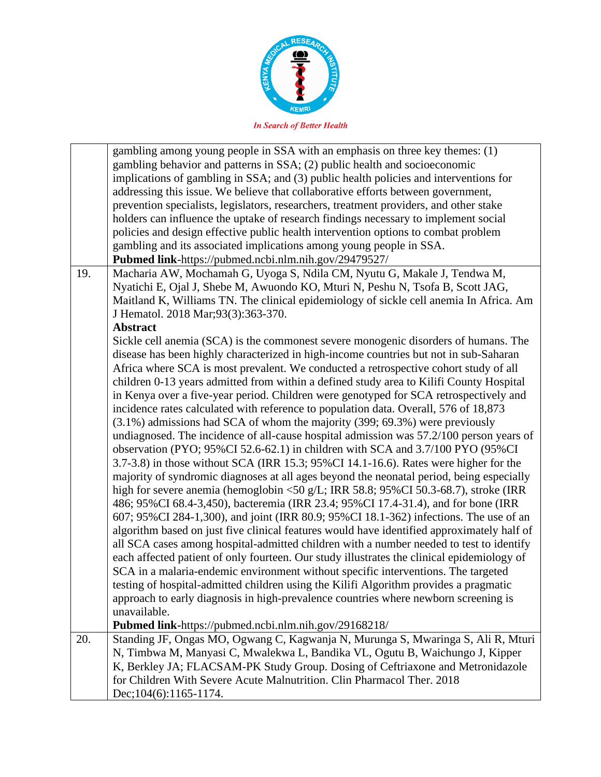

|     | gambling among young people in SSA with an emphasis on three key themes: (1)<br>gambling behavior and patterns in SSA; (2) public health and socioeconomic |
|-----|------------------------------------------------------------------------------------------------------------------------------------------------------------|
|     | implications of gambling in SSA; and (3) public health policies and interventions for                                                                      |
|     | addressing this issue. We believe that collaborative efforts between government,                                                                           |
|     | prevention specialists, legislators, researchers, treatment providers, and other stake                                                                     |
|     | holders can influence the uptake of research findings necessary to implement social                                                                        |
|     | policies and design effective public health intervention options to combat problem                                                                         |
|     | gambling and its associated implications among young people in SSA.                                                                                        |
|     | Pubmed link-https://pubmed.ncbi.nlm.nih.gov/29479527/                                                                                                      |
| 19. | Macharia AW, Mochamah G, Uyoga S, Ndila CM, Nyutu G, Makale J, Tendwa M,                                                                                   |
|     | Nyatichi E, Ojal J, Shebe M, Awuondo KO, Mturi N, Peshu N, Tsofa B, Scott JAG,                                                                             |
|     | Maitland K, Williams TN. The clinical epidemiology of sickle cell anemia In Africa. Am                                                                     |
|     | J Hematol. 2018 Mar; 93(3): 363-370.                                                                                                                       |
|     | <b>Abstract</b>                                                                                                                                            |
|     | Sickle cell anemia (SCA) is the commonest severe monogenic disorders of humans. The                                                                        |
|     | disease has been highly characterized in high-income countries but not in sub-Saharan                                                                      |
|     | Africa where SCA is most prevalent. We conducted a retrospective cohort study of all                                                                       |
|     | children 0-13 years admitted from within a defined study area to Kilifi County Hospital                                                                    |
|     | in Kenya over a five-year period. Children were genotyped for SCA retrospectively and                                                                      |
|     | incidence rates calculated with reference to population data. Overall, 576 of 18,873                                                                       |
|     | $(3.1\%)$ admissions had SCA of whom the majority $(399, 69.3\%)$ were previously                                                                          |
|     | undiagnosed. The incidence of all-cause hospital admission was 57.2/100 person years of                                                                    |
|     | observation (PYO; 95%CI 52.6-62.1) in children with SCA and 3.7/100 PYO (95%CI                                                                             |
|     | 3.7-3.8) in those without SCA (IRR 15.3; 95%CI 14.1-16.6). Rates were higher for the                                                                       |
|     | majority of syndromic diagnoses at all ages beyond the neonatal period, being especially                                                                   |
|     | high for severe anemia (hemoglobin $\langle 50 \text{ g/L} \rangle$ ; IRR 58.8; 95%CI 50.3-68.7), stroke (IRR                                              |
|     | 486; 95% CI 68.4-3,450), bacteremia (IRR 23.4; 95% CI 17.4-31.4), and for bone (IRR                                                                        |
|     | 607; 95% CI 284-1,300), and joint (IRR 80.9; 95% CI 18.1-362) infections. The use of an                                                                    |
|     | algorithm based on just five clinical features would have identified approximately half of                                                                 |
|     | all SCA cases among hospital-admitted children with a number needed to test to identify                                                                    |
|     | each affected patient of only fourteen. Our study illustrates the clinical epidemiology of                                                                 |
|     | SCA in a malaria-endemic environment without specific interventions. The targeted                                                                          |
|     | testing of hospital-admitted children using the Kilifi Algorithm provides a pragmatic                                                                      |
|     | approach to early diagnosis in high-prevalence countries where newborn screening is                                                                        |
|     | unavailable.                                                                                                                                               |
|     | Pubmed link-https://pubmed.ncbi.nlm.nih.gov/29168218/                                                                                                      |
| 20. | Standing JF, Ongas MO, Ogwang C, Kagwanja N, Murunga S, Mwaringa S, Ali R, Mturi                                                                           |
|     | N, Timbwa M, Manyasi C, Mwalekwa L, Bandika VL, Ogutu B, Waichungo J, Kipper                                                                               |
|     | K, Berkley JA; FLACSAM-PK Study Group. Dosing of Ceftriaxone and Metronidazole                                                                             |
|     | for Children With Severe Acute Malnutrition. Clin Pharmacol Ther. 2018                                                                                     |
|     | Dec; 104(6): 1165-1174.                                                                                                                                    |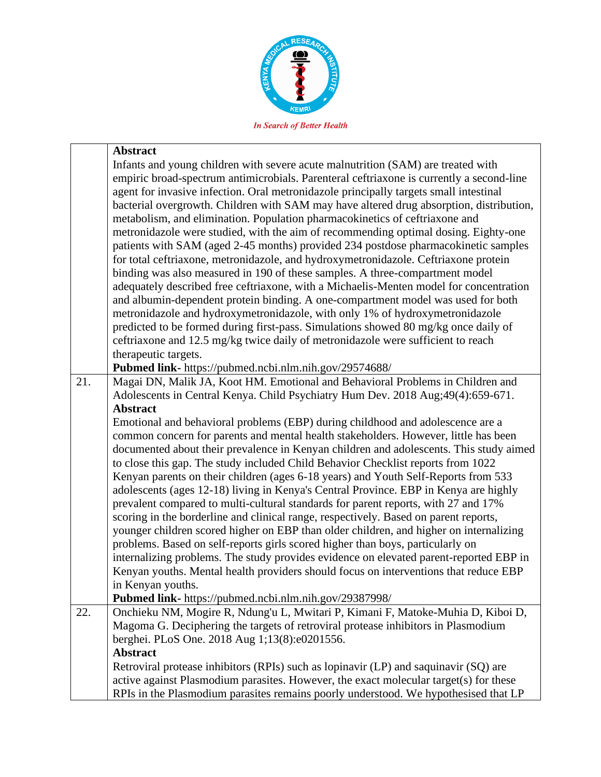

|     | <b>Abstract</b>                                                                          |
|-----|------------------------------------------------------------------------------------------|
|     | Infants and young children with severe acute malnutrition (SAM) are treated with         |
|     | empiric broad-spectrum antimicrobials. Parenteral ceftriaxone is currently a second-line |
|     | agent for invasive infection. Oral metronidazole principally targets small intestinal    |
|     | bacterial overgrowth. Children with SAM may have altered drug absorption, distribution,  |
|     | metabolism, and elimination. Population pharmacokinetics of ceftriaxone and              |
|     | metronidazole were studied, with the aim of recommending optimal dosing. Eighty-one      |
|     | patients with SAM (aged 2-45 months) provided 234 postdose pharmacokinetic samples       |
|     | for total ceftriaxone, metronidazole, and hydroxymetronidazole. Ceftriaxone protein      |
|     | binding was also measured in 190 of these samples. A three-compartment model             |
|     | adequately described free ceftriaxone, with a Michaelis-Menten model for concentration   |
|     | and albumin-dependent protein binding. A one-compartment model was used for both         |
|     | metronidazole and hydroxymetronidazole, with only 1% of hydroxymetronidazole             |
|     | predicted to be formed during first-pass. Simulations showed 80 mg/kg once daily of      |
|     | ceftriaxone and 12.5 mg/kg twice daily of metronidazole were sufficient to reach         |
|     | therapeutic targets.                                                                     |
|     | Pubmed link- https://pubmed.ncbi.nlm.nih.gov/29574688/                                   |
| 21. | Magai DN, Malik JA, Koot HM. Emotional and Behavioral Problems in Children and           |
|     | Adolescents in Central Kenya. Child Psychiatry Hum Dev. 2018 Aug;49(4):659-671.          |
|     | <b>Abstract</b>                                                                          |
|     | Emotional and behavioral problems (EBP) during childhood and adolescence are a           |
|     | common concern for parents and mental health stakeholders. However, little has been      |
|     | documented about their prevalence in Kenyan children and adolescents. This study aimed   |
|     | to close this gap. The study included Child Behavior Checklist reports from 1022         |
|     | Kenyan parents on their children (ages 6-18 years) and Youth Self-Reports from 533       |
|     | adolescents (ages 12-18) living in Kenya's Central Province. EBP in Kenya are highly     |
|     | prevalent compared to multi-cultural standards for parent reports, with 27 and 17%       |
|     | scoring in the borderline and clinical range, respectively. Based on parent reports,     |
|     | younger children scored higher on EBP than older children, and higher on internalizing   |
|     | problems. Based on self-reports girls scored higher than boys, particularly on           |
|     | internalizing problems. The study provides evidence on elevated parent-reported EBP in   |
|     | Kenyan youths. Mental health providers should focus on interventions that reduce EBP     |
|     | in Kenyan youths.                                                                        |
|     | Pubmed link- https://pubmed.ncbi.nlm.nih.gov/29387998/                                   |
| 22. | Onchieku NM, Mogire R, Ndung'u L, Mwitari P, Kimani F, Matoke-Muhia D, Kiboi D,          |
|     | Magoma G. Deciphering the targets of retroviral protease inhibitors in Plasmodium        |
|     | berghei. PLoS One. 2018 Aug 1;13(8):e0201556.                                            |
|     | <b>Abstract</b>                                                                          |
|     | Retroviral protease inhibitors (RPIs) such as lopinavir (LP) and saquinavir (SQ) are     |
|     | active against Plasmodium parasites. However, the exact molecular target(s) for these    |
|     | RPIs in the Plasmodium parasites remains poorly understood. We hypothesised that LP      |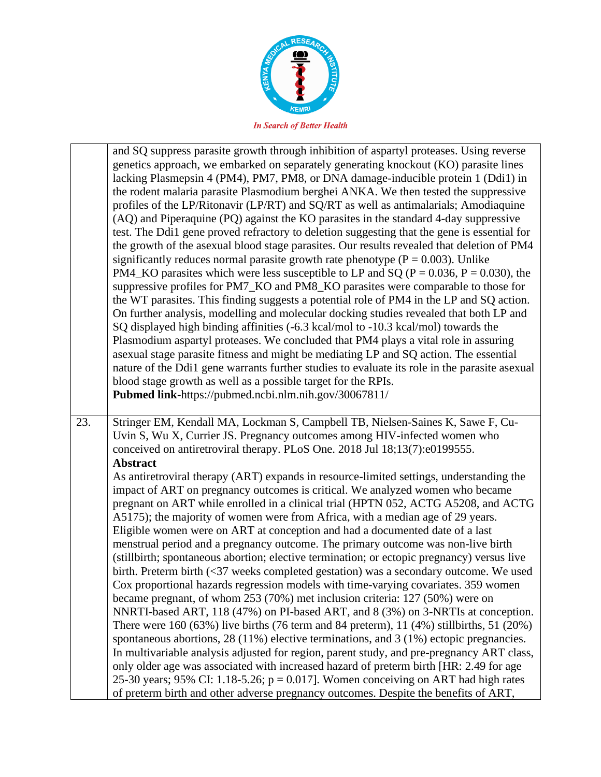

|     | and SQ suppress parasite growth through inhibition of aspartyl proteases. Using reverse<br>genetics approach, we embarked on separately generating knockout (KO) parasite lines<br>lacking Plasmepsin 4 (PM4), PM7, PM8, or DNA damage-inducible protein 1 (Ddi1) in<br>the rodent malaria parasite Plasmodium berghei ANKA. We then tested the suppressive<br>profiles of the LP/Ritonavir (LP/RT) and SQ/RT as well as antimalarials; Amodiaquine<br>(AQ) and Piperaquine (PQ) against the KO parasites in the standard 4-day suppressive<br>test. The Ddi1 gene proved refractory to deletion suggesting that the gene is essential for<br>the growth of the asexual blood stage parasites. Our results revealed that deletion of PM4<br>significantly reduces normal parasite growth rate phenotype ( $P = 0.003$ ). Unlike<br>PM4_KO parasites which were less susceptible to LP and SQ ( $P = 0.036$ , $P = 0.030$ ), the<br>suppressive profiles for PM7_KO and PM8_KO parasites were comparable to those for<br>the WT parasites. This finding suggests a potential role of PM4 in the LP and SQ action.<br>On further analysis, modelling and molecular docking studies revealed that both LP and<br>SQ displayed high binding affinities (-6.3 kcal/mol to -10.3 kcal/mol) towards the<br>Plasmodium aspartyl proteases. We concluded that PM4 plays a vital role in assuring<br>asexual stage parasite fitness and might be mediating LP and SQ action. The essential<br>nature of the Ddi1 gene warrants further studies to evaluate its role in the parasite asexual<br>blood stage growth as well as a possible target for the RPIs.<br>Pubmed link-https://pubmed.ncbi.nlm.nih.gov/30067811/                                                                                             |
|-----|---------------------------------------------------------------------------------------------------------------------------------------------------------------------------------------------------------------------------------------------------------------------------------------------------------------------------------------------------------------------------------------------------------------------------------------------------------------------------------------------------------------------------------------------------------------------------------------------------------------------------------------------------------------------------------------------------------------------------------------------------------------------------------------------------------------------------------------------------------------------------------------------------------------------------------------------------------------------------------------------------------------------------------------------------------------------------------------------------------------------------------------------------------------------------------------------------------------------------------------------------------------------------------------------------------------------------------------------------------------------------------------------------------------------------------------------------------------------------------------------------------------------------------------------------------------------------------------------------------------------------------------------------------------------------------------------------------------------------------------------------------------------------------------------------------|
| 23. | Stringer EM, Kendall MA, Lockman S, Campbell TB, Nielsen-Saines K, Sawe F, Cu-<br>Uvin S, Wu X, Currier JS. Pregnancy outcomes among HIV-infected women who<br>conceived on antiretroviral therapy. PLoS One. 2018 Jul 18;13(7):e0199555.<br><b>Abstract</b><br>As antiretroviral therapy (ART) expands in resource-limited settings, understanding the<br>impact of ART on pregnancy outcomes is critical. We analyzed women who became<br>pregnant on ART while enrolled in a clinical trial (HPTN 052, ACTG A5208, and ACTG<br>A5175); the majority of women were from Africa, with a median age of 29 years.<br>Eligible women were on ART at conception and had a documented date of a last<br>menstrual period and a pregnancy outcome. The primary outcome was non-live birth<br>(stillbirth; spontaneous abortion; elective termination; or ectopic pregnancy) versus live<br>birth. Preterm birth (<37 weeks completed gestation) was a secondary outcome. We used<br>Cox proportional hazards regression models with time-varying covariates. 359 women<br>became pregnant, of whom 253 (70%) met inclusion criteria: 127 (50%) were on<br>NNRTI-based ART, 118 (47%) on PI-based ART, and 8 (3%) on 3-NRTIs at conception.<br>There were $160(63%)$ live births (76 term and 84 preterm), 11 (4%) stillbirths, 51 (20%)<br>spontaneous abortions, $28(11\%)$ elective terminations, and $3(1\%)$ ectopic pregnancies.<br>In multivariable analysis adjusted for region, parent study, and pre-pregnancy ART class,<br>only older age was associated with increased hazard of preterm birth [HR: 2.49 for age<br>25-30 years; 95% CI: 1.18-5.26; $p = 0.017$ ]. Women conceiving on ART had high rates<br>of preterm birth and other adverse pregnancy outcomes. Despite the benefits of ART, |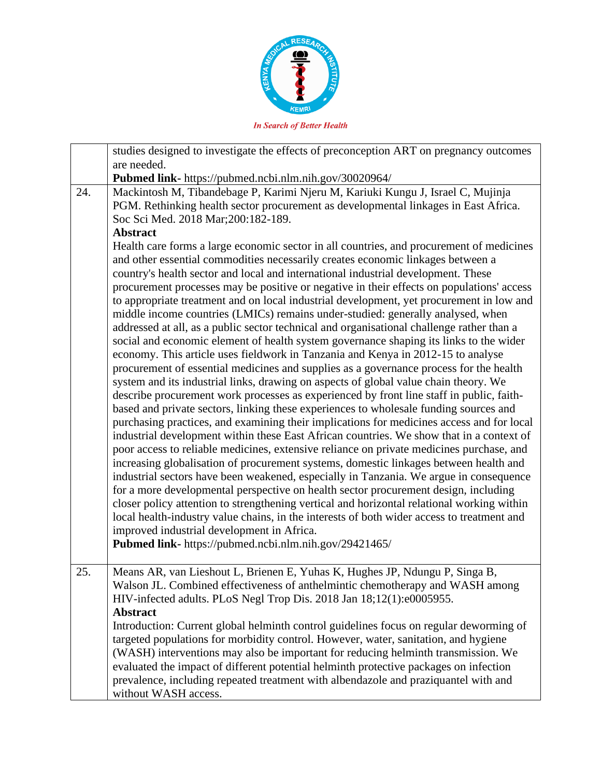

|     | studies designed to investigate the effects of preconception ART on pregnancy outcomes<br>are needed.                                                                                                                                                                                                                                                                                                                                                                                                                                                                                                                                                                                                                                                                                                                                                                                                                                                                                                                                                                                                                                                                                                                                                                                                                                                                                                                                                                                                                                                                                                                                                                                                                                                                                                                                                                                                                                                                                                                                                                                                                                                                                                                                                                                                 |
|-----|-------------------------------------------------------------------------------------------------------------------------------------------------------------------------------------------------------------------------------------------------------------------------------------------------------------------------------------------------------------------------------------------------------------------------------------------------------------------------------------------------------------------------------------------------------------------------------------------------------------------------------------------------------------------------------------------------------------------------------------------------------------------------------------------------------------------------------------------------------------------------------------------------------------------------------------------------------------------------------------------------------------------------------------------------------------------------------------------------------------------------------------------------------------------------------------------------------------------------------------------------------------------------------------------------------------------------------------------------------------------------------------------------------------------------------------------------------------------------------------------------------------------------------------------------------------------------------------------------------------------------------------------------------------------------------------------------------------------------------------------------------------------------------------------------------------------------------------------------------------------------------------------------------------------------------------------------------------------------------------------------------------------------------------------------------------------------------------------------------------------------------------------------------------------------------------------------------------------------------------------------------------------------------------------------------|
|     | Pubmed link- https://pubmed.ncbi.nlm.nih.gov/30020964/                                                                                                                                                                                                                                                                                                                                                                                                                                                                                                                                                                                                                                                                                                                                                                                                                                                                                                                                                                                                                                                                                                                                                                                                                                                                                                                                                                                                                                                                                                                                                                                                                                                                                                                                                                                                                                                                                                                                                                                                                                                                                                                                                                                                                                                |
| 24. | Mackintosh M, Tibandebage P, Karimi Njeru M, Kariuki Kungu J, Israel C, Mujinja<br>PGM. Rethinking health sector procurement as developmental linkages in East Africa.<br>Soc Sci Med. 2018 Mar; 200:182-189.<br><b>Abstract</b><br>Health care forms a large economic sector in all countries, and procurement of medicines<br>and other essential commodities necessarily creates economic linkages between a<br>country's health sector and local and international industrial development. These<br>procurement processes may be positive or negative in their effects on populations' access<br>to appropriate treatment and on local industrial development, yet procurement in low and<br>middle income countries (LMICs) remains under-studied: generally analysed, when<br>addressed at all, as a public sector technical and organisational challenge rather than a<br>social and economic element of health system governance shaping its links to the wider<br>economy. This article uses fieldwork in Tanzania and Kenya in 2012-15 to analyse<br>procurement of essential medicines and supplies as a governance process for the health<br>system and its industrial links, drawing on aspects of global value chain theory. We<br>describe procurement work processes as experienced by front line staff in public, faith-<br>based and private sectors, linking these experiences to wholesale funding sources and<br>purchasing practices, and examining their implications for medicines access and for local<br>industrial development within these East African countries. We show that in a context of<br>poor access to reliable medicines, extensive reliance on private medicines purchase, and<br>increasing globalisation of procurement systems, domestic linkages between health and<br>industrial sectors have been weakened, especially in Tanzania. We argue in consequence<br>for a more developmental perspective on health sector procurement design, including<br>closer policy attention to strengthening vertical and horizontal relational working within<br>local health-industry value chains, in the interests of both wider access to treatment and<br>improved industrial development in Africa.<br>Pubmed link- https://pubmed.ncbi.nlm.nih.gov/29421465/ |
| 25. | Means AR, van Lieshout L, Brienen E, Yuhas K, Hughes JP, Ndungu P, Singa B,                                                                                                                                                                                                                                                                                                                                                                                                                                                                                                                                                                                                                                                                                                                                                                                                                                                                                                                                                                                                                                                                                                                                                                                                                                                                                                                                                                                                                                                                                                                                                                                                                                                                                                                                                                                                                                                                                                                                                                                                                                                                                                                                                                                                                           |
|     | Walson JL. Combined effectiveness of anthelmintic chemotherapy and WASH among<br>HIV-infected adults. PLoS Negl Trop Dis. 2018 Jan 18;12(1):e0005955.<br><b>Abstract</b>                                                                                                                                                                                                                                                                                                                                                                                                                                                                                                                                                                                                                                                                                                                                                                                                                                                                                                                                                                                                                                                                                                                                                                                                                                                                                                                                                                                                                                                                                                                                                                                                                                                                                                                                                                                                                                                                                                                                                                                                                                                                                                                              |
|     | Introduction: Current global helminth control guidelines focus on regular deworming of<br>targeted populations for morbidity control. However, water, sanitation, and hygiene<br>(WASH) interventions may also be important for reducing helminth transmission. We<br>evaluated the impact of different potential helminth protective packages on infection<br>prevalence, including repeated treatment with albendazole and praziquantel with and<br>without WASH access.                                                                                                                                                                                                                                                                                                                                                                                                                                                                                                                                                                                                                                                                                                                                                                                                                                                                                                                                                                                                                                                                                                                                                                                                                                                                                                                                                                                                                                                                                                                                                                                                                                                                                                                                                                                                                            |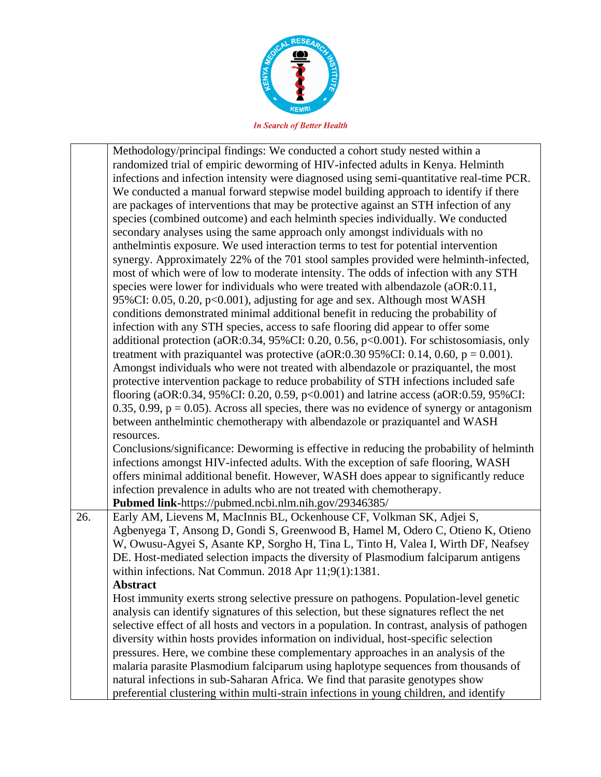

|     | Methodology/principal findings: We conducted a cohort study nested within a<br>randomized trial of empiric deworming of HIV-infected adults in Kenya. Helminth<br>infections and infection intensity were diagnosed using semi-quantitative real-time PCR.<br>We conducted a manual forward stepwise model building approach to identify if there<br>are packages of interventions that may be protective against an STH infection of any<br>species (combined outcome) and each helminth species individually. We conducted<br>secondary analyses using the same approach only amongst individuals with no<br>anthelmintis exposure. We used interaction terms to test for potential intervention<br>synergy. Approximately 22% of the 701 stool samples provided were helminth-infected,<br>most of which were of low to moderate intensity. The odds of infection with any STH<br>species were lower for individuals who were treated with albendazole (aOR:0.11,<br>95% CI: 0.05, 0.20, p<0.001), adjusting for age and sex. Although most WASH<br>conditions demonstrated minimal additional benefit in reducing the probability of<br>infection with any STH species, access to safe flooring did appear to offer some<br>additional protection (aOR:0.34, 95%CI: 0.20, 0.56, p<0.001). For schistosomiasis, only<br>treatment with praziquantel was protective (aOR:0.30 95%CI: 0.14, 0.60, $p = 0.001$ ).<br>Amongst individuals who were not treated with albendazole or praziquantel, the most<br>protective intervention package to reduce probability of STH infections included safe<br>flooring (aOR:0.34, 95%CI: 0.20, 0.59, p<0.001) and latrine access (aOR:0.59, 95%CI:<br>0.35, 0.99, $p = 0.05$ ). Across all species, there was no evidence of synergy or antagonism<br>between anthelmintic chemotherapy with albendazole or praziquantel and WASH<br>resources. |
|-----|----------------------------------------------------------------------------------------------------------------------------------------------------------------------------------------------------------------------------------------------------------------------------------------------------------------------------------------------------------------------------------------------------------------------------------------------------------------------------------------------------------------------------------------------------------------------------------------------------------------------------------------------------------------------------------------------------------------------------------------------------------------------------------------------------------------------------------------------------------------------------------------------------------------------------------------------------------------------------------------------------------------------------------------------------------------------------------------------------------------------------------------------------------------------------------------------------------------------------------------------------------------------------------------------------------------------------------------------------------------------------------------------------------------------------------------------------------------------------------------------------------------------------------------------------------------------------------------------------------------------------------------------------------------------------------------------------------------------------------------------------------------------------------------------------------------------------------------------------------------------------------------|
|     | Conclusions/significance: Deworming is effective in reducing the probability of helminth<br>infections amongst HIV-infected adults. With the exception of safe flooring, WASH                                                                                                                                                                                                                                                                                                                                                                                                                                                                                                                                                                                                                                                                                                                                                                                                                                                                                                                                                                                                                                                                                                                                                                                                                                                                                                                                                                                                                                                                                                                                                                                                                                                                                                          |
|     | offers minimal additional benefit. However, WASH does appear to significantly reduce                                                                                                                                                                                                                                                                                                                                                                                                                                                                                                                                                                                                                                                                                                                                                                                                                                                                                                                                                                                                                                                                                                                                                                                                                                                                                                                                                                                                                                                                                                                                                                                                                                                                                                                                                                                                   |
|     | infection prevalence in adults who are not treated with chemotherapy.                                                                                                                                                                                                                                                                                                                                                                                                                                                                                                                                                                                                                                                                                                                                                                                                                                                                                                                                                                                                                                                                                                                                                                                                                                                                                                                                                                                                                                                                                                                                                                                                                                                                                                                                                                                                                  |
|     | Pubmed link-https://pubmed.ncbi.nlm.nih.gov/29346385/                                                                                                                                                                                                                                                                                                                                                                                                                                                                                                                                                                                                                                                                                                                                                                                                                                                                                                                                                                                                                                                                                                                                                                                                                                                                                                                                                                                                                                                                                                                                                                                                                                                                                                                                                                                                                                  |
| 26. | Early AM, Lievens M, MacInnis BL, Ockenhouse CF, Volkman SK, Adjei S,<br>Agbenyega T, Ansong D, Gondi S, Greenwood B, Hamel M, Odero C, Otieno K, Otieno<br>W, Owusu-Agyei S, Asante KP, Sorgho H, Tina L, Tinto H, Valea I, Wirth DF, Neafsey<br>DE. Host-mediated selection impacts the diversity of Plasmodium falciparum antigens<br>within infections. Nat Commun. 2018 Apr 11;9(1):1381.<br><b>Abstract</b>                                                                                                                                                                                                                                                                                                                                                                                                                                                                                                                                                                                                                                                                                                                                                                                                                                                                                                                                                                                                                                                                                                                                                                                                                                                                                                                                                                                                                                                                      |
|     | Host immunity exerts strong selective pressure on pathogens. Population-level genetic<br>analysis can identify signatures of this selection, but these signatures reflect the net<br>selective effect of all hosts and vectors in a population. In contrast, analysis of pathogen<br>diversity within hosts provides information on individual, host-specific selection<br>pressures. Here, we combine these complementary approaches in an analysis of the<br>malaria parasite Plasmodium falciparum using haplotype sequences from thousands of<br>natural infections in sub-Saharan Africa. We find that parasite genotypes show<br>preferential clustering within multi-strain infections in young children, and identify                                                                                                                                                                                                                                                                                                                                                                                                                                                                                                                                                                                                                                                                                                                                                                                                                                                                                                                                                                                                                                                                                                                                                          |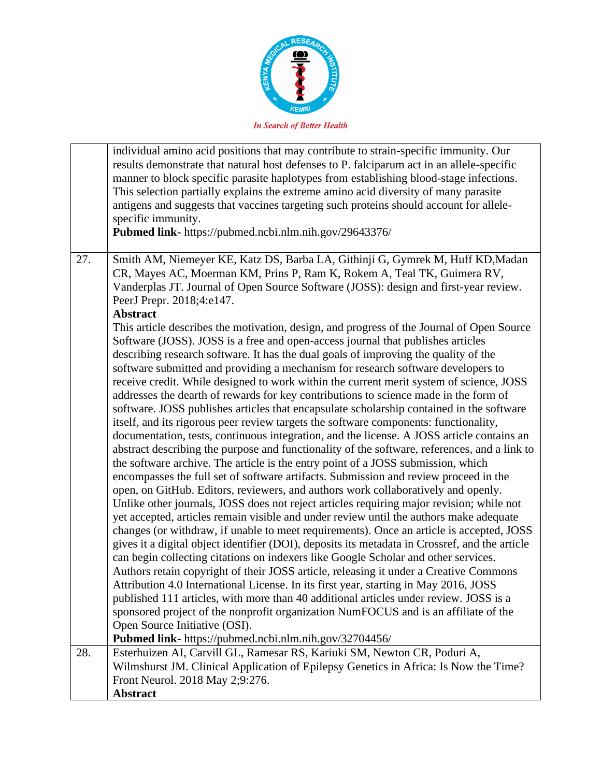

|     | individual amino acid positions that may contribute to strain-specific immunity. Our<br>results demonstrate that natural host defenses to P. falciparum act in an allele-specific<br>manner to block specific parasite haplotypes from establishing blood-stage infections.<br>This selection partially explains the extreme amino acid diversity of many parasite<br>antigens and suggests that vaccines targeting such proteins should account for allele-<br>specific immunity.<br>Pubmed link- https://pubmed.ncbi.nlm.nih.gov/29643376/                                                                                                                                                                                                                                                                                                                                                                                                                                                                                                                                                                                                                                                                                                                                                                                                                                                                                                                                                                                                                                                                                                                                                                                                                                                                                                                                                                                                                                                                                                                                                                                                          |
|-----|-------------------------------------------------------------------------------------------------------------------------------------------------------------------------------------------------------------------------------------------------------------------------------------------------------------------------------------------------------------------------------------------------------------------------------------------------------------------------------------------------------------------------------------------------------------------------------------------------------------------------------------------------------------------------------------------------------------------------------------------------------------------------------------------------------------------------------------------------------------------------------------------------------------------------------------------------------------------------------------------------------------------------------------------------------------------------------------------------------------------------------------------------------------------------------------------------------------------------------------------------------------------------------------------------------------------------------------------------------------------------------------------------------------------------------------------------------------------------------------------------------------------------------------------------------------------------------------------------------------------------------------------------------------------------------------------------------------------------------------------------------------------------------------------------------------------------------------------------------------------------------------------------------------------------------------------------------------------------------------------------------------------------------------------------------------------------------------------------------------------------------------------------------|
| 27. | Smith AM, Niemeyer KE, Katz DS, Barba LA, Githinji G, Gymrek M, Huff KD, Madan<br>CR, Mayes AC, Moerman KM, Prins P, Ram K, Rokem A, Teal TK, Guimera RV,<br>Vanderplas JT. Journal of Open Source Software (JOSS): design and first-year review.<br>PeerJ Prepr. 2018;4:e147.                                                                                                                                                                                                                                                                                                                                                                                                                                                                                                                                                                                                                                                                                                                                                                                                                                                                                                                                                                                                                                                                                                                                                                                                                                                                                                                                                                                                                                                                                                                                                                                                                                                                                                                                                                                                                                                                        |
|     | <b>Abstract</b><br>This article describes the motivation, design, and progress of the Journal of Open Source<br>Software (JOSS). JOSS is a free and open-access journal that publishes articles<br>describing research software. It has the dual goals of improving the quality of the<br>software submitted and providing a mechanism for research software developers to<br>receive credit. While designed to work within the current merit system of science, JOSS<br>addresses the dearth of rewards for key contributions to science made in the form of<br>software. JOSS publishes articles that encapsulate scholarship contained in the software<br>itself, and its rigorous peer review targets the software components: functionality,<br>documentation, tests, continuous integration, and the license. A JOSS article contains an<br>abstract describing the purpose and functionality of the software, references, and a link to<br>the software archive. The article is the entry point of a JOSS submission, which<br>encompasses the full set of software artifacts. Submission and review proceed in the<br>open, on GitHub. Editors, reviewers, and authors work collaboratively and openly.<br>Unlike other journals, JOSS does not reject articles requiring major revision; while not<br>yet accepted, articles remain visible and under review until the authors make adequate<br>changes (or withdraw, if unable to meet requirements). Once an article is accepted, JOSS<br>gives it a digital object identifier (DOI), deposits its metadata in Crossref, and the article<br>can begin collecting citations on indexers like Google Scholar and other services.<br>Authors retain copyright of their JOSS article, releasing it under a Creative Commons<br>Attribution 4.0 International License. In its first year, starting in May 2016, JOSS<br>published 111 articles, with more than 40 additional articles under review. JOSS is a<br>sponsored project of the nonprofit organization NumFOCUS and is an affiliate of the<br>Open Source Initiative (OSI).<br>Pubmed link- https://pubmed.ncbi.nlm.nih.gov/32704456/ |
| 28. | Esterhuizen AI, Carvill GL, Ramesar RS, Kariuki SM, Newton CR, Poduri A,<br>Wilmshurst JM. Clinical Application of Epilepsy Genetics in Africa: Is Now the Time?                                                                                                                                                                                                                                                                                                                                                                                                                                                                                                                                                                                                                                                                                                                                                                                                                                                                                                                                                                                                                                                                                                                                                                                                                                                                                                                                                                                                                                                                                                                                                                                                                                                                                                                                                                                                                                                                                                                                                                                      |
|     | Front Neurol. 2018 May 2;9:276.                                                                                                                                                                                                                                                                                                                                                                                                                                                                                                                                                                                                                                                                                                                                                                                                                                                                                                                                                                                                                                                                                                                                                                                                                                                                                                                                                                                                                                                                                                                                                                                                                                                                                                                                                                                                                                                                                                                                                                                                                                                                                                                       |
|     | <b>Abstract</b>                                                                                                                                                                                                                                                                                                                                                                                                                                                                                                                                                                                                                                                                                                                                                                                                                                                                                                                                                                                                                                                                                                                                                                                                                                                                                                                                                                                                                                                                                                                                                                                                                                                                                                                                                                                                                                                                                                                                                                                                                                                                                                                                       |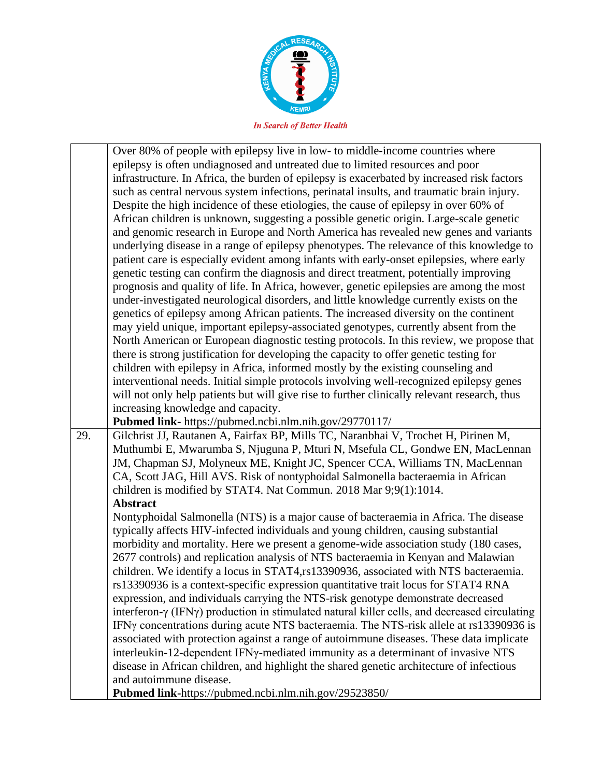

|     | Over 80% of people with epilepsy live in low- to middle-income countries where                                |
|-----|---------------------------------------------------------------------------------------------------------------|
|     | epilepsy is often undiagnosed and untreated due to limited resources and poor                                 |
|     | infrastructure. In Africa, the burden of epilepsy is exacerbated by increased risk factors                    |
|     |                                                                                                               |
|     | such as central nervous system infections, perinatal insults, and traumatic brain injury.                     |
|     | Despite the high incidence of these etiologies, the cause of epilepsy in over 60% of                          |
|     | African children is unknown, suggesting a possible genetic origin. Large-scale genetic                        |
|     | and genomic research in Europe and North America has revealed new genes and variants                          |
|     | underlying disease in a range of epilepsy phenotypes. The relevance of this knowledge to                      |
|     | patient care is especially evident among infants with early-onset epilepsies, where early                     |
|     | genetic testing can confirm the diagnosis and direct treatment, potentially improving                         |
|     | prognosis and quality of life. In Africa, however, genetic epilepsies are among the most                      |
|     | under-investigated neurological disorders, and little knowledge currently exists on the                       |
|     | genetics of epilepsy among African patients. The increased diversity on the continent                         |
|     | may yield unique, important epilepsy-associated genotypes, currently absent from the                          |
|     | North American or European diagnostic testing protocols. In this review, we propose that                      |
|     | there is strong justification for developing the capacity to offer genetic testing for                        |
|     | children with epilepsy in Africa, informed mostly by the existing counseling and                              |
|     | interventional needs. Initial simple protocols involving well-recognized epilepsy genes                       |
|     | will not only help patients but will give rise to further clinically relevant research, thus                  |
|     | increasing knowledge and capacity.                                                                            |
|     | Pubmed link- https://pubmed.ncbi.nlm.nih.gov/29770117/                                                        |
| 29. | Gilchrist JJ, Rautanen A, Fairfax BP, Mills TC, Naranbhai V, Trochet H, Pirinen M,                            |
|     | Muthumbi E, Mwarumba S, Njuguna P, Mturi N, Msefula CL, Gondwe EN, MacLennan                                  |
|     | JM, Chapman SJ, Molyneux ME, Knight JC, Spencer CCA, Williams TN, MacLennan                                   |
|     | CA, Scott JAG, Hill AVS. Risk of nontyphoidal Salmonella bacteraemia in African                               |
|     | children is modified by STAT4. Nat Commun. 2018 Mar 9;9(1):1014.                                              |
|     | <b>Abstract</b>                                                                                               |
|     | Nontyphoidal Salmonella (NTS) is a major cause of bacteraemia in Africa. The disease                          |
|     | typically affects HIV-infected individuals and young children, causing substantial                            |
|     | morbidity and mortality. Here we present a genome-wide association study (180 cases,                          |
|     | 2677 controls) and replication analysis of NTS bacteraemia in Kenyan and Malawian                             |
|     | children. We identify a locus in STAT4,rs13390936, associated with NTS bacteraemia.                           |
|     | rs13390936 is a context-specific expression quantitative trait locus for STAT4 RNA                            |
|     | expression, and individuals carrying the NTS-risk genotype demonstrate decreased                              |
|     | interferon- $\gamma$ (IFN $\gamma$ ) production in stimulated natural killer cells, and decreased circulating |
|     | IFNy concentrations during acute NTS bacteraemia. The NTS-risk allele at rs13390936 is                        |
|     | associated with protection against a range of autoimmune diseases. These data implicate                       |
|     |                                                                                                               |
|     | interleukin-12-dependent IFNy-mediated immunity as a determinant of invasive NTS                              |
|     | disease in African children, and highlight the shared genetic architecture of infectious                      |
|     | and autoimmune disease.                                                                                       |
|     | Pubmed link-https://pubmed.ncbi.nlm.nih.gov/29523850/                                                         |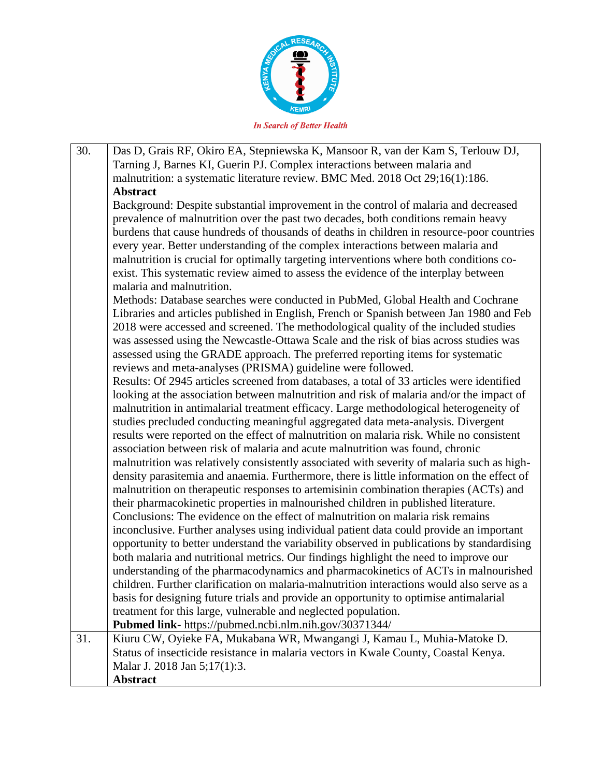

| 30. | Das D, Grais RF, Okiro EA, Stepniewska K, Mansoor R, van der Kam S, Terlouw DJ,<br>Tarning J, Barnes KI, Guerin PJ. Complex interactions between malaria and<br>malnutrition: a systematic literature review. BMC Med. 2018 Oct 29;16(1):186. |
|-----|-----------------------------------------------------------------------------------------------------------------------------------------------------------------------------------------------------------------------------------------------|
|     | <b>Abstract</b>                                                                                                                                                                                                                               |
|     | Background: Despite substantial improvement in the control of malaria and decreased                                                                                                                                                           |
|     | prevalence of malnutrition over the past two decades, both conditions remain heavy                                                                                                                                                            |
|     | burdens that cause hundreds of thousands of deaths in children in resource-poor countries                                                                                                                                                     |
|     | every year. Better understanding of the complex interactions between malaria and                                                                                                                                                              |
|     | malnutrition is crucial for optimally targeting interventions where both conditions co-                                                                                                                                                       |
|     | exist. This systematic review aimed to assess the evidence of the interplay between                                                                                                                                                           |
|     | malaria and malnutrition.                                                                                                                                                                                                                     |
|     | Methods: Database searches were conducted in PubMed, Global Health and Cochrane                                                                                                                                                               |
|     | Libraries and articles published in English, French or Spanish between Jan 1980 and Feb                                                                                                                                                       |
|     | 2018 were accessed and screened. The methodological quality of the included studies                                                                                                                                                           |
|     | was assessed using the Newcastle-Ottawa Scale and the risk of bias across studies was<br>assessed using the GRADE approach. The preferred reporting items for systematic                                                                      |
|     | reviews and meta-analyses (PRISMA) guideline were followed.                                                                                                                                                                                   |
|     | Results: Of 2945 articles screened from databases, a total of 33 articles were identified                                                                                                                                                     |
|     | looking at the association between malnutrition and risk of malaria and/or the impact of                                                                                                                                                      |
|     | malnutrition in antimalarial treatment efficacy. Large methodological heterogeneity of                                                                                                                                                        |
|     | studies precluded conducting meaningful aggregated data meta-analysis. Divergent                                                                                                                                                              |
|     | results were reported on the effect of malnutrition on malaria risk. While no consistent                                                                                                                                                      |
|     | association between risk of malaria and acute malnutrition was found, chronic                                                                                                                                                                 |
|     | malnutrition was relatively consistently associated with severity of malaria such as high-                                                                                                                                                    |
|     | density parasitemia and anaemia. Furthermore, there is little information on the effect of                                                                                                                                                    |
|     | malnutrition on therapeutic responses to artemisinin combination therapies (ACTs) and                                                                                                                                                         |
|     | their pharmacokinetic properties in malnourished children in published literature.<br>Conclusions: The evidence on the effect of malnutrition on malaria risk remains                                                                         |
|     | inconclusive. Further analyses using individual patient data could provide an important                                                                                                                                                       |
|     | opportunity to better understand the variability observed in publications by standardising                                                                                                                                                    |
|     | both malaria and nutritional metrics. Our findings highlight the need to improve our                                                                                                                                                          |
|     | understanding of the pharmacodynamics and pharmacokinetics of ACTs in malnourished                                                                                                                                                            |
|     | children. Further clarification on malaria-malnutrition interactions would also serve as a                                                                                                                                                    |
|     | basis for designing future trials and provide an opportunity to optimise antimalarial                                                                                                                                                         |
|     | treatment for this large, vulnerable and neglected population.                                                                                                                                                                                |
|     | Pubmed link- https://pubmed.ncbi.nlm.nih.gov/30371344/                                                                                                                                                                                        |
| 31. | Kiuru CW, Oyieke FA, Mukabana WR, Mwangangi J, Kamau L, Muhia-Matoke D.                                                                                                                                                                       |
|     | Status of insecticide resistance in malaria vectors in Kwale County, Coastal Kenya.                                                                                                                                                           |
|     | Malar J. 2018 Jan 5;17(1):3.                                                                                                                                                                                                                  |
|     | <b>Abstract</b>                                                                                                                                                                                                                               |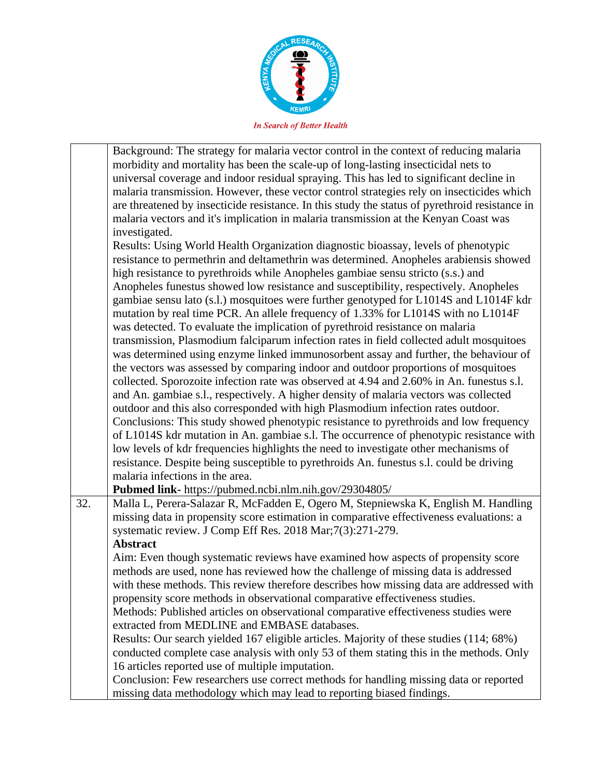

|     | Background: The strategy for malaria vector control in the context of reducing malaria         |
|-----|------------------------------------------------------------------------------------------------|
|     | morbidity and mortality has been the scale-up of long-lasting insecticidal nets to             |
|     | universal coverage and indoor residual spraying. This has led to significant decline in        |
|     | malaria transmission. However, these vector control strategies rely on insecticides which      |
|     | are threatened by insecticide resistance. In this study the status of pyrethroid resistance in |
|     | malaria vectors and it's implication in malaria transmission at the Kenyan Coast was           |
|     | investigated.                                                                                  |
|     | Results: Using World Health Organization diagnostic bioassay, levels of phenotypic             |
|     | resistance to permethrin and deltamethrin was determined. Anopheles arabiensis showed          |
|     | high resistance to pyrethroids while Anopheles gambiae sensu stricto (s.s.) and                |
|     | Anopheles funestus showed low resistance and susceptibility, respectively. Anopheles           |
|     |                                                                                                |
|     | gambiae sensu lato (s.l.) mosquitoes were further genotyped for L1014S and L1014F kdr          |
|     | mutation by real time PCR. An allele frequency of 1.33% for L1014S with no L1014F              |
|     | was detected. To evaluate the implication of pyrethroid resistance on malaria                  |
|     | transmission, Plasmodium falciparum infection rates in field collected adult mosquitoes        |
|     | was determined using enzyme linked immunosorbent assay and further, the behaviour of           |
|     | the vectors was assessed by comparing indoor and outdoor proportions of mosquitoes             |
|     | collected. Sporozoite infection rate was observed at 4.94 and 2.60% in An. funestus s.l.       |
|     | and An. gambiae s.l., respectively. A higher density of malaria vectors was collected          |
|     | outdoor and this also corresponded with high Plasmodium infection rates outdoor.               |
|     | Conclusions: This study showed phenotypic resistance to pyrethroids and low frequency          |
|     | of L1014S kdr mutation in An. gambiae s.l. The occurrence of phenotypic resistance with        |
|     | low levels of kdr frequencies highlights the need to investigate other mechanisms of           |
|     | resistance. Despite being susceptible to pyrethroids An. funestus s.l. could be driving        |
|     | malaria infections in the area.                                                                |
|     | Pubmed link- https://pubmed.ncbi.nlm.nih.gov/29304805/                                         |
| 32. | Malla L, Perera-Salazar R, McFadden E, Ogero M, Stepniewska K, English M. Handling             |
|     | missing data in propensity score estimation in comparative effectiveness evaluations: a        |
|     | systematic review. J Comp Eff Res. 2018 Mar;7(3):271-279.                                      |
|     | <b>Abstract</b>                                                                                |
|     | Aim: Even though systematic reviews have examined how aspects of propensity score              |
|     | methods are used, none has reviewed how the challenge of missing data is addressed             |
|     | with these methods. This review therefore describes how missing data are addressed with        |
|     | propensity score methods in observational comparative effectiveness studies.                   |
|     | Methods: Published articles on observational comparative effectiveness studies were            |
|     | extracted from MEDLINE and EMBASE databases.                                                   |
|     | Results: Our search yielded 167 eligible articles. Majority of these studies (114; 68%)        |
|     | conducted complete case analysis with only 53 of them stating this in the methods. Only        |
|     | 16 articles reported use of multiple imputation.                                               |
|     | Conclusion: Few researchers use correct methods for handling missing data or reported          |
|     | missing data methodology which may lead to reporting biased findings.                          |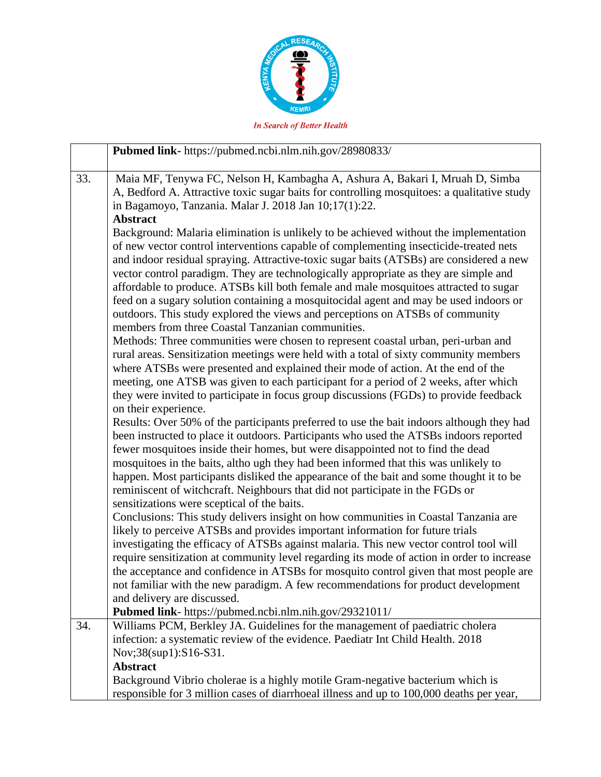

|     | Pubmed link- https://pubmed.ncbi.nlm.nih.gov/28980833/                                                                                                                                                                                                                                                                                                                                                                                                                                                                                                                                                                                                                                   |
|-----|------------------------------------------------------------------------------------------------------------------------------------------------------------------------------------------------------------------------------------------------------------------------------------------------------------------------------------------------------------------------------------------------------------------------------------------------------------------------------------------------------------------------------------------------------------------------------------------------------------------------------------------------------------------------------------------|
| 33. | Maia MF, Tenywa FC, Nelson H, Kambagha A, Ashura A, Bakari I, Mruah D, Simba<br>A, Bedford A. Attractive toxic sugar baits for controlling mosquitoes: a qualitative study<br>in Bagamoyo, Tanzania. Malar J. 2018 Jan 10;17(1):22.<br><b>Abstract</b>                                                                                                                                                                                                                                                                                                                                                                                                                                   |
|     | Background: Malaria elimination is unlikely to be achieved without the implementation<br>of new vector control interventions capable of complementing insecticide-treated nets<br>and indoor residual spraying. Attractive-toxic sugar baits (ATSBs) are considered a new<br>vector control paradigm. They are technologically appropriate as they are simple and<br>affordable to produce. ATSBs kill both female and male mosquitoes attracted to sugar<br>feed on a sugary solution containing a mosquitocidal agent and may be used indoors or<br>outdoors. This study explored the views and perceptions on ATSBs of community<br>members from three Coastal Tanzanian communities. |
|     | Methods: Three communities were chosen to represent coastal urban, peri-urban and<br>rural areas. Sensitization meetings were held with a total of sixty community members<br>where ATSBs were presented and explained their mode of action. At the end of the<br>meeting, one ATSB was given to each participant for a period of 2 weeks, after which<br>they were invited to participate in focus group discussions (FGDs) to provide feedback<br>on their experience.                                                                                                                                                                                                                 |
|     | Results: Over 50% of the participants preferred to use the bait indoors although they had<br>been instructed to place it outdoors. Participants who used the ATSBs indoors reported<br>fewer mosquitoes inside their homes, but were disappointed not to find the dead<br>mosquitoes in the baits, altho ugh they had been informed that this was unlikely to<br>happen. Most participants disliked the appearance of the bait and some thought it to be<br>reminiscent of witchcraft. Neighbours that did not participate in the FGDs or                                                                                                                                                |
|     | sensitizations were sceptical of the baits.<br>Conclusions: This study delivers insight on how communities in Coastal Tanzania are<br>likely to perceive ATSBs and provides important information for future trials<br>investigating the efficacy of ATSBs against malaria. This new vector control tool will<br>require sensitization at community level regarding its mode of action in order to increase<br>the acceptance and confidence in ATSBs for mosquito control given that most people are<br>not familiar with the new paradigm. A few recommendations for product development<br>and delivery are discussed.                                                                |
|     | Pubmed link- https://pubmed.ncbi.nlm.nih.gov/29321011/                                                                                                                                                                                                                                                                                                                                                                                                                                                                                                                                                                                                                                   |
| 34. | Williams PCM, Berkley JA. Guidelines for the management of paediatric cholera                                                                                                                                                                                                                                                                                                                                                                                                                                                                                                                                                                                                            |
|     | infection: a systematic review of the evidence. Paediatr Int Child Health. 2018<br>Nov;38(sup1):S16-S31.                                                                                                                                                                                                                                                                                                                                                                                                                                                                                                                                                                                 |
|     | <b>Abstract</b>                                                                                                                                                                                                                                                                                                                                                                                                                                                                                                                                                                                                                                                                          |
|     | Background Vibrio cholerae is a highly motile Gram-negative bacterium which is                                                                                                                                                                                                                                                                                                                                                                                                                                                                                                                                                                                                           |
|     | responsible for 3 million cases of diarrhoeal illness and up to 100,000 deaths per year,                                                                                                                                                                                                                                                                                                                                                                                                                                                                                                                                                                                                 |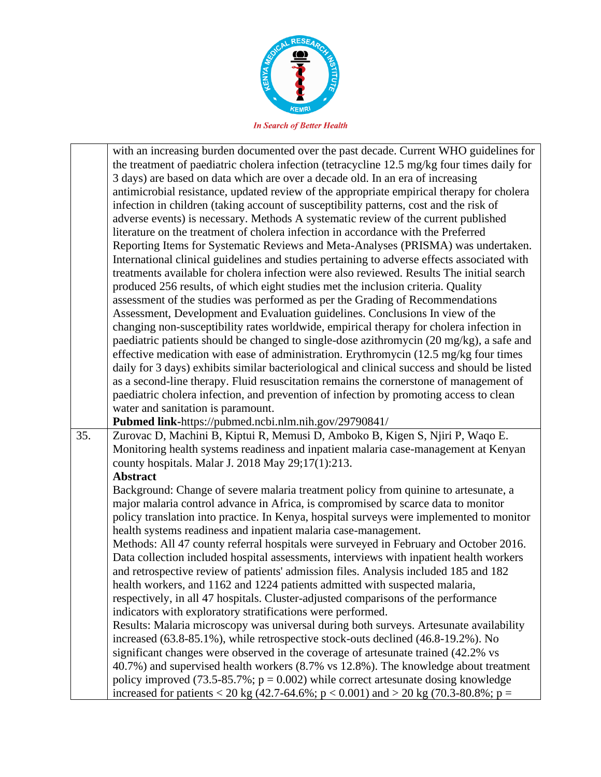

|     | with an increasing burden documented over the past decade. Current WHO guidelines for        |
|-----|----------------------------------------------------------------------------------------------|
|     | the treatment of paediatric cholera infection (tetracycline 12.5 mg/kg four times daily for  |
|     | 3 days) are based on data which are over a decade old. In an era of increasing               |
|     | antimicrobial resistance, updated review of the appropriate empirical therapy for cholera    |
|     | infection in children (taking account of susceptibility patterns, cost and the risk of       |
|     | adverse events) is necessary. Methods A systematic review of the current published           |
|     | literature on the treatment of cholera infection in accordance with the Preferred            |
|     | Reporting Items for Systematic Reviews and Meta-Analyses (PRISMA) was undertaken.            |
|     | International clinical guidelines and studies pertaining to adverse effects associated with  |
|     | treatments available for cholera infection were also reviewed. Results The initial search    |
|     |                                                                                              |
|     | produced 256 results, of which eight studies met the inclusion criteria. Quality             |
|     | assessment of the studies was performed as per the Grading of Recommendations                |
|     | Assessment, Development and Evaluation guidelines. Conclusions In view of the                |
|     | changing non-susceptibility rates worldwide, empirical therapy for cholera infection in      |
|     | paediatric patients should be changed to single-dose azithromycin (20 mg/kg), a safe and     |
|     | effective medication with ease of administration. Erythromycin (12.5 mg/kg four times        |
|     | daily for 3 days) exhibits similar bacteriological and clinical success and should be listed |
|     | as a second-line therapy. Fluid resuscitation remains the cornerstone of management of       |
|     | paediatric cholera infection, and prevention of infection by promoting access to clean       |
|     | water and sanitation is paramount.                                                           |
|     | Pubmed link-https://pubmed.ncbi.nlm.nih.gov/29790841/                                        |
| 35. | Zurovac D, Machini B, Kiptui R, Memusi D, Amboko B, Kigen S, Njiri P, Waqo E.                |
|     | Monitoring health systems readiness and inpatient malaria case-management at Kenyan          |
|     | county hospitals. Malar J. 2018 May 29;17(1):213.                                            |
|     | <b>Abstract</b>                                                                              |
|     | Background: Change of severe malaria treatment policy from quinine to artesunate, a          |
|     | major malaria control advance in Africa, is compromised by scarce data to monitor            |
|     | policy translation into practice. In Kenya, hospital surveys were implemented to monitor     |
|     | health systems readiness and inpatient malaria case-management.                              |
|     | Methods: All 47 county referral hospitals were surveyed in February and October 2016.        |
|     | Data collection included hospital assessments, interviews with inpatient health workers      |
|     | and retrospective review of patients' admission files. Analysis included 185 and 182         |
|     | health workers, and 1162 and 1224 patients admitted with suspected malaria,                  |
|     | respectively, in all 47 hospitals. Cluster-adjusted comparisons of the performance           |
|     | indicators with exploratory stratifications were performed.                                  |
|     | Results: Malaria microscopy was universal during both surveys. Artesunate availability       |
|     | increased (63.8-85.1%), while retrospective stock-outs declined (46.8-19.2%). No             |
|     | significant changes were observed in the coverage of artesunate trained (42.2% vs            |
|     | 40.7%) and supervised health workers (8.7% vs 12.8%). The knowledge about treatment          |
|     | policy improved (73.5-85.7%; $p = 0.002$ ) while correct artesunate dosing knowledge         |
|     | increased for patients < 20 kg (42.7-64.6%; $p < 0.001$ ) and > 20 kg (70.3-80.8%; $p =$     |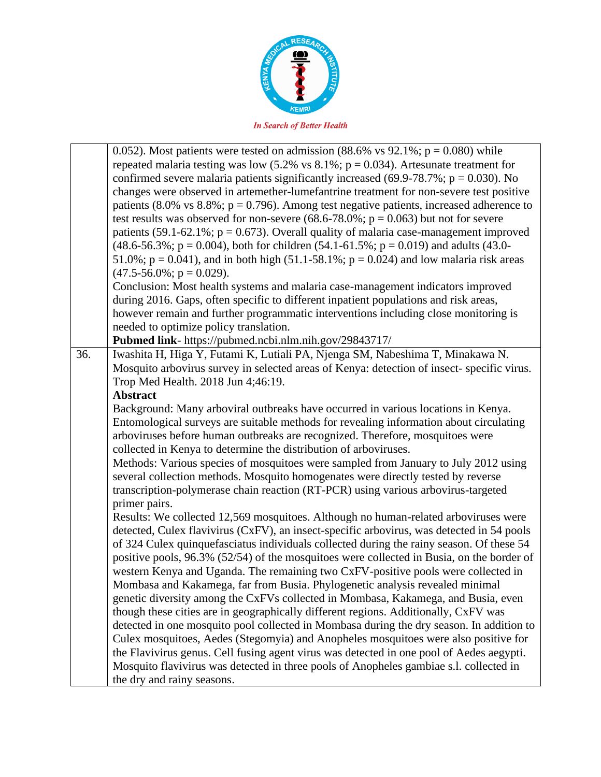

|     | 0.052). Most patients were tested on admission (88.6% vs $92.1\%$ ; p = 0.080) while            |
|-----|-------------------------------------------------------------------------------------------------|
|     | repeated malaria testing was low (5.2% vs 8.1%; $p = 0.034$ ). Artesunate treatment for         |
|     | confirmed severe malaria patients significantly increased (69.9-78.7%; $p = 0.030$ ). No        |
|     | changes were observed in artemether-lumefantrine treatment for non-severe test positive         |
|     | patients (8.0% vs $8.8\%$ ; $p = 0.796$ ). Among test negative patients, increased adherence to |
|     | test results was observed for non-severe $(68.6-78.0\%; p = 0.063)$ but not for severe          |
|     | patients (59.1-62.1%; $p = 0.673$ ). Overall quality of malaria case-management improved        |
|     | $(48.6-56.3\%; p = 0.004)$ , both for children $(54.1-61.5\%; p = 0.019)$ and adults $(43.0-$   |
|     | 51.0%; $p = 0.041$ ), and in both high (51.1-58.1%; $p = 0.024$ ) and low malaria risk areas    |
|     | $(47.5-56.0\%; p = 0.029).$                                                                     |
|     | Conclusion: Most health systems and malaria case-management indicators improved                 |
|     | during 2016. Gaps, often specific to different inpatient populations and risk areas,            |
|     | however remain and further programmatic interventions including close monitoring is             |
|     | needed to optimize policy translation.                                                          |
|     | Pubmed link- https://pubmed.ncbi.nlm.nih.gov/29843717/                                          |
| 36. | Iwashita H, Higa Y, Futami K, Lutiali PA, Njenga SM, Nabeshima T, Minakawa N.                   |
|     | Mosquito arbovirus survey in selected areas of Kenya: detection of insect- specific virus.      |
|     | Trop Med Health. 2018 Jun 4;46:19.                                                              |
|     | <b>Abstract</b>                                                                                 |
|     | Background: Many arboviral outbreaks have occurred in various locations in Kenya.               |
|     | Entomological surveys are suitable methods for revealing information about circulating          |
|     | arboviruses before human outbreaks are recognized. Therefore, mosquitoes were                   |
|     | collected in Kenya to determine the distribution of arboviruses.                                |
|     | Methods: Various species of mosquitoes were sampled from January to July 2012 using             |
|     | several collection methods. Mosquito homogenates were directly tested by reverse                |
|     | transcription-polymerase chain reaction (RT-PCR) using various arbovirus-targeted               |
|     | primer pairs.                                                                                   |
|     | Results: We collected 12,569 mosquitoes. Although no human-related arboviruses were             |
|     | detected, Culex flavivirus (CxFV), an insect-specific arbovirus, was detected in 54 pools       |
|     | of 324 Culex quinquefasciatus individuals collected during the rainy season. Of these 54        |
|     | positive pools, 96.3% (52/54) of the mosquitoes were collected in Busia, on the border of       |
|     | western Kenya and Uganda. The remaining two CxFV-positive pools were collected in               |
|     | Mombasa and Kakamega, far from Busia. Phylogenetic analysis revealed minimal                    |
|     | genetic diversity among the CxFVs collected in Mombasa, Kakamega, and Busia, even               |
|     | though these cities are in geographically different regions. Additionally, CxFV was             |
|     | detected in one mosquito pool collected in Mombasa during the dry season. In addition to        |
|     | Culex mosquitoes, Aedes (Stegomyia) and Anopheles mosquitoes were also positive for             |
|     | the Flavivirus genus. Cell fusing agent virus was detected in one pool of Aedes aegypti.        |
|     | Mosquito flavivirus was detected in three pools of Anopheles gambiae s.l. collected in          |
|     | the dry and rainy seasons.                                                                      |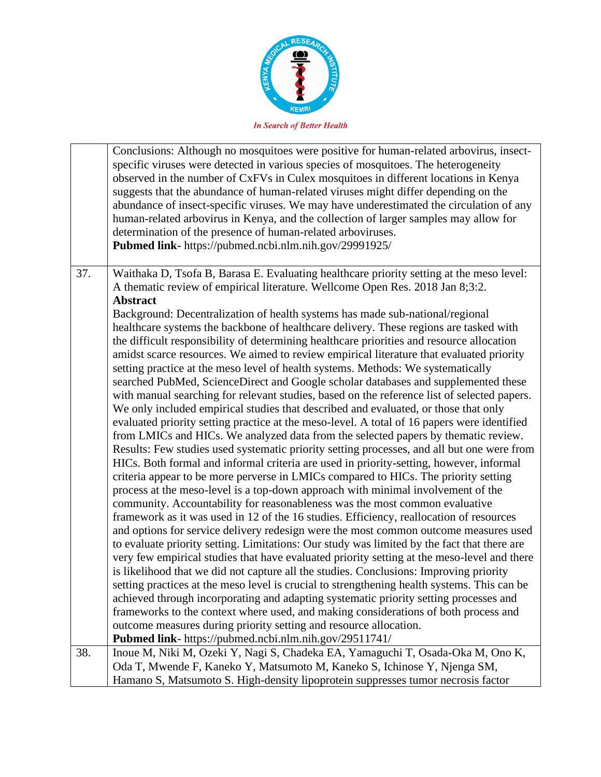

|     | Conclusions: Although no mosquitoes were positive for human-related arbovirus, insect-<br>specific viruses were detected in various species of mosquitoes. The heterogeneity<br>observed in the number of CxFVs in Culex mosquitoes in different locations in Kenya<br>suggests that the abundance of human-related viruses might differ depending on the<br>abundance of insect-specific viruses. We may have underestimated the circulation of any<br>human-related arbovirus in Kenya, and the collection of larger samples may allow for<br>determination of the presence of human-related arboviruses.<br>Pubmed link- https://pubmed.ncbi.nlm.nih.gov/29991925/ |
|-----|-----------------------------------------------------------------------------------------------------------------------------------------------------------------------------------------------------------------------------------------------------------------------------------------------------------------------------------------------------------------------------------------------------------------------------------------------------------------------------------------------------------------------------------------------------------------------------------------------------------------------------------------------------------------------|
| 37. | Waithaka D, Tsofa B, Barasa E. Evaluating healthcare priority setting at the meso level:<br>A thematic review of empirical literature. Wellcome Open Res. 2018 Jan 8;3:2.<br><b>Abstract</b>                                                                                                                                                                                                                                                                                                                                                                                                                                                                          |
|     | Background: Decentralization of health systems has made sub-national/regional                                                                                                                                                                                                                                                                                                                                                                                                                                                                                                                                                                                         |
|     | healthcare systems the backbone of healthcare delivery. These regions are tasked with                                                                                                                                                                                                                                                                                                                                                                                                                                                                                                                                                                                 |
|     | the difficult responsibility of determining healthcare priorities and resource allocation                                                                                                                                                                                                                                                                                                                                                                                                                                                                                                                                                                             |
|     | amidst scarce resources. We aimed to review empirical literature that evaluated priority                                                                                                                                                                                                                                                                                                                                                                                                                                                                                                                                                                              |
|     | setting practice at the meso level of health systems. Methods: We systematically                                                                                                                                                                                                                                                                                                                                                                                                                                                                                                                                                                                      |
|     | searched PubMed, ScienceDirect and Google scholar databases and supplemented these                                                                                                                                                                                                                                                                                                                                                                                                                                                                                                                                                                                    |
|     | with manual searching for relevant studies, based on the reference list of selected papers.                                                                                                                                                                                                                                                                                                                                                                                                                                                                                                                                                                           |
|     | We only included empirical studies that described and evaluated, or those that only                                                                                                                                                                                                                                                                                                                                                                                                                                                                                                                                                                                   |
|     | evaluated priority setting practice at the meso-level. A total of 16 papers were identified                                                                                                                                                                                                                                                                                                                                                                                                                                                                                                                                                                           |
|     | from LMICs and HICs. We analyzed data from the selected papers by thematic review.                                                                                                                                                                                                                                                                                                                                                                                                                                                                                                                                                                                    |
|     | Results: Few studies used systematic priority setting processes, and all but one were from                                                                                                                                                                                                                                                                                                                                                                                                                                                                                                                                                                            |
|     | HICs. Both formal and informal criteria are used in priority-setting, however, informal                                                                                                                                                                                                                                                                                                                                                                                                                                                                                                                                                                               |
|     | criteria appear to be more perverse in LMICs compared to HICs. The priority setting                                                                                                                                                                                                                                                                                                                                                                                                                                                                                                                                                                                   |
|     | process at the meso-level is a top-down approach with minimal involvement of the                                                                                                                                                                                                                                                                                                                                                                                                                                                                                                                                                                                      |
|     | community. Accountability for reasonableness was the most common evaluative                                                                                                                                                                                                                                                                                                                                                                                                                                                                                                                                                                                           |
|     | framework as it was used in 12 of the 16 studies. Efficiency, reallocation of resources                                                                                                                                                                                                                                                                                                                                                                                                                                                                                                                                                                               |
|     | and options for service delivery redesign were the most common outcome measures used                                                                                                                                                                                                                                                                                                                                                                                                                                                                                                                                                                                  |
|     | to evaluate priority setting. Limitations: Our study was limited by the fact that there are                                                                                                                                                                                                                                                                                                                                                                                                                                                                                                                                                                           |
|     | very few empirical studies that have evaluated priority setting at the meso-level and there<br>is likelihood that we did not capture all the studies. Conclusions: Improving priority                                                                                                                                                                                                                                                                                                                                                                                                                                                                                 |
|     | setting practices at the meso level is crucial to strengthening health systems. This can be                                                                                                                                                                                                                                                                                                                                                                                                                                                                                                                                                                           |
|     | achieved through incorporating and adapting systematic priority setting processes and                                                                                                                                                                                                                                                                                                                                                                                                                                                                                                                                                                                 |
|     | frameworks to the context where used, and making considerations of both process and                                                                                                                                                                                                                                                                                                                                                                                                                                                                                                                                                                                   |
|     | outcome measures during priority setting and resource allocation.                                                                                                                                                                                                                                                                                                                                                                                                                                                                                                                                                                                                     |
|     | Pubmed link- https://pubmed.ncbi.nlm.nih.gov/29511741/                                                                                                                                                                                                                                                                                                                                                                                                                                                                                                                                                                                                                |
| 38. | Inoue M, Niki M, Ozeki Y, Nagi S, Chadeka EA, Yamaguchi T, Osada-Oka M, Ono K,                                                                                                                                                                                                                                                                                                                                                                                                                                                                                                                                                                                        |
|     | Oda T, Mwende F, Kaneko Y, Matsumoto M, Kaneko S, Ichinose Y, Njenga SM,                                                                                                                                                                                                                                                                                                                                                                                                                                                                                                                                                                                              |
|     | Hamano S, Matsumoto S. High-density lipoprotein suppresses tumor necrosis factor                                                                                                                                                                                                                                                                                                                                                                                                                                                                                                                                                                                      |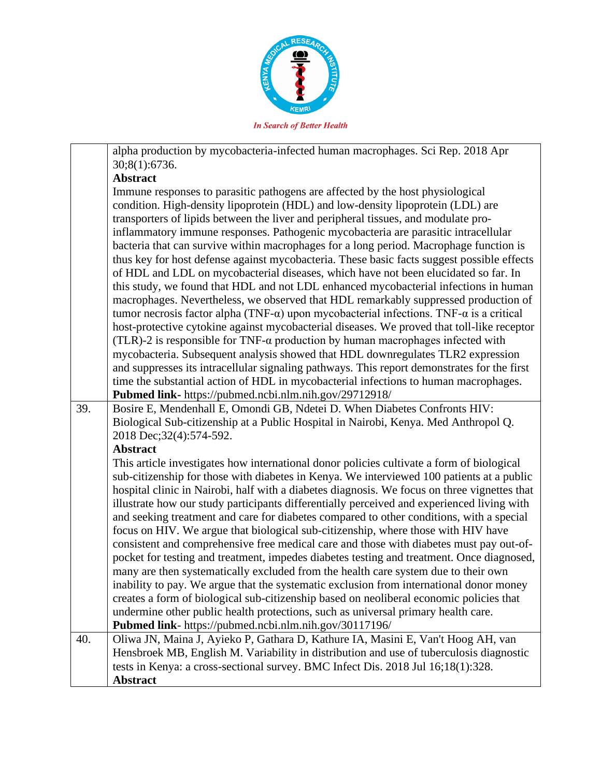

| 30;8(1):6736.<br><b>Abstract</b><br>Immune responses to parasitic pathogens are affected by the host physiological<br>condition. High-density lipoprotein (HDL) and low-density lipoprotein (LDL) are<br>transporters of lipids between the liver and peripheral tissues, and modulate pro-<br>inflammatory immune responses. Pathogenic mycobacteria are parasitic intracellular<br>bacteria that can survive within macrophages for a long period. Macrophage function is<br>thus key for host defense against mycobacteria. These basic facts suggest possible effects<br>of HDL and LDL on mycobacterial diseases, which have not been elucidated so far. In<br>this study, we found that HDL and not LDL enhanced mycobacterial infections in human<br>macrophages. Nevertheless, we observed that HDL remarkably suppressed production of<br>tumor necrosis factor alpha (TNF- $\alpha$ ) upon mycobacterial infections. TNF- $\alpha$ is a critical<br>host-protective cytokine against mycobacterial diseases. We proved that toll-like receptor<br>(TLR)-2 is responsible for TNF- $\alpha$ production by human macrophages infected with<br>mycobacteria. Subsequent analysis showed that HDL downregulates TLR2 expression<br>and suppresses its intracellular signaling pathways. This report demonstrates for the first<br>time the substantial action of HDL in mycobacterial infections to human macrophages.<br>Pubmed link- https://pubmed.ncbi.nlm.nih.gov/29712918/<br>39.<br>Bosire E, Mendenhall E, Omondi GB, Ndetei D. When Diabetes Confronts HIV:<br>Biological Sub-citizenship at a Public Hospital in Nairobi, Kenya. Med Anthropol Q.<br>2018 Dec; 32(4): 574-592.<br><b>Abstract</b><br>This article investigates how international donor policies cultivate a form of biological<br>sub-citizenship for those with diabetes in Kenya. We interviewed 100 patients at a public<br>hospital clinic in Nairobi, half with a diabetes diagnosis. We focus on three vignettes that<br>illustrate how our study participants differentially perceived and experienced living with<br>and seeking treatment and care for diabetes compared to other conditions, with a special<br>focus on HIV. We argue that biological sub-citizenship, where those with HIV have<br>consistent and comprehensive free medical care and those with diabetes must pay out-of- |
|---------------------------------------------------------------------------------------------------------------------------------------------------------------------------------------------------------------------------------------------------------------------------------------------------------------------------------------------------------------------------------------------------------------------------------------------------------------------------------------------------------------------------------------------------------------------------------------------------------------------------------------------------------------------------------------------------------------------------------------------------------------------------------------------------------------------------------------------------------------------------------------------------------------------------------------------------------------------------------------------------------------------------------------------------------------------------------------------------------------------------------------------------------------------------------------------------------------------------------------------------------------------------------------------------------------------------------------------------------------------------------------------------------------------------------------------------------------------------------------------------------------------------------------------------------------------------------------------------------------------------------------------------------------------------------------------------------------------------------------------------------------------------------------------------------------------------------------------------------------------------------------------------------------------------------------------------------------------------------------------------------------------------------------------------------------------------------------------------------------------------------------------------------------------------------------------------------------------------------------------------------------------------------------------------------------------------------------------------------------------------------------|
|                                                                                                                                                                                                                                                                                                                                                                                                                                                                                                                                                                                                                                                                                                                                                                                                                                                                                                                                                                                                                                                                                                                                                                                                                                                                                                                                                                                                                                                                                                                                                                                                                                                                                                                                                                                                                                                                                                                                                                                                                                                                                                                                                                                                                                                                                                                                                                                       |
|                                                                                                                                                                                                                                                                                                                                                                                                                                                                                                                                                                                                                                                                                                                                                                                                                                                                                                                                                                                                                                                                                                                                                                                                                                                                                                                                                                                                                                                                                                                                                                                                                                                                                                                                                                                                                                                                                                                                                                                                                                                                                                                                                                                                                                                                                                                                                                                       |
|                                                                                                                                                                                                                                                                                                                                                                                                                                                                                                                                                                                                                                                                                                                                                                                                                                                                                                                                                                                                                                                                                                                                                                                                                                                                                                                                                                                                                                                                                                                                                                                                                                                                                                                                                                                                                                                                                                                                                                                                                                                                                                                                                                                                                                                                                                                                                                                       |
|                                                                                                                                                                                                                                                                                                                                                                                                                                                                                                                                                                                                                                                                                                                                                                                                                                                                                                                                                                                                                                                                                                                                                                                                                                                                                                                                                                                                                                                                                                                                                                                                                                                                                                                                                                                                                                                                                                                                                                                                                                                                                                                                                                                                                                                                                                                                                                                       |
|                                                                                                                                                                                                                                                                                                                                                                                                                                                                                                                                                                                                                                                                                                                                                                                                                                                                                                                                                                                                                                                                                                                                                                                                                                                                                                                                                                                                                                                                                                                                                                                                                                                                                                                                                                                                                                                                                                                                                                                                                                                                                                                                                                                                                                                                                                                                                                                       |
|                                                                                                                                                                                                                                                                                                                                                                                                                                                                                                                                                                                                                                                                                                                                                                                                                                                                                                                                                                                                                                                                                                                                                                                                                                                                                                                                                                                                                                                                                                                                                                                                                                                                                                                                                                                                                                                                                                                                                                                                                                                                                                                                                                                                                                                                                                                                                                                       |
|                                                                                                                                                                                                                                                                                                                                                                                                                                                                                                                                                                                                                                                                                                                                                                                                                                                                                                                                                                                                                                                                                                                                                                                                                                                                                                                                                                                                                                                                                                                                                                                                                                                                                                                                                                                                                                                                                                                                                                                                                                                                                                                                                                                                                                                                                                                                                                                       |
|                                                                                                                                                                                                                                                                                                                                                                                                                                                                                                                                                                                                                                                                                                                                                                                                                                                                                                                                                                                                                                                                                                                                                                                                                                                                                                                                                                                                                                                                                                                                                                                                                                                                                                                                                                                                                                                                                                                                                                                                                                                                                                                                                                                                                                                                                                                                                                                       |
|                                                                                                                                                                                                                                                                                                                                                                                                                                                                                                                                                                                                                                                                                                                                                                                                                                                                                                                                                                                                                                                                                                                                                                                                                                                                                                                                                                                                                                                                                                                                                                                                                                                                                                                                                                                                                                                                                                                                                                                                                                                                                                                                                                                                                                                                                                                                                                                       |
|                                                                                                                                                                                                                                                                                                                                                                                                                                                                                                                                                                                                                                                                                                                                                                                                                                                                                                                                                                                                                                                                                                                                                                                                                                                                                                                                                                                                                                                                                                                                                                                                                                                                                                                                                                                                                                                                                                                                                                                                                                                                                                                                                                                                                                                                                                                                                                                       |
|                                                                                                                                                                                                                                                                                                                                                                                                                                                                                                                                                                                                                                                                                                                                                                                                                                                                                                                                                                                                                                                                                                                                                                                                                                                                                                                                                                                                                                                                                                                                                                                                                                                                                                                                                                                                                                                                                                                                                                                                                                                                                                                                                                                                                                                                                                                                                                                       |
|                                                                                                                                                                                                                                                                                                                                                                                                                                                                                                                                                                                                                                                                                                                                                                                                                                                                                                                                                                                                                                                                                                                                                                                                                                                                                                                                                                                                                                                                                                                                                                                                                                                                                                                                                                                                                                                                                                                                                                                                                                                                                                                                                                                                                                                                                                                                                                                       |
|                                                                                                                                                                                                                                                                                                                                                                                                                                                                                                                                                                                                                                                                                                                                                                                                                                                                                                                                                                                                                                                                                                                                                                                                                                                                                                                                                                                                                                                                                                                                                                                                                                                                                                                                                                                                                                                                                                                                                                                                                                                                                                                                                                                                                                                                                                                                                                                       |
|                                                                                                                                                                                                                                                                                                                                                                                                                                                                                                                                                                                                                                                                                                                                                                                                                                                                                                                                                                                                                                                                                                                                                                                                                                                                                                                                                                                                                                                                                                                                                                                                                                                                                                                                                                                                                                                                                                                                                                                                                                                                                                                                                                                                                                                                                                                                                                                       |
|                                                                                                                                                                                                                                                                                                                                                                                                                                                                                                                                                                                                                                                                                                                                                                                                                                                                                                                                                                                                                                                                                                                                                                                                                                                                                                                                                                                                                                                                                                                                                                                                                                                                                                                                                                                                                                                                                                                                                                                                                                                                                                                                                                                                                                                                                                                                                                                       |
|                                                                                                                                                                                                                                                                                                                                                                                                                                                                                                                                                                                                                                                                                                                                                                                                                                                                                                                                                                                                                                                                                                                                                                                                                                                                                                                                                                                                                                                                                                                                                                                                                                                                                                                                                                                                                                                                                                                                                                                                                                                                                                                                                                                                                                                                                                                                                                                       |
|                                                                                                                                                                                                                                                                                                                                                                                                                                                                                                                                                                                                                                                                                                                                                                                                                                                                                                                                                                                                                                                                                                                                                                                                                                                                                                                                                                                                                                                                                                                                                                                                                                                                                                                                                                                                                                                                                                                                                                                                                                                                                                                                                                                                                                                                                                                                                                                       |
|                                                                                                                                                                                                                                                                                                                                                                                                                                                                                                                                                                                                                                                                                                                                                                                                                                                                                                                                                                                                                                                                                                                                                                                                                                                                                                                                                                                                                                                                                                                                                                                                                                                                                                                                                                                                                                                                                                                                                                                                                                                                                                                                                                                                                                                                                                                                                                                       |
|                                                                                                                                                                                                                                                                                                                                                                                                                                                                                                                                                                                                                                                                                                                                                                                                                                                                                                                                                                                                                                                                                                                                                                                                                                                                                                                                                                                                                                                                                                                                                                                                                                                                                                                                                                                                                                                                                                                                                                                                                                                                                                                                                                                                                                                                                                                                                                                       |
|                                                                                                                                                                                                                                                                                                                                                                                                                                                                                                                                                                                                                                                                                                                                                                                                                                                                                                                                                                                                                                                                                                                                                                                                                                                                                                                                                                                                                                                                                                                                                                                                                                                                                                                                                                                                                                                                                                                                                                                                                                                                                                                                                                                                                                                                                                                                                                                       |
|                                                                                                                                                                                                                                                                                                                                                                                                                                                                                                                                                                                                                                                                                                                                                                                                                                                                                                                                                                                                                                                                                                                                                                                                                                                                                                                                                                                                                                                                                                                                                                                                                                                                                                                                                                                                                                                                                                                                                                                                                                                                                                                                                                                                                                                                                                                                                                                       |
|                                                                                                                                                                                                                                                                                                                                                                                                                                                                                                                                                                                                                                                                                                                                                                                                                                                                                                                                                                                                                                                                                                                                                                                                                                                                                                                                                                                                                                                                                                                                                                                                                                                                                                                                                                                                                                                                                                                                                                                                                                                                                                                                                                                                                                                                                                                                                                                       |
|                                                                                                                                                                                                                                                                                                                                                                                                                                                                                                                                                                                                                                                                                                                                                                                                                                                                                                                                                                                                                                                                                                                                                                                                                                                                                                                                                                                                                                                                                                                                                                                                                                                                                                                                                                                                                                                                                                                                                                                                                                                                                                                                                                                                                                                                                                                                                                                       |
|                                                                                                                                                                                                                                                                                                                                                                                                                                                                                                                                                                                                                                                                                                                                                                                                                                                                                                                                                                                                                                                                                                                                                                                                                                                                                                                                                                                                                                                                                                                                                                                                                                                                                                                                                                                                                                                                                                                                                                                                                                                                                                                                                                                                                                                                                                                                                                                       |
|                                                                                                                                                                                                                                                                                                                                                                                                                                                                                                                                                                                                                                                                                                                                                                                                                                                                                                                                                                                                                                                                                                                                                                                                                                                                                                                                                                                                                                                                                                                                                                                                                                                                                                                                                                                                                                                                                                                                                                                                                                                                                                                                                                                                                                                                                                                                                                                       |
|                                                                                                                                                                                                                                                                                                                                                                                                                                                                                                                                                                                                                                                                                                                                                                                                                                                                                                                                                                                                                                                                                                                                                                                                                                                                                                                                                                                                                                                                                                                                                                                                                                                                                                                                                                                                                                                                                                                                                                                                                                                                                                                                                                                                                                                                                                                                                                                       |
|                                                                                                                                                                                                                                                                                                                                                                                                                                                                                                                                                                                                                                                                                                                                                                                                                                                                                                                                                                                                                                                                                                                                                                                                                                                                                                                                                                                                                                                                                                                                                                                                                                                                                                                                                                                                                                                                                                                                                                                                                                                                                                                                                                                                                                                                                                                                                                                       |
|                                                                                                                                                                                                                                                                                                                                                                                                                                                                                                                                                                                                                                                                                                                                                                                                                                                                                                                                                                                                                                                                                                                                                                                                                                                                                                                                                                                                                                                                                                                                                                                                                                                                                                                                                                                                                                                                                                                                                                                                                                                                                                                                                                                                                                                                                                                                                                                       |
|                                                                                                                                                                                                                                                                                                                                                                                                                                                                                                                                                                                                                                                                                                                                                                                                                                                                                                                                                                                                                                                                                                                                                                                                                                                                                                                                                                                                                                                                                                                                                                                                                                                                                                                                                                                                                                                                                                                                                                                                                                                                                                                                                                                                                                                                                                                                                                                       |
| pocket for testing and treatment, impedes diabetes testing and treatment. Once diagnosed,<br>many are then systematically excluded from the health care system due to their own                                                                                                                                                                                                                                                                                                                                                                                                                                                                                                                                                                                                                                                                                                                                                                                                                                                                                                                                                                                                                                                                                                                                                                                                                                                                                                                                                                                                                                                                                                                                                                                                                                                                                                                                                                                                                                                                                                                                                                                                                                                                                                                                                                                                       |
| inability to pay. We argue that the systematic exclusion from international donor money                                                                                                                                                                                                                                                                                                                                                                                                                                                                                                                                                                                                                                                                                                                                                                                                                                                                                                                                                                                                                                                                                                                                                                                                                                                                                                                                                                                                                                                                                                                                                                                                                                                                                                                                                                                                                                                                                                                                                                                                                                                                                                                                                                                                                                                                                               |
| creates a form of biological sub-citizenship based on neoliberal economic policies that                                                                                                                                                                                                                                                                                                                                                                                                                                                                                                                                                                                                                                                                                                                                                                                                                                                                                                                                                                                                                                                                                                                                                                                                                                                                                                                                                                                                                                                                                                                                                                                                                                                                                                                                                                                                                                                                                                                                                                                                                                                                                                                                                                                                                                                                                               |
| undermine other public health protections, such as universal primary health care.                                                                                                                                                                                                                                                                                                                                                                                                                                                                                                                                                                                                                                                                                                                                                                                                                                                                                                                                                                                                                                                                                                                                                                                                                                                                                                                                                                                                                                                                                                                                                                                                                                                                                                                                                                                                                                                                                                                                                                                                                                                                                                                                                                                                                                                                                                     |
| Pubmed link- https://pubmed.ncbi.nlm.nih.gov/30117196/                                                                                                                                                                                                                                                                                                                                                                                                                                                                                                                                                                                                                                                                                                                                                                                                                                                                                                                                                                                                                                                                                                                                                                                                                                                                                                                                                                                                                                                                                                                                                                                                                                                                                                                                                                                                                                                                                                                                                                                                                                                                                                                                                                                                                                                                                                                                |
| Oliwa JN, Maina J, Ayieko P, Gathara D, Kathure IA, Masini E, Van't Hoog AH, van<br>40.                                                                                                                                                                                                                                                                                                                                                                                                                                                                                                                                                                                                                                                                                                                                                                                                                                                                                                                                                                                                                                                                                                                                                                                                                                                                                                                                                                                                                                                                                                                                                                                                                                                                                                                                                                                                                                                                                                                                                                                                                                                                                                                                                                                                                                                                                               |
| Hensbroek MB, English M. Variability in distribution and use of tuberculosis diagnostic                                                                                                                                                                                                                                                                                                                                                                                                                                                                                                                                                                                                                                                                                                                                                                                                                                                                                                                                                                                                                                                                                                                                                                                                                                                                                                                                                                                                                                                                                                                                                                                                                                                                                                                                                                                                                                                                                                                                                                                                                                                                                                                                                                                                                                                                                               |
| tests in Kenya: a cross-sectional survey. BMC Infect Dis. 2018 Jul 16;18(1):328.                                                                                                                                                                                                                                                                                                                                                                                                                                                                                                                                                                                                                                                                                                                                                                                                                                                                                                                                                                                                                                                                                                                                                                                                                                                                                                                                                                                                                                                                                                                                                                                                                                                                                                                                                                                                                                                                                                                                                                                                                                                                                                                                                                                                                                                                                                      |
| <b>Abstract</b>                                                                                                                                                                                                                                                                                                                                                                                                                                                                                                                                                                                                                                                                                                                                                                                                                                                                                                                                                                                                                                                                                                                                                                                                                                                                                                                                                                                                                                                                                                                                                                                                                                                                                                                                                                                                                                                                                                                                                                                                                                                                                                                                                                                                                                                                                                                                                                       |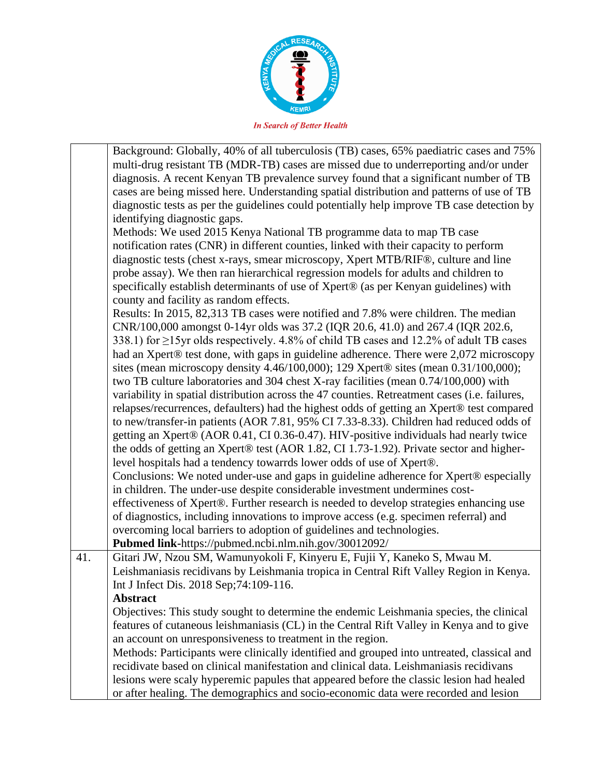

|     | Background: Globally, 40% of all tuberculosis (TB) cases, 65% paediatric cases and 75%        |
|-----|-----------------------------------------------------------------------------------------------|
|     | multi-drug resistant TB (MDR-TB) cases are missed due to underreporting and/or under          |
|     | diagnosis. A recent Kenyan TB prevalence survey found that a significant number of TB         |
|     | cases are being missed here. Understanding spatial distribution and patterns of use of TB     |
|     | diagnostic tests as per the guidelines could potentially help improve TB case detection by    |
|     | identifying diagnostic gaps.                                                                  |
|     | Methods: We used 2015 Kenya National TB programme data to map TB case                         |
|     | notification rates (CNR) in different counties, linked with their capacity to perform         |
|     | diagnostic tests (chest x-rays, smear microscopy, Xpert MTB/RIF®, culture and line            |
|     | probe assay). We then ran hierarchical regression models for adults and children to           |
|     |                                                                                               |
|     | specifically establish determinants of use of Xpert® (as per Kenyan guidelines) with          |
|     | county and facility as random effects.                                                        |
|     | Results: In 2015, 82,313 TB cases were notified and 7.8% were children. The median            |
|     | CNR/100,000 amongst 0-14yr olds was 37.2 (IQR 20.6, 41.0) and 267.4 (IQR 202.6,               |
|     | 338.1) for $\geq$ 15yr olds respectively. 4.8% of child TB cases and 12.2% of adult TB cases  |
|     | had an Xpert® test done, with gaps in guideline adherence. There were 2,072 microscopy        |
|     | sites (mean microscopy density 4.46/100,000); 129 Xpert® sites (mean 0.31/100,000);           |
|     | two TB culture laboratories and 304 chest X-ray facilities (mean 0.74/100,000) with           |
|     | variability in spatial distribution across the 47 counties. Retreatment cases (i.e. failures, |
|     | relapses/recurrences, defaulters) had the highest odds of getting an Xpert® test compared     |
|     | to new/transfer-in patients (AOR 7.81, 95% CI 7.33-8.33). Children had reduced odds of        |
|     | getting an Xpert® (AOR 0.41, CI 0.36-0.47). HIV-positive individuals had nearly twice         |
|     | the odds of getting an Xpert® test (AOR 1.82, CI 1.73-1.92). Private sector and higher-       |
|     | level hospitals had a tendency towarrds lower odds of use of Xpert®.                          |
|     | Conclusions: We noted under-use and gaps in guideline adherence for Xpert® especially         |
|     | in children. The under-use despite considerable investment undermines cost-                   |
|     | effectiveness of Xpert®. Further research is needed to develop strategies enhancing use       |
|     | of diagnostics, including innovations to improve access (e.g. specimen referral) and          |
|     | overcoming local barriers to adoption of guidelines and technologies.                         |
|     | Pubmed link-https://pubmed.ncbi.nlm.nih.gov/30012092/                                         |
| 41. | Gitari JW, Nzou SM, Wamunyokoli F, Kinyeru E, Fujii Y, Kaneko S, Mwau M.                      |
|     | Leishmaniasis recidivans by Leishmania tropica in Central Rift Valley Region in Kenya.        |
|     | Int J Infect Dis. 2018 Sep; 74:109-116.                                                       |
|     | <b>Abstract</b>                                                                               |
|     | Objectives: This study sought to determine the endemic Leishmania species, the clinical       |
|     | features of cutaneous leishmaniasis (CL) in the Central Rift Valley in Kenya and to give      |
|     | an account on unresponsiveness to treatment in the region.                                    |
|     | Methods: Participants were clinically identified and grouped into untreated, classical and    |
|     | recidivate based on clinical manifestation and clinical data. Leishmaniasis recidivans        |
|     | lesions were scaly hyperemic papules that appeared before the classic lesion had healed       |
|     | or after healing. The demographics and socio-economic data were recorded and lesion           |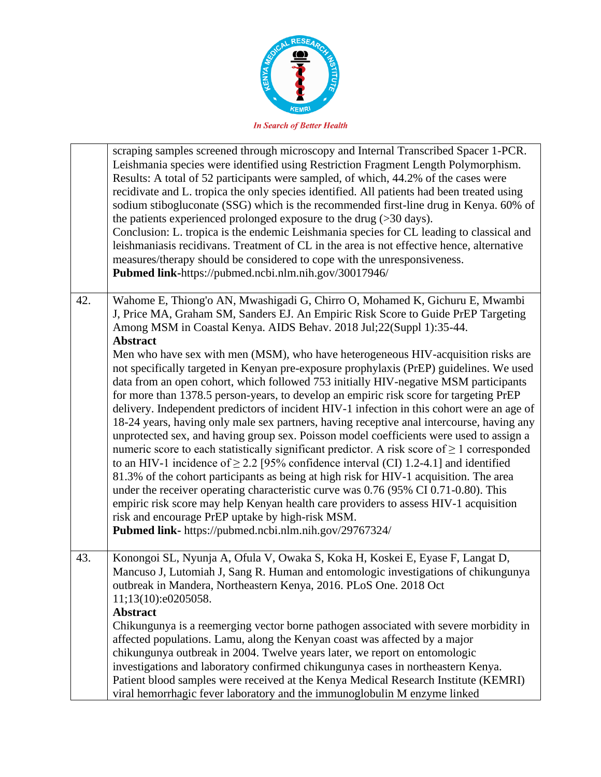

|     | scraping samples screened through microscopy and Internal Transcribed Spacer 1-PCR.<br>Leishmania species were identified using Restriction Fragment Length Polymorphism.<br>Results: A total of 52 participants were sampled, of which, 44.2% of the cases were<br>recidivate and L. tropica the only species identified. All patients had been treated using<br>sodium stibogluconate (SSG) which is the recommended first-line drug in Kenya. 60% of<br>the patients experienced prolonged exposure to the drug $($ >30 days).<br>Conclusion: L. tropica is the endemic Leishmania species for CL leading to classical and<br>leishmaniasis recidivans. Treatment of CL in the area is not effective hence, alternative<br>measures/therapy should be considered to cope with the unresponsiveness.<br>Pubmed link-https://pubmed.ncbi.nlm.nih.gov/30017946/                                                                                                                                                                                                                                                                                                                                                                                                                                                                                                                                                                                                                                            |
|-----|------------------------------------------------------------------------------------------------------------------------------------------------------------------------------------------------------------------------------------------------------------------------------------------------------------------------------------------------------------------------------------------------------------------------------------------------------------------------------------------------------------------------------------------------------------------------------------------------------------------------------------------------------------------------------------------------------------------------------------------------------------------------------------------------------------------------------------------------------------------------------------------------------------------------------------------------------------------------------------------------------------------------------------------------------------------------------------------------------------------------------------------------------------------------------------------------------------------------------------------------------------------------------------------------------------------------------------------------------------------------------------------------------------------------------------------------------------------------------------------------------------|
| 42. | Wahome E, Thiong'o AN, Mwashigadi G, Chirro O, Mohamed K, Gichuru E, Mwambi<br>J, Price MA, Graham SM, Sanders EJ. An Empiric Risk Score to Guide PrEP Targeting<br>Among MSM in Coastal Kenya. AIDS Behav. 2018 Jul;22(Suppl 1):35-44.<br><b>Abstract</b><br>Men who have sex with men (MSM), who have heterogeneous HIV-acquisition risks are<br>not specifically targeted in Kenyan pre-exposure prophylaxis (PrEP) guidelines. We used<br>data from an open cohort, which followed 753 initially HIV-negative MSM participants<br>for more than 1378.5 person-years, to develop an empiric risk score for targeting PrEP<br>delivery. Independent predictors of incident HIV-1 infection in this cohort were an age of<br>18-24 years, having only male sex partners, having receptive anal intercourse, having any<br>unprotected sex, and having group sex. Poisson model coefficients were used to assign a<br>numeric score to each statistically significant predictor. A risk score of $\geq 1$ corresponded<br>to an HIV-1 incidence of $\geq$ 2.2 [95% confidence interval (CI) 1.2-4.1] and identified<br>81.3% of the cohort participants as being at high risk for HIV-1 acquisition. The area<br>under the receiver operating characteristic curve was 0.76 (95% CI 0.71-0.80). This<br>empiric risk score may help Kenyan health care providers to assess HIV-1 acquisition<br>risk and encourage PrEP uptake by high-risk MSM.<br>Pubmed link- https://pubmed.ncbi.nlm.nih.gov/29767324/ |
| 43. | Konongoi SL, Nyunja A, Ofula V, Owaka S, Koka H, Koskei E, Eyase F, Langat D,<br>Mancuso J, Lutomiah J, Sang R. Human and entomologic investigations of chikungunya<br>outbreak in Mandera, Northeastern Kenya, 2016. PLoS One. 2018 Oct<br>11;13(10):e0205058.<br><b>Abstract</b><br>Chikungunya is a reemerging vector borne pathogen associated with severe morbidity in<br>affected populations. Lamu, along the Kenyan coast was affected by a major<br>chikungunya outbreak in 2004. Twelve years later, we report on entomologic<br>investigations and laboratory confirmed chikungunya cases in northeastern Kenya.<br>Patient blood samples were received at the Kenya Medical Research Institute (KEMRI)<br>viral hemorrhagic fever laboratory and the immunoglobulin M enzyme linked                                                                                                                                                                                                                                                                                                                                                                                                                                                                                                                                                                                                                                                                                                            |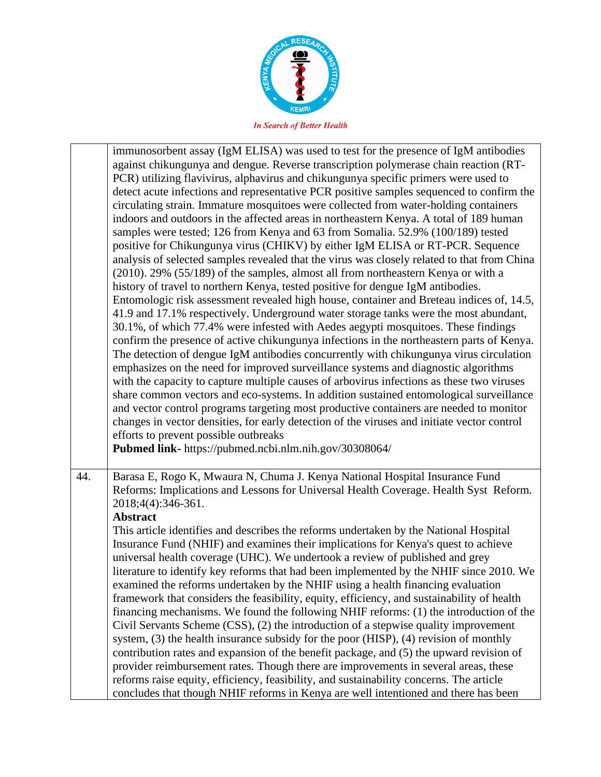

|     | immunosorbent assay (IgM ELISA) was used to test for the presence of IgM antibodies<br>against chikungunya and dengue. Reverse transcription polymerase chain reaction (RT-<br>PCR) utilizing flavivirus, alphavirus and chikungunya specific primers were used to<br>detect acute infections and representative PCR positive samples sequenced to confirm the<br>circulating strain. Immature mosquitoes were collected from water-holding containers<br>indoors and outdoors in the affected areas in northeastern Kenya. A total of 189 human<br>samples were tested; 126 from Kenya and 63 from Somalia. 52.9% (100/189) tested<br>positive for Chikungunya virus (CHIKV) by either IgM ELISA or RT-PCR. Sequence<br>analysis of selected samples revealed that the virus was closely related to that from China<br>(2010). 29% (55/189) of the samples, almost all from northeastern Kenya or with a<br>history of travel to northern Kenya, tested positive for dengue IgM antibodies.<br>Entomologic risk assessment revealed high house, container and Breteau indices of, 14.5,<br>41.9 and 17.1% respectively. Underground water storage tanks were the most abundant,<br>30.1%, of which 77.4% were infested with Aedes aegypti mosquitoes. These findings<br>confirm the presence of active chikungunya infections in the northeastern parts of Kenya.<br>The detection of dengue IgM antibodies concurrently with chikungunya virus circulation<br>emphasizes on the need for improved surveillance systems and diagnostic algorithms<br>with the capacity to capture multiple causes of arbovirus infections as these two viruses<br>share common vectors and eco-systems. In addition sustained entomological surveillance<br>and vector control programs targeting most productive containers are needed to monitor<br>changes in vector densities, for early detection of the viruses and initiate vector control<br>efforts to prevent possible outbreaks<br>Pubmed link- https://pubmed.ncbi.nlm.nih.gov/30308064/ |
|-----|---------------------------------------------------------------------------------------------------------------------------------------------------------------------------------------------------------------------------------------------------------------------------------------------------------------------------------------------------------------------------------------------------------------------------------------------------------------------------------------------------------------------------------------------------------------------------------------------------------------------------------------------------------------------------------------------------------------------------------------------------------------------------------------------------------------------------------------------------------------------------------------------------------------------------------------------------------------------------------------------------------------------------------------------------------------------------------------------------------------------------------------------------------------------------------------------------------------------------------------------------------------------------------------------------------------------------------------------------------------------------------------------------------------------------------------------------------------------------------------------------------------------------------------------------------------------------------------------------------------------------------------------------------------------------------------------------------------------------------------------------------------------------------------------------------------------------------------------------------------------------------------------------------------------------------------------------------------------------------------------------------------------------------------|
| 44. | Barasa E, Rogo K, Mwaura N, Chuma J. Kenya National Hospital Insurance Fund<br>Reforms: Implications and Lessons for Universal Health Coverage. Health Syst Reform.<br>2018;4(4):346-361.<br><b>Abstract</b><br>This article identifies and describes the reforms undertaken by the National Hospital<br>Insurance Fund (NHIF) and examines their implications for Kenya's quest to achieve<br>universal health coverage (UHC). We undertook a review of published and grey<br>literature to identify key reforms that had been implemented by the NHIF since 2010. We<br>examined the reforms undertaken by the NHIF using a health financing evaluation<br>framework that considers the feasibility, equity, efficiency, and sustainability of health<br>financing mechanisms. We found the following NHIF reforms: (1) the introduction of the<br>Civil Servants Scheme (CSS), (2) the introduction of a stepwise quality improvement<br>system, $(3)$ the health insurance subsidy for the poor (HISP), $(4)$ revision of monthly<br>contribution rates and expansion of the benefit package, and (5) the upward revision of<br>provider reimbursement rates. Though there are improvements in several areas, these<br>reforms raise equity, efficiency, feasibility, and sustainability concerns. The article<br>concludes that though NHIF reforms in Kenya are well intentioned and there has been                                                                                                                                                                                                                                                                                                                                                                                                                                                                                                                                                                                                                             |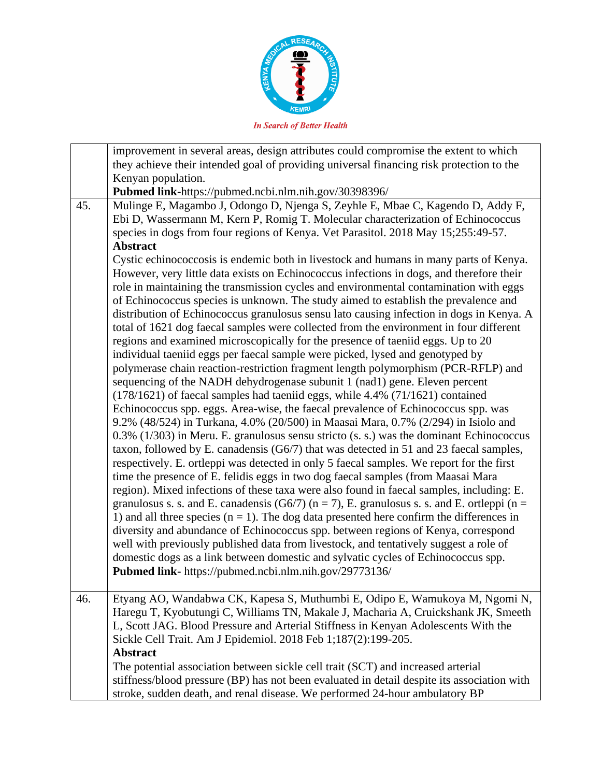

|     | improvement in several areas, design attributes could compromise the extent to which                 |
|-----|------------------------------------------------------------------------------------------------------|
|     | they achieve their intended goal of providing universal financing risk protection to the             |
|     | Kenyan population.                                                                                   |
|     | Pubmed link-https://pubmed.ncbi.nlm.nih.gov/30398396/                                                |
| 45. | Mulinge E, Magambo J, Odongo D, Njenga S, Zeyhle E, Mbae C, Kagendo D, Addy F,                       |
|     | Ebi D, Wassermann M, Kern P, Romig T. Molecular characterization of Echinococcus                     |
|     | species in dogs from four regions of Kenya. Vet Parasitol. 2018 May 15;255:49-57.<br><b>Abstract</b> |
|     | Cystic echinococcosis is endemic both in livestock and humans in many parts of Kenya.                |
|     | However, very little data exists on Echinococcus infections in dogs, and therefore their             |
|     | role in maintaining the transmission cycles and environmental contamination with eggs                |
|     | of Echinococcus species is unknown. The study aimed to establish the prevalence and                  |
|     | distribution of Echinococcus granulosus sensu lato causing infection in dogs in Kenya. A             |
|     | total of 1621 dog faecal samples were collected from the environment in four different               |
|     | regions and examined microscopically for the presence of taeniid eggs. Up to 20                      |
|     | individual taeniid eggs per faecal sample were picked, lysed and genotyped by                        |
|     | polymerase chain reaction-restriction fragment length polymorphism (PCR-RFLP) and                    |
|     | sequencing of the NADH dehydrogenase subunit 1 (nad1) gene. Eleven percent                           |
|     | (178/1621) of faecal samples had taeniid eggs, while 4.4% (71/1621) contained                        |
|     | Echinococcus spp. eggs. Area-wise, the faecal prevalence of Echinococcus spp. was                    |
|     | 9.2% (48/524) in Turkana, 4.0% (20/500) in Maasai Mara, 0.7% (2/294) in Isiolo and                   |
|     | 0.3% (1/303) in Meru. E. granulosus sensu stricto (s. s.) was the dominant Echinococcus              |
|     | taxon, followed by E. canadensis (G6/7) that was detected in 51 and 23 faecal samples,               |
|     | respectively. E. ortleppi was detected in only 5 faecal samples. We report for the first             |
|     | time the presence of E. felidis eggs in two dog faecal samples (from Maasai Mara                     |
|     | region). Mixed infections of these taxa were also found in faecal samples, including: E.             |
|     | granulosus s. s. and E. canadensis (G6/7) ( $n = 7$ ), E. granulosus s. s. and E. ortleppi ( $n =$   |
|     | 1) and all three species $(n = 1)$ . The dog data presented here confirm the differences in          |
|     | diversity and abundance of Echinococcus spp. between regions of Kenya, correspond                    |
|     | well with previously published data from livestock, and tentatively suggest a role of                |
|     | domestic dogs as a link between domestic and sylvatic cycles of Echinococcus spp.                    |
|     | Pubmed link- https://pubmed.ncbi.nlm.nih.gov/29773136/                                               |
| 46. | Etyang AO, Wandabwa CK, Kapesa S, Muthumbi E, Odipo E, Wamukoya M, Ngomi N,                          |
|     | Haregu T, Kyobutungi C, Williams TN, Makale J, Macharia A, Cruickshank JK, Smeeth                    |
|     | L, Scott JAG. Blood Pressure and Arterial Stiffness in Kenyan Adolescents With the                   |
|     | Sickle Cell Trait. Am J Epidemiol. 2018 Feb 1;187(2):199-205.                                        |
|     | <b>Abstract</b>                                                                                      |
|     | The potential association between sickle cell trait (SCT) and increased arterial                     |
|     | stiffness/blood pressure (BP) has not been evaluated in detail despite its association with          |
|     | stroke, sudden death, and renal disease. We performed 24-hour ambulatory BP                          |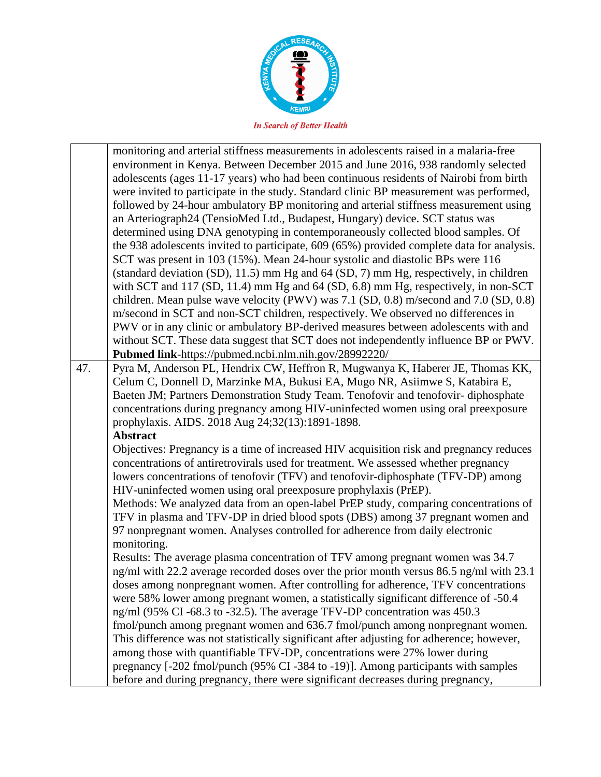

|     | monitoring and arterial stiffness measurements in adolescents raised in a malaria-free     |
|-----|--------------------------------------------------------------------------------------------|
|     | environment in Kenya. Between December 2015 and June 2016, 938 randomly selected           |
|     | adolescents (ages 11-17 years) who had been continuous residents of Nairobi from birth     |
|     | were invited to participate in the study. Standard clinic BP measurement was performed,    |
|     | followed by 24-hour ambulatory BP monitoring and arterial stiffness measurement using      |
|     | an Arteriograph24 (TensioMed Ltd., Budapest, Hungary) device. SCT status was               |
|     | determined using DNA genotyping in contemporaneously collected blood samples. Of           |
|     | the 938 adolescents invited to participate, 609 (65%) provided complete data for analysis. |
|     | SCT was present in 103 (15%). Mean 24-hour systolic and diastolic BPs were 116             |
|     | (standard deviation (SD), 11.5) mm Hg and 64 (SD, 7) mm Hg, respectively, in children      |
|     | with SCT and 117 (SD, 11.4) mm Hg and 64 (SD, 6.8) mm Hg, respectively, in non-SCT         |
|     | children. Mean pulse wave velocity (PWV) was 7.1 (SD, 0.8) m/second and 7.0 (SD, 0.8)      |
|     | m/second in SCT and non-SCT children, respectively. We observed no differences in          |
|     | PWV or in any clinic or ambulatory BP-derived measures between adolescents with and        |
|     | without SCT. These data suggest that SCT does not independently influence BP or PWV.       |
|     | Pubmed link-https://pubmed.ncbi.nlm.nih.gov/28992220/                                      |
| 47. | Pyra M, Anderson PL, Hendrix CW, Heffron R, Mugwanya K, Haberer JE, Thomas KK,             |
|     | Celum C, Donnell D, Marzinke MA, Bukusi EA, Mugo NR, Asiimwe S, Katabira E,                |
|     | Baeten JM; Partners Demonstration Study Team. Tenofovir and tenofovir-diphosphate          |
|     | concentrations during pregnancy among HIV-uninfected women using oral preexposure          |
|     | prophylaxis. AIDS. 2018 Aug 24;32(13):1891-1898.                                           |
|     | <b>Abstract</b>                                                                            |
|     | Objectives: Pregnancy is a time of increased HIV acquisition risk and pregnancy reduces    |
|     | concentrations of antiretrovirals used for treatment. We assessed whether pregnancy        |
|     | lowers concentrations of tenofovir (TFV) and tenofovir-diphosphate (TFV-DP) among          |
|     | HIV-uninfected women using oral preexposure prophylaxis (PrEP).                            |
|     | Methods: We analyzed data from an open-label PrEP study, comparing concentrations of       |
|     | TFV in plasma and TFV-DP in dried blood spots (DBS) among 37 pregnant women and            |
|     | 97 nonpregnant women. Analyses controlled for adherence from daily electronic              |
|     | monitoring.                                                                                |
|     | Results: The average plasma concentration of TFV among pregnant women was 34.7             |
|     | ng/ml with 22.2 average recorded doses over the prior month versus 86.5 ng/ml with 23.1    |
|     | doses among nonpregnant women. After controlling for adherence, TFV concentrations         |
|     | were 58% lower among pregnant women, a statistically significant difference of -50.4       |
|     | ng/ml (95% CI-68.3 to -32.5). The average TFV-DP concentration was 450.3                   |
|     | fmol/punch among pregnant women and 636.7 fmol/punch among nonpregnant women.              |
|     | This difference was not statistically significant after adjusting for adherence; however,  |
|     | among those with quantifiable TFV-DP, concentrations were 27% lower during                 |
|     | pregnancy [-202 fmol/punch (95% CI -384 to -19)]. Among participants with samples          |
|     | before and during pregnancy, there were significant decreases during pregnancy,            |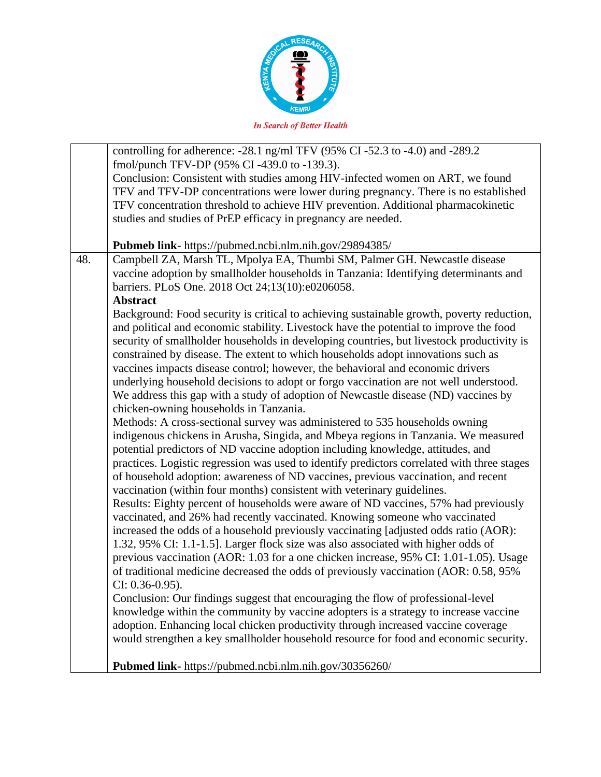

|     | controlling for adherence: -28.1 ng/ml TFV (95% CI -52.3 to -4.0) and -289.2                |
|-----|---------------------------------------------------------------------------------------------|
|     | fmol/punch TFV-DP (95% CI -439.0 to -139.3).                                                |
|     | Conclusion: Consistent with studies among HIV-infected women on ART, we found               |
|     | TFV and TFV-DP concentrations were lower during pregnancy. There is no established          |
|     | TFV concentration threshold to achieve HIV prevention. Additional pharmacokinetic           |
|     | studies and studies of PrEP efficacy in pregnancy are needed.                               |
|     |                                                                                             |
|     | Pubmeb link- https://pubmed.ncbi.nlm.nih.gov/29894385/                                      |
| 48. | Campbell ZA, Marsh TL, Mpolya EA, Thumbi SM, Palmer GH. Newcastle disease                   |
|     | vaccine adoption by smallholder households in Tanzania: Identifying determinants and        |
|     | barriers. PLoS One. 2018 Oct 24;13(10):e0206058.                                            |
|     | <b>Abstract</b>                                                                             |
|     | Background: Food security is critical to achieving sustainable growth, poverty reduction,   |
|     | and political and economic stability. Livestock have the potential to improve the food      |
|     | security of smallholder households in developing countries, but livestock productivity is   |
|     | constrained by disease. The extent to which households adopt innovations such as            |
|     | vaccines impacts disease control; however, the behavioral and economic drivers              |
|     | underlying household decisions to adopt or forgo vaccination are not well understood.       |
|     | We address this gap with a study of adoption of Newcastle disease (ND) vaccines by          |
|     | chicken-owning households in Tanzania.                                                      |
|     | Methods: A cross-sectional survey was administered to 535 households owning                 |
|     | indigenous chickens in Arusha, Singida, and Mbeya regions in Tanzania. We measured          |
|     | potential predictors of ND vaccine adoption including knowledge, attitudes, and             |
|     | practices. Logistic regression was used to identify predictors correlated with three stages |
|     | of household adoption: awareness of ND vaccines, previous vaccination, and recent           |
|     | vaccination (within four months) consistent with veterinary guidelines.                     |
|     | Results: Eighty percent of households were aware of ND vaccines, 57% had previously         |
|     | vaccinated, and 26% had recently vaccinated. Knowing someone who vaccinated                 |
|     | increased the odds of a household previously vaccinating [adjusted odds ratio (AOR):        |
|     | 1.32, 95% CI: 1.1-1.5]. Larger flock size was also associated with higher odds of           |
|     | previous vaccination (AOR: 1.03 for a one chicken increase, 95% CI: 1.01-1.05). Usage       |
|     | of traditional medicine decreased the odds of previously vaccination (AOR: 0.58, 95%        |
|     | $CI: 0.36-0.95$ ).                                                                          |
|     | Conclusion: Our findings suggest that encouraging the flow of professional-level            |
|     | knowledge within the community by vaccine adopters is a strategy to increase vaccine        |
|     | adoption. Enhancing local chicken productivity through increased vaccine coverage           |
|     | would strengthen a key smallholder household resource for food and economic security.       |
|     |                                                                                             |
|     | Pubmed link- https://pubmed.ncbi.nlm.nih.gov/30356260/                                      |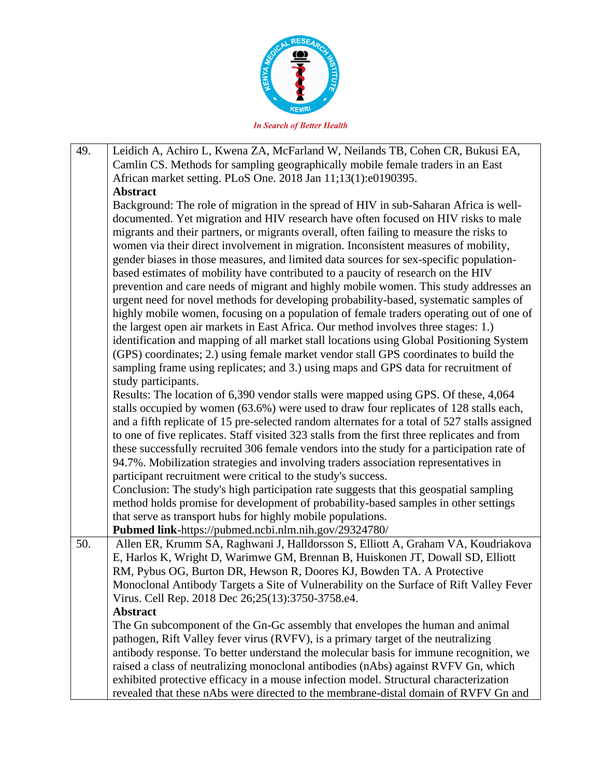

| 49. | Leidich A, Achiro L, Kwena ZA, McFarland W, Neilands TB, Cohen CR, Bukusi EA,<br>Camlin CS. Methods for sampling geographically mobile female traders in an East<br>African market setting. PLoS One. 2018 Jan 11;13(1):e0190395. |
|-----|-----------------------------------------------------------------------------------------------------------------------------------------------------------------------------------------------------------------------------------|
|     | <b>Abstract</b>                                                                                                                                                                                                                   |
|     | Background: The role of migration in the spread of HIV in sub-Saharan Africa is well-                                                                                                                                             |
|     | documented. Yet migration and HIV research have often focused on HIV risks to male                                                                                                                                                |
|     | migrants and their partners, or migrants overall, often failing to measure the risks to                                                                                                                                           |
|     | women via their direct involvement in migration. Inconsistent measures of mobility,                                                                                                                                               |
|     | gender biases in those measures, and limited data sources for sex-specific population-                                                                                                                                            |
|     | based estimates of mobility have contributed to a paucity of research on the HIV                                                                                                                                                  |
|     | prevention and care needs of migrant and highly mobile women. This study addresses an                                                                                                                                             |
|     | urgent need for novel methods for developing probability-based, systematic samples of                                                                                                                                             |
|     | highly mobile women, focusing on a population of female traders operating out of one of                                                                                                                                           |
|     | the largest open air markets in East Africa. Our method involves three stages: 1.)                                                                                                                                                |
|     | identification and mapping of all market stall locations using Global Positioning System                                                                                                                                          |
|     | (GPS) coordinates; 2.) using female market vendor stall GPS coordinates to build the                                                                                                                                              |
|     | sampling frame using replicates; and 3.) using maps and GPS data for recruitment of                                                                                                                                               |
|     | study participants.                                                                                                                                                                                                               |
|     | Results: The location of 6,390 vendor stalls were mapped using GPS. Of these, 4,064                                                                                                                                               |
|     | stalls occupied by women (63.6%) were used to draw four replicates of 128 stalls each,                                                                                                                                            |
|     | and a fifth replicate of 15 pre-selected random alternates for a total of 527 stalls assigned                                                                                                                                     |
|     | to one of five replicates. Staff visited 323 stalls from the first three replicates and from                                                                                                                                      |
|     | these successfully recruited 306 female vendors into the study for a participation rate of                                                                                                                                        |
|     | 94.7%. Mobilization strategies and involving traders association representatives in                                                                                                                                               |
|     | participant recruitment were critical to the study's success.                                                                                                                                                                     |
|     | Conclusion: The study's high participation rate suggests that this geospatial sampling                                                                                                                                            |
|     | method holds promise for development of probability-based samples in other settings                                                                                                                                               |
|     | that serve as transport hubs for highly mobile populations.                                                                                                                                                                       |
|     | Pubmed link-https://pubmed.ncbi.nlm.nih.gov/29324780/                                                                                                                                                                             |
| 50. | Allen ER, Krumm SA, Raghwani J, Halldorsson S, Elliott A, Graham VA, Koudriakova                                                                                                                                                  |
|     | E, Harlos K, Wright D, Warimwe GM, Brennan B, Huiskonen JT, Dowall SD, Elliott                                                                                                                                                    |
|     | RM, Pybus OG, Burton DR, Hewson R, Doores KJ, Bowden TA. A Protective                                                                                                                                                             |
|     | Monoclonal Antibody Targets a Site of Vulnerability on the Surface of Rift Valley Fever                                                                                                                                           |
|     | Virus. Cell Rep. 2018 Dec 26;25(13):3750-3758.e4.                                                                                                                                                                                 |
|     | <b>Abstract</b>                                                                                                                                                                                                                   |
|     | The Gn subcomponent of the Gn-Gc assembly that envelopes the human and animal                                                                                                                                                     |
|     | pathogen, Rift Valley fever virus (RVFV), is a primary target of the neutralizing                                                                                                                                                 |
|     | antibody response. To better understand the molecular basis for immune recognition, we                                                                                                                                            |
|     | raised a class of neutralizing monoclonal antibodies (nAbs) against RVFV Gn, which                                                                                                                                                |
|     | exhibited protective efficacy in a mouse infection model. Structural characterization                                                                                                                                             |
|     | revealed that these nAbs were directed to the membrane-distal domain of RVFV Gn and                                                                                                                                               |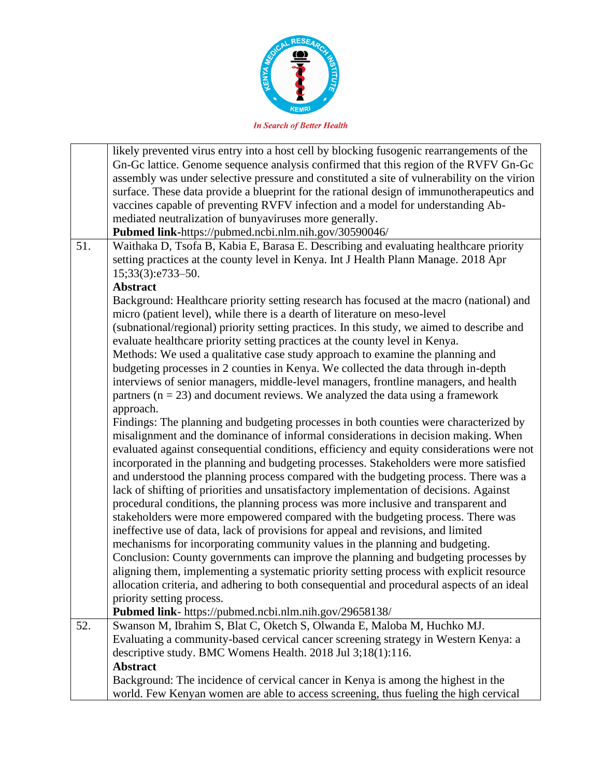

|     | likely prevented virus entry into a host cell by blocking fusogenic rearrangements of the<br>Gn-Gc lattice. Genome sequence analysis confirmed that this region of the RVFV Gn-Gc<br>assembly was under selective pressure and constituted a site of vulnerability on the virion<br>surface. These data provide a blueprint for the rational design of immunotherapeutics and<br>vaccines capable of preventing RVFV infection and a model for understanding Ab-<br>mediated neutralization of bunyaviruses more generally.<br>Pubmed link-https://pubmed.ncbi.nlm.nih.gov/30590046/                                                                                                                                                                                                                                                                                                                                                                                                                                                                                                                                                                                                                                                                                                   |
|-----|----------------------------------------------------------------------------------------------------------------------------------------------------------------------------------------------------------------------------------------------------------------------------------------------------------------------------------------------------------------------------------------------------------------------------------------------------------------------------------------------------------------------------------------------------------------------------------------------------------------------------------------------------------------------------------------------------------------------------------------------------------------------------------------------------------------------------------------------------------------------------------------------------------------------------------------------------------------------------------------------------------------------------------------------------------------------------------------------------------------------------------------------------------------------------------------------------------------------------------------------------------------------------------------|
| 51. | Waithaka D, Tsofa B, Kabia E, Barasa E. Describing and evaluating healthcare priority<br>setting practices at the county level in Kenya. Int J Health Plann Manage. 2018 Apr<br>15;33(3):e733-50.                                                                                                                                                                                                                                                                                                                                                                                                                                                                                                                                                                                                                                                                                                                                                                                                                                                                                                                                                                                                                                                                                      |
|     | <b>Abstract</b>                                                                                                                                                                                                                                                                                                                                                                                                                                                                                                                                                                                                                                                                                                                                                                                                                                                                                                                                                                                                                                                                                                                                                                                                                                                                        |
|     | Background: Healthcare priority setting research has focused at the macro (national) and<br>micro (patient level), while there is a dearth of literature on meso-level<br>(subnational/regional) priority setting practices. In this study, we aimed to describe and<br>evaluate healthcare priority setting practices at the county level in Kenya.<br>Methods: We used a qualitative case study approach to examine the planning and<br>budgeting processes in 2 counties in Kenya. We collected the data through in-depth<br>interviews of senior managers, middle-level managers, frontline managers, and health<br>partners ( $n = 23$ ) and document reviews. We analyzed the data using a framework                                                                                                                                                                                                                                                                                                                                                                                                                                                                                                                                                                             |
|     | approach.<br>Findings: The planning and budgeting processes in both counties were characterized by<br>misalignment and the dominance of informal considerations in decision making. When<br>evaluated against consequential conditions, efficiency and equity considerations were not<br>incorporated in the planning and budgeting processes. Stakeholders were more satisfied<br>and understood the planning process compared with the budgeting process. There was a<br>lack of shifting of priorities and unsatisfactory implementation of decisions. Against<br>procedural conditions, the planning process was more inclusive and transparent and<br>stakeholders were more empowered compared with the budgeting process. There was<br>ineffective use of data, lack of provisions for appeal and revisions, and limited<br>mechanisms for incorporating community values in the planning and budgeting.<br>Conclusion: County governments can improve the planning and budgeting processes by<br>aligning them, implementing a systematic priority setting process with explicit resource<br>allocation criteria, and adhering to both consequential and procedural aspects of an ideal<br>priority setting process.<br>Pubmed link- https://pubmed.ncbi.nlm.nih.gov/29658138/ |
| 52. | Swanson M, Ibrahim S, Blat C, Oketch S, Olwanda E, Maloba M, Huchko MJ.<br>Evaluating a community-based cervical cancer screening strategy in Western Kenya: a<br>descriptive study. BMC Womens Health. 2018 Jul 3;18(1):116.                                                                                                                                                                                                                                                                                                                                                                                                                                                                                                                                                                                                                                                                                                                                                                                                                                                                                                                                                                                                                                                          |
|     | <b>Abstract</b><br>Background: The incidence of cervical cancer in Kenya is among the highest in the<br>world. Few Kenyan women are able to access screening, thus fueling the high cervical                                                                                                                                                                                                                                                                                                                                                                                                                                                                                                                                                                                                                                                                                                                                                                                                                                                                                                                                                                                                                                                                                           |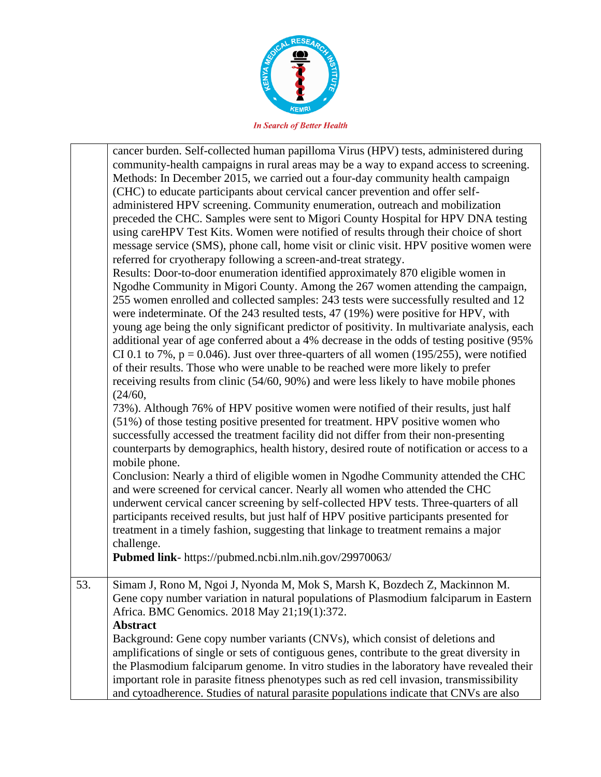

|     | cancer burden. Self-collected human papilloma Virus (HPV) tests, administered during<br>community-health campaigns in rural areas may be a way to expand access to screening.<br>Methods: In December 2015, we carried out a four-day community health campaign<br>(CHC) to educate participants about cervical cancer prevention and offer self-<br>administered HPV screening. Community enumeration, outreach and mobilization<br>preceded the CHC. Samples were sent to Migori County Hospital for HPV DNA testing<br>using careHPV Test Kits. Women were notified of results through their choice of short<br>message service (SMS), phone call, home visit or clinic visit. HPV positive women were<br>referred for cryotherapy following a screen-and-treat strategy.<br>Results: Door-to-door enumeration identified approximately 870 eligible women in<br>Ngodhe Community in Migori County. Among the 267 women attending the campaign,<br>255 women enrolled and collected samples: 243 tests were successfully resulted and 12<br>were indeterminate. Of the 243 resulted tests, 47 (19%) were positive for HPV, with<br>young age being the only significant predictor of positivity. In multivariate analysis, each<br>additional year of age conferred about a 4% decrease in the odds of testing positive (95%<br>CI 0.1 to 7%, $p = 0.046$ ). Just over three-quarters of all women (195/255), were notified<br>of their results. Those who were unable to be reached were more likely to prefer<br>receiving results from clinic (54/60, 90%) and were less likely to have mobile phones<br>(24/60,<br>73%). Although 76% of HPV positive women were notified of their results, just half<br>(51%) of those testing positive presented for treatment. HPV positive women who<br>successfully accessed the treatment facility did not differ from their non-presenting<br>counterparts by demographics, health history, desired route of notification or access to a<br>mobile phone.<br>Conclusion: Nearly a third of eligible women in Ngodhe Community attended the CHC<br>and were screened for cervical cancer. Nearly all women who attended the CHC<br>underwent cervical cancer screening by self-collected HPV tests. Three-quarters of all<br>participants received results, but just half of HPV positive participants presented for<br>treatment in a timely fashion, suggesting that linkage to treatment remains a major<br>challenge.<br>Pubmed link- https://pubmed.ncbi.nlm.nih.gov/29970063/ |
|-----|----------------------------------------------------------------------------------------------------------------------------------------------------------------------------------------------------------------------------------------------------------------------------------------------------------------------------------------------------------------------------------------------------------------------------------------------------------------------------------------------------------------------------------------------------------------------------------------------------------------------------------------------------------------------------------------------------------------------------------------------------------------------------------------------------------------------------------------------------------------------------------------------------------------------------------------------------------------------------------------------------------------------------------------------------------------------------------------------------------------------------------------------------------------------------------------------------------------------------------------------------------------------------------------------------------------------------------------------------------------------------------------------------------------------------------------------------------------------------------------------------------------------------------------------------------------------------------------------------------------------------------------------------------------------------------------------------------------------------------------------------------------------------------------------------------------------------------------------------------------------------------------------------------------------------------------------------------------------------------------------------------------------------------------------------------------------------------------------------------------------------------------------------------------------------------------------------------------------------------------------------------------------------------------------------------------------------------------------------------------------------------------------------------------------------------------------------------------------------------------------------------------------------------|
| 53. | Simam J, Rono M, Ngoi J, Nyonda M, Mok S, Marsh K, Bozdech Z, Mackinnon M.<br>Gene copy number variation in natural populations of Plasmodium falciparum in Eastern<br>Africa. BMC Genomics. 2018 May 21;19(1):372.<br><b>Abstract</b><br>Background: Gene copy number variants (CNVs), which consist of deletions and<br>amplifications of single or sets of contiguous genes, contribute to the great diversity in<br>the Plasmodium falciparum genome. In vitro studies in the laboratory have revealed their<br>important role in parasite fitness phenotypes such as red cell invasion, transmissibility<br>and cytoadherence. Studies of natural parasite populations indicate that CNVs are also                                                                                                                                                                                                                                                                                                                                                                                                                                                                                                                                                                                                                                                                                                                                                                                                                                                                                                                                                                                                                                                                                                                                                                                                                                                                                                                                                                                                                                                                                                                                                                                                                                                                                                                                                                                                                          |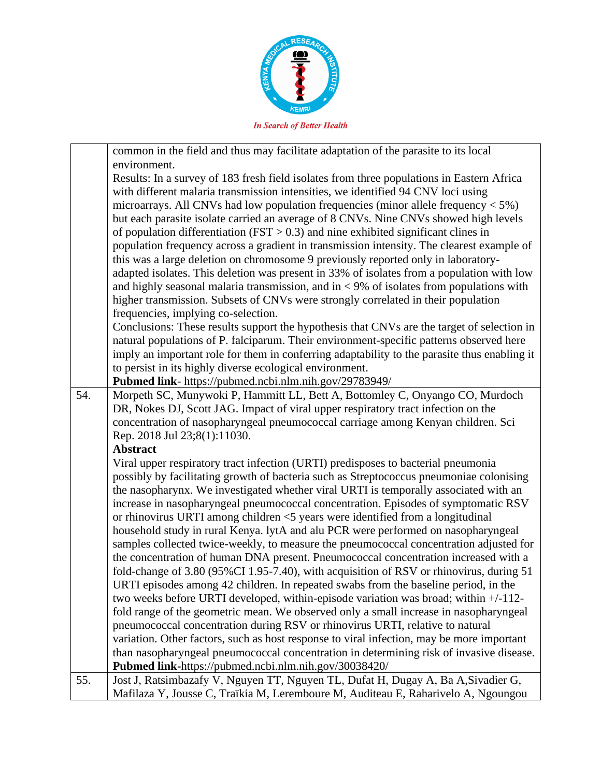

|     | common in the field and thus may facilitate adaptation of the parasite to its local           |
|-----|-----------------------------------------------------------------------------------------------|
|     | environment.                                                                                  |
|     | Results: In a survey of 183 fresh field isolates from three populations in Eastern Africa     |
|     | with different malaria transmission intensities, we identified 94 CNV loci using              |
|     | microarrays. All CNVs had low population frequencies (minor allele frequency $<$ 5%)          |
|     | but each parasite isolate carried an average of 8 CNVs. Nine CNVs showed high levels          |
|     | of population differentiation ( $\text{FST} > 0.3$ ) and nine exhibited significant clines in |
|     | population frequency across a gradient in transmission intensity. The clearest example of     |
|     | this was a large deletion on chromosome 9 previously reported only in laboratory-             |
|     | adapted isolates. This deletion was present in 33% of isolates from a population with low     |
|     | and highly seasonal malaria transmission, and in $\lt 9\%$ of isolates from populations with  |
|     | higher transmission. Subsets of CNVs were strongly correlated in their population             |
|     | frequencies, implying co-selection.                                                           |
|     | Conclusions: These results support the hypothesis that CNVs are the target of selection in    |
|     | natural populations of P. falciparum. Their environment-specific patterns observed here       |
|     | imply an important role for them in conferring adaptability to the parasite thus enabling it  |
|     | to persist in its highly diverse ecological environment.                                      |
|     | Pubmed link- https://pubmed.ncbi.nlm.nih.gov/29783949/                                        |
| 54. | Morpeth SC, Munywoki P, Hammitt LL, Bett A, Bottomley C, Onyango CO, Murdoch                  |
|     | DR, Nokes DJ, Scott JAG. Impact of viral upper respiratory tract infection on the             |
|     | concentration of nasopharyngeal pneumococcal carriage among Kenyan children. Sci              |
|     | Rep. 2018 Jul 23;8(1):11030.                                                                  |
|     | <b>Abstract</b>                                                                               |
|     | Viral upper respiratory tract infection (URTI) predisposes to bacterial pneumonia             |
|     | possibly by facilitating growth of bacteria such as Streptococcus pneumoniae colonising       |
|     | the nasopharynx. We investigated whether viral URTI is temporally associated with an          |
|     | increase in nasopharyngeal pneumococcal concentration. Episodes of symptomatic RSV            |
|     | or rhinovirus URTI among children <5 years were identified from a longitudinal                |
|     | household study in rural Kenya. lytA and alu PCR were performed on nasopharyngeal             |
|     | samples collected twice-weekly, to measure the pneumococcal concentration adjusted for        |
|     | the concentration of human DNA present. Pneumococcal concentration increased with a           |
|     | fold-change of 3.80 (95%CI 1.95-7.40), with acquisition of RSV or rhinovirus, during 51       |
|     | URTI episodes among 42 children. In repeated swabs from the baseline period, in the           |
|     | two weeks before URTI developed, within-episode variation was broad; within +/-112-           |
|     | fold range of the geometric mean. We observed only a small increase in nasopharyngeal         |
|     | pneumococcal concentration during RSV or rhinovirus URTI, relative to natural                 |
|     | variation. Other factors, such as host response to viral infection, may be more important     |
|     | than nasopharyngeal pneumococcal concentration in determining risk of invasive disease.       |
|     | Pubmed link-https://pubmed.ncbi.nlm.nih.gov/30038420/                                         |
| 55. | Jost J, Ratsimbazafy V, Nguyen TT, Nguyen TL, Dufat H, Dugay A, Ba A, Sivadier G,             |
|     | Mafilaza Y, Jousse C, Traïkia M, Leremboure M, Auditeau E, Raharivelo A, Ngoungou             |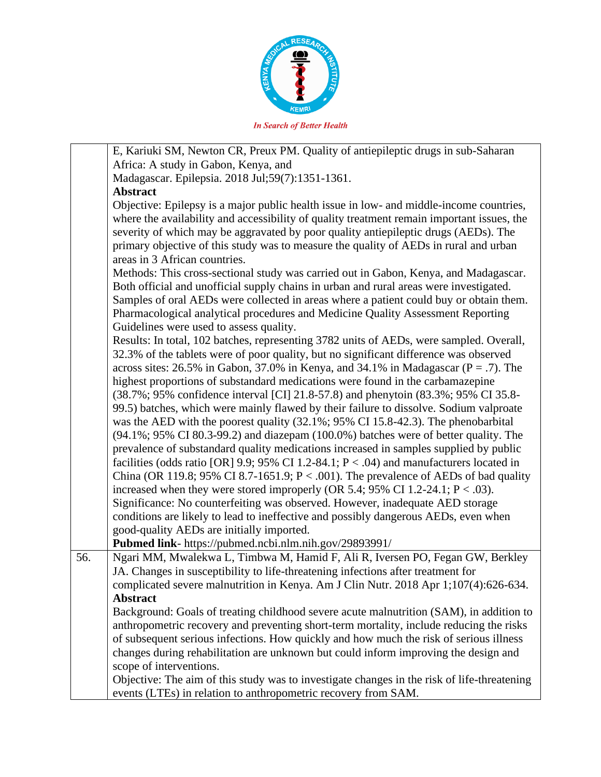

|     | E, Kariuki SM, Newton CR, Preux PM. Quality of antiepileptic drugs in sub-Saharan<br>Africa: A study in Gabon, Kenya, and                                                                                                                                                                                                                                                                                                                                                                                                                                                                                                                                                                                                                                                                                                                                                                                                                                                                                                                                                                                                                                                                         |
|-----|---------------------------------------------------------------------------------------------------------------------------------------------------------------------------------------------------------------------------------------------------------------------------------------------------------------------------------------------------------------------------------------------------------------------------------------------------------------------------------------------------------------------------------------------------------------------------------------------------------------------------------------------------------------------------------------------------------------------------------------------------------------------------------------------------------------------------------------------------------------------------------------------------------------------------------------------------------------------------------------------------------------------------------------------------------------------------------------------------------------------------------------------------------------------------------------------------|
|     | Madagascar. Epilepsia. 2018 Jul;59(7):1351-1361.                                                                                                                                                                                                                                                                                                                                                                                                                                                                                                                                                                                                                                                                                                                                                                                                                                                                                                                                                                                                                                                                                                                                                  |
|     | <b>Abstract</b>                                                                                                                                                                                                                                                                                                                                                                                                                                                                                                                                                                                                                                                                                                                                                                                                                                                                                                                                                                                                                                                                                                                                                                                   |
|     | Objective: Epilepsy is a major public health issue in low- and middle-income countries,<br>where the availability and accessibility of quality treatment remain important issues, the<br>severity of which may be aggravated by poor quality antiepileptic drugs (AEDs). The<br>primary objective of this study was to measure the quality of AEDs in rural and urban<br>areas in 3 African countries.                                                                                                                                                                                                                                                                                                                                                                                                                                                                                                                                                                                                                                                                                                                                                                                            |
|     | Methods: This cross-sectional study was carried out in Gabon, Kenya, and Madagascar.<br>Both official and unofficial supply chains in urban and rural areas were investigated.<br>Samples of oral AEDs were collected in areas where a patient could buy or obtain them.<br>Pharmacological analytical procedures and Medicine Quality Assessment Reporting                                                                                                                                                                                                                                                                                                                                                                                                                                                                                                                                                                                                                                                                                                                                                                                                                                       |
|     | Guidelines were used to assess quality.                                                                                                                                                                                                                                                                                                                                                                                                                                                                                                                                                                                                                                                                                                                                                                                                                                                                                                                                                                                                                                                                                                                                                           |
|     | Results: In total, 102 batches, representing 3782 units of AEDs, were sampled. Overall,<br>32.3% of the tablets were of poor quality, but no significant difference was observed<br>across sites: 26.5% in Gabon, 37.0% in Kenya, and 34.1% in Madagascar ( $P = .7$ ). The<br>highest proportions of substandard medications were found in the carbamazepine<br>(38.7%; 95% confidence interval [CI] 21.8-57.8) and phenytoin (83.3%; 95% CI 35.8-<br>99.5) batches, which were mainly flawed by their failure to dissolve. Sodium valproate<br>was the AED with the poorest quality (32.1%; 95% CI 15.8-42.3). The phenobarbital<br>$(94.1\%; 95\% \text{ CI } 80.3-99.2)$ and diazepam $(100.0\%)$ batches were of better quality. The<br>prevalence of substandard quality medications increased in samples supplied by public<br>facilities (odds ratio [OR] 9.9; 95% CI 1.2-84.1; $P < .04$ ) and manufacturers located in<br>China (OR 119.8; 95% CI 8.7-1651.9; $P < .001$ ). The prevalence of AEDs of bad quality<br>increased when they were stored improperly (OR 5.4; 95% CI 1.2-24.1; $P < .03$ ).<br>Significance: No counterfeiting was observed. However, inadequate AED storage |
|     | conditions are likely to lead to ineffective and possibly dangerous AEDs, even when                                                                                                                                                                                                                                                                                                                                                                                                                                                                                                                                                                                                                                                                                                                                                                                                                                                                                                                                                                                                                                                                                                               |
|     | good-quality AEDs are initially imported.                                                                                                                                                                                                                                                                                                                                                                                                                                                                                                                                                                                                                                                                                                                                                                                                                                                                                                                                                                                                                                                                                                                                                         |
|     | Pubmed link- https://pubmed.ncbi.nlm.nih.gov/29893991/                                                                                                                                                                                                                                                                                                                                                                                                                                                                                                                                                                                                                                                                                                                                                                                                                                                                                                                                                                                                                                                                                                                                            |
| 56. | Ngari MM, Mwalekwa L, Timbwa M, Hamid F, Ali R, Iversen PO, Fegan GW, Berkley                                                                                                                                                                                                                                                                                                                                                                                                                                                                                                                                                                                                                                                                                                                                                                                                                                                                                                                                                                                                                                                                                                                     |
|     | JA. Changes in susceptibility to life-threatening infections after treatment for                                                                                                                                                                                                                                                                                                                                                                                                                                                                                                                                                                                                                                                                                                                                                                                                                                                                                                                                                                                                                                                                                                                  |
|     | complicated severe malnutrition in Kenya. Am J Clin Nutr. 2018 Apr 1;107(4):626-634.                                                                                                                                                                                                                                                                                                                                                                                                                                                                                                                                                                                                                                                                                                                                                                                                                                                                                                                                                                                                                                                                                                              |
|     | <b>Abstract</b>                                                                                                                                                                                                                                                                                                                                                                                                                                                                                                                                                                                                                                                                                                                                                                                                                                                                                                                                                                                                                                                                                                                                                                                   |
|     | Background: Goals of treating childhood severe acute malnutrition (SAM), in addition to                                                                                                                                                                                                                                                                                                                                                                                                                                                                                                                                                                                                                                                                                                                                                                                                                                                                                                                                                                                                                                                                                                           |
|     | anthropometric recovery and preventing short-term mortality, include reducing the risks<br>of subsequent serious infections. How quickly and how much the risk of serious illness                                                                                                                                                                                                                                                                                                                                                                                                                                                                                                                                                                                                                                                                                                                                                                                                                                                                                                                                                                                                                 |
|     | changes during rehabilitation are unknown but could inform improving the design and                                                                                                                                                                                                                                                                                                                                                                                                                                                                                                                                                                                                                                                                                                                                                                                                                                                                                                                                                                                                                                                                                                               |
|     | scope of interventions.                                                                                                                                                                                                                                                                                                                                                                                                                                                                                                                                                                                                                                                                                                                                                                                                                                                                                                                                                                                                                                                                                                                                                                           |
|     | Objective: The aim of this study was to investigate changes in the risk of life-threatening<br>events (LTEs) in relation to anthropometric recovery from SAM.                                                                                                                                                                                                                                                                                                                                                                                                                                                                                                                                                                                                                                                                                                                                                                                                                                                                                                                                                                                                                                     |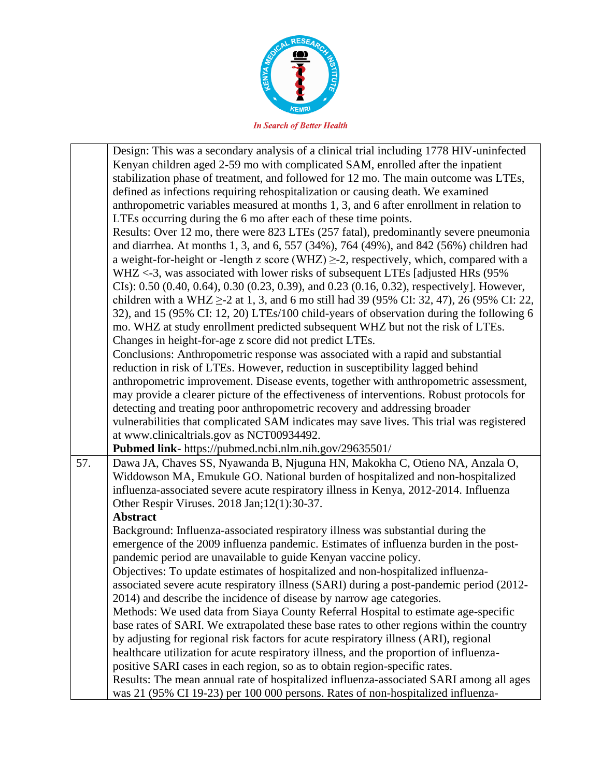

|     | Design: This was a secondary analysis of a clinical trial including 1778 HIV-uninfected        |
|-----|------------------------------------------------------------------------------------------------|
|     | Kenyan children aged 2-59 mo with complicated SAM, enrolled after the inpatient                |
|     | stabilization phase of treatment, and followed for 12 mo. The main outcome was LTEs,           |
|     | defined as infections requiring rehospitalization or causing death. We examined                |
|     | anthropometric variables measured at months 1, 3, and 6 after enrollment in relation to        |
|     | LTEs occurring during the 6 mo after each of these time points.                                |
|     | Results: Over 12 mo, there were 823 LTEs (257 fatal), predominantly severe pneumonia           |
|     | and diarrhea. At months 1, 3, and 6, 557 (34%), 764 (49%), and 842 (56%) children had          |
|     | a weight-for-height or -length z score (WHZ) $\geq$ -2, respectively, which, compared with a   |
|     | $W$ HZ <-3, was associated with lower risks of subsequent LTEs [adjusted HRs $(95\%$ ]         |
|     | CIs): 0.50 (0.40, 0.64), 0.30 (0.23, 0.39), and 0.23 (0.16, 0.32), respectively]. However,     |
|     | children with a WHZ $\geq$ -2 at 1, 3, and 6 mo still had 39 (95% CI: 32, 47), 26 (95% CI: 22, |
|     | 32), and 15 (95% CI: 12, 20) LTEs/100 child-years of observation during the following 6        |
|     | mo. WHZ at study enrollment predicted subsequent WHZ but not the risk of LTEs.                 |
|     | Changes in height-for-age z score did not predict LTEs.                                        |
|     |                                                                                                |
|     | Conclusions: Anthropometric response was associated with a rapid and substantial               |
|     | reduction in risk of LTEs. However, reduction in susceptibility lagged behind                  |
|     | anthropometric improvement. Disease events, together with anthropometric assessment,           |
|     | may provide a clearer picture of the effectiveness of interventions. Robust protocols for      |
|     | detecting and treating poor anthropometric recovery and addressing broader                     |
|     | vulnerabilities that complicated SAM indicates may save lives. This trial was registered       |
|     | at www.clinicaltrials.gov as NCT00934492.                                                      |
|     | Pubmed link- https://pubmed.ncbi.nlm.nih.gov/29635501/                                         |
| 57. | Dawa JA, Chaves SS, Nyawanda B, Njuguna HN, Makokha C, Otieno NA, Anzala O,                    |
|     | Widdowson MA, Emukule GO. National burden of hospitalized and non-hospitalized                 |
|     | influenza-associated severe acute respiratory illness in Kenya, 2012-2014. Influenza           |
|     | Other Respir Viruses. 2018 Jan; 12(1): 30-37.                                                  |
|     | <b>Abstract</b>                                                                                |
|     | Background: Influenza-associated respiratory illness was substantial during the                |
|     | emergence of the 2009 influenza pandemic. Estimates of influenza burden in the post-           |
|     | pandemic period are unavailable to guide Kenyan vaccine policy.                                |
|     | Objectives: To update estimates of hospitalized and non-hospitalized influenza-                |
|     | associated severe acute respiratory illness (SARI) during a post-pandemic period (2012-        |
|     | 2014) and describe the incidence of disease by narrow age categories.                          |
|     | Methods: We used data from Siaya County Referral Hospital to estimate age-specific             |
|     | base rates of SARI. We extrapolated these base rates to other regions within the country       |
|     | by adjusting for regional risk factors for acute respiratory illness (ARI), regional           |
|     | healthcare utilization for acute respiratory illness, and the proportion of influenza-         |
|     | positive SARI cases in each region, so as to obtain region-specific rates.                     |
|     | Results: The mean annual rate of hospitalized influenza-associated SARI among all ages         |
|     | was 21 (95% CI 19-23) per 100 000 persons. Rates of non-hospitalized influenza-                |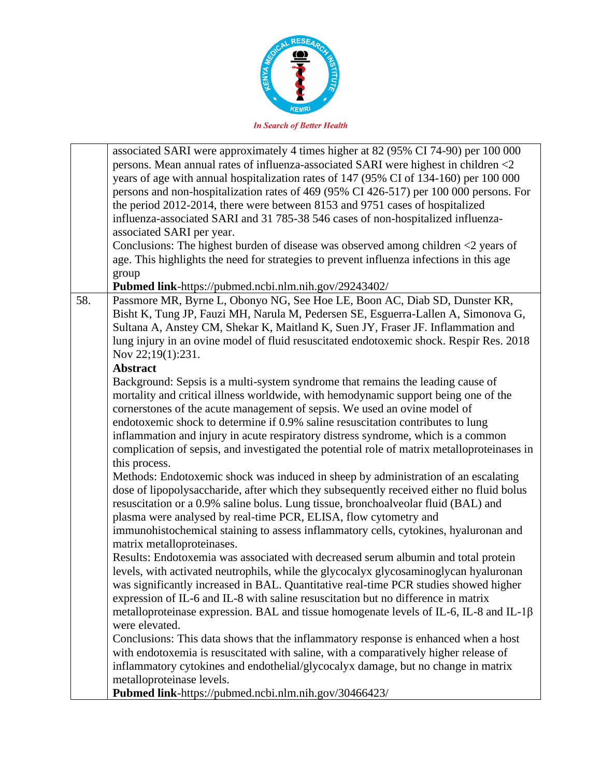

|     | associated SARI were approximately 4 times higher at 82 (95% CI 74-90) per 100 000<br>persons. Mean annual rates of influenza-associated SARI were highest in children <2<br>years of age with annual hospitalization rates of 147 (95% CI of 134-160) per 100 000<br>persons and non-hospitalization rates of 469 (95% CI 426-517) per 100 000 persons. For<br>the period 2012-2014, there were between 8153 and 9751 cases of hospitalized<br>influenza-associated SARI and 31 785-38 546 cases of non-hospitalized influenza-<br>associated SARI per year.<br>Conclusions: The highest burden of disease was observed among children <2 years of |
|-----|-----------------------------------------------------------------------------------------------------------------------------------------------------------------------------------------------------------------------------------------------------------------------------------------------------------------------------------------------------------------------------------------------------------------------------------------------------------------------------------------------------------------------------------------------------------------------------------------------------------------------------------------------------|
|     | age. This highlights the need for strategies to prevent influenza infections in this age                                                                                                                                                                                                                                                                                                                                                                                                                                                                                                                                                            |
|     | group                                                                                                                                                                                                                                                                                                                                                                                                                                                                                                                                                                                                                                               |
|     | Pubmed link-https://pubmed.ncbi.nlm.nih.gov/29243402/                                                                                                                                                                                                                                                                                                                                                                                                                                                                                                                                                                                               |
| 58. | Passmore MR, Byrne L, Obonyo NG, See Hoe LE, Boon AC, Diab SD, Dunster KR,<br>Bisht K, Tung JP, Fauzi MH, Narula M, Pedersen SE, Esguerra-Lallen A, Simonova G,<br>Sultana A, Anstey CM, Shekar K, Maitland K, Suen JY, Fraser JF. Inflammation and<br>lung injury in an ovine model of fluid resuscitated endotoxemic shock. Respir Res. 2018<br>Nov 22;19(1):231.                                                                                                                                                                                                                                                                                 |
|     | <b>Abstract</b>                                                                                                                                                                                                                                                                                                                                                                                                                                                                                                                                                                                                                                     |
|     | Background: Sepsis is a multi-system syndrome that remains the leading cause of<br>mortality and critical illness worldwide, with hemodynamic support being one of the<br>cornerstones of the acute management of sepsis. We used an ovine model of                                                                                                                                                                                                                                                                                                                                                                                                 |
|     | endotoxemic shock to determine if 0.9% saline resuscitation contributes to lung<br>inflammation and injury in acute respiratory distress syndrome, which is a common<br>complication of sepsis, and investigated the potential role of matrix metalloproteinases in<br>this process.                                                                                                                                                                                                                                                                                                                                                                |
|     | Methods: Endotoxemic shock was induced in sheep by administration of an escalating<br>dose of lipopolysaccharide, after which they subsequently received either no fluid bolus<br>resuscitation or a 0.9% saline bolus. Lung tissue, bronchoalveolar fluid (BAL) and<br>plasma were analysed by real-time PCR, ELISA, flow cytometry and                                                                                                                                                                                                                                                                                                            |
|     | immunohistochemical staining to assess inflammatory cells, cytokines, hyaluronan and<br>matrix metalloproteinases.                                                                                                                                                                                                                                                                                                                                                                                                                                                                                                                                  |
|     | Results: Endotoxemia was associated with decreased serum albumin and total protein<br>levels, with activated neutrophils, while the glycocalyx glycosaminoglycan hyaluronan<br>was significantly increased in BAL. Quantitative real-time PCR studies showed higher<br>expression of IL-6 and IL-8 with saline resuscitation but no difference in matrix<br>metalloproteinase expression. BAL and tissue homogenate levels of IL-6, IL-8 and IL-1 $\beta$<br>were elevated.                                                                                                                                                                         |
|     | Conclusions: This data shows that the inflammatory response is enhanced when a host<br>with endotoxemia is resuscitated with saline, with a comparatively higher release of<br>inflammatory cytokines and endothelial/glycocalyx damage, but no change in matrix                                                                                                                                                                                                                                                                                                                                                                                    |
|     | metalloproteinase levels.<br>Pubmed link-https://pubmed.ncbi.nlm.nih.gov/30466423/                                                                                                                                                                                                                                                                                                                                                                                                                                                                                                                                                                  |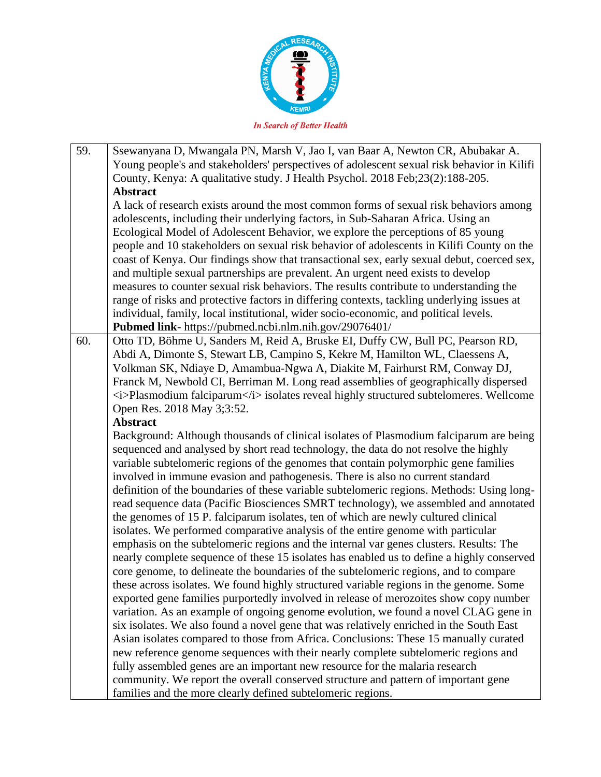

| 59. | Ssewanyana D, Mwangala PN, Marsh V, Jao I, van Baar A, Newton CR, Abubakar A.<br>Young people's and stakeholders' perspectives of adolescent sexual risk behavior in Kilifi<br>County, Kenya: A qualitative study. J Health Psychol. 2018 Feb;23(2):188-205. |
|-----|--------------------------------------------------------------------------------------------------------------------------------------------------------------------------------------------------------------------------------------------------------------|
|     | <b>Abstract</b>                                                                                                                                                                                                                                              |
|     | A lack of research exists around the most common forms of sexual risk behaviors among                                                                                                                                                                        |
|     | adolescents, including their underlying factors, in Sub-Saharan Africa. Using an                                                                                                                                                                             |
|     | Ecological Model of Adolescent Behavior, we explore the perceptions of 85 young                                                                                                                                                                              |
|     | people and 10 stakeholders on sexual risk behavior of adolescents in Kilifi County on the                                                                                                                                                                    |
|     | coast of Kenya. Our findings show that transactional sex, early sexual debut, coerced sex,                                                                                                                                                                   |
|     |                                                                                                                                                                                                                                                              |
|     | and multiple sexual partnerships are prevalent. An urgent need exists to develop                                                                                                                                                                             |
|     | measures to counter sexual risk behaviors. The results contribute to understanding the                                                                                                                                                                       |
|     | range of risks and protective factors in differing contexts, tackling underlying issues at                                                                                                                                                                   |
|     | individual, family, local institutional, wider socio-economic, and political levels.                                                                                                                                                                         |
|     | Pubmed link- https://pubmed.ncbi.nlm.nih.gov/29076401/                                                                                                                                                                                                       |
| 60. | Otto TD, Böhme U, Sanders M, Reid A, Bruske EI, Duffy CW, Bull PC, Pearson RD,                                                                                                                                                                               |
|     | Abdi A, Dimonte S, Stewart LB, Campino S, Kekre M, Hamilton WL, Claessens A,                                                                                                                                                                                 |
|     | Volkman SK, Ndiaye D, Amambua-Ngwa A, Diakite M, Fairhurst RM, Conway DJ,                                                                                                                                                                                    |
|     | Franck M, Newbold CI, Berriman M. Long read assemblies of geographically dispersed                                                                                                                                                                           |
|     | <i>Plasmodium falciparum</i> isolates reveal highly structured subtelomeres. Wellcome                                                                                                                                                                        |
|     | Open Res. 2018 May 3;3:52.                                                                                                                                                                                                                                   |
|     | <b>Abstract</b>                                                                                                                                                                                                                                              |
|     | Background: Although thousands of clinical isolates of Plasmodium falciparum are being                                                                                                                                                                       |
|     | sequenced and analysed by short read technology, the data do not resolve the highly                                                                                                                                                                          |
|     | variable subtelomeric regions of the genomes that contain polymorphic gene families                                                                                                                                                                          |
|     | involved in immune evasion and pathogenesis. There is also no current standard                                                                                                                                                                               |
|     | definition of the boundaries of these variable subtelomeric regions. Methods: Using long-                                                                                                                                                                    |
|     | read sequence data (Pacific Biosciences SMRT technology), we assembled and annotated                                                                                                                                                                         |
|     | the genomes of 15 P. falciparum isolates, ten of which are newly cultured clinical                                                                                                                                                                           |
|     |                                                                                                                                                                                                                                                              |
|     | isolates. We performed comparative analysis of the entire genome with particular                                                                                                                                                                             |
|     | emphasis on the subtelomeric regions and the internal var genes clusters. Results: The                                                                                                                                                                       |
|     | nearly complete sequence of these 15 isolates has enabled us to define a highly conserved                                                                                                                                                                    |
|     | core genome, to delineate the boundaries of the subtelomeric regions, and to compare                                                                                                                                                                         |
|     | these across isolates. We found highly structured variable regions in the genome. Some                                                                                                                                                                       |
|     | exported gene families purportedly involved in release of merozoites show copy number                                                                                                                                                                        |
|     | variation. As an example of ongoing genome evolution, we found a novel CLAG gene in                                                                                                                                                                          |
|     | six isolates. We also found a novel gene that was relatively enriched in the South East                                                                                                                                                                      |
|     | Asian isolates compared to those from Africa. Conclusions: These 15 manually curated                                                                                                                                                                         |
|     | new reference genome sequences with their nearly complete subtelomeric regions and                                                                                                                                                                           |
|     | fully assembled genes are an important new resource for the malaria research                                                                                                                                                                                 |
|     | community. We report the overall conserved structure and pattern of important gene                                                                                                                                                                           |
|     | families and the more clearly defined subtelomeric regions.                                                                                                                                                                                                  |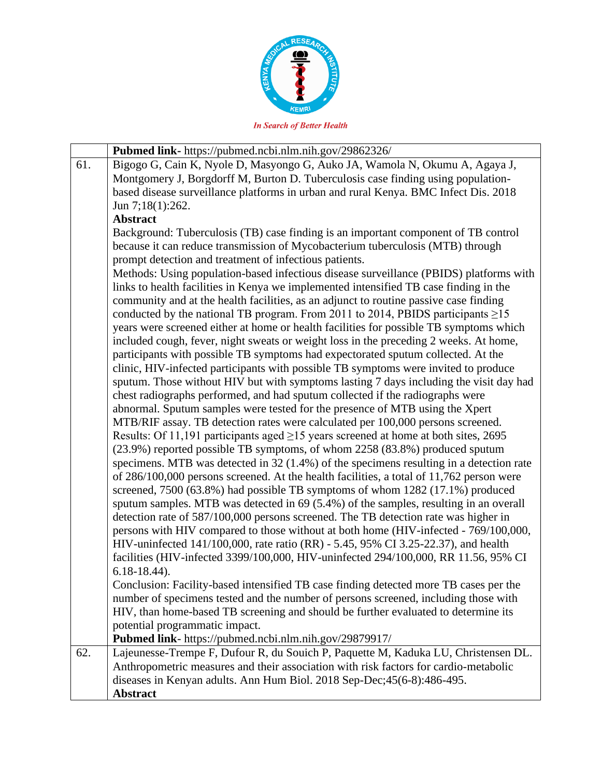

|     | Pubmed link- https://pubmed.ncbi.nlm.nih.gov/29862326/                                                                                                                      |
|-----|-----------------------------------------------------------------------------------------------------------------------------------------------------------------------------|
| 61. | Bigogo G, Cain K, Nyole D, Masyongo G, Auko JA, Wamola N, Okumu A, Agaya J,                                                                                                 |
|     | Montgomery J, Borgdorff M, Burton D. Tuberculosis case finding using population-                                                                                            |
|     | based disease surveillance platforms in urban and rural Kenya. BMC Infect Dis. 2018                                                                                         |
|     | Jun 7;18(1):262.                                                                                                                                                            |
|     | <b>Abstract</b>                                                                                                                                                             |
|     | Background: Tuberculosis (TB) case finding is an important component of TB control                                                                                          |
|     | because it can reduce transmission of Mycobacterium tuberculosis (MTB) through                                                                                              |
|     | prompt detection and treatment of infectious patients.                                                                                                                      |
|     | Methods: Using population-based infectious disease surveillance (PBIDS) platforms with                                                                                      |
|     | links to health facilities in Kenya we implemented intensified TB case finding in the                                                                                       |
|     | community and at the health facilities, as an adjunct to routine passive case finding                                                                                       |
|     | conducted by the national TB program. From 2011 to 2014, PBIDS participants $\geq$ 15                                                                                       |
|     | years were screened either at home or health facilities for possible TB symptoms which                                                                                      |
|     | included cough, fever, night sweats or weight loss in the preceding 2 weeks. At home,                                                                                       |
|     | participants with possible TB symptoms had expectorated sputum collected. At the                                                                                            |
|     | clinic, HIV-infected participants with possible TB symptoms were invited to produce                                                                                         |
|     | sputum. Those without HIV but with symptoms lasting 7 days including the visit day had                                                                                      |
|     | chest radiographs performed, and had sputum collected if the radiographs were                                                                                               |
|     | abnormal. Sputum samples were tested for the presence of MTB using the Xpert                                                                                                |
|     | MTB/RIF assay. TB detection rates were calculated per 100,000 persons screened.                                                                                             |
|     | Results: Of 11,191 participants aged $\geq$ 15 years screened at home at both sites, 2695                                                                                   |
|     | (23.9%) reported possible TB symptoms, of whom 2258 (83.8%) produced sputum                                                                                                 |
|     | specimens. MTB was detected in $32(1.4\%)$ of the specimens resulting in a detection rate                                                                                   |
|     | of 286/100,000 persons screened. At the health facilities, a total of 11,762 person were                                                                                    |
|     | screened, 7500 (63.8%) had possible TB symptoms of whom 1282 (17.1%) produced                                                                                               |
|     | sputum samples. MTB was detected in 69 (5.4%) of the samples, resulting in an overall                                                                                       |
|     | detection rate of 587/100,000 persons screened. The TB detection rate was higher in<br>persons with HIV compared to those without at both home (HIV-infected - 769/100,000, |
|     | HIV-uninfected 141/100,000, rate ratio (RR) - 5.45, 95% CI 3.25-22.37), and health                                                                                          |
|     | facilities (HIV-infected 3399/100,000, HIV-uninfected 294/100,000, RR 11.56, 95% CI                                                                                         |
|     | $6.18-18.44$ ).                                                                                                                                                             |
|     | Conclusion: Facility-based intensified TB case finding detected more TB cases per the                                                                                       |
|     | number of specimens tested and the number of persons screened, including those with                                                                                         |
|     | HIV, than home-based TB screening and should be further evaluated to determine its                                                                                          |
|     | potential programmatic impact.                                                                                                                                              |
|     | Pubmed link- https://pubmed.ncbi.nlm.nih.gov/29879917/                                                                                                                      |
| 62. | Lajeunesse-Trempe F, Dufour R, du Souich P, Paquette M, Kaduka LU, Christensen DL.                                                                                          |
|     | Anthropometric measures and their association with risk factors for cardio-metabolic                                                                                        |
|     | diseases in Kenyan adults. Ann Hum Biol. 2018 Sep-Dec; 45(6-8): 486-495.                                                                                                    |
|     | <b>Abstract</b>                                                                                                                                                             |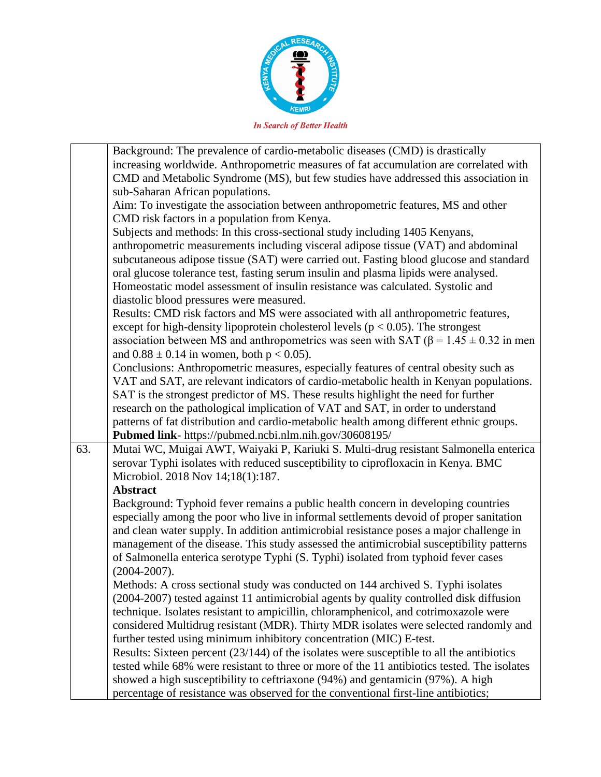

|     | Background: The prevalence of cardio-metabolic diseases (CMD) is drastically<br>increasing worldwide. Anthropometric measures of fat accumulation are correlated with<br>CMD and Metabolic Syndrome (MS), but few studies have addressed this association in |
|-----|--------------------------------------------------------------------------------------------------------------------------------------------------------------------------------------------------------------------------------------------------------------|
|     | sub-Saharan African populations.                                                                                                                                                                                                                             |
|     | Aim: To investigate the association between anthropometric features, MS and other                                                                                                                                                                            |
|     | CMD risk factors in a population from Kenya.                                                                                                                                                                                                                 |
|     | Subjects and methods: In this cross-sectional study including 1405 Kenyans,                                                                                                                                                                                  |
|     | anthropometric measurements including visceral adipose tissue (VAT) and abdominal                                                                                                                                                                            |
|     | subcutaneous adipose tissue (SAT) were carried out. Fasting blood glucose and standard                                                                                                                                                                       |
|     | oral glucose tolerance test, fasting serum insulin and plasma lipids were analysed.                                                                                                                                                                          |
|     | Homeostatic model assessment of insulin resistance was calculated. Systolic and                                                                                                                                                                              |
|     | diastolic blood pressures were measured.                                                                                                                                                                                                                     |
|     | Results: CMD risk factors and MS were associated with all anthropometric features,                                                                                                                                                                           |
|     | except for high-density lipoprotein cholesterol levels ( $p < 0.05$ ). The strongest                                                                                                                                                                         |
|     | association between MS and anthropometrics was seen with SAT ( $\beta$ = 1.45 $\pm$ 0.32 in men                                                                                                                                                              |
|     | and $0.88 \pm 0.14$ in women, both $p < 0.05$ ).                                                                                                                                                                                                             |
|     | Conclusions: Anthropometric measures, especially features of central obesity such as                                                                                                                                                                         |
|     | VAT and SAT, are relevant indicators of cardio-metabolic health in Kenyan populations.                                                                                                                                                                       |
|     | SAT is the strongest predictor of MS. These results highlight the need for further                                                                                                                                                                           |
|     | research on the pathological implication of VAT and SAT, in order to understand                                                                                                                                                                              |
|     | patterns of fat distribution and cardio-metabolic health among different ethnic groups.                                                                                                                                                                      |
|     |                                                                                                                                                                                                                                                              |
| 63. | Pubmed link- https://pubmed.ncbi.nlm.nih.gov/30608195/<br>Mutai WC, Muigai AWT, Waiyaki P, Kariuki S. Multi-drug resistant Salmonella enterica                                                                                                               |
|     | serovar Typhi isolates with reduced susceptibility to ciprofloxacin in Kenya. BMC                                                                                                                                                                            |
|     | Microbiol. 2018 Nov 14;18(1):187.                                                                                                                                                                                                                            |
|     | <b>Abstract</b>                                                                                                                                                                                                                                              |
|     | Background: Typhoid fever remains a public health concern in developing countries                                                                                                                                                                            |
|     |                                                                                                                                                                                                                                                              |
|     | especially among the poor who live in informal settlements devoid of proper sanitation                                                                                                                                                                       |
|     | and clean water supply. In addition antimicrobial resistance poses a major challenge in                                                                                                                                                                      |
|     | management of the disease. This study assessed the antimicrobial susceptibility patterns                                                                                                                                                                     |
|     | of Salmonella enterica serotype Typhi (S. Typhi) isolated from typhoid fever cases                                                                                                                                                                           |
|     | $(2004 - 2007)$ .                                                                                                                                                                                                                                            |
|     | Methods: A cross sectional study was conducted on 144 archived S. Typhi isolates                                                                                                                                                                             |
|     | (2004-2007) tested against 11 antimicrobial agents by quality controlled disk diffusion                                                                                                                                                                      |
|     | technique. Isolates resistant to ampicillin, chloramphenicol, and cotrimoxazole were                                                                                                                                                                         |
|     | considered Multidrug resistant (MDR). Thirty MDR isolates were selected randomly and                                                                                                                                                                         |
|     | further tested using minimum inhibitory concentration (MIC) E-test.                                                                                                                                                                                          |
|     | Results: Sixteen percent (23/144) of the isolates were susceptible to all the antibiotics<br>tested while 68% were resistant to three or more of the 11 antibiotics tested. The isolates                                                                     |
|     |                                                                                                                                                                                                                                                              |
|     | showed a high susceptibility to ceftriaxone (94%) and gentamicin (97%). A high                                                                                                                                                                               |
|     | percentage of resistance was observed for the conventional first-line antibiotics;                                                                                                                                                                           |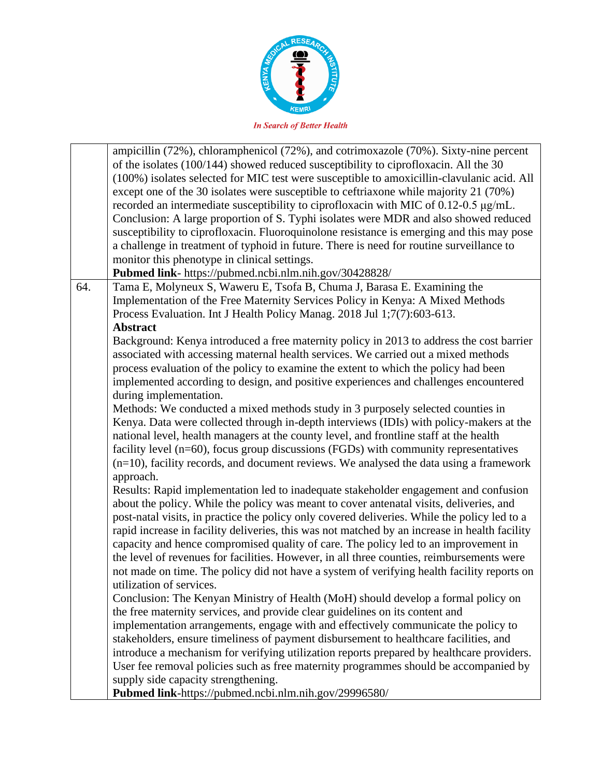

|     | ampicillin (72%), chloramphenicol (72%), and cotrimoxazole (70%). Sixty-nine percent<br>of the isolates (100/144) showed reduced susceptibility to ciprofloxacin. All the 30<br>(100%) isolates selected for MIC test were susceptible to amoxicillin-clavulanic acid. All<br>except one of the 30 isolates were susceptible to ceftriaxone while majority 21 (70%)<br>recorded an intermediate susceptibility to ciprofloxacin with MIC of $0.12$ -0.5 $\mu$ g/mL.<br>Conclusion: A large proportion of S. Typhi isolates were MDR and also showed reduced<br>susceptibility to ciprofloxacin. Fluoroquinolone resistance is emerging and this may pose<br>a challenge in treatment of typhoid in future. There is need for routine surveillance to<br>monitor this phenotype in clinical settings.<br>Pubmed link- https://pubmed.ncbi.nlm.nih.gov/30428828/                                                                                                                                                                                                                                                                                                                                                                                                                                                                                                                                                                                                                                                      |
|-----|---------------------------------------------------------------------------------------------------------------------------------------------------------------------------------------------------------------------------------------------------------------------------------------------------------------------------------------------------------------------------------------------------------------------------------------------------------------------------------------------------------------------------------------------------------------------------------------------------------------------------------------------------------------------------------------------------------------------------------------------------------------------------------------------------------------------------------------------------------------------------------------------------------------------------------------------------------------------------------------------------------------------------------------------------------------------------------------------------------------------------------------------------------------------------------------------------------------------------------------------------------------------------------------------------------------------------------------------------------------------------------------------------------------------------------------------------------------------------------------------------------------------|
| 64. | Tama E, Molyneux S, Waweru E, Tsofa B, Chuma J, Barasa E. Examining the<br>Implementation of the Free Maternity Services Policy in Kenya: A Mixed Methods<br>Process Evaluation. Int J Health Policy Manag. 2018 Jul 1;7(7):603-613.<br><b>Abstract</b><br>Background: Kenya introduced a free maternity policy in 2013 to address the cost barrier<br>associated with accessing maternal health services. We carried out a mixed methods<br>process evaluation of the policy to examine the extent to which the policy had been<br>implemented according to design, and positive experiences and challenges encountered<br>during implementation.<br>Methods: We conducted a mixed methods study in 3 purposely selected counties in<br>Kenya. Data were collected through in-depth interviews (IDIs) with policy-makers at the<br>national level, health managers at the county level, and frontline staff at the health<br>facility level $(n=60)$ , focus group discussions (FGDs) with community representatives<br>$(n=10)$ , facility records, and document reviews. We analysed the data using a framework<br>approach.<br>Results: Rapid implementation led to inadequate stakeholder engagement and confusion<br>about the policy. While the policy was meant to cover antenatal visits, deliveries, and<br>post-natal visits, in practice the policy only covered deliveries. While the policy led to a<br>rapid increase in facility deliveries, this was not matched by an increase in health facility |
|     | capacity and hence compromised quality of care. The policy led to an improvement in<br>the level of revenues for facilities. However, in all three counties, reimbursements were<br>not made on time. The policy did not have a system of verifying health facility reports on<br>utilization of services.<br>Conclusion: The Kenyan Ministry of Health (MoH) should develop a formal policy on<br>the free maternity services, and provide clear guidelines on its content and<br>implementation arrangements, engage with and effectively communicate the policy to<br>stakeholders, ensure timeliness of payment disbursement to healthcare facilities, and<br>introduce a mechanism for verifying utilization reports prepared by healthcare providers.<br>User fee removal policies such as free maternity programmes should be accompanied by<br>supply side capacity strengthening.<br>Pubmed link-https://pubmed.ncbi.nlm.nih.gov/29996580/                                                                                                                                                                                                                                                                                                                                                                                                                                                                                                                                                                 |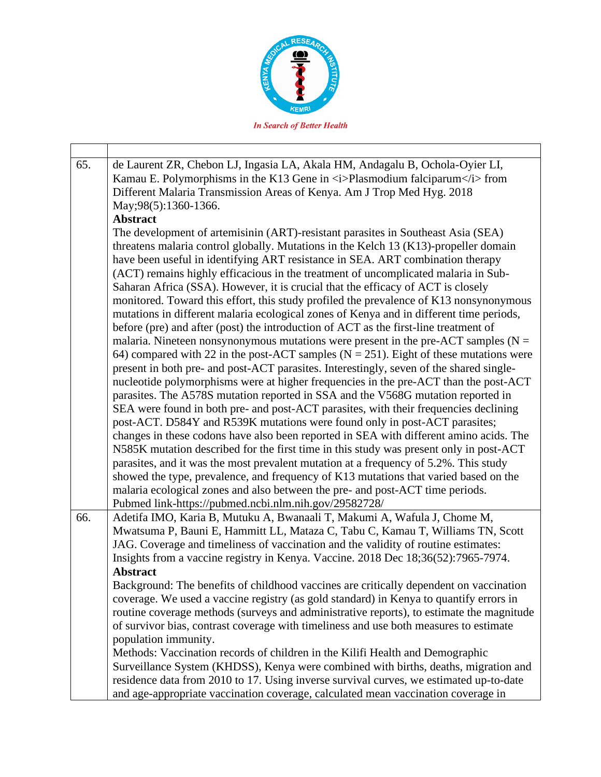

| 65. | de Laurent ZR, Chebon LJ, Ingasia LA, Akala HM, Andagalu B, Ochola-Oyier LI,                                 |
|-----|--------------------------------------------------------------------------------------------------------------|
|     | Kamau E. Polymorphisms in the K13 Gene in $\langle i \rangle$ Plasmodium falciparum $\langle i \rangle$ from |
|     | Different Malaria Transmission Areas of Kenya. Am J Trop Med Hyg. 2018                                       |
|     | May; 98(5): 1360-1366.                                                                                       |
|     | <b>Abstract</b>                                                                                              |
|     | The development of artemisinin (ART)-resistant parasites in Southeast Asia (SEA)                             |
|     | threatens malaria control globally. Mutations in the Kelch 13 (K13)-propeller domain                         |
|     | have been useful in identifying ART resistance in SEA. ART combination therapy                               |
|     | (ACT) remains highly efficacious in the treatment of uncomplicated malaria in Sub-                           |
|     | Saharan Africa (SSA). However, it is crucial that the efficacy of ACT is closely                             |
|     | monitored. Toward this effort, this study profiled the prevalence of K13 nonsynonymous                       |
|     | mutations in different malaria ecological zones of Kenya and in different time periods,                      |
|     | before (pre) and after (post) the introduction of ACT as the first-line treatment of                         |
|     | malaria. Nineteen nonsynonymous mutations were present in the pre-ACT samples ( $N =$                        |
|     | 64) compared with 22 in the post-ACT samples ( $N = 251$ ). Eight of these mutations were                    |
|     | present in both pre- and post-ACT parasites. Interestingly, seven of the shared single-                      |
|     | nucleotide polymorphisms were at higher frequencies in the pre-ACT than the post-ACT                         |
|     | parasites. The A578S mutation reported in SSA and the V568G mutation reported in                             |
|     | SEA were found in both pre- and post-ACT parasites, with their frequencies declining                         |
|     | post-ACT. D584Y and R539K mutations were found only in post-ACT parasites;                                   |
|     | changes in these codons have also been reported in SEA with different amino acids. The                       |
|     | N585K mutation described for the first time in this study was present only in post-ACT                       |
|     | parasites, and it was the most prevalent mutation at a frequency of 5.2%. This study                         |
|     | showed the type, prevalence, and frequency of K13 mutations that varied based on the                         |
|     | malaria ecological zones and also between the pre- and post-ACT time periods.                                |
|     | Pubmed link-https://pubmed.ncbi.nlm.nih.gov/29582728/                                                        |
| 66. | Adetifa IMO, Karia B, Mutuku A, Bwanaali T, Makumi A, Wafula J, Chome M,                                     |
|     | Mwatsuma P, Bauni E, Hammitt LL, Mataza C, Tabu C, Kamau T, Williams TN, Scott                               |
|     | JAG. Coverage and timeliness of vaccination and the validity of routine estimates:                           |
|     | Insights from a vaccine registry in Kenya. Vaccine. 2018 Dec 18;36(52):7965-7974.                            |
|     | <b>Abstract</b>                                                                                              |
|     | Background: The benefits of childhood vaccines are critically dependent on vaccination                       |
|     | coverage. We used a vaccine registry (as gold standard) in Kenya to quantify errors in                       |
|     | routine coverage methods (surveys and administrative reports), to estimate the magnitude                     |
|     | of survivor bias, contrast coverage with timeliness and use both measures to estimate                        |
|     | population immunity.                                                                                         |
|     | Methods: Vaccination records of children in the Kilifi Health and Demographic                                |
|     | Surveillance System (KHDSS), Kenya were combined with births, deaths, migration and                          |
|     | residence data from 2010 to 17. Using inverse survival curves, we estimated up-to-date                       |
|     | and age-appropriate vaccination coverage, calculated mean vaccination coverage in                            |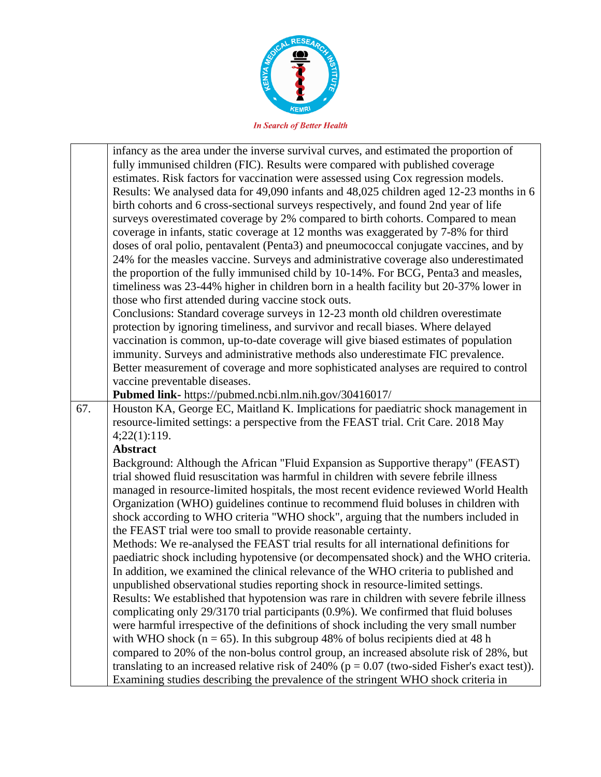

|     | infancy as the area under the inverse survival curves, and estimated the proportion of           |
|-----|--------------------------------------------------------------------------------------------------|
|     | fully immunised children (FIC). Results were compared with published coverage                    |
|     | estimates. Risk factors for vaccination were assessed using Cox regression models.               |
|     | Results: We analysed data for 49,090 infants and 48,025 children aged 12-23 months in 6          |
|     | birth cohorts and 6 cross-sectional surveys respectively, and found 2nd year of life             |
|     | surveys overestimated coverage by 2% compared to birth cohorts. Compared to mean                 |
|     | coverage in infants, static coverage at 12 months was exaggerated by 7-8% for third              |
|     | doses of oral polio, pentavalent (Penta3) and pneumococcal conjugate vaccines, and by            |
|     | 24% for the measles vaccine. Surveys and administrative coverage also underestimated             |
|     | the proportion of the fully immunised child by 10-14%. For BCG, Penta3 and measles,              |
|     | timeliness was 23-44% higher in children born in a health facility but 20-37% lower in           |
|     | those who first attended during vaccine stock outs.                                              |
|     | Conclusions: Standard coverage surveys in 12-23 month old children overestimate                  |
|     | protection by ignoring timeliness, and survivor and recall biases. Where delayed                 |
|     | vaccination is common, up-to-date coverage will give biased estimates of population              |
|     | immunity. Surveys and administrative methods also underestimate FIC prevalence.                  |
|     | Better measurement of coverage and more sophisticated analyses are required to control           |
|     | vaccine preventable diseases.                                                                    |
|     | <b>Pubmed link-</b> https://pubmed.ncbi.nlm.nih.gov/30416017/                                    |
| 67. | Houston KA, George EC, Maitland K. Implications for paediatric shock management in               |
|     | resource-limited settings: a perspective from the FEAST trial. Crit Care. 2018 May               |
|     | 4;22(1):119.                                                                                     |
|     | <b>Abstract</b>                                                                                  |
|     | Background: Although the African "Fluid Expansion as Supportive therapy" (FEAST)                 |
|     | trial showed fluid resuscitation was harmful in children with severe febrile illness             |
|     | managed in resource-limited hospitals, the most recent evidence reviewed World Health            |
|     | Organization (WHO) guidelines continue to recommend fluid boluses in children with               |
|     | shock according to WHO criteria "WHO shock", arguing that the numbers included in                |
|     | the FEAST trial were too small to provide reasonable certainty.                                  |
|     | Methods: We re-analysed the FEAST trial results for all international definitions for            |
|     | paediatric shock including hypotensive (or decompensated shock) and the WHO criteria.            |
|     | In addition, we examined the clinical relevance of the WHO criteria to published and             |
|     | unpublished observational studies reporting shock in resource-limited settings.                  |
|     | Results: We established that hypotension was rare in children with severe febrile illness        |
|     | complicating only 29/3170 trial participants (0.9%). We confirmed that fluid boluses             |
|     | were harmful irrespective of the definitions of shock including the very small number            |
|     | with WHO shock ( $n = 65$ ). In this subgroup 48% of bolus recipients died at 48 h               |
|     | compared to 20% of the non-bolus control group, an increased absolute risk of 28%, but           |
|     | translating to an increased relative risk of 240% ( $p = 0.07$ (two-sided Fisher's exact test)). |
|     | Examining studies describing the prevalence of the stringent WHO shock criteria in               |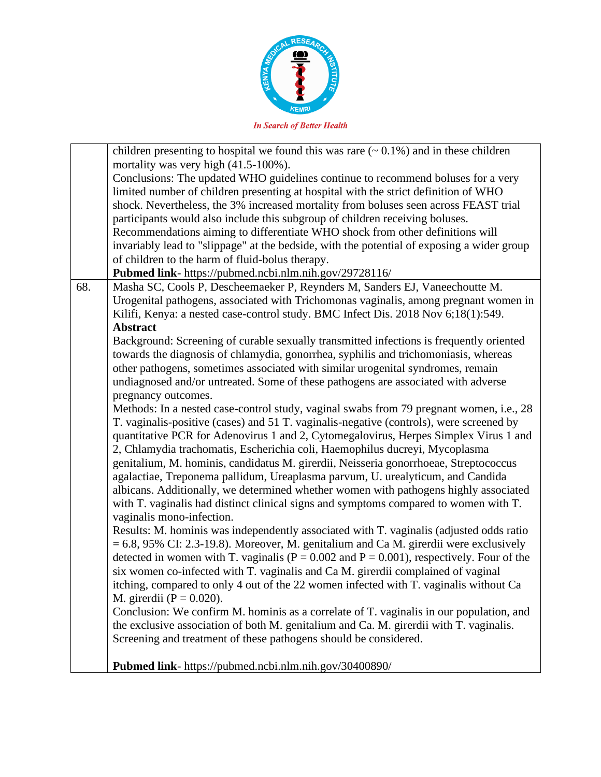

|     | children presenting to hospital we found this was rare $(0.1\%)$ and in these children                                   |
|-----|--------------------------------------------------------------------------------------------------------------------------|
|     | mortality was very high (41.5-100%).<br>Conclusions: The updated WHO guidelines continue to recommend boluses for a very |
|     | limited number of children presenting at hospital with the strict definition of WHO                                      |
|     | shock. Nevertheless, the 3% increased mortality from boluses seen across FEAST trial                                     |
|     |                                                                                                                          |
|     | participants would also include this subgroup of children receiving boluses.                                             |
|     | Recommendations aiming to differentiate WHO shock from other definitions will                                            |
|     | invariably lead to "slippage" at the bedside, with the potential of exposing a wider group                               |
|     | of children to the harm of fluid-bolus therapy.                                                                          |
|     | Pubmed link- https://pubmed.ncbi.nlm.nih.gov/29728116/                                                                   |
| 68. | Masha SC, Cools P, Descheemaeker P, Reynders M, Sanders EJ, Vaneechoutte M.                                              |
|     | Urogenital pathogens, associated with Trichomonas vaginalis, among pregnant women in                                     |
|     | Kilifi, Kenya: a nested case-control study. BMC Infect Dis. 2018 Nov 6;18(1):549.                                        |
|     | <b>Abstract</b>                                                                                                          |
|     | Background: Screening of curable sexually transmitted infections is frequently oriented                                  |
|     | towards the diagnosis of chlamydia, gonorrhea, syphilis and trichomoniasis, whereas                                      |
|     | other pathogens, sometimes associated with similar urogenital syndromes, remain                                          |
|     | undiagnosed and/or untreated. Some of these pathogens are associated with adverse                                        |
|     | pregnancy outcomes.                                                                                                      |
|     | Methods: In a nested case-control study, vaginal swabs from 79 pregnant women, i.e., 28                                  |
|     | T. vaginalis-positive (cases) and 51 T. vaginalis-negative (controls), were screened by                                  |
|     | quantitative PCR for Adenovirus 1 and 2, Cytomegalovirus, Herpes Simplex Virus 1 and                                     |
|     | 2, Chlamydia trachomatis, Escherichia coli, Haemophilus ducreyi, Mycoplasma                                              |
|     | genitalium, M. hominis, candidatus M. girerdii, Neisseria gonorrhoeae, Streptococcus                                     |
|     | agalactiae, Treponema pallidum, Ureaplasma parvum, U. urealyticum, and Candida                                           |
|     | albicans. Additionally, we determined whether women with pathogens highly associated                                     |
|     | with T. vaginalis had distinct clinical signs and symptoms compared to women with T.                                     |
|     | vaginalis mono-infection.                                                                                                |
|     | Results: M. hominis was independently associated with T. vaginalis (adjusted odds ratio                                  |
|     | $= 6.8, 95\%$ CI: 2.3-19.8). Moreover, M. genitalium and Ca M. girerdii were exclusively                                 |
|     | detected in women with T. vaginalis ( $P = 0.002$ and $P = 0.001$ ), respectively. Four of the                           |
|     | six women co-infected with T. vaginalis and Ca M. girerdii complained of vaginal                                         |
|     | itching, compared to only 4 out of the 22 women infected with T. vaginalis without Ca                                    |
|     | M. girerdii ( $P = 0.020$ ).                                                                                             |
|     | Conclusion: We confirm M. hominis as a correlate of T. vaginalis in our population, and                                  |
|     | the exclusive association of both M. genitalium and Ca. M. girerdii with T. vaginalis.                                   |
|     | Screening and treatment of these pathogens should be considered.                                                         |
|     |                                                                                                                          |
|     | Pubmed link- https://pubmed.ncbi.nlm.nih.gov/30400890/                                                                   |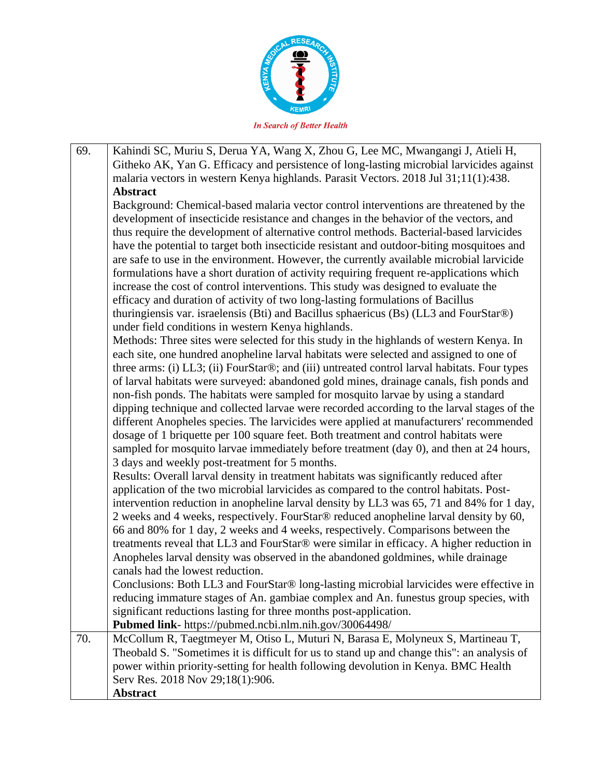

| 69. | Kahindi SC, Muriu S, Derua YA, Wang X, Zhou G, Lee MC, Mwangangi J, Atieli H,                |
|-----|----------------------------------------------------------------------------------------------|
|     | Githeko AK, Yan G. Efficacy and persistence of long-lasting microbial larvicides against     |
|     | malaria vectors in western Kenya highlands. Parasit Vectors. 2018 Jul 31;11(1):438.          |
|     | <b>Abstract</b>                                                                              |
|     | Background: Chemical-based malaria vector control interventions are threatened by the        |
|     | development of insecticide resistance and changes in the behavior of the vectors, and        |
|     | thus require the development of alternative control methods. Bacterial-based larvicides      |
|     | have the potential to target both insecticide resistant and outdoor-biting mosquitoes and    |
|     | are safe to use in the environment. However, the currently available microbial larvicide     |
|     | formulations have a short duration of activity requiring frequent re-applications which      |
|     | increase the cost of control interventions. This study was designed to evaluate the          |
|     | efficacy and duration of activity of two long-lasting formulations of Bacillus               |
|     | thuringiensis var. israelensis (Bti) and Bacillus sphaericus (Bs) (LL3 and FourStar®)        |
|     | under field conditions in western Kenya highlands.                                           |
|     | Methods: Three sites were selected for this study in the highlands of western Kenya. In      |
|     | each site, one hundred anopheline larval habitats were selected and assigned to one of       |
|     | three arms: (i) LL3; (ii) FourStar®; and (iii) untreated control larval habitats. Four types |
|     | of larval habitats were surveyed: abandoned gold mines, drainage canals, fish ponds and      |
|     | non-fish ponds. The habitats were sampled for mosquito larvae by using a standard            |
|     | dipping technique and collected larvae were recorded according to the larval stages of the   |
|     | different Anopheles species. The larvicides were applied at manufacturers' recommended       |
|     | dosage of 1 briquette per 100 square feet. Both treatment and control habitats were          |
|     | sampled for mosquito larvae immediately before treatment (day 0), and then at 24 hours,      |
|     | 3 days and weekly post-treatment for 5 months.                                               |
|     | Results: Overall larval density in treatment habitats was significantly reduced after        |
|     | application of the two microbial larvicides as compared to the control habitats. Post-       |
|     | intervention reduction in anopheline larval density by LL3 was 65, 71 and 84% for 1 day,     |
|     | 2 weeks and 4 weeks, respectively. FourStar® reduced anopheline larval density by 60,        |
|     | 66 and 80% for 1 day, 2 weeks and 4 weeks, respectively. Comparisons between the             |
|     | treatments reveal that LL3 and FourStar® were similar in efficacy. A higher reduction in     |
|     | Anopheles larval density was observed in the abandoned goldmines, while drainage             |
|     | canals had the lowest reduction.                                                             |
|     | Conclusions: Both LL3 and FourStar® long-lasting microbial larvicides were effective in      |
|     | reducing immature stages of An. gambiae complex and An. funestus group species, with         |
|     | significant reductions lasting for three months post-application.                            |
|     | Pubmed link- https://pubmed.ncbi.nlm.nih.gov/30064498/                                       |
| 70. | McCollum R, Taegtmeyer M, Otiso L, Muturi N, Barasa E, Molyneux S, Martineau T,              |
|     | Theobald S. "Sometimes it is difficult for us to stand up and change this": an analysis of   |
|     | power within priority-setting for health following devolution in Kenya. BMC Health           |
|     | Serv Res. 2018 Nov 29;18(1):906.                                                             |
|     | <b>Abstract</b>                                                                              |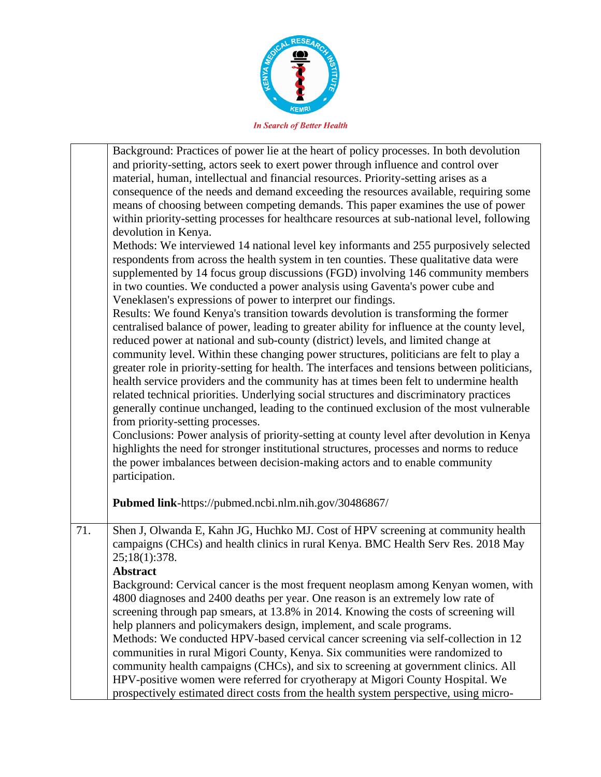

|     | Background: Practices of power lie at the heart of policy processes. In both devolution<br>and priority-setting, actors seek to exert power through influence and control over<br>material, human, intellectual and financial resources. Priority-setting arises as a<br>consequence of the needs and demand exceeding the resources available, requiring some<br>means of choosing between competing demands. This paper examines the use of power<br>within priority-setting processes for healthcare resources at sub-national level, following<br>devolution in Kenya.<br>Methods: We interviewed 14 national level key informants and 255 purposively selected<br>respondents from across the health system in ten counties. These qualitative data were<br>supplemented by 14 focus group discussions (FGD) involving 146 community members<br>in two counties. We conducted a power analysis using Gaventa's power cube and<br>Veneklasen's expressions of power to interpret our findings.<br>Results: We found Kenya's transition towards devolution is transforming the former<br>centralised balance of power, leading to greater ability for influence at the county level,<br>reduced power at national and sub-county (district) levels, and limited change at<br>community level. Within these changing power structures, politicians are felt to play a<br>greater role in priority-setting for health. The interfaces and tensions between politicians,<br>health service providers and the community has at times been felt to undermine health<br>related technical priorities. Underlying social structures and discriminatory practices<br>generally continue unchanged, leading to the continued exclusion of the most vulnerable<br>from priority-setting processes.<br>Conclusions: Power analysis of priority-setting at county level after devolution in Kenya<br>highlights the need for stronger institutional structures, processes and norms to reduce<br>the power imbalances between decision-making actors and to enable community |
|-----|---------------------------------------------------------------------------------------------------------------------------------------------------------------------------------------------------------------------------------------------------------------------------------------------------------------------------------------------------------------------------------------------------------------------------------------------------------------------------------------------------------------------------------------------------------------------------------------------------------------------------------------------------------------------------------------------------------------------------------------------------------------------------------------------------------------------------------------------------------------------------------------------------------------------------------------------------------------------------------------------------------------------------------------------------------------------------------------------------------------------------------------------------------------------------------------------------------------------------------------------------------------------------------------------------------------------------------------------------------------------------------------------------------------------------------------------------------------------------------------------------------------------------------------------------------------------------------------------------------------------------------------------------------------------------------------------------------------------------------------------------------------------------------------------------------------------------------------------------------------------------------------------------------------------------------------------------------------------------------------------------------------------------------------------------------------------|
|     | participation.                                                                                                                                                                                                                                                                                                                                                                                                                                                                                                                                                                                                                                                                                                                                                                                                                                                                                                                                                                                                                                                                                                                                                                                                                                                                                                                                                                                                                                                                                                                                                                                                                                                                                                                                                                                                                                                                                                                                                                                                                                                      |
|     | Pubmed link-https://pubmed.ncbi.nlm.nih.gov/30486867/                                                                                                                                                                                                                                                                                                                                                                                                                                                                                                                                                                                                                                                                                                                                                                                                                                                                                                                                                                                                                                                                                                                                                                                                                                                                                                                                                                                                                                                                                                                                                                                                                                                                                                                                                                                                                                                                                                                                                                                                               |
| 71. | Shen J, Olwanda E, Kahn JG, Huchko MJ. Cost of HPV screening at community health<br>campaigns (CHCs) and health clinics in rural Kenya. BMC Health Serv Res. 2018 May<br>25;18(1):378.<br><b>Abstract</b>                                                                                                                                                                                                                                                                                                                                                                                                                                                                                                                                                                                                                                                                                                                                                                                                                                                                                                                                                                                                                                                                                                                                                                                                                                                                                                                                                                                                                                                                                                                                                                                                                                                                                                                                                                                                                                                           |
|     | Background: Cervical cancer is the most frequent neoplasm among Kenyan women, with<br>4800 diagnoses and 2400 deaths per year. One reason is an extremely low rate of<br>screening through pap smears, at 13.8% in 2014. Knowing the costs of screening will<br>help planners and policymakers design, implement, and scale programs.<br>Methods: We conducted HPV-based cervical cancer screening via self-collection in 12<br>communities in rural Migori County, Kenya. Six communities were randomized to<br>community health campaigns (CHCs), and six to screening at government clinics. All<br>HPV-positive women were referred for cryotherapy at Migori County Hospital. We<br>prospectively estimated direct costs from the health system perspective, using micro-                                                                                                                                                                                                                                                                                                                                                                                                                                                                                                                                                                                                                                                                                                                                                                                                                                                                                                                                                                                                                                                                                                                                                                                                                                                                                      |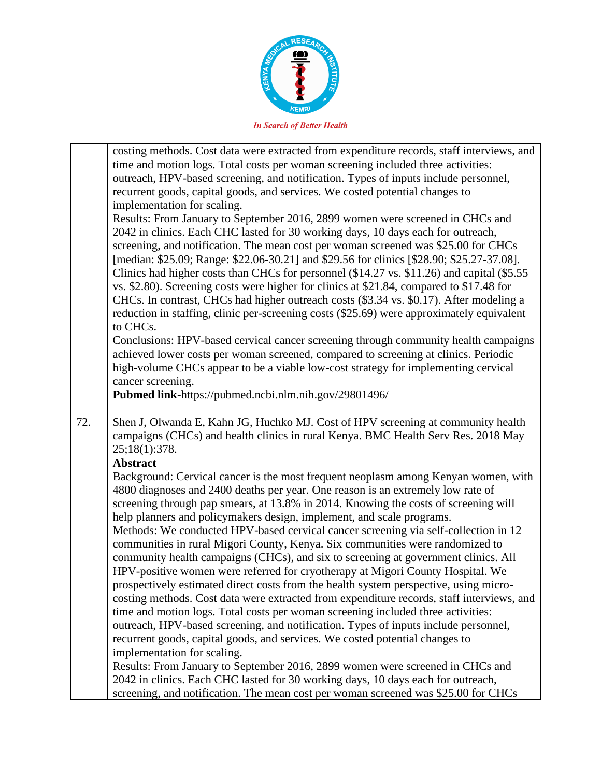

|     | costing methods. Cost data were extracted from expenditure records, staff interviews, and                                                                         |
|-----|-------------------------------------------------------------------------------------------------------------------------------------------------------------------|
|     | time and motion logs. Total costs per woman screening included three activities:                                                                                  |
|     | outreach, HPV-based screening, and notification. Types of inputs include personnel,                                                                               |
|     | recurrent goods, capital goods, and services. We costed potential changes to                                                                                      |
|     | implementation for scaling.                                                                                                                                       |
|     | Results: From January to September 2016, 2899 women were screened in CHCs and                                                                                     |
|     | 2042 in clinics. Each CHC lasted for 30 working days, 10 days each for outreach,                                                                                  |
|     | screening, and notification. The mean cost per woman screened was \$25.00 for CHCs                                                                                |
|     | [median: \$25.09; Range: \$22.06-30.21] and \$29.56 for clinics [\$28.90; \$25.27-37.08].                                                                         |
|     | Clinics had higher costs than CHCs for personnel $(\$14.27$ vs. $\$11.26)$ and capital $(\$5.55$                                                                  |
|     | vs. \$2.80). Screening costs were higher for clinics at \$21.84, compared to \$17.48 for                                                                          |
|     |                                                                                                                                                                   |
|     | CHCs. In contrast, CHCs had higher outreach costs (\$3.34 vs. \$0.17). After modeling a                                                                           |
|     | reduction in staffing, clinic per-screening costs (\$25.69) were approximately equivalent<br>to CHCs.                                                             |
|     | Conclusions: HPV-based cervical cancer screening through community health campaigns                                                                               |
|     | achieved lower costs per woman screened, compared to screening at clinics. Periodic                                                                               |
|     | high-volume CHCs appear to be a viable low-cost strategy for implementing cervical                                                                                |
|     | cancer screening.                                                                                                                                                 |
|     | Pubmed link-https://pubmed.ncbi.nlm.nih.gov/29801496/                                                                                                             |
|     |                                                                                                                                                                   |
| 72. | Shen J, Olwanda E, Kahn JG, Huchko MJ. Cost of HPV screening at community health                                                                                  |
|     | campaigns (CHCs) and health clinics in rural Kenya. BMC Health Serv Res. 2018 May                                                                                 |
|     | 25;18(1):378.                                                                                                                                                     |
|     |                                                                                                                                                                   |
|     |                                                                                                                                                                   |
|     | <b>Abstract</b>                                                                                                                                                   |
|     | Background: Cervical cancer is the most frequent neoplasm among Kenyan women, with                                                                                |
|     | 4800 diagnoses and 2400 deaths per year. One reason is an extremely low rate of                                                                                   |
|     | screening through pap smears, at 13.8% in 2014. Knowing the costs of screening will                                                                               |
|     | help planners and policymakers design, implement, and scale programs.                                                                                             |
|     | Methods: We conducted HPV-based cervical cancer screening via self-collection in 12                                                                               |
|     | communities in rural Migori County, Kenya. Six communities were randomized to                                                                                     |
|     | community health campaigns (CHCs), and six to screening at government clinics. All                                                                                |
|     | HPV-positive women were referred for cryotherapy at Migori County Hospital. We                                                                                    |
|     | prospectively estimated direct costs from the health system perspective, using micro-                                                                             |
|     | costing methods. Cost data were extracted from expenditure records, staff interviews, and                                                                         |
|     | time and motion logs. Total costs per woman screening included three activities:                                                                                  |
|     | outreach, HPV-based screening, and notification. Types of inputs include personnel,                                                                               |
|     | recurrent goods, capital goods, and services. We costed potential changes to                                                                                      |
|     | implementation for scaling.                                                                                                                                       |
|     | Results: From January to September 2016, 2899 women were screened in CHCs and<br>2042 in clinics. Each CHC lasted for 30 working days, 10 days each for outreach, |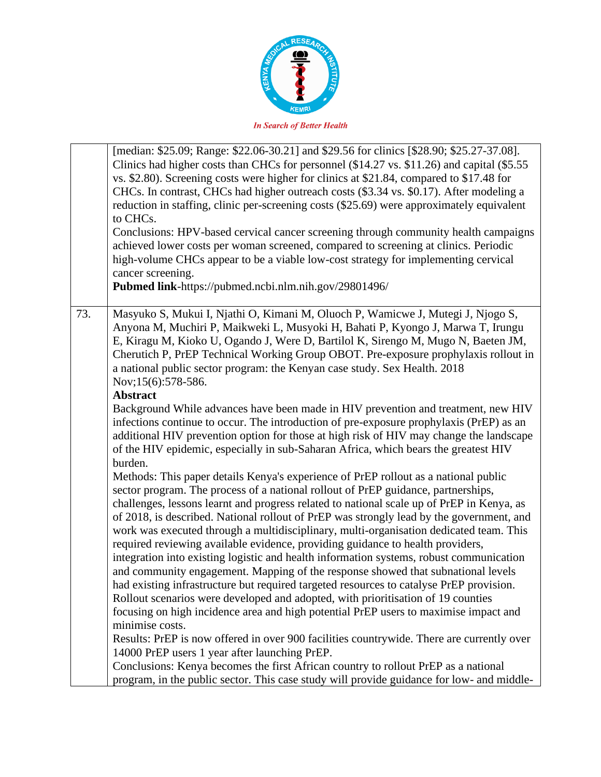

|     | [median: \$25.09; Range: \$22.06-30.21] and \$29.56 for clinics [\$28.90; \$25.27-37.08].<br>Clinics had higher costs than CHCs for personnel (\$14.27 vs. \$11.26) and capital (\$5.55)<br>vs. \$2.80). Screening costs were higher for clinics at \$21.84, compared to \$17.48 for<br>CHCs. In contrast, CHCs had higher outreach costs (\$3.34 vs. \$0.17). After modeling a<br>reduction in staffing, clinic per-screening costs (\$25.69) were approximately equivalent<br>to CHCs.<br>Conclusions: HPV-based cervical cancer screening through community health campaigns<br>achieved lower costs per woman screened, compared to screening at clinics. Periodic<br>high-volume CHCs appear to be a viable low-cost strategy for implementing cervical<br>cancer screening.<br>Pubmed link-https://pubmed.ncbi.nlm.nih.gov/29801496/ |
|-----|--------------------------------------------------------------------------------------------------------------------------------------------------------------------------------------------------------------------------------------------------------------------------------------------------------------------------------------------------------------------------------------------------------------------------------------------------------------------------------------------------------------------------------------------------------------------------------------------------------------------------------------------------------------------------------------------------------------------------------------------------------------------------------------------------------------------------------------------|
| 73. | Masyuko S, Mukui I, Njathi O, Kimani M, Oluoch P, Wamicwe J, Mutegi J, Njogo S,<br>Anyona M, Muchiri P, Maikweki L, Musyoki H, Bahati P, Kyongo J, Marwa T, Irungu<br>E, Kiragu M, Kioko U, Ogando J, Were D, Bartilol K, Sirengo M, Mugo N, Baeten JM,<br>Cherutich P, PrEP Technical Working Group OBOT. Pre-exposure prophylaxis rollout in<br>a national public sector program: the Kenyan case study. Sex Health. 2018<br>Nov;15(6):578-586.<br><b>Abstract</b>                                                                                                                                                                                                                                                                                                                                                                       |
|     | Background While advances have been made in HIV prevention and treatment, new HIV<br>infections continue to occur. The introduction of pre-exposure prophylaxis (PrEP) as an<br>additional HIV prevention option for those at high risk of HIV may change the landscape<br>of the HIV epidemic, especially in sub-Saharan Africa, which bears the greatest HIV<br>burden.                                                                                                                                                                                                                                                                                                                                                                                                                                                                  |
|     | Methods: This paper details Kenya's experience of PrEP rollout as a national public<br>sector program. The process of a national rollout of PrEP guidance, partnerships,<br>challenges, lessons learnt and progress related to national scale up of PrEP in Kenya, as<br>of 2018, is described. National rollout of PrEP was strongly lead by the government, and<br>work was executed through a multidisciplinary, multi-organisation dedicated team. This<br>required reviewing available evidence, providing guidance to health providers,<br>integration into existing logistic and health information systems, robust communication<br>and community engagement. Mapping of the response showed that subnational levels<br>had existing infrastructure but required targeted resources to catalyse PrEP provision.                    |
|     | Rollout scenarios were developed and adopted, with prioritisation of 19 counties<br>focusing on high incidence area and high potential PrEP users to maximise impact and<br>minimise costs.                                                                                                                                                                                                                                                                                                                                                                                                                                                                                                                                                                                                                                                |
|     | Results: PrEP is now offered in over 900 facilities countrywide. There are currently over<br>14000 PrEP users 1 year after launching PrEP.                                                                                                                                                                                                                                                                                                                                                                                                                                                                                                                                                                                                                                                                                                 |
|     | Conclusions: Kenya becomes the first African country to rollout PrEP as a national<br>program, in the public sector. This case study will provide guidance for low- and middle-                                                                                                                                                                                                                                                                                                                                                                                                                                                                                                                                                                                                                                                            |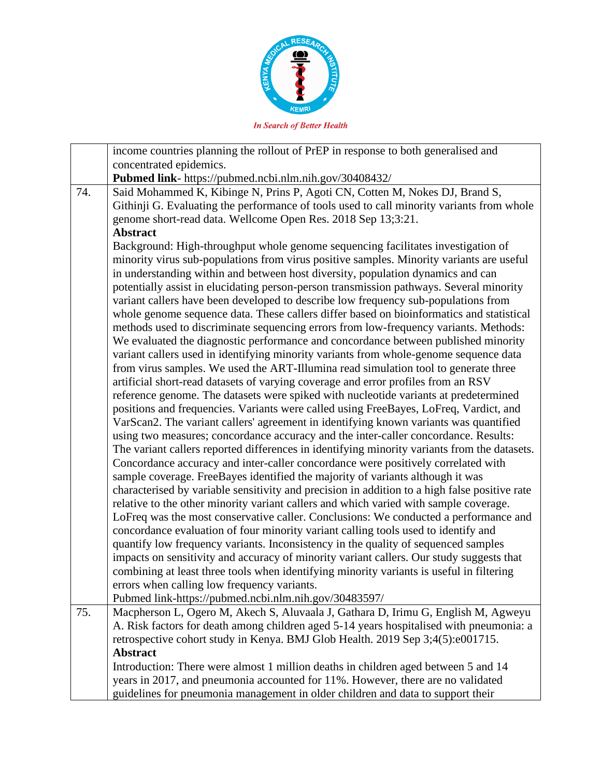

|     | income countries planning the rollout of PrEP in response to both generalised and                                                                                                                                                                                                                                                                                                                                                                                                                                                                                                                                                                                                                                                                                                                                                                                                                                                                                                                                                                                                                         |
|-----|-----------------------------------------------------------------------------------------------------------------------------------------------------------------------------------------------------------------------------------------------------------------------------------------------------------------------------------------------------------------------------------------------------------------------------------------------------------------------------------------------------------------------------------------------------------------------------------------------------------------------------------------------------------------------------------------------------------------------------------------------------------------------------------------------------------------------------------------------------------------------------------------------------------------------------------------------------------------------------------------------------------------------------------------------------------------------------------------------------------|
|     | concentrated epidemics.                                                                                                                                                                                                                                                                                                                                                                                                                                                                                                                                                                                                                                                                                                                                                                                                                                                                                                                                                                                                                                                                                   |
|     | Pubmed link- https://pubmed.ncbi.nlm.nih.gov/30408432/                                                                                                                                                                                                                                                                                                                                                                                                                                                                                                                                                                                                                                                                                                                                                                                                                                                                                                                                                                                                                                                    |
| 74. | Said Mohammed K, Kibinge N, Prins P, Agoti CN, Cotten M, Nokes DJ, Brand S,<br>Githinji G. Evaluating the performance of tools used to call minority variants from whole<br>genome short-read data. Wellcome Open Res. 2018 Sep 13;3:21.<br><b>Abstract</b><br>Background: High-throughput whole genome sequencing facilitates investigation of<br>minority virus sub-populations from virus positive samples. Minority variants are useful                                                                                                                                                                                                                                                                                                                                                                                                                                                                                                                                                                                                                                                               |
|     | in understanding within and between host diversity, population dynamics and can<br>potentially assist in elucidating person-person transmission pathways. Several minority<br>variant callers have been developed to describe low frequency sub-populations from<br>whole genome sequence data. These callers differ based on bioinformatics and statistical<br>methods used to discriminate sequencing errors from low-frequency variants. Methods:<br>We evaluated the diagnostic performance and concordance between published minority<br>variant callers used in identifying minority variants from whole-genome sequence data<br>from virus samples. We used the ART-Illumina read simulation tool to generate three<br>artificial short-read datasets of varying coverage and error profiles from an RSV<br>reference genome. The datasets were spiked with nucleotide variants at predetermined<br>positions and frequencies. Variants were called using FreeBayes, LoFreq, Vardict, and                                                                                                          |
|     | VarScan2. The variant callers' agreement in identifying known variants was quantified<br>using two measures; concordance accuracy and the inter-caller concordance. Results:<br>The variant callers reported differences in identifying minority variants from the datasets.<br>Concordance accuracy and inter-caller concordance were positively correlated with<br>sample coverage. FreeBayes identified the majority of variants although it was<br>characterised by variable sensitivity and precision in addition to a high false positive rate<br>relative to the other minority variant callers and which varied with sample coverage.<br>LoFreq was the most conservative caller. Conclusions: We conducted a performance and<br>concordance evaluation of four minority variant calling tools used to identify and<br>quantify low frequency variants. Inconsistency in the quality of sequenced samples<br>impacts on sensitivity and accuracy of minority variant callers. Our study suggests that<br>combining at least three tools when identifying minority variants is useful in filtering |
|     | errors when calling low frequency variants.                                                                                                                                                                                                                                                                                                                                                                                                                                                                                                                                                                                                                                                                                                                                                                                                                                                                                                                                                                                                                                                               |
|     | Pubmed link-https://pubmed.ncbi.nlm.nih.gov/30483597/                                                                                                                                                                                                                                                                                                                                                                                                                                                                                                                                                                                                                                                                                                                                                                                                                                                                                                                                                                                                                                                     |
| 75. | Macpherson L, Ogero M, Akech S, Aluvaala J, Gathara D, Irimu G, English M, Agweyu<br>A. Risk factors for death among children aged 5-14 years hospitalised with pneumonia: a<br>retrospective cohort study in Kenya. BMJ Glob Health. 2019 Sep 3;4(5):e001715.                                                                                                                                                                                                                                                                                                                                                                                                                                                                                                                                                                                                                                                                                                                                                                                                                                            |
|     | <b>Abstract</b>                                                                                                                                                                                                                                                                                                                                                                                                                                                                                                                                                                                                                                                                                                                                                                                                                                                                                                                                                                                                                                                                                           |
|     | Introduction: There were almost 1 million deaths in children aged between 5 and 14                                                                                                                                                                                                                                                                                                                                                                                                                                                                                                                                                                                                                                                                                                                                                                                                                                                                                                                                                                                                                        |
|     | years in 2017, and pneumonia accounted for 11%. However, there are no validated<br>guidelines for pneumonia management in older children and data to support their                                                                                                                                                                                                                                                                                                                                                                                                                                                                                                                                                                                                                                                                                                                                                                                                                                                                                                                                        |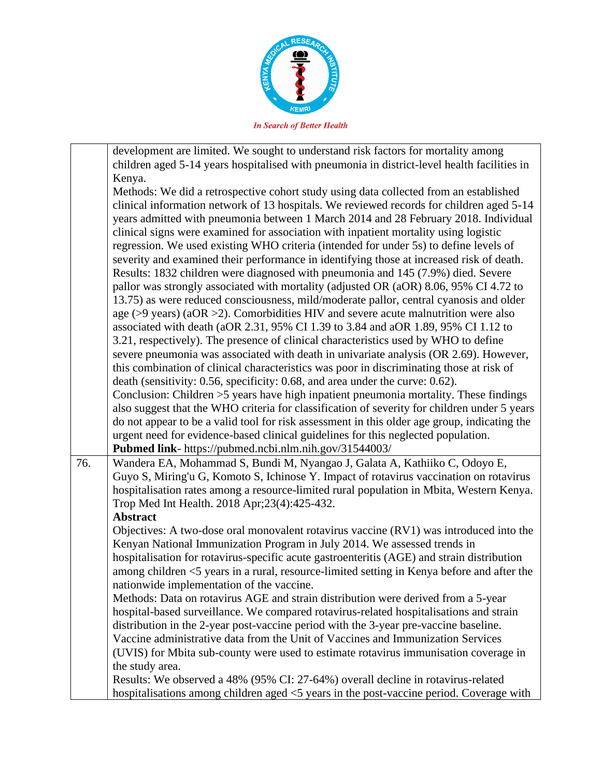

|     | development are limited. We sought to understand risk factors for mortality among<br>children aged 5-14 years hospitalised with pneumonia in district-level health facilities in |
|-----|----------------------------------------------------------------------------------------------------------------------------------------------------------------------------------|
|     | Kenya.                                                                                                                                                                           |
|     | Methods: We did a retrospective cohort study using data collected from an established                                                                                            |
|     | clinical information network of 13 hospitals. We reviewed records for children aged 5-14                                                                                         |
|     | years admitted with pneumonia between 1 March 2014 and 28 February 2018. Individual<br>clinical signs were examined for association with inpatient mortality using logistic      |
|     | regression. We used existing WHO criteria (intended for under 5s) to define levels of                                                                                            |
|     | severity and examined their performance in identifying those at increased risk of death.                                                                                         |
|     | Results: 1832 children were diagnosed with pneumonia and 145 (7.9%) died. Severe                                                                                                 |
|     | pallor was strongly associated with mortality (adjusted OR (aOR) 8.06, 95% CI 4.72 to                                                                                            |
|     | 13.75) as were reduced consciousness, mild/moderate pallor, central cyanosis and older                                                                                           |
|     | age $(>9$ years) (aOR $>2$ ). Comorbidities HIV and severe acute malnutrition were also                                                                                          |
|     | associated with death (aOR 2.31, 95% CI 1.39 to 3.84 and aOR 1.89, 95% CI 1.12 to                                                                                                |
|     | 3.21, respectively). The presence of clinical characteristics used by WHO to define                                                                                              |
|     | severe pneumonia was associated with death in univariate analysis (OR 2.69). However,                                                                                            |
|     | this combination of clinical characteristics was poor in discriminating those at risk of                                                                                         |
|     | death (sensitivity: 0.56, specificity: 0.68, and area under the curve: 0.62).                                                                                                    |
|     | Conclusion: Children >5 years have high inpatient pneumonia mortality. These findings                                                                                            |
|     | also suggest that the WHO criteria for classification of severity for children under 5 years                                                                                     |
|     | do not appear to be a valid tool for risk assessment in this older age group, indicating the                                                                                     |
|     | urgent need for evidence-based clinical guidelines for this neglected population.                                                                                                |
|     | Pubmed link- https://pubmed.ncbi.nlm.nih.gov/31544003/                                                                                                                           |
| 76. | Wandera EA, Mohammad S, Bundi M, Nyangao J, Galata A, Kathiiko C, Odoyo E,                                                                                                       |
|     | Guyo S, Miring'u G, Komoto S, Ichinose Y. Impact of rotavirus vaccination on rotavirus                                                                                           |
|     | hospitalisation rates among a resource-limited rural population in Mbita, Western Kenya.<br>Trop Med Int Health. 2018 Apr;23(4):425-432.                                         |
|     | <b>Abstract</b>                                                                                                                                                                  |
|     | Objectives: A two-dose oral monovalent rotavirus vaccine (RV1) was introduced into the                                                                                           |
|     | Kenyan National Immunization Program in July 2014. We assessed trends in                                                                                                         |
|     | hospitalisation for rotavirus-specific acute gastroenteritis (AGE) and strain distribution                                                                                       |
|     | among children <5 years in a rural, resource-limited setting in Kenya before and after the                                                                                       |
|     | nationwide implementation of the vaccine.                                                                                                                                        |
|     | Methods: Data on rotavirus AGE and strain distribution were derived from a 5-year                                                                                                |
|     | hospital-based surveillance. We compared rotavirus-related hospitalisations and strain                                                                                           |
|     | distribution in the 2-year post-vaccine period with the 3-year pre-vaccine baseline.                                                                                             |
|     | Vaccine administrative data from the Unit of Vaccines and Immunization Services                                                                                                  |
|     | (UVIS) for Mbita sub-county were used to estimate rotavirus immunisation coverage in                                                                                             |
|     | the study area.                                                                                                                                                                  |
|     | Results: We observed a 48% (95% CI: 27-64%) overall decline in rotavirus-related                                                                                                 |
|     | hospitalisations among children aged <5 years in the post-vaccine period. Coverage with                                                                                          |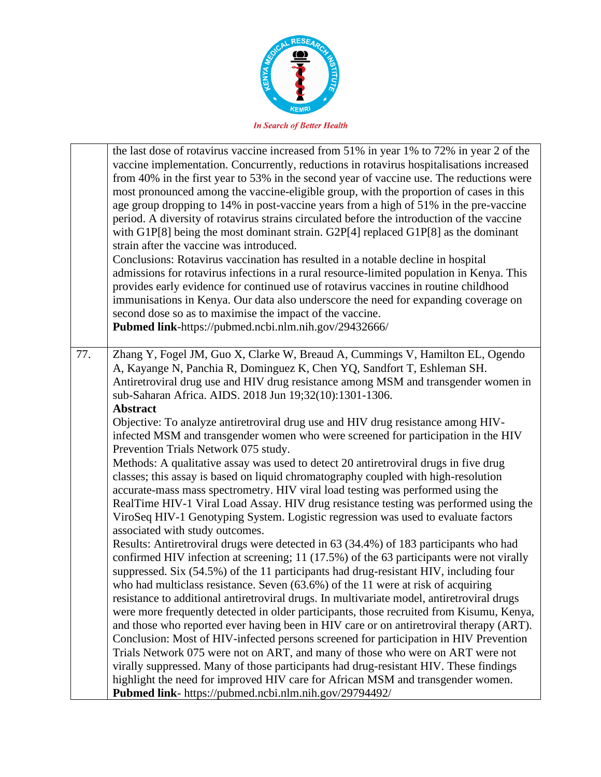

|     | the last dose of rotavirus vaccine increased from 51% in year 1% to 72% in year 2 of the<br>vaccine implementation. Concurrently, reductions in rotavirus hospitalisations increased<br>from 40% in the first year to 53% in the second year of vaccine use. The reductions were<br>most pronounced among the vaccine-eligible group, with the proportion of cases in this<br>age group dropping to 14% in post-vaccine years from a high of 51% in the pre-vaccine<br>period. A diversity of rotavirus strains circulated before the introduction of the vaccine<br>with G1P[8] being the most dominant strain. G2P[4] replaced G1P[8] as the dominant<br>strain after the vaccine was introduced.<br>Conclusions: Rotavirus vaccination has resulted in a notable decline in hospital<br>admissions for rotavirus infections in a rural resource-limited population in Kenya. This<br>provides early evidence for continued use of rotavirus vaccines in routine childhood<br>immunisations in Kenya. Our data also underscore the need for expanding coverage on<br>second dose so as to maximise the impact of the vaccine.<br>Pubmed link-https://pubmed.ncbi.nlm.nih.gov/29432666/                                                                                                                                                                                                                                                                                                                                                                                                                                                                                                                                                                                                                                                                                                                                                                                                                                                     |
|-----|----------------------------------------------------------------------------------------------------------------------------------------------------------------------------------------------------------------------------------------------------------------------------------------------------------------------------------------------------------------------------------------------------------------------------------------------------------------------------------------------------------------------------------------------------------------------------------------------------------------------------------------------------------------------------------------------------------------------------------------------------------------------------------------------------------------------------------------------------------------------------------------------------------------------------------------------------------------------------------------------------------------------------------------------------------------------------------------------------------------------------------------------------------------------------------------------------------------------------------------------------------------------------------------------------------------------------------------------------------------------------------------------------------------------------------------------------------------------------------------------------------------------------------------------------------------------------------------------------------------------------------------------------------------------------------------------------------------------------------------------------------------------------------------------------------------------------------------------------------------------------------------------------------------------------------------------------------------------------------------------------------------------------------------------|
| 77. | Zhang Y, Fogel JM, Guo X, Clarke W, Breaud A, Cummings V, Hamilton EL, Ogendo<br>A, Kayange N, Panchia R, Dominguez K, Chen YQ, Sandfort T, Eshleman SH.<br>Antiretroviral drug use and HIV drug resistance among MSM and transgender women in<br>sub-Saharan Africa. AIDS. 2018 Jun 19;32(10):1301-1306.<br><b>Abstract</b><br>Objective: To analyze antiretroviral drug use and HIV drug resistance among HIV-<br>infected MSM and transgender women who were screened for participation in the HIV<br>Prevention Trials Network 075 study.<br>Methods: A qualitative assay was used to detect 20 antiretroviral drugs in five drug<br>classes; this assay is based on liquid chromatography coupled with high-resolution<br>accurate-mass mass spectrometry. HIV viral load testing was performed using the<br>RealTime HIV-1 Viral Load Assay. HIV drug resistance testing was performed using the<br>ViroSeq HIV-1 Genotyping System. Logistic regression was used to evaluate factors<br>associated with study outcomes.<br>Results: Antiretroviral drugs were detected in 63 (34.4%) of 183 participants who had<br>confirmed HIV infection at screening; 11 (17.5%) of the 63 participants were not virally<br>suppressed. Six (54.5%) of the 11 participants had drug-resistant HIV, including four<br>who had multiclass resistance. Seven (63.6%) of the 11 were at risk of acquiring<br>resistance to additional antiretroviral drugs. In multivariate model, antiretroviral drugs<br>were more frequently detected in older participants, those recruited from Kisumu, Kenya,<br>and those who reported ever having been in HIV care or on antiretroviral therapy (ART).<br>Conclusion: Most of HIV-infected persons screened for participation in HIV Prevention<br>Trials Network 075 were not on ART, and many of those who were on ART were not<br>virally suppressed. Many of those participants had drug-resistant HIV. These findings<br>highlight the need for improved HIV care for African MSM and transgender women. |
|     | Pubmed link- https://pubmed.ncbi.nlm.nih.gov/29794492/                                                                                                                                                                                                                                                                                                                                                                                                                                                                                                                                                                                                                                                                                                                                                                                                                                                                                                                                                                                                                                                                                                                                                                                                                                                                                                                                                                                                                                                                                                                                                                                                                                                                                                                                                                                                                                                                                                                                                                                       |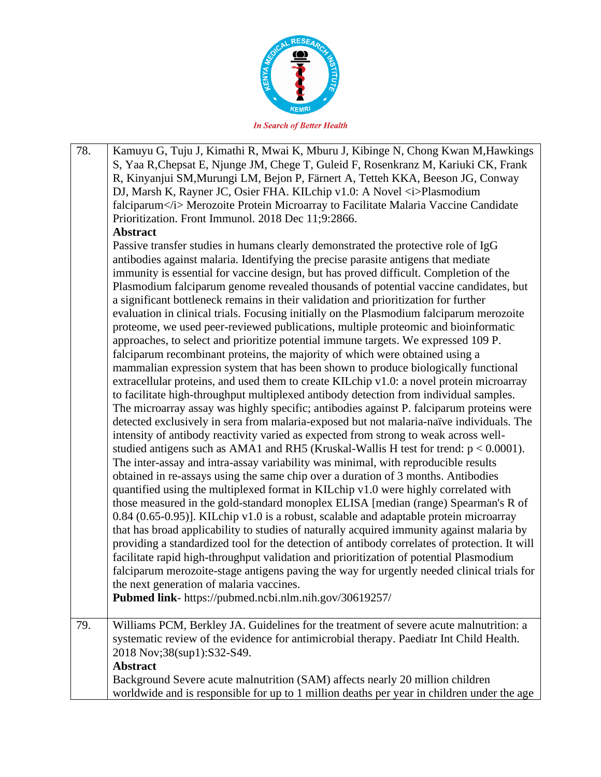

| 78. | Kamuyu G, Tuju J, Kimathi R, Mwai K, Mburu J, Kibinge N, Chong Kwan M, Hawkings<br>S, Yaa R, Chepsat E, Njunge JM, Chege T, Guleid F, Rosenkranz M, Kariuki CK, Frank<br>R, Kinyanjui SM, Murungi LM, Bejon P, Färnert A, Tetteh KKA, Beeson JG, Conway<br>DJ, Marsh K, Rayner JC, Osier FHA. KILchip v1.0: A Novel <i>Plasmodium<br/>falciparum</i> Merozoite Protein Microarray to Facilitate Malaria Vaccine Candidate<br>Prioritization. Front Immunol. 2018 Dec 11;9:2866.<br><b>Abstract</b><br>Passive transfer studies in humans clearly demonstrated the protective role of IgG<br>antibodies against malaria. Identifying the precise parasite antigens that mediate<br>immunity is essential for vaccine design, but has proved difficult. Completion of the<br>Plasmodium falciparum genome revealed thousands of potential vaccine candidates, but<br>a significant bottleneck remains in their validation and prioritization for further<br>evaluation in clinical trials. Focusing initially on the Plasmodium falciparum merozoite<br>proteome, we used peer-reviewed publications, multiple proteomic and bioinformatic<br>approaches, to select and prioritize potential immune targets. We expressed 109 P.<br>falciparum recombinant proteins, the majority of which were obtained using a<br>mammalian expression system that has been shown to produce biologically functional<br>extracellular proteins, and used them to create KILchip v1.0: a novel protein microarray<br>to facilitate high-throughput multiplexed antibody detection from individual samples.<br>The microarray assay was highly specific; antibodies against P. falciparum proteins were<br>detected exclusively in sera from malaria-exposed but not malaria-naïve individuals. The<br>intensity of antibody reactivity varied as expected from strong to weak across well-<br>studied antigens such as AMA1 and RH5 (Kruskal-Wallis H test for trend: $p < 0.0001$ ).<br>The inter-assay and intra-assay variability was minimal, with reproducible results<br>obtained in re-assays using the same chip over a duration of 3 months. Antibodies<br>quantified using the multiplexed format in KILchip v1.0 were highly correlated with<br>those measured in the gold-standard monoplex ELISA [median (range) Spearman's R of<br>0.84 (0.65-0.95)]. KILchip v1.0 is a robust, scalable and adaptable protein microarray<br>that has broad applicability to studies of naturally acquired immunity against malaria by<br>providing a standardized tool for the detection of antibody correlates of protection. It will |
|-----|----------------------------------------------------------------------------------------------------------------------------------------------------------------------------------------------------------------------------------------------------------------------------------------------------------------------------------------------------------------------------------------------------------------------------------------------------------------------------------------------------------------------------------------------------------------------------------------------------------------------------------------------------------------------------------------------------------------------------------------------------------------------------------------------------------------------------------------------------------------------------------------------------------------------------------------------------------------------------------------------------------------------------------------------------------------------------------------------------------------------------------------------------------------------------------------------------------------------------------------------------------------------------------------------------------------------------------------------------------------------------------------------------------------------------------------------------------------------------------------------------------------------------------------------------------------------------------------------------------------------------------------------------------------------------------------------------------------------------------------------------------------------------------------------------------------------------------------------------------------------------------------------------------------------------------------------------------------------------------------------------------------------------------------------------------------------------------------------------------------------------------------------------------------------------------------------------------------------------------------------------------------------------------------------------------------------------------------------------------------------------------------------------------------------------------------------------------------------------------------------------------------------------------------------------------------------------------------------------------------------|
|     | facilitate rapid high-throughput validation and prioritization of potential Plasmodium<br>falciparum merozoite-stage antigens paving the way for urgently needed clinical trials for<br>the next generation of malaria vaccines.                                                                                                                                                                                                                                                                                                                                                                                                                                                                                                                                                                                                                                                                                                                                                                                                                                                                                                                                                                                                                                                                                                                                                                                                                                                                                                                                                                                                                                                                                                                                                                                                                                                                                                                                                                                                                                                                                                                                                                                                                                                                                                                                                                                                                                                                                                                                                                                     |
|     | Pubmed link- https://pubmed.ncbi.nlm.nih.gov/30619257/                                                                                                                                                                                                                                                                                                                                                                                                                                                                                                                                                                                                                                                                                                                                                                                                                                                                                                                                                                                                                                                                                                                                                                                                                                                                                                                                                                                                                                                                                                                                                                                                                                                                                                                                                                                                                                                                                                                                                                                                                                                                                                                                                                                                                                                                                                                                                                                                                                                                                                                                                               |
| 79. | Williams PCM, Berkley JA. Guidelines for the treatment of severe acute malnutrition: a<br>systematic review of the evidence for antimicrobial therapy. Paediatr Int Child Health.<br>2018 Nov;38(sup1):S32-S49.<br><b>Abstract</b>                                                                                                                                                                                                                                                                                                                                                                                                                                                                                                                                                                                                                                                                                                                                                                                                                                                                                                                                                                                                                                                                                                                                                                                                                                                                                                                                                                                                                                                                                                                                                                                                                                                                                                                                                                                                                                                                                                                                                                                                                                                                                                                                                                                                                                                                                                                                                                                   |
|     | Background Severe acute malnutrition (SAM) affects nearly 20 million children<br>worldwide and is responsible for up to 1 million deaths per year in children under the age                                                                                                                                                                                                                                                                                                                                                                                                                                                                                                                                                                                                                                                                                                                                                                                                                                                                                                                                                                                                                                                                                                                                                                                                                                                                                                                                                                                                                                                                                                                                                                                                                                                                                                                                                                                                                                                                                                                                                                                                                                                                                                                                                                                                                                                                                                                                                                                                                                          |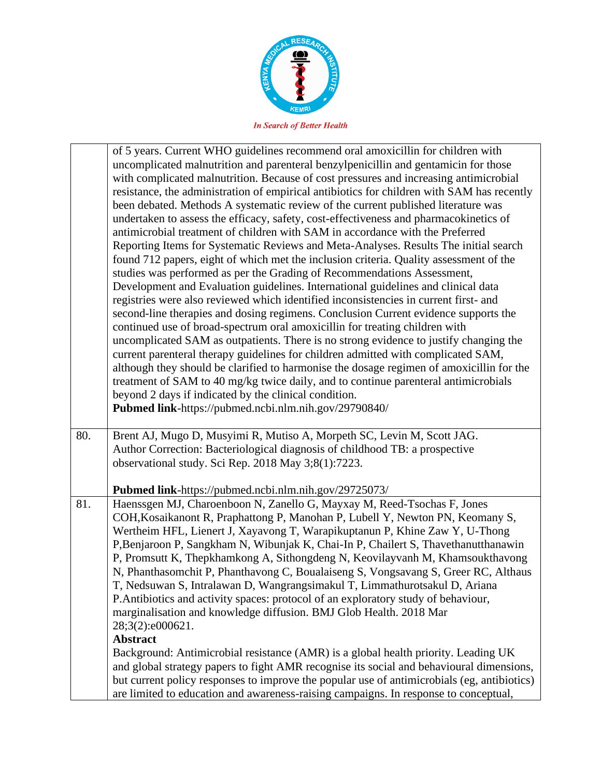

|     | of 5 years. Current WHO guidelines recommend oral amoxicillin for children with<br>uncomplicated malnutrition and parenteral benzylpenicillin and gentamicin for those<br>with complicated malnutrition. Because of cost pressures and increasing antimicrobial<br>resistance, the administration of empirical antibiotics for children with SAM has recently<br>been debated. Methods A systematic review of the current published literature was<br>undertaken to assess the efficacy, safety, cost-effectiveness and pharmacokinetics of<br>antimicrobial treatment of children with SAM in accordance with the Preferred<br>Reporting Items for Systematic Reviews and Meta-Analyses. Results The initial search<br>found 712 papers, eight of which met the inclusion criteria. Quality assessment of the<br>studies was performed as per the Grading of Recommendations Assessment,<br>Development and Evaluation guidelines. International guidelines and clinical data<br>registries were also reviewed which identified inconsistencies in current first- and<br>second-line therapies and dosing regimens. Conclusion Current evidence supports the<br>continued use of broad-spectrum oral amoxicillin for treating children with<br>uncomplicated SAM as outpatients. There is no strong evidence to justify changing the<br>current parenteral therapy guidelines for children admitted with complicated SAM,<br>although they should be clarified to harmonise the dosage regimen of amoxicillin for the |
|-----|------------------------------------------------------------------------------------------------------------------------------------------------------------------------------------------------------------------------------------------------------------------------------------------------------------------------------------------------------------------------------------------------------------------------------------------------------------------------------------------------------------------------------------------------------------------------------------------------------------------------------------------------------------------------------------------------------------------------------------------------------------------------------------------------------------------------------------------------------------------------------------------------------------------------------------------------------------------------------------------------------------------------------------------------------------------------------------------------------------------------------------------------------------------------------------------------------------------------------------------------------------------------------------------------------------------------------------------------------------------------------------------------------------------------------------------------------------------------------------------------------------------------|
|     | treatment of SAM to 40 mg/kg twice daily, and to continue parenteral antimicrobials<br>beyond 2 days if indicated by the clinical condition.                                                                                                                                                                                                                                                                                                                                                                                                                                                                                                                                                                                                                                                                                                                                                                                                                                                                                                                                                                                                                                                                                                                                                                                                                                                                                                                                                                           |
|     | Pubmed link-https://pubmed.ncbi.nlm.nih.gov/29790840/                                                                                                                                                                                                                                                                                                                                                                                                                                                                                                                                                                                                                                                                                                                                                                                                                                                                                                                                                                                                                                                                                                                                                                                                                                                                                                                                                                                                                                                                  |
| 80. | Brent AJ, Mugo D, Musyimi R, Mutiso A, Morpeth SC, Levin M, Scott JAG.<br>Author Correction: Bacteriological diagnosis of childhood TB: a prospective<br>observational study. Sci Rep. 2018 May 3;8(1):7223.                                                                                                                                                                                                                                                                                                                                                                                                                                                                                                                                                                                                                                                                                                                                                                                                                                                                                                                                                                                                                                                                                                                                                                                                                                                                                                           |
|     | Pubmed link-https://pubmed.ncbi.nlm.nih.gov/29725073/                                                                                                                                                                                                                                                                                                                                                                                                                                                                                                                                                                                                                                                                                                                                                                                                                                                                                                                                                                                                                                                                                                                                                                                                                                                                                                                                                                                                                                                                  |
| 81. | Haenssgen MJ, Charoenboon N, Zanello G, Mayxay M, Reed-Tsochas F, Jones<br>COH, Kosaikanont R, Praphattong P, Manohan P, Lubell Y, Newton PN, Keomany S,<br>Wertheim HFL, Lienert J, Xayavong T, Warapikuptanun P, Khine Zaw Y, U-Thong<br>P, Benjaroon P, Sangkham N, Wibunjak K, Chai-In P, Chailert S, Thavethanutthanawin<br>P, Promsutt K, Thepkhamkong A, Sithongdeng N, Keovilayvanh M, Khamsoukthavong<br>N, Phanthasomchit P, Phanthavong C, Boualaiseng S, Vongsavang S, Greer RC, Althaus<br>T, Nedsuwan S, Intralawan D, Wangrangsimakul T, Limmathurotsakul D, Ariana<br>P. Antibiotics and activity spaces: protocol of an exploratory study of behaviour,<br>marginalisation and knowledge diffusion. BMJ Glob Health. 2018 Mar<br>28;3(2):e000621.<br><b>Abstract</b>                                                                                                                                                                                                                                                                                                                                                                                                                                                                                                                                                                                                                                                                                                                                  |
|     | Background: Antimicrobial resistance (AMR) is a global health priority. Leading UK                                                                                                                                                                                                                                                                                                                                                                                                                                                                                                                                                                                                                                                                                                                                                                                                                                                                                                                                                                                                                                                                                                                                                                                                                                                                                                                                                                                                                                     |
|     | and global strategy papers to fight AMR recognise its social and behavioural dimensions,<br>but current policy responses to improve the popular use of antimicrobials (eg, antibiotics)<br>are limited to education and awareness-raising campaigns. In response to conceptual,                                                                                                                                                                                                                                                                                                                                                                                                                                                                                                                                                                                                                                                                                                                                                                                                                                                                                                                                                                                                                                                                                                                                                                                                                                        |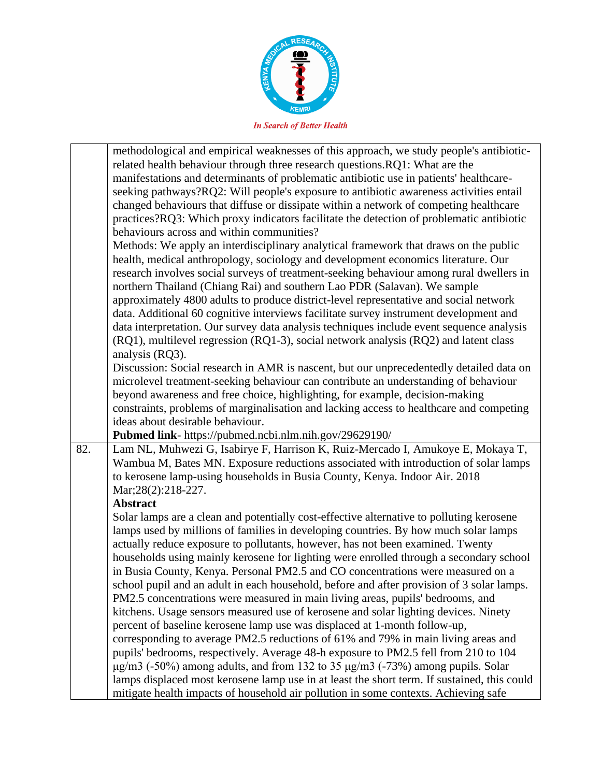

|     | methodological and empirical weaknesses of this approach, we study people's antibiotic-                                                                                                 |
|-----|-----------------------------------------------------------------------------------------------------------------------------------------------------------------------------------------|
|     | related health behaviour through three research questions. RQ1: What are the                                                                                                            |
|     | manifestations and determinants of problematic antibiotic use in patients' healthcare-                                                                                                  |
|     | seeking pathways?RQ2: Will people's exposure to antibiotic awareness activities entail                                                                                                  |
|     | changed behaviours that diffuse or dissipate within a network of competing healthcare                                                                                                   |
|     | practices?RQ3: Which proxy indicators facilitate the detection of problematic antibiotic                                                                                                |
|     | behaviours across and within communities?                                                                                                                                               |
|     | Methods: We apply an interdisciplinary analytical framework that draws on the public                                                                                                    |
|     | health, medical anthropology, sociology and development economics literature. Our                                                                                                       |
|     | research involves social surveys of treatment-seeking behaviour among rural dwellers in                                                                                                 |
|     | northern Thailand (Chiang Rai) and southern Lao PDR (Salavan). We sample                                                                                                                |
|     | approximately 4800 adults to produce district-level representative and social network                                                                                                   |
|     |                                                                                                                                                                                         |
|     | data. Additional 60 cognitive interviews facilitate survey instrument development and                                                                                                   |
|     | data interpretation. Our survey data analysis techniques include event sequence analysis                                                                                                |
|     | (RQ1), multilevel regression (RQ1-3), social network analysis (RQ2) and latent class                                                                                                    |
|     | analysis $(RQ3)$ .                                                                                                                                                                      |
|     | Discussion: Social research in AMR is nascent, but our unprecedentedly detailed data on                                                                                                 |
|     | microlevel treatment-seeking behaviour can contribute an understanding of behaviour                                                                                                     |
|     | beyond awareness and free choice, highlighting, for example, decision-making                                                                                                            |
|     | constraints, problems of marginalisation and lacking access to healthcare and competing                                                                                                 |
|     | ideas about desirable behaviour.                                                                                                                                                        |
|     | Pubmed link- https://pubmed.ncbi.nlm.nih.gov/29629190/                                                                                                                                  |
| 82. | Lam NL, Muhwezi G, Isabirye F, Harrison K, Ruiz-Mercado I, Amukoye E, Mokaya T,                                                                                                         |
|     | Wambua M, Bates MN. Exposure reductions associated with introduction of solar lamps                                                                                                     |
|     | to kerosene lamp-using households in Busia County, Kenya. Indoor Air. 2018                                                                                                              |
|     | Mar;28(2):218-227.                                                                                                                                                                      |
|     | <b>Abstract</b>                                                                                                                                                                         |
|     | Solar lamps are a clean and potentially cost-effective alternative to polluting kerosene                                                                                                |
|     | lamps used by millions of families in developing countries. By how much solar lamps                                                                                                     |
|     | actually reduce exposure to pollutants, however, has not been examined. Twenty                                                                                                          |
|     | households using mainly kerosene for lighting were enrolled through a secondary school                                                                                                  |
|     | in Busia County, Kenya. Personal PM2.5 and CO concentrations were measured on a                                                                                                         |
|     | school pupil and an adult in each household, before and after provision of 3 solar lamps.                                                                                               |
|     | PM2.5 concentrations were measured in main living areas, pupils' bedrooms, and                                                                                                          |
|     | kitchens. Usage sensors measured use of kerosene and solar lighting devices. Ninety                                                                                                     |
|     | percent of baseline kerosene lamp use was displaced at 1-month follow-up,                                                                                                               |
|     | corresponding to average PM2.5 reductions of 61% and 79% in main living areas and                                                                                                       |
|     |                                                                                                                                                                                         |
|     |                                                                                                                                                                                         |
|     | pupils' bedrooms, respectively. Average 48-h exposure to PM2.5 fell from 210 to 104                                                                                                     |
|     | $\mu$ g/m3 (-50%) among adults, and from 132 to 35 $\mu$ g/m3 (-73%) among pupils. Solar<br>lamps displaced most kerosene lamp use in at least the short term. If sustained, this could |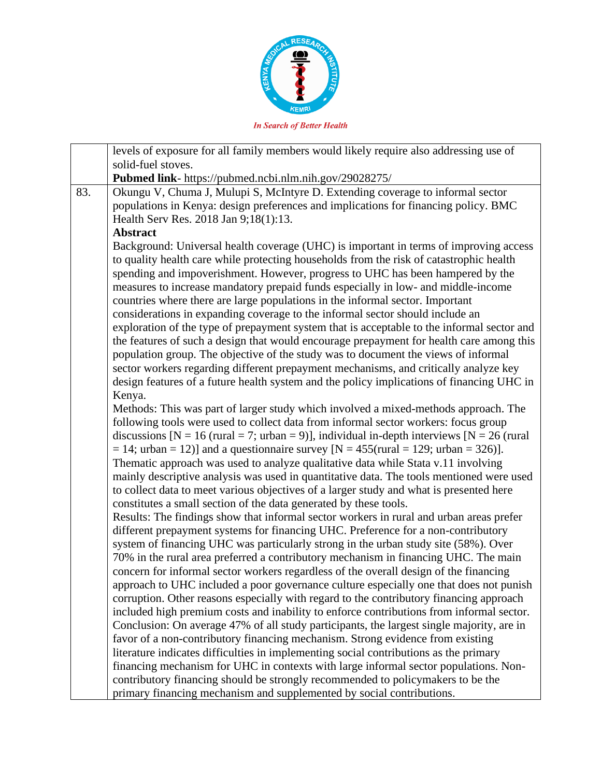

|     | levels of exposure for all family members would likely require also addressing use of                                                                                                                                                                                                                                                                                                                                                                                                                                                                                                                                                                                                                                                                                                                                                                                                                                                                                                                                                                                                                                                                                                                                                                                                                                                                                                                                                                                                                                                                                                                                                                                                                                                                                                                                                   |
|-----|-----------------------------------------------------------------------------------------------------------------------------------------------------------------------------------------------------------------------------------------------------------------------------------------------------------------------------------------------------------------------------------------------------------------------------------------------------------------------------------------------------------------------------------------------------------------------------------------------------------------------------------------------------------------------------------------------------------------------------------------------------------------------------------------------------------------------------------------------------------------------------------------------------------------------------------------------------------------------------------------------------------------------------------------------------------------------------------------------------------------------------------------------------------------------------------------------------------------------------------------------------------------------------------------------------------------------------------------------------------------------------------------------------------------------------------------------------------------------------------------------------------------------------------------------------------------------------------------------------------------------------------------------------------------------------------------------------------------------------------------------------------------------------------------------------------------------------------------|
|     | solid-fuel stoves.                                                                                                                                                                                                                                                                                                                                                                                                                                                                                                                                                                                                                                                                                                                                                                                                                                                                                                                                                                                                                                                                                                                                                                                                                                                                                                                                                                                                                                                                                                                                                                                                                                                                                                                                                                                                                      |
|     | Pubmed link- https://pubmed.ncbi.nlm.nih.gov/29028275/                                                                                                                                                                                                                                                                                                                                                                                                                                                                                                                                                                                                                                                                                                                                                                                                                                                                                                                                                                                                                                                                                                                                                                                                                                                                                                                                                                                                                                                                                                                                                                                                                                                                                                                                                                                  |
| 83. | Okungu V, Chuma J, Mulupi S, McIntyre D. Extending coverage to informal sector<br>populations in Kenya: design preferences and implications for financing policy. BMC<br>Health Serv Res. 2018 Jan 9;18(1):13.<br><b>Abstract</b>                                                                                                                                                                                                                                                                                                                                                                                                                                                                                                                                                                                                                                                                                                                                                                                                                                                                                                                                                                                                                                                                                                                                                                                                                                                                                                                                                                                                                                                                                                                                                                                                       |
|     | Background: Universal health coverage (UHC) is important in terms of improving access<br>to quality health care while protecting households from the risk of catastrophic health<br>spending and impoverishment. However, progress to UHC has been hampered by the<br>measures to increase mandatory prepaid funds especially in low- and middle-income<br>countries where there are large populations in the informal sector. Important<br>considerations in expanding coverage to the informal sector should include an<br>exploration of the type of prepayment system that is acceptable to the informal sector and<br>the features of such a design that would encourage prepayment for health care among this<br>population group. The objective of the study was to document the views of informal<br>sector workers regarding different prepayment mechanisms, and critically analyze key<br>design features of a future health system and the policy implications of financing UHC in                                                                                                                                                                                                                                                                                                                                                                                                                                                                                                                                                                                                                                                                                                                                                                                                                                          |
|     | Kenya.<br>Methods: This was part of larger study which involved a mixed-methods approach. The<br>following tools were used to collect data from informal sector workers: focus group<br>discussions [N = 16 (rural = 7; urban = 9)], individual in-depth interviews [N = 26 (rural<br>$= 14$ ; urban $= 12$ )] and a questionnaire survey [N = 455(rural = 129; urban = 326)].<br>Thematic approach was used to analyze qualitative data while Stata v.11 involving<br>mainly descriptive analysis was used in quantitative data. The tools mentioned were used<br>to collect data to meet various objectives of a larger study and what is presented here<br>constitutes a small section of the data generated by these tools.<br>Results: The findings show that informal sector workers in rural and urban areas prefer<br>different prepayment systems for financing UHC. Preference for a non-contributory<br>system of financing UHC was particularly strong in the urban study site (58%). Over<br>70% in the rural area preferred a contributory mechanism in financing UHC. The main<br>concern for informal sector workers regardless of the overall design of the financing<br>approach to UHC included a poor governance culture especially one that does not punish<br>corruption. Other reasons especially with regard to the contributory financing approach<br>included high premium costs and inability to enforce contributions from informal sector.<br>Conclusion: On average 47% of all study participants, the largest single majority, are in<br>favor of a non-contributory financing mechanism. Strong evidence from existing<br>literature indicates difficulties in implementing social contributions as the primary<br>financing mechanism for UHC in contexts with large informal sector populations. Non- |
|     | contributory financing should be strongly recommended to policymakers to be the<br>primary financing mechanism and supplemented by social contributions.                                                                                                                                                                                                                                                                                                                                                                                                                                                                                                                                                                                                                                                                                                                                                                                                                                                                                                                                                                                                                                                                                                                                                                                                                                                                                                                                                                                                                                                                                                                                                                                                                                                                                |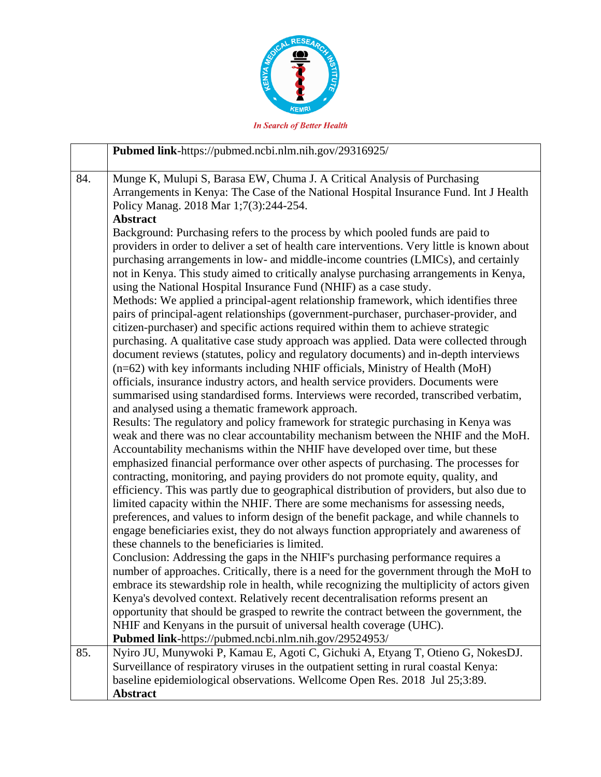

|     | Pubmed link-https://pubmed.ncbi.nlm.nih.gov/29316925/                                                                                                                                                                                                                                                                                                                                                                                                                                                                                                                                                                                                                                                                                                                                                                                                                                                                                                                                                                                                                                                                                                                                                                                                                                                                                                                                                                                                                                                                                                                                                                                                                                                                                                                                                                                                                                                                                                                                                                                                                                                                                                                                     |
|-----|-------------------------------------------------------------------------------------------------------------------------------------------------------------------------------------------------------------------------------------------------------------------------------------------------------------------------------------------------------------------------------------------------------------------------------------------------------------------------------------------------------------------------------------------------------------------------------------------------------------------------------------------------------------------------------------------------------------------------------------------------------------------------------------------------------------------------------------------------------------------------------------------------------------------------------------------------------------------------------------------------------------------------------------------------------------------------------------------------------------------------------------------------------------------------------------------------------------------------------------------------------------------------------------------------------------------------------------------------------------------------------------------------------------------------------------------------------------------------------------------------------------------------------------------------------------------------------------------------------------------------------------------------------------------------------------------------------------------------------------------------------------------------------------------------------------------------------------------------------------------------------------------------------------------------------------------------------------------------------------------------------------------------------------------------------------------------------------------------------------------------------------------------------------------------------------------|
| 84. | Munge K, Mulupi S, Barasa EW, Chuma J. A Critical Analysis of Purchasing<br>Arrangements in Kenya: The Case of the National Hospital Insurance Fund. Int J Health<br>Policy Manag. 2018 Mar 1;7(3):244-254.                                                                                                                                                                                                                                                                                                                                                                                                                                                                                                                                                                                                                                                                                                                                                                                                                                                                                                                                                                                                                                                                                                                                                                                                                                                                                                                                                                                                                                                                                                                                                                                                                                                                                                                                                                                                                                                                                                                                                                               |
|     | <b>Abstract</b><br>Background: Purchasing refers to the process by which pooled funds are paid to<br>providers in order to deliver a set of health care interventions. Very little is known about<br>purchasing arrangements in low- and middle-income countries (LMICs), and certainly<br>not in Kenya. This study aimed to critically analyse purchasing arrangements in Kenya,<br>using the National Hospital Insurance Fund (NHIF) as a case study.<br>Methods: We applied a principal-agent relationship framework, which identifies three<br>pairs of principal-agent relationships (government-purchaser, purchaser-provider, and<br>citizen-purchaser) and specific actions required within them to achieve strategic<br>purchasing. A qualitative case study approach was applied. Data were collected through<br>document reviews (statutes, policy and regulatory documents) and in-depth interviews<br>(n=62) with key informants including NHIF officials, Ministry of Health (MoH)<br>officials, insurance industry actors, and health service providers. Documents were<br>summarised using standardised forms. Interviews were recorded, transcribed verbatim,<br>and analysed using a thematic framework approach.<br>Results: The regulatory and policy framework for strategic purchasing in Kenya was<br>weak and there was no clear accountability mechanism between the NHIF and the MoH.<br>Accountability mechanisms within the NHIF have developed over time, but these<br>emphasized financial performance over other aspects of purchasing. The processes for<br>contracting, monitoring, and paying providers do not promote equity, quality, and<br>efficiency. This was partly due to geographical distribution of providers, but also due to<br>limited capacity within the NHIF. There are some mechanisms for assessing needs,<br>preferences, and values to inform design of the benefit package, and while channels to<br>engage beneficiaries exist, they do not always function appropriately and awareness of<br>these channels to the beneficiaries is limited.<br>Conclusion: Addressing the gaps in the NHIF's purchasing performance requires a |
|     | number of approaches. Critically, there is a need for the government through the MoH to<br>embrace its stewardship role in health, while recognizing the multiplicity of actors given<br>Kenya's devolved context. Relatively recent decentralisation reforms present an                                                                                                                                                                                                                                                                                                                                                                                                                                                                                                                                                                                                                                                                                                                                                                                                                                                                                                                                                                                                                                                                                                                                                                                                                                                                                                                                                                                                                                                                                                                                                                                                                                                                                                                                                                                                                                                                                                                  |
|     | opportunity that should be grasped to rewrite the contract between the government, the<br>NHIF and Kenyans in the pursuit of universal health coverage (UHC).<br>Pubmed link-https://pubmed.ncbi.nlm.nih.gov/29524953/                                                                                                                                                                                                                                                                                                                                                                                                                                                                                                                                                                                                                                                                                                                                                                                                                                                                                                                                                                                                                                                                                                                                                                                                                                                                                                                                                                                                                                                                                                                                                                                                                                                                                                                                                                                                                                                                                                                                                                    |
| 85. | Nyiro JU, Munywoki P, Kamau E, Agoti C, Gichuki A, Etyang T, Otieno G, NokesDJ.<br>Surveillance of respiratory viruses in the outpatient setting in rural coastal Kenya:<br>baseline epidemiological observations. Wellcome Open Res. 2018 Jul 25;3:89.<br><b>Abstract</b>                                                                                                                                                                                                                                                                                                                                                                                                                                                                                                                                                                                                                                                                                                                                                                                                                                                                                                                                                                                                                                                                                                                                                                                                                                                                                                                                                                                                                                                                                                                                                                                                                                                                                                                                                                                                                                                                                                                |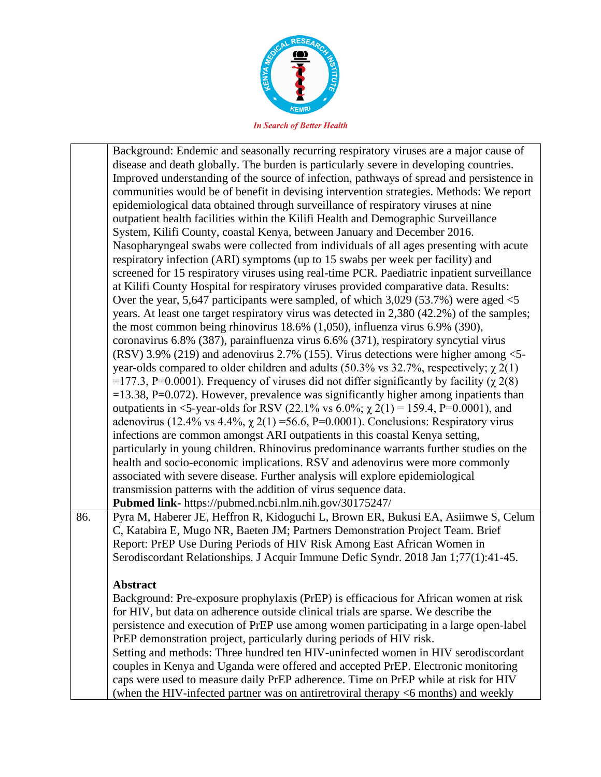

|     | Background: Endemic and seasonally recurring respiratory viruses are a major cause of<br>disease and death globally. The burden is particularly severe in developing countries.<br>Improved understanding of the source of infection, pathways of spread and persistence in<br>communities would be of benefit in devising intervention strategies. Methods: We report<br>epidemiological data obtained through surveillance of respiratory viruses at nine<br>outpatient health facilities within the Kilifi Health and Demographic Surveillance<br>System, Kilifi County, coastal Kenya, between January and December 2016.<br>Nasopharyngeal swabs were collected from individuals of all ages presenting with acute<br>respiratory infection (ARI) symptoms (up to 15 swabs per week per facility) and<br>screened for 15 respiratory viruses using real-time PCR. Paediatric inpatient surveillance<br>at Kilifi County Hospital for respiratory viruses provided comparative data. Results:<br>Over the year, 5,647 participants were sampled, of which $3,029$ (53.7%) were aged $\leq$ 5<br>years. At least one target respiratory virus was detected in 2,380 (42.2%) of the samples;<br>the most common being rhinovirus $18.6\%$ $(1,050)$ , influenza virus $6.9\%$ $(390)$ ,<br>coronavirus 6.8% (387), parainfluenza virus 6.6% (371), respiratory syncytial virus<br>(RSV) 3.9% (219) and adenovirus 2.7% (155). Virus detections were higher among $\le$ 5-<br>year-olds compared to older children and adults (50.3% vs 32.7%, respectively; $\chi$ 2(1)<br>=177.3, P=0.0001). Frequency of viruses did not differ significantly by facility ( $\chi$ 2(8)<br>$=$ 13.38, P=0.072). However, prevalence was significantly higher among inpatients than<br>outpatients in <5-year-olds for RSV (22.1% vs 6.0%; $\chi$ 2(1) = 159.4, P=0.0001), and<br>adenovirus (12.4% vs 4.4%, $\chi$ 2(1) = 56.6, P=0.0001). Conclusions: Respiratory virus<br>infections are common amongst ARI outpatients in this coastal Kenya setting,<br>particularly in young children. Rhinovirus predominance warrants further studies on the<br>health and socio-economic implications. RSV and adenovirus were more commonly<br>associated with severe disease. Further analysis will explore epidemiological<br>transmission patterns with the addition of virus sequence data.<br>Pubmed link- https://pubmed.ncbi.nlm.nih.gov/30175247/ |
|-----|-----------------------------------------------------------------------------------------------------------------------------------------------------------------------------------------------------------------------------------------------------------------------------------------------------------------------------------------------------------------------------------------------------------------------------------------------------------------------------------------------------------------------------------------------------------------------------------------------------------------------------------------------------------------------------------------------------------------------------------------------------------------------------------------------------------------------------------------------------------------------------------------------------------------------------------------------------------------------------------------------------------------------------------------------------------------------------------------------------------------------------------------------------------------------------------------------------------------------------------------------------------------------------------------------------------------------------------------------------------------------------------------------------------------------------------------------------------------------------------------------------------------------------------------------------------------------------------------------------------------------------------------------------------------------------------------------------------------------------------------------------------------------------------------------------------------------------------------------------------------------------------------------------------------------------------------------------------------------------------------------------------------------------------------------------------------------------------------------------------------------------------------------------------------------------------------------------------------------------------------------------------------------------------------------------------------------------------------------------------------------------------------------------------------------------------------|
| 86. | Pyra M, Haberer JE, Heffron R, Kidoguchi L, Brown ER, Bukusi EA, Asiimwe S, Celum<br>C, Katabira E, Mugo NR, Baeten JM; Partners Demonstration Project Team. Brief<br>Report: PrEP Use During Periods of HIV Risk Among East African Women in<br>Serodiscordant Relationships. J Acquir Immune Defic Syndr. 2018 Jan 1;77(1):41-45.<br><b>Abstract</b><br>Background: Pre-exposure prophylaxis (PrEP) is efficacious for African women at risk                                                                                                                                                                                                                                                                                                                                                                                                                                                                                                                                                                                                                                                                                                                                                                                                                                                                                                                                                                                                                                                                                                                                                                                                                                                                                                                                                                                                                                                                                                                                                                                                                                                                                                                                                                                                                                                                                                                                                                                          |
|     | for HIV, but data on adherence outside clinical trials are sparse. We describe the<br>persistence and execution of PrEP use among women participating in a large open-label<br>PrEP demonstration project, particularly during periods of HIV risk.<br>Setting and methods: Three hundred ten HIV-uninfected women in HIV serodiscordant<br>couples in Kenya and Uganda were offered and accepted PrEP. Electronic monitoring<br>caps were used to measure daily PrEP adherence. Time on PrEP while at risk for HIV<br>(when the HIV-infected partner was on antiretroviral therapy <6 months) and weekly                                                                                                                                                                                                                                                                                                                                                                                                                                                                                                                                                                                                                                                                                                                                                                                                                                                                                                                                                                                                                                                                                                                                                                                                                                                                                                                                                                                                                                                                                                                                                                                                                                                                                                                                                                                                                               |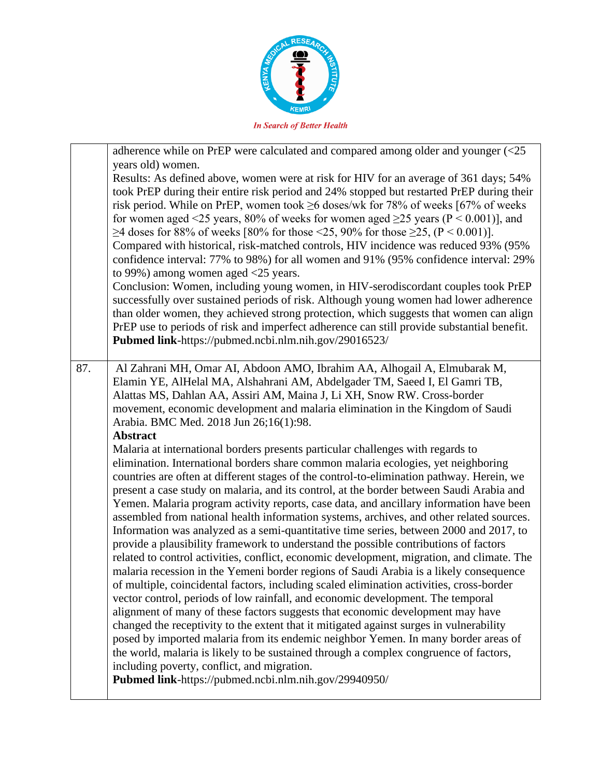

|     | adherence while on PrEP were calculated and compared among older and younger $\langle$ <25                                                                                                                                                                                                                                                                                                                                                                                                                                                                                                                                                                                                                                                                                                                                                                                                                                                                                                                                                                                                                                                                                                                                                                                                                                                                                                                                                                                                                                                                                                                                                                                                                                                                                                                                                                                                                                                                             |
|-----|------------------------------------------------------------------------------------------------------------------------------------------------------------------------------------------------------------------------------------------------------------------------------------------------------------------------------------------------------------------------------------------------------------------------------------------------------------------------------------------------------------------------------------------------------------------------------------------------------------------------------------------------------------------------------------------------------------------------------------------------------------------------------------------------------------------------------------------------------------------------------------------------------------------------------------------------------------------------------------------------------------------------------------------------------------------------------------------------------------------------------------------------------------------------------------------------------------------------------------------------------------------------------------------------------------------------------------------------------------------------------------------------------------------------------------------------------------------------------------------------------------------------------------------------------------------------------------------------------------------------------------------------------------------------------------------------------------------------------------------------------------------------------------------------------------------------------------------------------------------------------------------------------------------------------------------------------------------------|
|     | years old) women.<br>Results: As defined above, women were at risk for HIV for an average of 361 days; 54%<br>took PrEP during their entire risk period and 24% stopped but restarted PrEP during their<br>risk period. While on PrEP, women took $\geq 6$ doses/wk for 78% of weeks [67% of weeks<br>for women aged <25 years, 80% of weeks for women aged $\geq$ 25 years (P < 0.001)], and<br>≥4 doses for 88% of weeks [80% for those <25, 90% for those ≥25, (P < 0.001)].<br>Compared with historical, risk-matched controls, HIV incidence was reduced 93% (95%<br>confidence interval: 77% to 98%) for all women and 91% (95% confidence interval: 29%<br>to 99%) among women aged $\langle 25 \rangle$ years.<br>Conclusion: Women, including young women, in HIV-serodiscordant couples took PrEP<br>successfully over sustained periods of risk. Although young women had lower adherence<br>than older women, they achieved strong protection, which suggests that women can align<br>PrEP use to periods of risk and imperfect adherence can still provide substantial benefit.<br>Pubmed link-https://pubmed.ncbi.nlm.nih.gov/29016523/                                                                                                                                                                                                                                                                                                                                                                                                                                                                                                                                                                                                                                                                                                                                                                                                                  |
| 87. | Al Zahrani MH, Omar AI, Abdoon AMO, Ibrahim AA, Alhogail A, Elmubarak M,<br>Elamin YE, AlHelal MA, Alshahrani AM, Abdelgader TM, Saeed I, El Gamri TB,<br>Alattas MS, Dahlan AA, Assiri AM, Maina J, Li XH, Snow RW. Cross-border<br>movement, economic development and malaria elimination in the Kingdom of Saudi<br>Arabia. BMC Med. 2018 Jun 26;16(1):98.<br><b>Abstract</b><br>Malaria at international borders presents particular challenges with regards to<br>elimination. International borders share common malaria ecologies, yet neighboring<br>countries are often at different stages of the control-to-elimination pathway. Herein, we<br>present a case study on malaria, and its control, at the border between Saudi Arabia and<br>Yemen. Malaria program activity reports, case data, and ancillary information have been<br>assembled from national health information systems, archives, and other related sources.<br>Information was analyzed as a semi-quantitative time series, between 2000 and 2017, to<br>provide a plausibility framework to understand the possible contributions of factors<br>related to control activities, conflict, economic development, migration, and climate. The<br>malaria recession in the Yemeni border regions of Saudi Arabia is a likely consequence<br>of multiple, coincidental factors, including scaled elimination activities, cross-border<br>vector control, periods of low rainfall, and economic development. The temporal<br>alignment of many of these factors suggests that economic development may have<br>changed the receptivity to the extent that it mitigated against surges in vulnerability<br>posed by imported malaria from its endemic neighbor Yemen. In many border areas of<br>the world, malaria is likely to be sustained through a complex congruence of factors,<br>including poverty, conflict, and migration.<br>Pubmed link-https://pubmed.ncbi.nlm.nih.gov/29940950/ |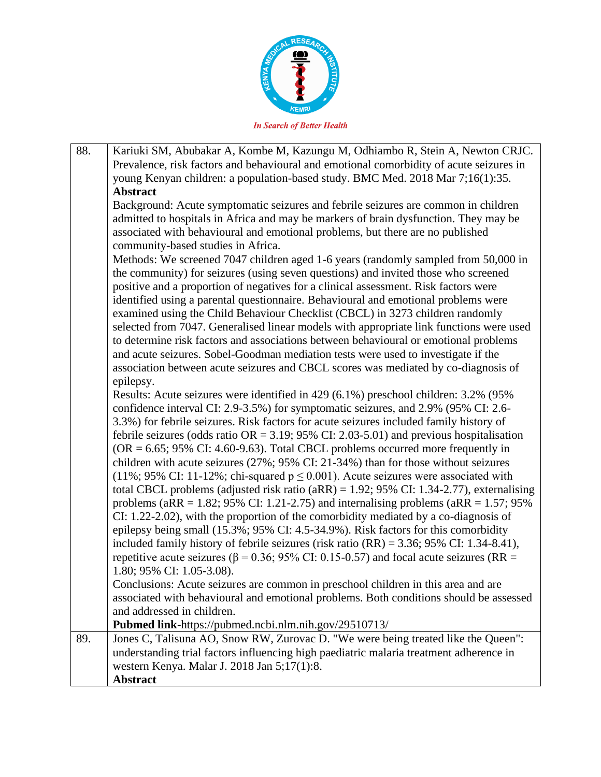

| 88. | Kariuki SM, Abubakar A, Kombe M, Kazungu M, Odhiambo R, Stein A, Newton CRJC.<br>Prevalence, risk factors and behavioural and emotional comorbidity of acute seizures in<br>young Kenyan children: a population-based study. BMC Med. 2018 Mar 7;16(1):35. |
|-----|------------------------------------------------------------------------------------------------------------------------------------------------------------------------------------------------------------------------------------------------------------|
|     | <b>Abstract</b>                                                                                                                                                                                                                                            |
|     | Background: Acute symptomatic seizures and febrile seizures are common in children                                                                                                                                                                         |
|     | admitted to hospitals in Africa and may be markers of brain dysfunction. They may be                                                                                                                                                                       |
|     | associated with behavioural and emotional problems, but there are no published                                                                                                                                                                             |
|     | community-based studies in Africa.                                                                                                                                                                                                                         |
|     | Methods: We screened 7047 children aged 1-6 years (randomly sampled from 50,000 in                                                                                                                                                                         |
|     | the community) for seizures (using seven questions) and invited those who screened                                                                                                                                                                         |
|     | positive and a proportion of negatives for a clinical assessment. Risk factors were                                                                                                                                                                        |
|     | identified using a parental questionnaire. Behavioural and emotional problems were                                                                                                                                                                         |
|     | examined using the Child Behaviour Checklist (CBCL) in 3273 children randomly                                                                                                                                                                              |
|     | selected from 7047. Generalised linear models with appropriate link functions were used                                                                                                                                                                    |
|     | to determine risk factors and associations between behavioural or emotional problems                                                                                                                                                                       |
|     | and acute seizures. Sobel-Goodman mediation tests were used to investigate if the                                                                                                                                                                          |
|     | association between acute seizures and CBCL scores was mediated by co-diagnosis of                                                                                                                                                                         |
|     | epilepsy.                                                                                                                                                                                                                                                  |
|     | Results: Acute seizures were identified in 429 (6.1%) preschool children: 3.2% (95%)                                                                                                                                                                       |
|     | confidence interval CI: 2.9-3.5%) for symptomatic seizures, and 2.9% (95% CI: 2.6-                                                                                                                                                                         |
|     | 3.3%) for febrile seizures. Risk factors for acute seizures included family history of                                                                                                                                                                     |
|     | febrile seizures (odds ratio $OR = 3.19$ ; 95% CI: 2.03-5.01) and previous hospitalisation                                                                                                                                                                 |
|     | $(OR = 6.65; 95\% \text{ CI: } 4.60-9.63)$ . Total CBCL problems occurred more frequently in                                                                                                                                                               |
|     | children with acute seizures (27%; 95% CI: 21-34%) than for those without seizures                                                                                                                                                                         |
|     | $(11\%; 95\% \text{ CI: } 11{\text -}12\%; \text{ chi-squared } p \leq 0.001)$ . Acute seizures were associated with                                                                                                                                       |
|     | total CBCL problems (adjusted risk ratio (aRR) = $1.92$ ; 95% CI: 1.34-2.77), externalising                                                                                                                                                                |
|     | problems (aRR = 1.82; 95% CI: 1.21-2.75) and internalising problems (aRR = 1.57; 95%                                                                                                                                                                       |
|     | CI: 1.22-2.02), with the proportion of the comorbidity mediated by a co-diagnosis of                                                                                                                                                                       |
|     | epilepsy being small (15.3%; 95% CI: 4.5-34.9%). Risk factors for this comorbidity                                                                                                                                                                         |
|     | included family history of febrile seizures (risk ratio $(RR) = 3.36$ ; 95% CI: 1.34-8.41),                                                                                                                                                                |
|     | repetitive acute seizures ( $\beta$ = 0.36; 95% CI: 0.15-0.57) and focal acute seizures (RR =                                                                                                                                                              |
|     | 1.80; 95% CI: 1.05-3.08).                                                                                                                                                                                                                                  |
|     | Conclusions: Acute seizures are common in preschool children in this area and are                                                                                                                                                                          |
|     | associated with behavioural and emotional problems. Both conditions should be assessed                                                                                                                                                                     |
|     | and addressed in children.                                                                                                                                                                                                                                 |
|     | Pubmed link-https://pubmed.ncbi.nlm.nih.gov/29510713/                                                                                                                                                                                                      |
| 89. | Jones C, Talisuna AO, Snow RW, Zurovac D. "We were being treated like the Queen":                                                                                                                                                                          |
|     | understanding trial factors influencing high paediatric malaria treatment adherence in                                                                                                                                                                     |
|     | western Kenya. Malar J. 2018 Jan 5;17(1):8.                                                                                                                                                                                                                |
|     | <b>Abstract</b>                                                                                                                                                                                                                                            |
|     |                                                                                                                                                                                                                                                            |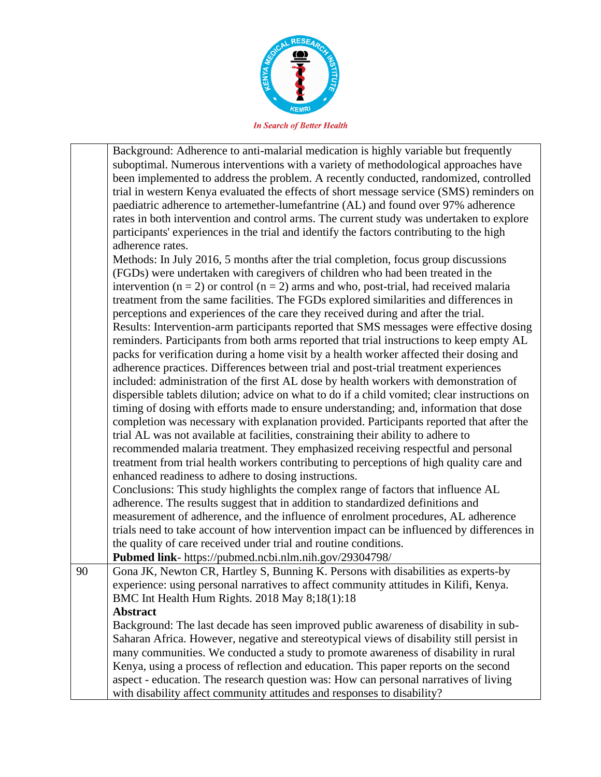

|    | Background: Adherence to anti-malarial medication is highly variable but frequently            |
|----|------------------------------------------------------------------------------------------------|
|    | suboptimal. Numerous interventions with a variety of methodological approaches have            |
|    | been implemented to address the problem. A recently conducted, randomized, controlled          |
|    | trial in western Kenya evaluated the effects of short message service (SMS) reminders on       |
|    | paediatric adherence to artemether-lumefantrine (AL) and found over 97% adherence              |
|    | rates in both intervention and control arms. The current study was undertaken to explore       |
|    | participants' experiences in the trial and identify the factors contributing to the high       |
|    | adherence rates.                                                                               |
|    | Methods: In July 2016, 5 months after the trial completion, focus group discussions            |
|    | (FGDs) were undertaken with caregivers of children who had been treated in the                 |
|    | intervention ( $n = 2$ ) or control ( $n = 2$ ) arms and who, post-trial, had received malaria |
|    | treatment from the same facilities. The FGDs explored similarities and differences in          |
|    |                                                                                                |
|    | perceptions and experiences of the care they received during and after the trial.              |
|    | Results: Intervention-arm participants reported that SMS messages were effective dosing        |
|    | reminders. Participants from both arms reported that trial instructions to keep empty AL       |
|    | packs for verification during a home visit by a health worker affected their dosing and        |
|    | adherence practices. Differences between trial and post-trial treatment experiences            |
|    | included: administration of the first AL dose by health workers with demonstration of          |
|    | dispersible tablets dilution; advice on what to do if a child vomited; clear instructions on   |
|    | timing of dosing with efforts made to ensure understanding; and, information that dose         |
|    | completion was necessary with explanation provided. Participants reported that after the       |
|    | trial AL was not available at facilities, constraining their ability to adhere to              |
|    | recommended malaria treatment. They emphasized receiving respectful and personal               |
|    | treatment from trial health workers contributing to perceptions of high quality care and       |
|    | enhanced readiness to adhere to dosing instructions.                                           |
|    | Conclusions: This study highlights the complex range of factors that influence AL              |
|    | adherence. The results suggest that in addition to standardized definitions and                |
|    | measurement of adherence, and the influence of enrolment procedures, AL adherence              |
|    | trials need to take account of how intervention impact can be influenced by differences in     |
|    | the quality of care received under trial and routine conditions.                               |
|    | Pubmed link- https://pubmed.ncbi.nlm.nih.gov/29304798/                                         |
| 90 | Gona JK, Newton CR, Hartley S, Bunning K. Persons with disabilities as experts-by              |
|    | experience: using personal narratives to affect community attitudes in Kilifi, Kenya.          |
|    | BMC Int Health Hum Rights. 2018 May 8;18(1):18                                                 |
|    | <b>Abstract</b>                                                                                |
|    | Background: The last decade has seen improved public awareness of disability in sub-           |
|    | Saharan Africa. However, negative and stereotypical views of disability still persist in       |
|    | many communities. We conducted a study to promote awareness of disability in rural             |
|    | Kenya, using a process of reflection and education. This paper reports on the second           |
|    | aspect - education. The research question was: How can personal narratives of living           |
|    | with disability affect community attitudes and responses to disability?                        |
|    |                                                                                                |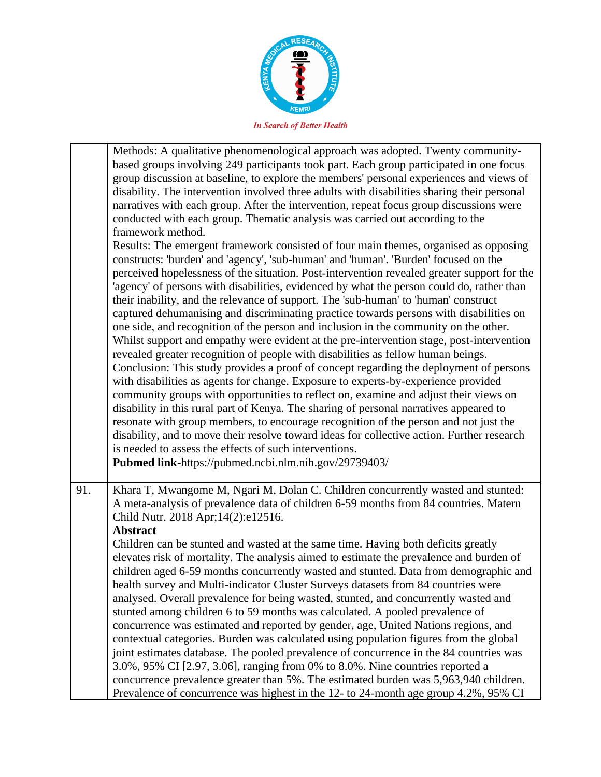

|     | Methods: A qualitative phenomenological approach was adopted. Twenty community-<br>based groups involving 249 participants took part. Each group participated in one focus<br>group discussion at baseline, to explore the members' personal experiences and views of<br>disability. The intervention involved three adults with disabilities sharing their personal<br>narratives with each group. After the intervention, repeat focus group discussions were<br>conducted with each group. Thematic analysis was carried out according to the<br>framework method.<br>Results: The emergent framework consisted of four main themes, organised as opposing<br>constructs: 'burden' and 'agency', 'sub-human' and 'human'. 'Burden' focused on the<br>perceived hopelessness of the situation. Post-intervention revealed greater support for the<br>'agency' of persons with disabilities, evidenced by what the person could do, rather than<br>their inability, and the relevance of support. The 'sub-human' to 'human' construct<br>captured dehumanising and discriminating practice towards persons with disabilities on<br>one side, and recognition of the person and inclusion in the community on the other.<br>Whilst support and empathy were evident at the pre-intervention stage, post-intervention<br>revealed greater recognition of people with disabilities as fellow human beings.<br>Conclusion: This study provides a proof of concept regarding the deployment of persons<br>with disabilities as agents for change. Exposure to experts-by-experience provided |
|-----|-------------------------------------------------------------------------------------------------------------------------------------------------------------------------------------------------------------------------------------------------------------------------------------------------------------------------------------------------------------------------------------------------------------------------------------------------------------------------------------------------------------------------------------------------------------------------------------------------------------------------------------------------------------------------------------------------------------------------------------------------------------------------------------------------------------------------------------------------------------------------------------------------------------------------------------------------------------------------------------------------------------------------------------------------------------------------------------------------------------------------------------------------------------------------------------------------------------------------------------------------------------------------------------------------------------------------------------------------------------------------------------------------------------------------------------------------------------------------------------------------------------------------------------------------------------------------------------------|
|     | community groups with opportunities to reflect on, examine and adjust their views on<br>disability in this rural part of Kenya. The sharing of personal narratives appeared to<br>resonate with group members, to encourage recognition of the person and not just the<br>disability, and to move their resolve toward ideas for collective action. Further research<br>is needed to assess the effects of such interventions.                                                                                                                                                                                                                                                                                                                                                                                                                                                                                                                                                                                                                                                                                                                                                                                                                                                                                                                                                                                                                                                                                                                                                            |
|     | Pubmed link-https://pubmed.ncbi.nlm.nih.gov/29739403/                                                                                                                                                                                                                                                                                                                                                                                                                                                                                                                                                                                                                                                                                                                                                                                                                                                                                                                                                                                                                                                                                                                                                                                                                                                                                                                                                                                                                                                                                                                                     |
| 91. | Khara T, Mwangome M, Ngari M, Dolan C. Children concurrently wasted and stunted:<br>A meta-analysis of prevalence data of children 6-59 months from 84 countries. Matern<br>Child Nutr. 2018 Apr;14(2):e12516.<br><b>Abstract</b>                                                                                                                                                                                                                                                                                                                                                                                                                                                                                                                                                                                                                                                                                                                                                                                                                                                                                                                                                                                                                                                                                                                                                                                                                                                                                                                                                         |
|     | Children can be stunted and wasted at the same time. Having both deficits greatly<br>elevates risk of mortality. The analysis aimed to estimate the prevalence and burden of<br>children aged 6-59 months concurrently wasted and stunted. Data from demographic and<br>health survey and Multi-indicator Cluster Surveys datasets from 84 countries were<br>analysed. Overall prevalence for being wasted, stunted, and concurrently wasted and<br>stunted among children 6 to 59 months was calculated. A pooled prevalence of<br>concurrence was estimated and reported by gender, age, United Nations regions, and<br>contextual categories. Burden was calculated using population figures from the global<br>joint estimates database. The pooled prevalence of concurrence in the 84 countries was<br>3.0%, 95% CI [2.97, 3.06], ranging from 0% to 8.0%. Nine countries reported a                                                                                                                                                                                                                                                                                                                                                                                                                                                                                                                                                                                                                                                                                                |
|     | concurrence prevalence greater than 5%. The estimated burden was 5,963,940 children.<br>Prevalence of concurrence was highest in the 12- to 24-month age group 4.2%, 95% CI                                                                                                                                                                                                                                                                                                                                                                                                                                                                                                                                                                                                                                                                                                                                                                                                                                                                                                                                                                                                                                                                                                                                                                                                                                                                                                                                                                                                               |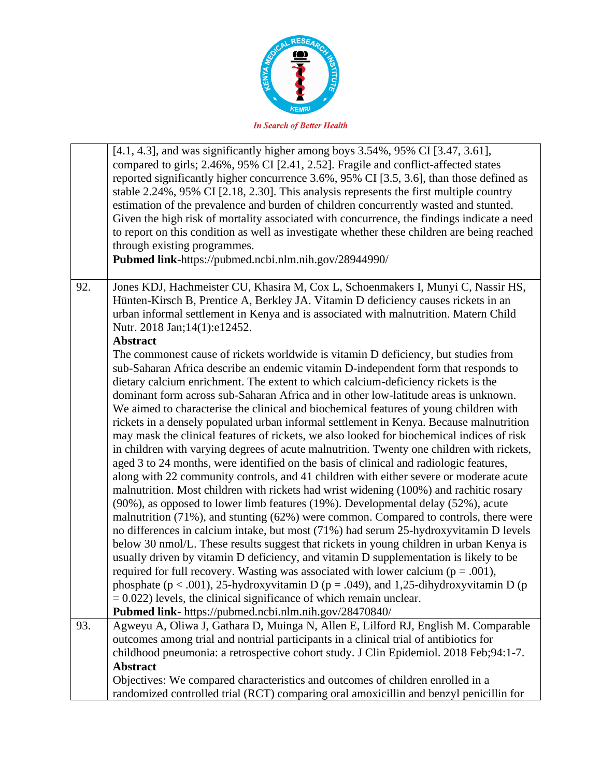

|     | [4.1, 4.3], and was significantly higher among boys 3.54%, 95% CI [3.47, 3.61],<br>compared to girls; 2.46%, 95% CI [2.41, 2.52]. Fragile and conflict-affected states<br>reported significantly higher concurrence 3.6%, 95% CI [3.5, 3.6], than those defined as<br>stable 2.24%, 95% CI [2.18, 2.30]. This analysis represents the first multiple country<br>estimation of the prevalence and burden of children concurrently wasted and stunted.<br>Given the high risk of mortality associated with concurrence, the findings indicate a need<br>to report on this condition as well as investigate whether these children are being reached<br>through existing programmes.<br>Pubmed link-https://pubmed.ncbi.nlm.nih.gov/28944990/                                                                                                                                                                                                                                                                                                                                                                                                                                                                                                                                                                                                                                                                                                                                                                                                                                                                                                                                                                                                                                                                       |
|-----|------------------------------------------------------------------------------------------------------------------------------------------------------------------------------------------------------------------------------------------------------------------------------------------------------------------------------------------------------------------------------------------------------------------------------------------------------------------------------------------------------------------------------------------------------------------------------------------------------------------------------------------------------------------------------------------------------------------------------------------------------------------------------------------------------------------------------------------------------------------------------------------------------------------------------------------------------------------------------------------------------------------------------------------------------------------------------------------------------------------------------------------------------------------------------------------------------------------------------------------------------------------------------------------------------------------------------------------------------------------------------------------------------------------------------------------------------------------------------------------------------------------------------------------------------------------------------------------------------------------------------------------------------------------------------------------------------------------------------------------------------------------------------------------------------------------|
| 92. | Jones KDJ, Hachmeister CU, Khasira M, Cox L, Schoenmakers I, Munyi C, Nassir HS,<br>Hünten-Kirsch B, Prentice A, Berkley JA. Vitamin D deficiency causes rickets in an<br>urban informal settlement in Kenya and is associated with malnutrition. Matern Child<br>Nutr. 2018 Jan; 14(1): e12452.<br><b>Abstract</b>                                                                                                                                                                                                                                                                                                                                                                                                                                                                                                                                                                                                                                                                                                                                                                                                                                                                                                                                                                                                                                                                                                                                                                                                                                                                                                                                                                                                                                                                                              |
|     | The commonest cause of rickets worldwide is vitamin D deficiency, but studies from<br>sub-Saharan Africa describe an endemic vitamin D-independent form that responds to<br>dietary calcium enrichment. The extent to which calcium-deficiency rickets is the<br>dominant form across sub-Saharan Africa and in other low-latitude areas is unknown.<br>We aimed to characterise the clinical and biochemical features of young children with<br>rickets in a densely populated urban informal settlement in Kenya. Because malnutrition<br>may mask the clinical features of rickets, we also looked for biochemical indices of risk<br>in children with varying degrees of acute malnutrition. Twenty one children with rickets,<br>aged 3 to 24 months, were identified on the basis of clinical and radiologic features,<br>along with 22 community controls, and 41 children with either severe or moderate acute<br>malnutrition. Most children with rickets had wrist widening (100%) and rachitic rosary<br>(90%), as opposed to lower limb features (19%). Developmental delay (52%), acute<br>malnutrition $(71\%)$ , and stunting $(62\%)$ were common. Compared to controls, there were<br>no differences in calcium intake, but most (71%) had serum 25-hydroxyvitamin D levels<br>below 30 nmol/L. These results suggest that rickets in young children in urban Kenya is<br>usually driven by vitamin D deficiency, and vitamin D supplementation is likely to be<br>required for full recovery. Wasting was associated with lower calcium ( $p = .001$ ),<br>phosphate ( $p < .001$ ), 25-hydroxyvitamin D ( $p = .049$ ), and 1,25-dihydroxyvitamin D ( $p$<br>$= 0.022$ ) levels, the clinical significance of which remain unclear.<br>Pubmed link- https://pubmed.ncbi.nlm.nih.gov/28470840/ |
| 93. | Agweyu A, Oliwa J, Gathara D, Muinga N, Allen E, Lilford RJ, English M. Comparable<br>outcomes among trial and nontrial participants in a clinical trial of antibiotics for                                                                                                                                                                                                                                                                                                                                                                                                                                                                                                                                                                                                                                                                                                                                                                                                                                                                                                                                                                                                                                                                                                                                                                                                                                                                                                                                                                                                                                                                                                                                                                                                                                      |
|     | childhood pneumonia: a retrospective cohort study. J Clin Epidemiol. 2018 Feb;94:1-7.                                                                                                                                                                                                                                                                                                                                                                                                                                                                                                                                                                                                                                                                                                                                                                                                                                                                                                                                                                                                                                                                                                                                                                                                                                                                                                                                                                                                                                                                                                                                                                                                                                                                                                                            |
|     | <b>Abstract</b>                                                                                                                                                                                                                                                                                                                                                                                                                                                                                                                                                                                                                                                                                                                                                                                                                                                                                                                                                                                                                                                                                                                                                                                                                                                                                                                                                                                                                                                                                                                                                                                                                                                                                                                                                                                                  |
|     | Objectives: We compared characteristics and outcomes of children enrolled in a                                                                                                                                                                                                                                                                                                                                                                                                                                                                                                                                                                                                                                                                                                                                                                                                                                                                                                                                                                                                                                                                                                                                                                                                                                                                                                                                                                                                                                                                                                                                                                                                                                                                                                                                   |
|     | randomized controlled trial (RCT) comparing oral amoxicillin and benzyl penicillin for                                                                                                                                                                                                                                                                                                                                                                                                                                                                                                                                                                                                                                                                                                                                                                                                                                                                                                                                                                                                                                                                                                                                                                                                                                                                                                                                                                                                                                                                                                                                                                                                                                                                                                                           |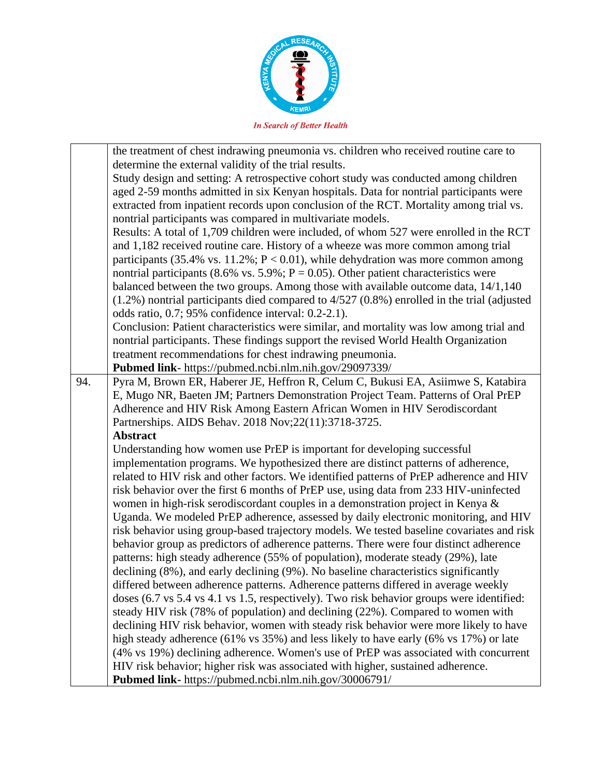

|     | the treatment of chest indrawing pneumonia vs. children who received routine care to                                                                                                                                                                                                                                                                                                                                                                                                                                                                                                                                                                                                                                                                                                                                                                                                                                                                                                                                                                                                                                                                                                                                                                                                                                                                                                                                                                                                                                                                                                                                                                                                                                                              |
|-----|---------------------------------------------------------------------------------------------------------------------------------------------------------------------------------------------------------------------------------------------------------------------------------------------------------------------------------------------------------------------------------------------------------------------------------------------------------------------------------------------------------------------------------------------------------------------------------------------------------------------------------------------------------------------------------------------------------------------------------------------------------------------------------------------------------------------------------------------------------------------------------------------------------------------------------------------------------------------------------------------------------------------------------------------------------------------------------------------------------------------------------------------------------------------------------------------------------------------------------------------------------------------------------------------------------------------------------------------------------------------------------------------------------------------------------------------------------------------------------------------------------------------------------------------------------------------------------------------------------------------------------------------------------------------------------------------------------------------------------------------------|
|     | determine the external validity of the trial results.                                                                                                                                                                                                                                                                                                                                                                                                                                                                                                                                                                                                                                                                                                                                                                                                                                                                                                                                                                                                                                                                                                                                                                                                                                                                                                                                                                                                                                                                                                                                                                                                                                                                                             |
|     | Study design and setting: A retrospective cohort study was conducted among children                                                                                                                                                                                                                                                                                                                                                                                                                                                                                                                                                                                                                                                                                                                                                                                                                                                                                                                                                                                                                                                                                                                                                                                                                                                                                                                                                                                                                                                                                                                                                                                                                                                               |
|     | aged 2-59 months admitted in six Kenyan hospitals. Data for nontrial participants were                                                                                                                                                                                                                                                                                                                                                                                                                                                                                                                                                                                                                                                                                                                                                                                                                                                                                                                                                                                                                                                                                                                                                                                                                                                                                                                                                                                                                                                                                                                                                                                                                                                            |
|     | extracted from inpatient records upon conclusion of the RCT. Mortality among trial vs.                                                                                                                                                                                                                                                                                                                                                                                                                                                                                                                                                                                                                                                                                                                                                                                                                                                                                                                                                                                                                                                                                                                                                                                                                                                                                                                                                                                                                                                                                                                                                                                                                                                            |
|     | nontrial participants was compared in multivariate models.                                                                                                                                                                                                                                                                                                                                                                                                                                                                                                                                                                                                                                                                                                                                                                                                                                                                                                                                                                                                                                                                                                                                                                                                                                                                                                                                                                                                                                                                                                                                                                                                                                                                                        |
|     | Results: A total of 1,709 children were included, of whom 527 were enrolled in the RCT                                                                                                                                                                                                                                                                                                                                                                                                                                                                                                                                                                                                                                                                                                                                                                                                                                                                                                                                                                                                                                                                                                                                                                                                                                                                                                                                                                                                                                                                                                                                                                                                                                                            |
|     | and 1,182 received routine care. History of a wheeze was more common among trial                                                                                                                                                                                                                                                                                                                                                                                                                                                                                                                                                                                                                                                                                                                                                                                                                                                                                                                                                                                                                                                                                                                                                                                                                                                                                                                                                                                                                                                                                                                                                                                                                                                                  |
|     |                                                                                                                                                                                                                                                                                                                                                                                                                                                                                                                                                                                                                                                                                                                                                                                                                                                                                                                                                                                                                                                                                                                                                                                                                                                                                                                                                                                                                                                                                                                                                                                                                                                                                                                                                   |
|     | participants (35.4% vs. 11.2%; $P < 0.01$ ), while dehydration was more common among                                                                                                                                                                                                                                                                                                                                                                                                                                                                                                                                                                                                                                                                                                                                                                                                                                                                                                                                                                                                                                                                                                                                                                                                                                                                                                                                                                                                                                                                                                                                                                                                                                                              |
|     | nontrial participants (8.6% vs. 5.9%; $P = 0.05$ ). Other patient characteristics were                                                                                                                                                                                                                                                                                                                                                                                                                                                                                                                                                                                                                                                                                                                                                                                                                                                                                                                                                                                                                                                                                                                                                                                                                                                                                                                                                                                                                                                                                                                                                                                                                                                            |
|     | balanced between the two groups. Among those with available outcome data, 14/1,140                                                                                                                                                                                                                                                                                                                                                                                                                                                                                                                                                                                                                                                                                                                                                                                                                                                                                                                                                                                                                                                                                                                                                                                                                                                                                                                                                                                                                                                                                                                                                                                                                                                                |
|     | $(1.2\%)$ nontrial participants died compared to 4/527 (0.8%) enrolled in the trial (adjusted                                                                                                                                                                                                                                                                                                                                                                                                                                                                                                                                                                                                                                                                                                                                                                                                                                                                                                                                                                                                                                                                                                                                                                                                                                                                                                                                                                                                                                                                                                                                                                                                                                                     |
|     | odds ratio, 0.7; 95% confidence interval: 0.2-2.1).                                                                                                                                                                                                                                                                                                                                                                                                                                                                                                                                                                                                                                                                                                                                                                                                                                                                                                                                                                                                                                                                                                                                                                                                                                                                                                                                                                                                                                                                                                                                                                                                                                                                                               |
|     |                                                                                                                                                                                                                                                                                                                                                                                                                                                                                                                                                                                                                                                                                                                                                                                                                                                                                                                                                                                                                                                                                                                                                                                                                                                                                                                                                                                                                                                                                                                                                                                                                                                                                                                                                   |
|     | nontrial participants. These findings support the revised World Health Organization                                                                                                                                                                                                                                                                                                                                                                                                                                                                                                                                                                                                                                                                                                                                                                                                                                                                                                                                                                                                                                                                                                                                                                                                                                                                                                                                                                                                                                                                                                                                                                                                                                                               |
|     | treatment recommendations for chest indrawing pneumonia.                                                                                                                                                                                                                                                                                                                                                                                                                                                                                                                                                                                                                                                                                                                                                                                                                                                                                                                                                                                                                                                                                                                                                                                                                                                                                                                                                                                                                                                                                                                                                                                                                                                                                          |
|     |                                                                                                                                                                                                                                                                                                                                                                                                                                                                                                                                                                                                                                                                                                                                                                                                                                                                                                                                                                                                                                                                                                                                                                                                                                                                                                                                                                                                                                                                                                                                                                                                                                                                                                                                                   |
| 94. |                                                                                                                                                                                                                                                                                                                                                                                                                                                                                                                                                                                                                                                                                                                                                                                                                                                                                                                                                                                                                                                                                                                                                                                                                                                                                                                                                                                                                                                                                                                                                                                                                                                                                                                                                   |
|     |                                                                                                                                                                                                                                                                                                                                                                                                                                                                                                                                                                                                                                                                                                                                                                                                                                                                                                                                                                                                                                                                                                                                                                                                                                                                                                                                                                                                                                                                                                                                                                                                                                                                                                                                                   |
|     |                                                                                                                                                                                                                                                                                                                                                                                                                                                                                                                                                                                                                                                                                                                                                                                                                                                                                                                                                                                                                                                                                                                                                                                                                                                                                                                                                                                                                                                                                                                                                                                                                                                                                                                                                   |
|     |                                                                                                                                                                                                                                                                                                                                                                                                                                                                                                                                                                                                                                                                                                                                                                                                                                                                                                                                                                                                                                                                                                                                                                                                                                                                                                                                                                                                                                                                                                                                                                                                                                                                                                                                                   |
|     |                                                                                                                                                                                                                                                                                                                                                                                                                                                                                                                                                                                                                                                                                                                                                                                                                                                                                                                                                                                                                                                                                                                                                                                                                                                                                                                                                                                                                                                                                                                                                                                                                                                                                                                                                   |
|     |                                                                                                                                                                                                                                                                                                                                                                                                                                                                                                                                                                                                                                                                                                                                                                                                                                                                                                                                                                                                                                                                                                                                                                                                                                                                                                                                                                                                                                                                                                                                                                                                                                                                                                                                                   |
|     |                                                                                                                                                                                                                                                                                                                                                                                                                                                                                                                                                                                                                                                                                                                                                                                                                                                                                                                                                                                                                                                                                                                                                                                                                                                                                                                                                                                                                                                                                                                                                                                                                                                                                                                                                   |
|     |                                                                                                                                                                                                                                                                                                                                                                                                                                                                                                                                                                                                                                                                                                                                                                                                                                                                                                                                                                                                                                                                                                                                                                                                                                                                                                                                                                                                                                                                                                                                                                                                                                                                                                                                                   |
|     |                                                                                                                                                                                                                                                                                                                                                                                                                                                                                                                                                                                                                                                                                                                                                                                                                                                                                                                                                                                                                                                                                                                                                                                                                                                                                                                                                                                                                                                                                                                                                                                                                                                                                                                                                   |
|     |                                                                                                                                                                                                                                                                                                                                                                                                                                                                                                                                                                                                                                                                                                                                                                                                                                                                                                                                                                                                                                                                                                                                                                                                                                                                                                                                                                                                                                                                                                                                                                                                                                                                                                                                                   |
|     |                                                                                                                                                                                                                                                                                                                                                                                                                                                                                                                                                                                                                                                                                                                                                                                                                                                                                                                                                                                                                                                                                                                                                                                                                                                                                                                                                                                                                                                                                                                                                                                                                                                                                                                                                   |
|     |                                                                                                                                                                                                                                                                                                                                                                                                                                                                                                                                                                                                                                                                                                                                                                                                                                                                                                                                                                                                                                                                                                                                                                                                                                                                                                                                                                                                                                                                                                                                                                                                                                                                                                                                                   |
|     |                                                                                                                                                                                                                                                                                                                                                                                                                                                                                                                                                                                                                                                                                                                                                                                                                                                                                                                                                                                                                                                                                                                                                                                                                                                                                                                                                                                                                                                                                                                                                                                                                                                                                                                                                   |
|     |                                                                                                                                                                                                                                                                                                                                                                                                                                                                                                                                                                                                                                                                                                                                                                                                                                                                                                                                                                                                                                                                                                                                                                                                                                                                                                                                                                                                                                                                                                                                                                                                                                                                                                                                                   |
|     |                                                                                                                                                                                                                                                                                                                                                                                                                                                                                                                                                                                                                                                                                                                                                                                                                                                                                                                                                                                                                                                                                                                                                                                                                                                                                                                                                                                                                                                                                                                                                                                                                                                                                                                                                   |
|     |                                                                                                                                                                                                                                                                                                                                                                                                                                                                                                                                                                                                                                                                                                                                                                                                                                                                                                                                                                                                                                                                                                                                                                                                                                                                                                                                                                                                                                                                                                                                                                                                                                                                                                                                                   |
|     |                                                                                                                                                                                                                                                                                                                                                                                                                                                                                                                                                                                                                                                                                                                                                                                                                                                                                                                                                                                                                                                                                                                                                                                                                                                                                                                                                                                                                                                                                                                                                                                                                                                                                                                                                   |
|     |                                                                                                                                                                                                                                                                                                                                                                                                                                                                                                                                                                                                                                                                                                                                                                                                                                                                                                                                                                                                                                                                                                                                                                                                                                                                                                                                                                                                                                                                                                                                                                                                                                                                                                                                                   |
|     | steady HIV risk (78% of population) and declining (22%). Compared to women with                                                                                                                                                                                                                                                                                                                                                                                                                                                                                                                                                                                                                                                                                                                                                                                                                                                                                                                                                                                                                                                                                                                                                                                                                                                                                                                                                                                                                                                                                                                                                                                                                                                                   |
|     | declining HIV risk behavior, women with steady risk behavior were more likely to have                                                                                                                                                                                                                                                                                                                                                                                                                                                                                                                                                                                                                                                                                                                                                                                                                                                                                                                                                                                                                                                                                                                                                                                                                                                                                                                                                                                                                                                                                                                                                                                                                                                             |
|     | high steady adherence (61% vs 35%) and less likely to have early (6% vs 17%) or late                                                                                                                                                                                                                                                                                                                                                                                                                                                                                                                                                                                                                                                                                                                                                                                                                                                                                                                                                                                                                                                                                                                                                                                                                                                                                                                                                                                                                                                                                                                                                                                                                                                              |
|     |                                                                                                                                                                                                                                                                                                                                                                                                                                                                                                                                                                                                                                                                                                                                                                                                                                                                                                                                                                                                                                                                                                                                                                                                                                                                                                                                                                                                                                                                                                                                                                                                                                                                                                                                                   |
|     |                                                                                                                                                                                                                                                                                                                                                                                                                                                                                                                                                                                                                                                                                                                                                                                                                                                                                                                                                                                                                                                                                                                                                                                                                                                                                                                                                                                                                                                                                                                                                                                                                                                                                                                                                   |
|     | Pubmed link- https://pubmed.ncbi.nlm.nih.gov/30006791/                                                                                                                                                                                                                                                                                                                                                                                                                                                                                                                                                                                                                                                                                                                                                                                                                                                                                                                                                                                                                                                                                                                                                                                                                                                                                                                                                                                                                                                                                                                                                                                                                                                                                            |
|     | Conclusion: Patient characteristics were similar, and mortality was low among trial and<br>Pubmed link- https://pubmed.ncbi.nlm.nih.gov/29097339/<br>Pyra M, Brown ER, Haberer JE, Heffron R, Celum C, Bukusi EA, Asiimwe S, Katabira<br>E, Mugo NR, Baeten JM; Partners Demonstration Project Team. Patterns of Oral PrEP<br>Adherence and HIV Risk Among Eastern African Women in HIV Serodiscordant<br>Partnerships. AIDS Behav. 2018 Nov; 22(11): 3718-3725.<br><b>Abstract</b><br>Understanding how women use PrEP is important for developing successful<br>implementation programs. We hypothesized there are distinct patterns of adherence,<br>related to HIV risk and other factors. We identified patterns of PrEP adherence and HIV<br>risk behavior over the first 6 months of PrEP use, using data from 233 HIV-uninfected<br>women in high-risk serodiscordant couples in a demonstration project in Kenya &<br>Uganda. We modeled PrEP adherence, assessed by daily electronic monitoring, and HIV<br>risk behavior using group-based trajectory models. We tested baseline covariates and risk<br>behavior group as predictors of adherence patterns. There were four distinct adherence<br>patterns: high steady adherence (55% of population), moderate steady (29%), late<br>declining (8%), and early declining (9%). No baseline characteristics significantly<br>differed between adherence patterns. Adherence patterns differed in average weekly<br>doses (6.7 vs 5.4 vs 4.1 vs 1.5, respectively). Two risk behavior groups were identified:<br>(4% vs 19%) declining adherence. Women's use of PrEP was associated with concurrent<br>HIV risk behavior; higher risk was associated with higher, sustained adherence. |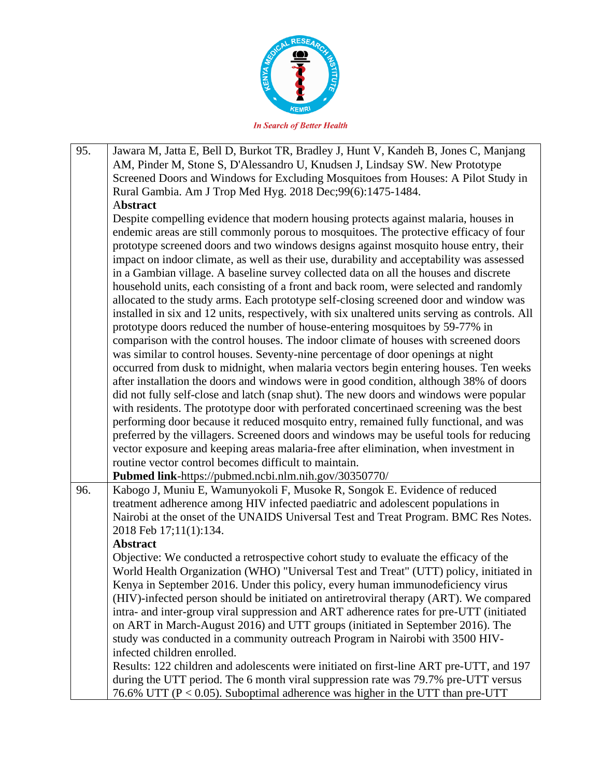

| 95. | Jawara M, Jatta E, Bell D, Burkot TR, Bradley J, Hunt V, Kandeh B, Jones C, Manjang<br>AM, Pinder M, Stone S, D'Alessandro U, Knudsen J, Lindsay SW. New Prototype<br>Screened Doors and Windows for Excluding Mosquitoes from Houses: A Pilot Study in<br>Rural Gambia. Am J Trop Med Hyg. 2018 Dec;99(6):1475-1484.                                                                                                                                                                                                                                                                                                                                                                                                                                                                                                                                                                                                                                                                                                                                                                                                                                                                                                                                                                                                                                                                                                                                                                                                                                                                                                                                                                                                                      |
|-----|--------------------------------------------------------------------------------------------------------------------------------------------------------------------------------------------------------------------------------------------------------------------------------------------------------------------------------------------------------------------------------------------------------------------------------------------------------------------------------------------------------------------------------------------------------------------------------------------------------------------------------------------------------------------------------------------------------------------------------------------------------------------------------------------------------------------------------------------------------------------------------------------------------------------------------------------------------------------------------------------------------------------------------------------------------------------------------------------------------------------------------------------------------------------------------------------------------------------------------------------------------------------------------------------------------------------------------------------------------------------------------------------------------------------------------------------------------------------------------------------------------------------------------------------------------------------------------------------------------------------------------------------------------------------------------------------------------------------------------------------|
|     | <b>Abstract</b><br>Despite compelling evidence that modern housing protects against malaria, houses in<br>endemic areas are still commonly porous to mosquitoes. The protective efficacy of four<br>prototype screened doors and two windows designs against mosquito house entry, their<br>impact on indoor climate, as well as their use, durability and acceptability was assessed<br>in a Gambian village. A baseline survey collected data on all the houses and discrete<br>household units, each consisting of a front and back room, were selected and randomly<br>allocated to the study arms. Each prototype self-closing screened door and window was<br>installed in six and 12 units, respectively, with six unaltered units serving as controls. All<br>prototype doors reduced the number of house-entering mosquitoes by 59-77% in<br>comparison with the control houses. The indoor climate of houses with screened doors<br>was similar to control houses. Seventy-nine percentage of door openings at night<br>occurred from dusk to midnight, when malaria vectors begin entering houses. Ten weeks<br>after installation the doors and windows were in good condition, although 38% of doors<br>did not fully self-close and latch (snap shut). The new doors and windows were popular<br>with residents. The prototype door with perforated concertinaed screening was the best<br>performing door because it reduced mosquito entry, remained fully functional, and was<br>preferred by the villagers. Screened doors and windows may be useful tools for reducing<br>vector exposure and keeping areas malaria-free after elimination, when investment in<br>routine vector control becomes difficult to maintain. |
|     | Pubmed link-https://pubmed.ncbi.nlm.nih.gov/30350770/                                                                                                                                                                                                                                                                                                                                                                                                                                                                                                                                                                                                                                                                                                                                                                                                                                                                                                                                                                                                                                                                                                                                                                                                                                                                                                                                                                                                                                                                                                                                                                                                                                                                                      |
| 96. | Kabogo J, Muniu E, Wamunyokoli F, Musoke R, Songok E. Evidence of reduced<br>treatment adherence among HIV infected paediatric and adolescent populations in<br>Nairobi at the onset of the UNAIDS Universal Test and Treat Program. BMC Res Notes.<br>2018 Feb 17;11(1):134.<br><b>Abstract</b>                                                                                                                                                                                                                                                                                                                                                                                                                                                                                                                                                                                                                                                                                                                                                                                                                                                                                                                                                                                                                                                                                                                                                                                                                                                                                                                                                                                                                                           |
|     | Objective: We conducted a retrospective cohort study to evaluate the efficacy of the                                                                                                                                                                                                                                                                                                                                                                                                                                                                                                                                                                                                                                                                                                                                                                                                                                                                                                                                                                                                                                                                                                                                                                                                                                                                                                                                                                                                                                                                                                                                                                                                                                                       |
|     | World Health Organization (WHO) "Universal Test and Treat" (UTT) policy, initiated in<br>Kenya in September 2016. Under this policy, every human immunodeficiency virus<br>(HIV)-infected person should be initiated on antiretroviral therapy (ART). We compared<br>intra- and inter-group viral suppression and ART adherence rates for pre-UTT (initiated<br>on ART in March-August 2016) and UTT groups (initiated in September 2016). The<br>study was conducted in a community outreach Program in Nairobi with 3500 HIV-<br>infected children enrolled.                                                                                                                                                                                                                                                                                                                                                                                                                                                                                                                                                                                                                                                                                                                                                                                                                                                                                                                                                                                                                                                                                                                                                                             |
|     | Results: 122 children and adolescents were initiated on first-line ART pre-UTT, and 197<br>during the UTT period. The 6 month viral suppression rate was 79.7% pre-UTT versus<br>76.6% UTT ( $P < 0.05$ ). Suboptimal adherence was higher in the UTT than pre-UTT                                                                                                                                                                                                                                                                                                                                                                                                                                                                                                                                                                                                                                                                                                                                                                                                                                                                                                                                                                                                                                                                                                                                                                                                                                                                                                                                                                                                                                                                         |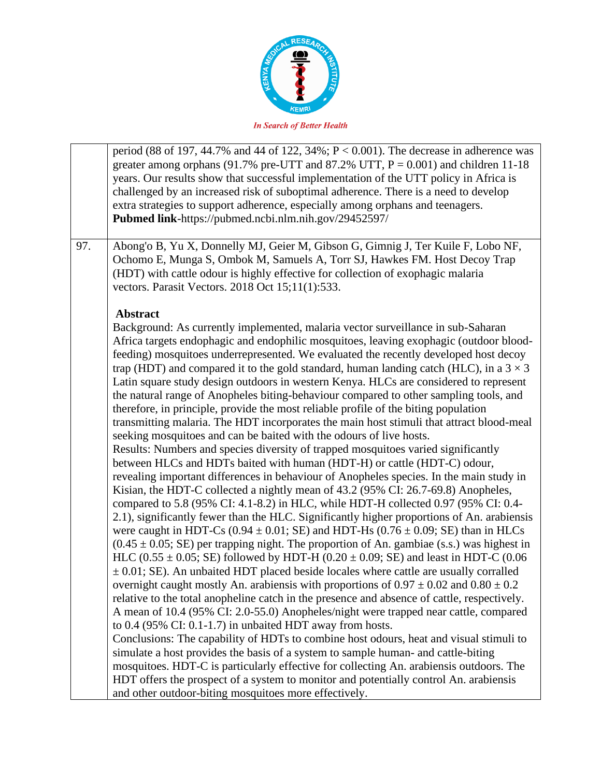

|     | period (88 of 197, 44.7% and 44 of 122, 34%; $P < 0.001$ ). The decrease in adherence was                                                                                               |
|-----|-----------------------------------------------------------------------------------------------------------------------------------------------------------------------------------------|
|     | greater among orphans (91.7% pre-UTT and 87.2% UTT, $P = 0.001$ ) and children 11-18                                                                                                    |
|     | years. Our results show that successful implementation of the UTT policy in Africa is                                                                                                   |
|     | challenged by an increased risk of suboptimal adherence. There is a need to develop<br>extra strategies to support adherence, especially among orphans and teenagers.                   |
|     | Pubmed link-https://pubmed.ncbi.nlm.nih.gov/29452597/                                                                                                                                   |
|     |                                                                                                                                                                                         |
| 97. | Abong'o B, Yu X, Donnelly MJ, Geier M, Gibson G, Gimnig J, Ter Kuile F, Lobo NF,<br>Ochomo E, Munga S, Ombok M, Samuels A, Torr SJ, Hawkes FM. Host Decoy Trap                          |
|     | (HDT) with cattle odour is highly effective for collection of exophagic malaria<br>vectors. Parasit Vectors. 2018 Oct 15;11(1):533.                                                     |
|     |                                                                                                                                                                                         |
|     | Abstract                                                                                                                                                                                |
|     | Background: As currently implemented, malaria vector surveillance in sub-Saharan                                                                                                        |
|     | Africa targets endophagic and endophilic mosquitoes, leaving exophagic (outdoor blood-                                                                                                  |
|     | feeding) mosquitoes underrepresented. We evaluated the recently developed host decoy                                                                                                    |
|     | trap (HDT) and compared it to the gold standard, human landing catch (HLC), in a $3 \times 3$                                                                                           |
|     | Latin square study design outdoors in western Kenya. HLCs are considered to represent<br>the natural range of Anopheles biting-behaviour compared to other sampling tools, and          |
|     | therefore, in principle, provide the most reliable profile of the biting population                                                                                                     |
|     | transmitting malaria. The HDT incorporates the main host stimuli that attract blood-meal                                                                                                |
|     | seeking mosquitoes and can be baited with the odours of live hosts.                                                                                                                     |
|     | Results: Numbers and species diversity of trapped mosquitoes varied significantly                                                                                                       |
|     | between HLCs and HDTs baited with human (HDT-H) or cattle (HDT-C) odour,                                                                                                                |
|     | revealing important differences in behaviour of Anopheles species. In the main study in                                                                                                 |
|     | Kisian, the HDT-C collected a nightly mean of 43.2 (95% CI: 26.7-69.8) Anopheles,                                                                                                       |
|     | compared to 5.8 (95% CI: 4.1-8.2) in HLC, while HDT-H collected 0.97 (95% CI: 0.4-                                                                                                      |
|     | 2.1), significantly fewer than the HLC. Significantly higher proportions of An. arabiensis<br>were caught in HDT-Cs (0.94 $\pm$ 0.01; SE) and HDT-Hs (0.76 $\pm$ 0.09; SE) than in HLCs |
|     | $(0.45 \pm 0.05; SE)$ per trapping night. The proportion of An. gambiae (s.s.) was highest in                                                                                           |
|     | HLC (0.55 $\pm$ 0.05; SE) followed by HDT-H (0.20 $\pm$ 0.09; SE) and least in HDT-C (0.06                                                                                              |
|     | $\pm$ 0.01; SE). An unbaited HDT placed beside locales where cattle are usually corralled                                                                                               |
|     | overnight caught mostly An. arabiensis with proportions of $0.97 \pm 0.02$ and $0.80 \pm 0.2$                                                                                           |
|     | relative to the total anopheline catch in the presence and absence of cattle, respectively.                                                                                             |
|     | A mean of 10.4 (95% CI: 2.0-55.0) Anopheles/night were trapped near cattle, compared<br>to $0.4$ (95% CI: $0.1$ -1.7) in unbaited HDT away from hosts.                                  |
|     | Conclusions: The capability of HDTs to combine host odours, heat and visual stimuli to                                                                                                  |
|     | simulate a host provides the basis of a system to sample human- and cattle-biting                                                                                                       |
|     | mosquitoes. HDT-C is particularly effective for collecting An. arabiensis outdoors. The                                                                                                 |
|     | HDT offers the prospect of a system to monitor and potentially control An. arabiensis                                                                                                   |
|     | and other outdoor-biting mosquitoes more effectively.                                                                                                                                   |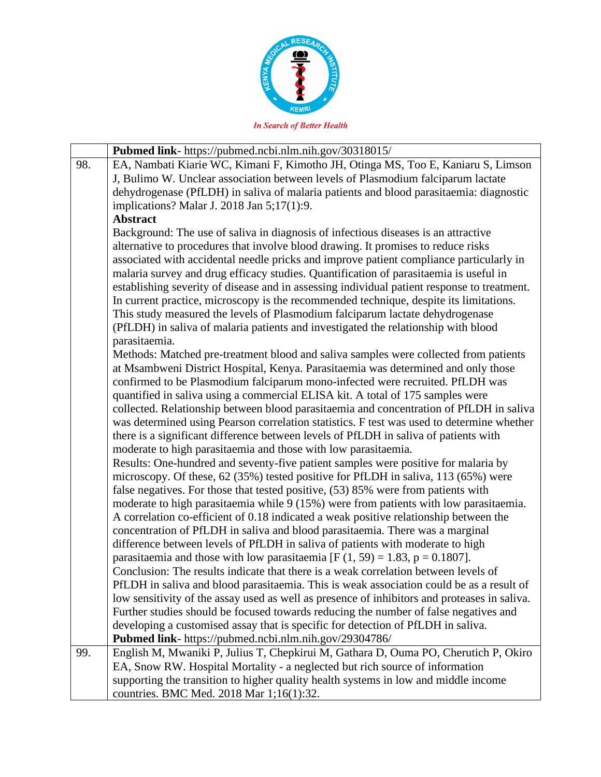

|     | Pubmed link- https://pubmed.ncbi.nlm.nih.gov/30318015/                                                                                                                   |
|-----|--------------------------------------------------------------------------------------------------------------------------------------------------------------------------|
| 98. | EA, Nambati Kiarie WC, Kimani F, Kimotho JH, Otinga MS, Too E, Kaniaru S, Limson                                                                                         |
|     | J, Bulimo W. Unclear association between levels of Plasmodium falciparum lactate                                                                                         |
|     | dehydrogenase (PfLDH) in saliva of malaria patients and blood parasitaemia: diagnostic                                                                                   |
|     | implications? Malar J. 2018 Jan 5;17(1):9.                                                                                                                               |
|     | <b>Abstract</b>                                                                                                                                                          |
|     | Background: The use of saliva in diagnosis of infectious diseases is an attractive                                                                                       |
|     | alternative to procedures that involve blood drawing. It promises to reduce risks                                                                                        |
|     | associated with accidental needle pricks and improve patient compliance particularly in                                                                                  |
|     | malaria survey and drug efficacy studies. Quantification of parasitaemia is useful in                                                                                    |
|     | establishing severity of disease and in assessing individual patient response to treatment.                                                                              |
|     | In current practice, microscopy is the recommended technique, despite its limitations.                                                                                   |
|     | This study measured the levels of Plasmodium falciparum lactate dehydrogenase                                                                                            |
|     | (PfLDH) in saliva of malaria patients and investigated the relationship with blood                                                                                       |
|     | parasitaemia.                                                                                                                                                            |
|     | Methods: Matched pre-treatment blood and saliva samples were collected from patients                                                                                     |
|     | at Msambweni District Hospital, Kenya. Parasitaemia was determined and only those                                                                                        |
|     | confirmed to be Plasmodium falciparum mono-infected were recruited. PfLDH was                                                                                            |
|     | quantified in saliva using a commercial ELISA kit. A total of 175 samples were                                                                                           |
|     | collected. Relationship between blood parasitaemia and concentration of PfLDH in saliva                                                                                  |
|     | was determined using Pearson correlation statistics. F test was used to determine whether                                                                                |
|     | there is a significant difference between levels of PfLDH in saliva of patients with                                                                                     |
|     | moderate to high parasitaemia and those with low parasitaemia.                                                                                                           |
|     | Results: One-hundred and seventy-five patient samples were positive for malaria by<br>microscopy. Of these, 62 (35%) tested positive for PfLDH in saliva, 113 (65%) were |
|     | false negatives. For those that tested positive, (53) 85% were from patients with                                                                                        |
|     | moderate to high parasitaemia while 9 (15%) were from patients with low parasitaemia.                                                                                    |
|     | A correlation co-efficient of 0.18 indicated a weak positive relationship between the                                                                                    |
|     | concentration of PfLDH in saliva and blood parasitaemia. There was a marginal                                                                                            |
|     | difference between levels of PfLDH in saliva of patients with moderate to high                                                                                           |
|     | parasitaemia and those with low parasitaemia [F $(1, 59) = 1.83$ , p = 0.1807].                                                                                          |
|     | Conclusion: The results indicate that there is a weak correlation between levels of                                                                                      |
|     | PfLDH in saliva and blood parasitaemia. This is weak association could be as a result of                                                                                 |
|     | low sensitivity of the assay used as well as presence of inhibitors and proteases in saliva.                                                                             |
|     | Further studies should be focused towards reducing the number of false negatives and                                                                                     |
|     | developing a customised assay that is specific for detection of PfLDH in saliva.                                                                                         |
|     | Pubmed link- https://pubmed.ncbi.nlm.nih.gov/29304786/                                                                                                                   |
| 99. | English M, Mwaniki P, Julius T, Chepkirui M, Gathara D, Ouma PO, Cherutich P, Okiro                                                                                      |
|     | EA, Snow RW. Hospital Mortality - a neglected but rich source of information                                                                                             |
|     | supporting the transition to higher quality health systems in low and middle income                                                                                      |
|     | countries. BMC Med. 2018 Mar 1;16(1):32.                                                                                                                                 |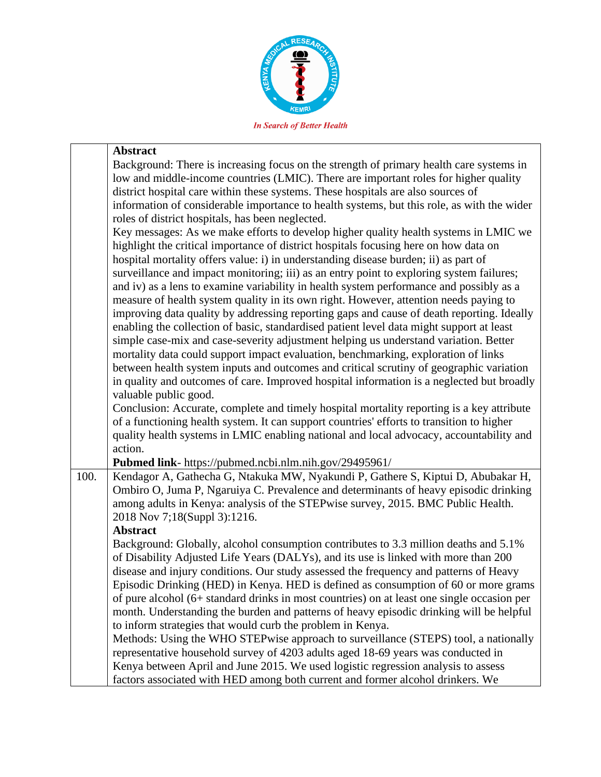

|      | <b>Abstract</b>                                                                            |
|------|--------------------------------------------------------------------------------------------|
|      | Background: There is increasing focus on the strength of primary health care systems in    |
|      | low and middle-income countries (LMIC). There are important roles for higher quality       |
|      | district hospital care within these systems. These hospitals are also sources of           |
|      | information of considerable importance to health systems, but this role, as with the wider |
|      | roles of district hospitals, has been neglected.                                           |
|      | Key messages: As we make efforts to develop higher quality health systems in LMIC we       |
|      | highlight the critical importance of district hospitals focusing here on how data on       |
|      | hospital mortality offers value: i) in understanding disease burden; ii) as part of        |
|      | surveillance and impact monitoring; iii) as an entry point to exploring system failures;   |
|      | and iv) as a lens to examine variability in health system performance and possibly as a    |
|      | measure of health system quality in its own right. However, attention needs paying to      |
|      | improving data quality by addressing reporting gaps and cause of death reporting. Ideally  |
|      | enabling the collection of basic, standardised patient level data might support at least   |
|      | simple case-mix and case-severity adjustment helping us understand variation. Better       |
|      | mortality data could support impact evaluation, benchmarking, exploration of links         |
|      | between health system inputs and outcomes and critical scrutiny of geographic variation    |
|      | in quality and outcomes of care. Improved hospital information is a neglected but broadly  |
|      | valuable public good.                                                                      |
|      | Conclusion: Accurate, complete and timely hospital mortality reporting is a key attribute  |
|      | of a functioning health system. It can support countries' efforts to transition to higher  |
|      | quality health systems in LMIC enabling national and local advocacy, accountability and    |
|      | action.                                                                                    |
|      | Pubmed link- https://pubmed.ncbi.nlm.nih.gov/29495961/                                     |
| 100. | Kendagor A, Gathecha G, Ntakuka MW, Nyakundi P, Gathere S, Kiptui D, Abubakar H,           |
|      | Ombiro O, Juma P, Ngaruiya C. Prevalence and determinants of heavy episodic drinking       |
|      | among adults in Kenya: analysis of the STEPwise survey, 2015. BMC Public Health.           |
|      | 2018 Nov 7;18(Suppl 3):1216.                                                               |
|      | <b>Abstract</b>                                                                            |
|      | Background: Globally, alcohol consumption contributes to 3.3 million deaths and 5.1%       |
|      | of Disability Adjusted Life Years (DALYs), and its use is linked with more than 200        |
|      | disease and injury conditions. Our study assessed the frequency and patterns of Heavy      |
|      | Episodic Drinking (HED) in Kenya. HED is defined as consumption of 60 or more grams        |
|      | of pure alcohol (6+ standard drinks in most countries) on at least one single occasion per |
|      | month. Understanding the burden and patterns of heavy episodic drinking will be helpful    |
|      | to inform strategies that would curb the problem in Kenya.                                 |
|      | Methods: Using the WHO STEPwise approach to surveillance (STEPS) tool, a nationally        |
|      | representative household survey of 4203 adults aged 18-69 years was conducted in           |
|      | Kenya between April and June 2015. We used logistic regression analysis to assess          |
|      | factors associated with HED among both current and former alcohol drinkers. We             |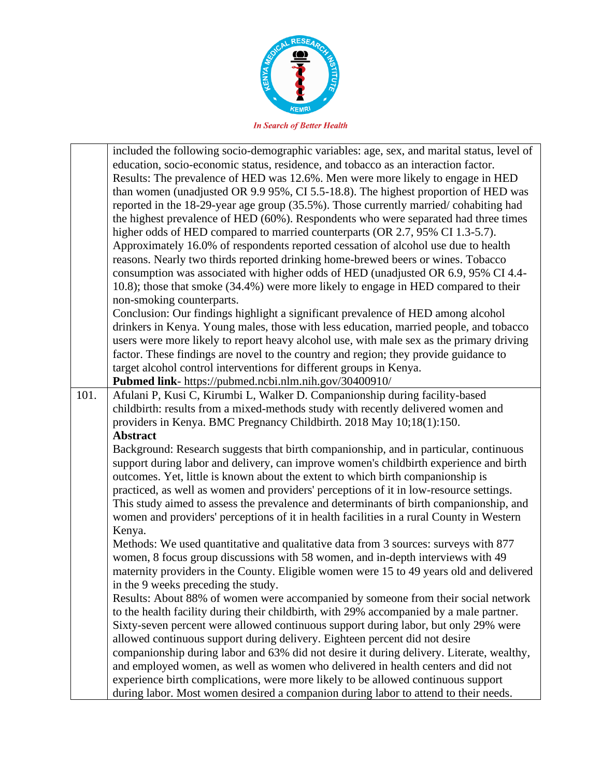

|      | included the following socio-demographic variables: age, sex, and marital status, level of<br>education, socio-economic status, residence, and tobacco as an interaction factor. |
|------|----------------------------------------------------------------------------------------------------------------------------------------------------------------------------------|
|      | Results: The prevalence of HED was 12.6%. Men were more likely to engage in HED                                                                                                  |
|      | than women (unadjusted OR 9.9 95%, CI 5.5-18.8). The highest proportion of HED was                                                                                               |
|      | reported in the 18-29-year age group (35.5%). Those currently married/cohabiting had                                                                                             |
|      | the highest prevalence of HED (60%). Respondents who were separated had three times                                                                                              |
|      | higher odds of HED compared to married counterparts (OR 2.7, 95% CI 1.3-5.7).                                                                                                    |
|      | Approximately 16.0% of respondents reported cessation of alcohol use due to health                                                                                               |
|      | reasons. Nearly two thirds reported drinking home-brewed beers or wines. Tobacco                                                                                                 |
|      | consumption was associated with higher odds of HED (unadjusted OR 6.9, 95% CI 4.4-                                                                                               |
|      | 10.8); those that smoke (34.4%) were more likely to engage in HED compared to their                                                                                              |
|      | non-smoking counterparts.                                                                                                                                                        |
|      | Conclusion: Our findings highlight a significant prevalence of HED among alcohol                                                                                                 |
|      | drinkers in Kenya. Young males, those with less education, married people, and tobacco                                                                                           |
|      | users were more likely to report heavy alcohol use, with male sex as the primary driving                                                                                         |
|      | factor. These findings are novel to the country and region; they provide guidance to                                                                                             |
|      | target alcohol control interventions for different groups in Kenya.                                                                                                              |
|      | Pubmed link- https://pubmed.ncbi.nlm.nih.gov/30400910/                                                                                                                           |
| 101. | Afulani P, Kusi C, Kirumbi L, Walker D. Companionship during facility-based                                                                                                      |
|      | childbirth: results from a mixed-methods study with recently delivered women and                                                                                                 |
|      | providers in Kenya. BMC Pregnancy Childbirth. 2018 May 10;18(1):150.                                                                                                             |
|      | <b>Abstract</b>                                                                                                                                                                  |
|      | Background: Research suggests that birth companionship, and in particular, continuous                                                                                            |
|      | support during labor and delivery, can improve women's childbirth experience and birth                                                                                           |
|      | outcomes. Yet, little is known about the extent to which birth companionship is                                                                                                  |
|      | practiced, as well as women and providers' perceptions of it in low-resource settings.                                                                                           |
|      | This study aimed to assess the prevalence and determinants of birth companionship, and                                                                                           |
|      | women and providers' perceptions of it in health facilities in a rural County in Western                                                                                         |
|      | Kenya.                                                                                                                                                                           |
|      | Methods: We used quantitative and qualitative data from 3 sources: surveys with 877                                                                                              |
|      | women, 8 focus group discussions with 58 women, and in-depth interviews with 49                                                                                                  |
|      | maternity providers in the County. Eligible women were 15 to 49 years old and delivered                                                                                          |
|      | in the 9 weeks preceding the study.                                                                                                                                              |
|      | Results: About 88% of women were accompanied by someone from their social network                                                                                                |
|      | to the health facility during their childbirth, with 29% accompanied by a male partner.                                                                                          |
|      | Sixty-seven percent were allowed continuous support during labor, but only 29% were                                                                                              |
|      | allowed continuous support during delivery. Eighteen percent did not desire                                                                                                      |
|      | companionship during labor and 63% did not desire it during delivery. Literate, wealthy,                                                                                         |
|      | and employed women, as well as women who delivered in health centers and did not                                                                                                 |
|      | experience birth complications, were more likely to be allowed continuous support                                                                                                |
|      | during labor. Most women desired a companion during labor to attend to their needs.                                                                                              |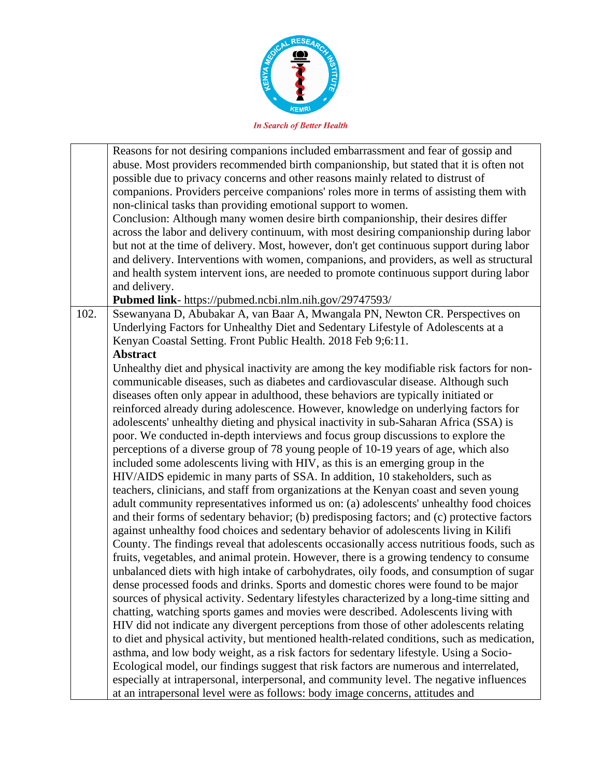

|      | Reasons for not desiring companions included embarrassment and fear of gossip and           |
|------|---------------------------------------------------------------------------------------------|
|      | abuse. Most providers recommended birth companionship, but stated that it is often not      |
|      | possible due to privacy concerns and other reasons mainly related to distrust of            |
|      | companions. Providers perceive companions' roles more in terms of assisting them with       |
|      | non-clinical tasks than providing emotional support to women.                               |
|      | Conclusion: Although many women desire birth companionship, their desires differ            |
|      | across the labor and delivery continuum, with most desiring companionship during labor      |
|      | but not at the time of delivery. Most, however, don't get continuous support during labor   |
|      | and delivery. Interventions with women, companions, and providers, as well as structural    |
|      | and health system intervent ions, are needed to promote continuous support during labor     |
|      | and delivery.                                                                               |
|      | Pubmed link- https://pubmed.ncbi.nlm.nih.gov/29747593/                                      |
| 102. | Ssewanyana D, Abubakar A, van Baar A, Mwangala PN, Newton CR. Perspectives on               |
|      | Underlying Factors for Unhealthy Diet and Sedentary Lifestyle of Adolescents at a           |
|      | Kenyan Coastal Setting. Front Public Health. 2018 Feb 9;6:11.                               |
|      | <b>Abstract</b>                                                                             |
|      | Unhealthy diet and physical inactivity are among the key modifiable risk factors for non-   |
|      | communicable diseases, such as diabetes and cardiovascular disease. Although such           |
|      | diseases often only appear in adulthood, these behaviors are typically initiated or         |
|      | reinforced already during adolescence. However, knowledge on underlying factors for         |
|      | adolescents' unhealthy dieting and physical inactivity in sub-Saharan Africa (SSA) is       |
|      | poor. We conducted in-depth interviews and focus group discussions to explore the           |
|      | perceptions of a diverse group of 78 young people of 10-19 years of age, which also         |
|      | included some adolescents living with HIV, as this is an emerging group in the              |
|      | HIV/AIDS epidemic in many parts of SSA. In addition, 10 stakeholders, such as               |
|      |                                                                                             |
|      | teachers, clinicians, and staff from organizations at the Kenyan coast and seven young      |
|      | adult community representatives informed us on: (a) adolescents' unhealthy food choices     |
|      | and their forms of sedentary behavior; (b) predisposing factors; and (c) protective factors |
|      | against unhealthy food choices and sedentary behavior of adolescents living in Kilifi       |
|      | County. The findings reveal that adolescents occasionally access nutritious foods, such as  |
|      | fruits, vegetables, and animal protein. However, there is a growing tendency to consume     |
|      | unbalanced diets with high intake of carbohydrates, oily foods, and consumption of sugar    |
|      | dense processed foods and drinks. Sports and domestic chores were found to be major         |
|      | sources of physical activity. Sedentary lifestyles characterized by a long-time sitting and |
|      | chatting, watching sports games and movies were described. Adolescents living with          |
|      | HIV did not indicate any divergent perceptions from those of other adolescents relating     |
|      | to diet and physical activity, but mentioned health-related conditions, such as medication, |
|      | asthma, and low body weight, as a risk factors for sedentary lifestyle. Using a Socio-      |
|      | Ecological model, our findings suggest that risk factors are numerous and interrelated,     |
|      | especially at intrapersonal, interpersonal, and community level. The negative influences    |
|      | at an intrapersonal level were as follows: body image concerns, attitudes and               |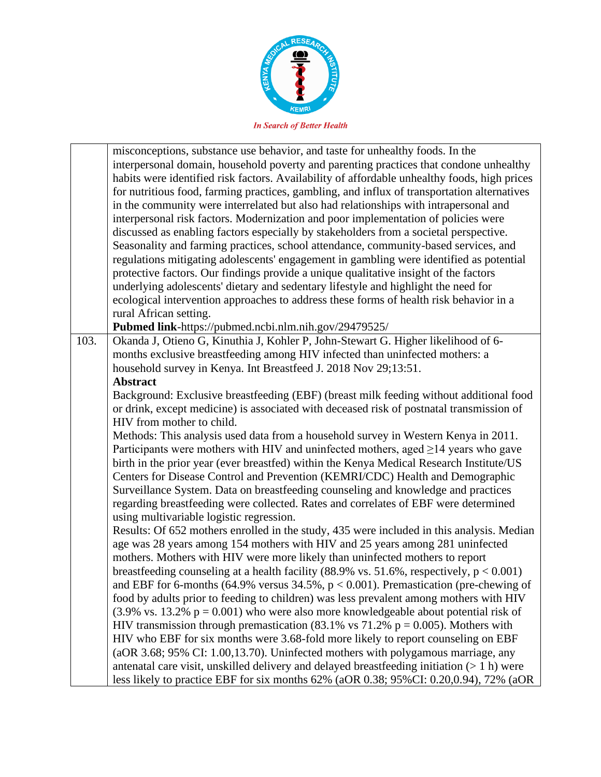

|      | misconceptions, substance use behavior, and taste for unhealthy foods. In the                            |
|------|----------------------------------------------------------------------------------------------------------|
|      | interpersonal domain, household poverty and parenting practices that condone unhealthy                   |
|      | habits were identified risk factors. Availability of affordable unhealthy foods, high prices             |
|      | for nutritious food, farming practices, gambling, and influx of transportation alternatives              |
|      | in the community were interrelated but also had relationships with intrapersonal and                     |
|      | interpersonal risk factors. Modernization and poor implementation of policies were                       |
|      | discussed as enabling factors especially by stakeholders from a societal perspective.                    |
|      | Seasonality and farming practices, school attendance, community-based services, and                      |
|      |                                                                                                          |
|      | regulations mitigating adolescents' engagement in gambling were identified as potential                  |
|      | protective factors. Our findings provide a unique qualitative insight of the factors                     |
|      | underlying adolescents' dietary and sedentary lifestyle and highlight the need for                       |
|      | ecological intervention approaches to address these forms of health risk behavior in a                   |
|      | rural African setting.                                                                                   |
|      | Pubmed link-https://pubmed.ncbi.nlm.nih.gov/29479525/                                                    |
| 103. | Okanda J, Otieno G, Kinuthia J, Kohler P, John-Stewart G. Higher likelihood of 6-                        |
|      | months exclusive breastfeeding among HIV infected than uninfected mothers: a                             |
|      | household survey in Kenya. Int Breastfeed J. 2018 Nov 29;13:51.                                          |
|      | <b>Abstract</b>                                                                                          |
|      | Background: Exclusive breastfeeding (EBF) (breast milk feeding without additional food                   |
|      | or drink, except medicine) is associated with deceased risk of postnatal transmission of                 |
|      | HIV from mother to child.                                                                                |
|      | Methods: This analysis used data from a household survey in Western Kenya in 2011.                       |
|      | Participants were mothers with HIV and uninfected mothers, aged $\geq$ 14 years who gave                 |
|      | birth in the prior year (ever breastfed) within the Kenya Medical Research Institute/US                  |
|      | Centers for Disease Control and Prevention (KEMRI/CDC) Health and Demographic                            |
|      | Surveillance System. Data on breastfeeding counseling and knowledge and practices                        |
|      | regarding breastfeeding were collected. Rates and correlates of EBF were determined                      |
|      | using multivariable logistic regression.                                                                 |
|      | Results: Of 652 mothers enrolled in the study, 435 were included in this analysis. Median                |
|      | age was 28 years among 154 mothers with HIV and 25 years among 281 uninfected                            |
|      | mothers. Mothers with HIV were more likely than uninfected mothers to report                             |
|      |                                                                                                          |
|      | breastfeeding counseling at a health facility (88.9% vs. 51.6%, respectively, $p < 0.001$ )              |
|      | and EBF for 6-months (64.9% versus $34.5\%$ , $p < 0.001$ ). Premastication (pre-chewing of              |
|      | food by adults prior to feeding to children) was less prevalent among mothers with HIV                   |
|      | $(3.9\% \text{ vs. } 13.2\% \text{ p} = 0.001)$ who were also more knowledgeable about potential risk of |
|      | HIV transmission through premastication (83.1% vs 71.2% $p = 0.005$ ). Mothers with                      |
|      | HIV who EBF for six months were 3.68-fold more likely to report counseling on EBF                        |
|      | (aOR 3.68; 95% CI: 1.00,13.70). Uninfected mothers with polygamous marriage, any                         |
|      | antenatal care visit, unskilled delivery and delayed breastfeeding initiation $($ > 1 h) were            |
|      | less likely to practice EBF for six months 62% (aOR 0.38; 95%CI: 0.20,0.94), 72% (aOR                    |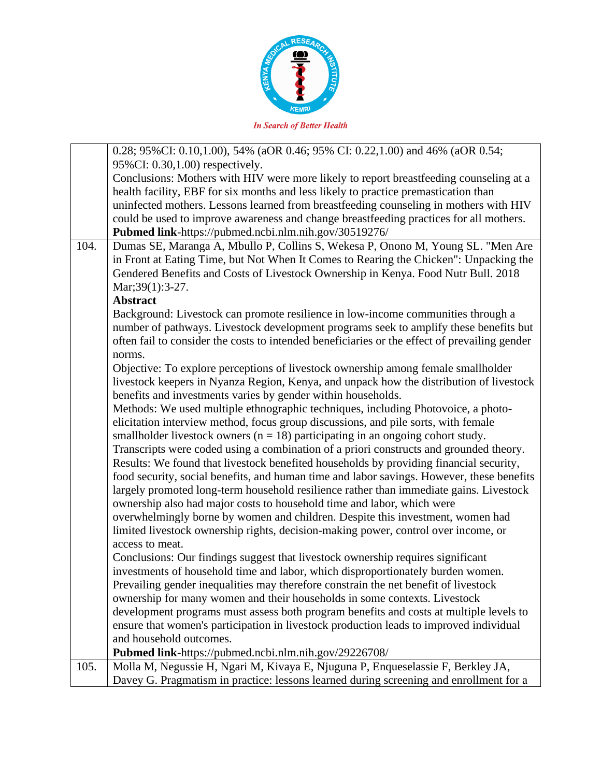

|      | 0.28; 95%CI: 0.10,1.00), 54% (aOR 0.46; 95% CI: 0.22,1.00) and 46% (aOR 0.54;                 |
|------|-----------------------------------------------------------------------------------------------|
|      | 95% CI: 0.30, 1.00) respectively.                                                             |
|      | Conclusions: Mothers with HIV were more likely to report breastfeeding counseling at a        |
|      | health facility, EBF for six months and less likely to practice premastication than           |
|      | uninfected mothers. Lessons learned from breastfeeding counseling in mothers with HIV         |
|      | could be used to improve awareness and change breastfeeding practices for all mothers.        |
|      | Pubmed link-https://pubmed.ncbi.nlm.nih.gov/30519276/                                         |
| 104. | Dumas SE, Maranga A, Mbullo P, Collins S, Wekesa P, Onono M, Young SL. "Men Are               |
|      | in Front at Eating Time, but Not When It Comes to Rearing the Chicken": Unpacking the         |
|      | Gendered Benefits and Costs of Livestock Ownership in Kenya. Food Nutr Bull. 2018             |
|      | Mar;39(1):3-27.                                                                               |
|      | <b>Abstract</b>                                                                               |
|      | Background: Livestock can promote resilience in low-income communities through a              |
|      | number of pathways. Livestock development programs seek to amplify these benefits but         |
|      | often fail to consider the costs to intended beneficiaries or the effect of prevailing gender |
|      | norms.                                                                                        |
|      | Objective: To explore perceptions of livestock ownership among female smallholder             |
|      | livestock keepers in Nyanza Region, Kenya, and unpack how the distribution of livestock       |
|      | benefits and investments varies by gender within households.                                  |
|      | Methods: We used multiple ethnographic techniques, including Photovoice, a photo-             |
|      | elicitation interview method, focus group discussions, and pile sorts, with female            |
|      | smallholder livestock owners ( $n = 18$ ) participating in an ongoing cohort study.           |
|      | Transcripts were coded using a combination of a priori constructs and grounded theory.        |
|      | Results: We found that livestock benefited households by providing financial security,        |
|      |                                                                                               |
|      | food security, social benefits, and human time and labor savings. However, these benefits     |
|      | largely promoted long-term household resilience rather than immediate gains. Livestock        |
|      | ownership also had major costs to household time and labor, which were                        |
|      | overwhelmingly borne by women and children. Despite this investment, women had                |
|      | limited livestock ownership rights, decision-making power, control over income, or            |
|      | access to meat.                                                                               |
|      | Conclusions: Our findings suggest that livestock ownership requires significant               |
|      | investments of household time and labor, which disproportionately burden women.               |
|      | Prevailing gender inequalities may therefore constrain the net benefit of livestock           |
|      | ownership for many women and their households in some contexts. Livestock                     |
|      | development programs must assess both program benefits and costs at multiple levels to        |
|      | ensure that women's participation in livestock production leads to improved individual        |
|      | and household outcomes.                                                                       |
|      | Pubmed link-https://pubmed.ncbi.nlm.nih.gov/29226708/                                         |
| 105. | Molla M, Negussie H, Ngari M, Kivaya E, Njuguna P, Enqueselassie F, Berkley JA,               |
|      | Davey G. Pragmatism in practice: lessons learned during screening and enrollment for a        |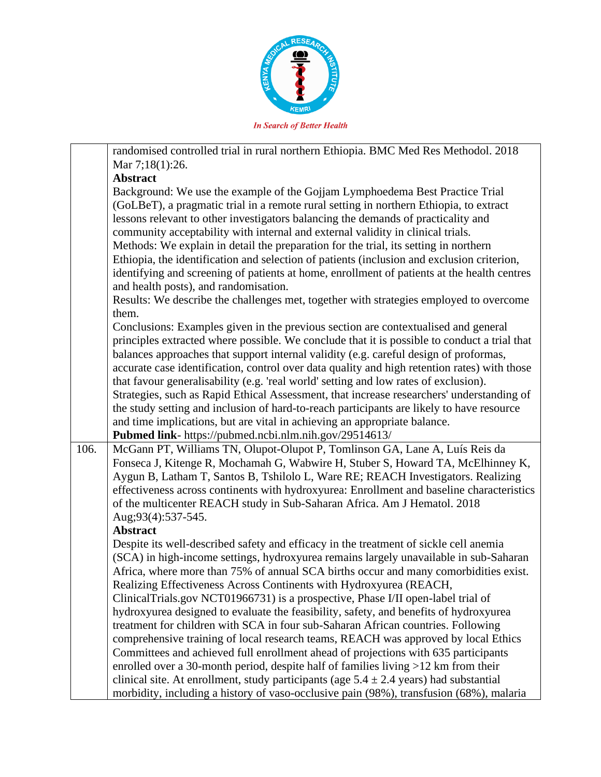

|      | randomised controlled trial in rural northern Ethiopia. BMC Med Res Methodol. 2018           |
|------|----------------------------------------------------------------------------------------------|
|      | Mar 7;18(1):26.                                                                              |
|      | <b>Abstract</b>                                                                              |
|      | Background: We use the example of the Gojjam Lymphoedema Best Practice Trial                 |
|      | (GoLBeT), a pragmatic trial in a remote rural setting in northern Ethiopia, to extract       |
|      | lessons relevant to other investigators balancing the demands of practicality and            |
|      | community acceptability with internal and external validity in clinical trials.              |
|      | Methods: We explain in detail the preparation for the trial, its setting in northern         |
|      | Ethiopia, the identification and selection of patients (inclusion and exclusion criterion,   |
|      | identifying and screening of patients at home, enrollment of patients at the health centres  |
|      | and health posts), and randomisation.                                                        |
|      | Results: We describe the challenges met, together with strategies employed to overcome       |
|      | them.                                                                                        |
|      | Conclusions: Examples given in the previous section are contextualised and general           |
|      | principles extracted where possible. We conclude that it is possible to conduct a trial that |
|      | balances approaches that support internal validity (e.g. careful design of proformas,        |
|      | accurate case identification, control over data quality and high retention rates) with those |
|      | that favour generalisability (e.g. 'real world' setting and low rates of exclusion).         |
|      | Strategies, such as Rapid Ethical Assessment, that increase researchers' understanding of    |
|      | the study setting and inclusion of hard-to-reach participants are likely to have resource    |
|      | and time implications, but are vital in achieving an appropriate balance.                    |
|      | Pubmed link- https://pubmed.ncbi.nlm.nih.gov/29514613/                                       |
| 106. | McGann PT, Williams TN, Olupot-Olupot P, Tomlinson GA, Lane A, Luís Reis da                  |
|      | Fonseca J, Kitenge R, Mochamah G, Wabwire H, Stuber S, Howard TA, McElhinney K,              |
|      | Aygun B, Latham T, Santos B, Tshilolo L, Ware RE; REACH Investigators. Realizing             |
|      | effectiveness across continents with hydroxyurea: Enrollment and baseline characteristics    |
|      | of the multicenter REACH study in Sub-Saharan Africa. Am J Hematol. 2018                     |
|      | Aug;93(4):537-545.                                                                           |
|      | <b>Abstract</b>                                                                              |
|      | Despite its well-described safety and efficacy in the treatment of sickle cell anemia        |
|      | (SCA) in high-income settings, hydroxyurea remains largely unavailable in sub-Saharan        |
|      | Africa, where more than 75% of annual SCA births occur and many comorbidities exist.         |
|      | Realizing Effectiveness Across Continents with Hydroxyurea (REACH,                           |
|      | ClinicalTrials.gov NCT01966731) is a prospective, Phase I/II open-label trial of             |
|      | hydroxyurea designed to evaluate the feasibility, safety, and benefits of hydroxyurea        |
|      | treatment for children with SCA in four sub-Saharan African countries. Following             |
|      | comprehensive training of local research teams, REACH was approved by local Ethics           |
|      | Committees and achieved full enrollment ahead of projections with 635 participants           |
|      | enrolled over a 30-month period, despite half of families living >12 km from their           |
|      | clinical site. At enrollment, study participants (age $5.4 \pm 2.4$ years) had substantial   |
|      | morbidity, including a history of vaso-occlusive pain (98%), transfusion (68%), malaria      |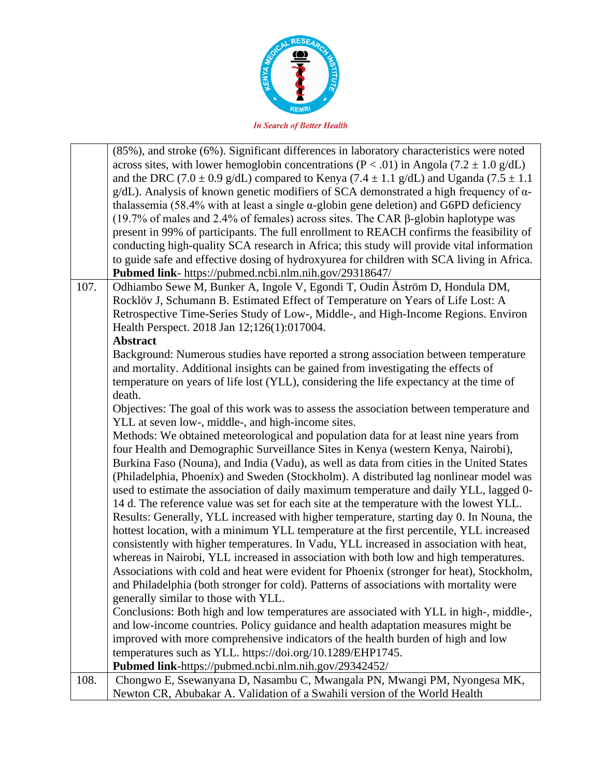

|      | (85%), and stroke (6%). Significant differences in laboratory characteristics were noted<br>across sites, with lower hemoglobin concentrations ( $P < .01$ ) in Angola (7.2 $\pm$ 1.0 g/dL)<br>and the DRC (7.0 $\pm$ 0.9 g/dL) compared to Kenya (7.4 $\pm$ 1.1 g/dL) and Uganda (7.5 $\pm$ 1.1<br>$g/dL$ ). Analysis of known genetic modifiers of SCA demonstrated a high frequency of $\alpha$ -<br>thalassemia (58.4% with at least a single $\alpha$ -globin gene deletion) and G6PD deficiency<br>(19.7% of males and 2.4% of females) across sites. The CAR $\beta$ -globin haplotype was<br>present in 99% of participants. The full enrollment to REACH confirms the feasibility of<br>conducting high-quality SCA research in Africa; this study will provide vital information<br>to guide safe and effective dosing of hydroxyurea for children with SCA living in Africa.<br>Pubmed link- https://pubmed.ncbi.nlm.nih.gov/29318647/ |
|------|---------------------------------------------------------------------------------------------------------------------------------------------------------------------------------------------------------------------------------------------------------------------------------------------------------------------------------------------------------------------------------------------------------------------------------------------------------------------------------------------------------------------------------------------------------------------------------------------------------------------------------------------------------------------------------------------------------------------------------------------------------------------------------------------------------------------------------------------------------------------------------------------------------------------------------------------------|
| 107. | Odhiambo Sewe M, Bunker A, Ingole V, Egondi T, Oudin Åström D, Hondula DM,<br>Rocklöv J, Schumann B. Estimated Effect of Temperature on Years of Life Lost: A<br>Retrospective Time-Series Study of Low-, Middle-, and High-Income Regions. Environ<br>Health Perspect. 2018 Jan 12;126(1):017004.<br><b>Abstract</b>                                                                                                                                                                                                                                                                                                                                                                                                                                                                                                                                                                                                                             |
|      | Background: Numerous studies have reported a strong association between temperature<br>and mortality. Additional insights can be gained from investigating the effects of<br>temperature on years of life lost (YLL), considering the life expectancy at the time of<br>death.                                                                                                                                                                                                                                                                                                                                                                                                                                                                                                                                                                                                                                                                    |
|      | Objectives: The goal of this work was to assess the association between temperature and<br>YLL at seven low-, middle-, and high-income sites.                                                                                                                                                                                                                                                                                                                                                                                                                                                                                                                                                                                                                                                                                                                                                                                                     |
|      | Methods: We obtained meteorological and population data for at least nine years from<br>four Health and Demographic Surveillance Sites in Kenya (western Kenya, Nairobi),<br>Burkina Faso (Nouna), and India (Vadu), as well as data from cities in the United States<br>(Philadelphia, Phoenix) and Sweden (Stockholm). A distributed lag nonlinear model was<br>used to estimate the association of daily maximum temperature and daily YLL, lagged 0-<br>14 d. The reference value was set for each site at the temperature with the lowest YLL.                                                                                                                                                                                                                                                                                                                                                                                               |
|      | Results: Generally, YLL increased with higher temperature, starting day 0. In Nouna, the<br>hottest location, with a minimum YLL temperature at the first percentile, YLL increased<br>consistently with higher temperatures. In Vadu, YLL increased in association with heat,<br>whereas in Nairobi, YLL increased in association with both low and high temperatures.<br>Associations with cold and heat were evident for Phoenix (stronger for heat), Stockholm,                                                                                                                                                                                                                                                                                                                                                                                                                                                                               |
|      | and Philadelphia (both stronger for cold). Patterns of associations with mortality were<br>generally similar to those with YLL.                                                                                                                                                                                                                                                                                                                                                                                                                                                                                                                                                                                                                                                                                                                                                                                                                   |
|      | Conclusions: Both high and low temperatures are associated with YLL in high-, middle-,<br>and low-income countries. Policy guidance and health adaptation measures might be                                                                                                                                                                                                                                                                                                                                                                                                                                                                                                                                                                                                                                                                                                                                                                       |
|      | improved with more comprehensive indicators of the health burden of high and low<br>temperatures such as YLL. https://doi.org/10.1289/EHP1745.                                                                                                                                                                                                                                                                                                                                                                                                                                                                                                                                                                                                                                                                                                                                                                                                    |
|      | Pubmed link-https://pubmed.ncbi.nlm.nih.gov/29342452/                                                                                                                                                                                                                                                                                                                                                                                                                                                                                                                                                                                                                                                                                                                                                                                                                                                                                             |
| 108. | Chongwo E, Ssewanyana D, Nasambu C, Mwangala PN, Mwangi PM, Nyongesa MK,<br>Newton CR, Abubakar A. Validation of a Swahili version of the World Health                                                                                                                                                                                                                                                                                                                                                                                                                                                                                                                                                                                                                                                                                                                                                                                            |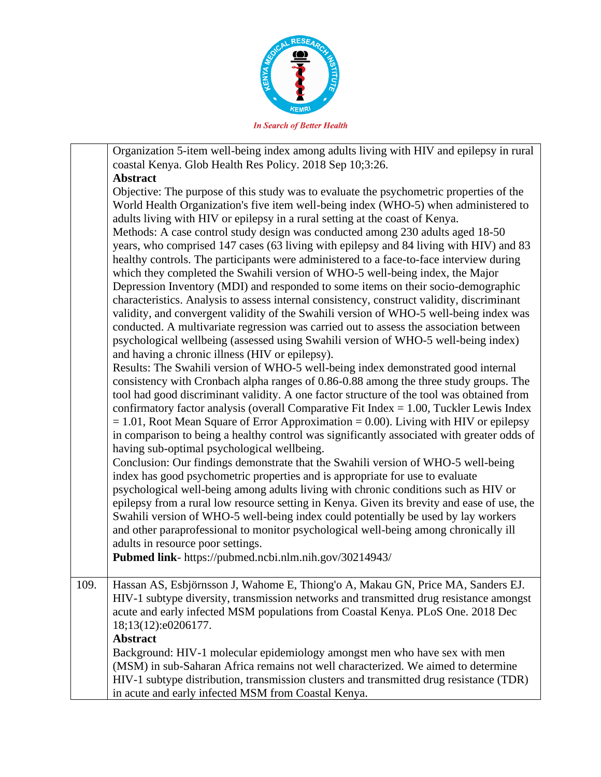

|      | Organization 5-item well-being index among adults living with HIV and epilepsy in rural<br>coastal Kenya. Glob Health Res Policy. 2018 Sep 10;3:26.<br><b>Abstract</b><br>Objective: The purpose of this study was to evaluate the psychometric properties of the<br>World Health Organization's five item well-being index (WHO-5) when administered to<br>adults living with HIV or epilepsy in a rural setting at the coast of Kenya.<br>Methods: A case control study design was conducted among 230 adults aged 18-50<br>years, who comprised 147 cases (63 living with epilepsy and 84 living with HIV) and 83<br>healthy controls. The participants were administered to a face-to-face interview during<br>which they completed the Swahili version of WHO-5 well-being index, the Major<br>Depression Inventory (MDI) and responded to some items on their socio-demographic<br>characteristics. Analysis to assess internal consistency, construct validity, discriminant<br>validity, and convergent validity of the Swahili version of WHO-5 well-being index was<br>conducted. A multivariate regression was carried out to assess the association between<br>psychological wellbeing (assessed using Swahili version of WHO-5 well-being index)<br>and having a chronic illness (HIV or epilepsy).<br>Results: The Swahili version of WHO-5 well-being index demonstrated good internal<br>consistency with Cronbach alpha ranges of 0.86-0.88 among the three study groups. The<br>tool had good discriminant validity. A one factor structure of the tool was obtained from<br>confirmatory factor analysis (overall Comparative Fit Index $= 1.00$ , Tuckler Lewis Index<br>$= 1.01$ , Root Mean Square of Error Approximation $= 0.00$ ). Living with HIV or epilepsy<br>in comparison to being a healthy control was significantly associated with greater odds of<br>having sub-optimal psychological wellbeing.<br>Conclusion: Our findings demonstrate that the Swahili version of WHO-5 well-being<br>index has good psychometric properties and is appropriate for use to evaluate<br>psychological well-being among adults living with chronic conditions such as HIV or<br>epilepsy from a rural low resource setting in Kenya. Given its brevity and ease of use, the<br>Swahili version of WHO-5 well-being index could potentially be used by lay workers<br>and other paraprofessional to monitor psychological well-being among chronically ill<br>adults in resource poor settings. |
|------|---------------------------------------------------------------------------------------------------------------------------------------------------------------------------------------------------------------------------------------------------------------------------------------------------------------------------------------------------------------------------------------------------------------------------------------------------------------------------------------------------------------------------------------------------------------------------------------------------------------------------------------------------------------------------------------------------------------------------------------------------------------------------------------------------------------------------------------------------------------------------------------------------------------------------------------------------------------------------------------------------------------------------------------------------------------------------------------------------------------------------------------------------------------------------------------------------------------------------------------------------------------------------------------------------------------------------------------------------------------------------------------------------------------------------------------------------------------------------------------------------------------------------------------------------------------------------------------------------------------------------------------------------------------------------------------------------------------------------------------------------------------------------------------------------------------------------------------------------------------------------------------------------------------------------------------------------------------------------------------------------------------------------------------------------------------------------------------------------------------------------------------------------------------------------------------------------------------------------------------------------------------------------------------------------------------------------------------------------------------------------------------------------------------------------------------------------------------------------------------------------------------------|
|      |                                                                                                                                                                                                                                                                                                                                                                                                                                                                                                                                                                                                                                                                                                                                                                                                                                                                                                                                                                                                                                                                                                                                                                                                                                                                                                                                                                                                                                                                                                                                                                                                                                                                                                                                                                                                                                                                                                                                                                                                                                                                                                                                                                                                                                                                                                                                                                                                                                                                                                                     |
|      | Pubmed link- https://pubmed.ncbi.nlm.nih.gov/30214943/                                                                                                                                                                                                                                                                                                                                                                                                                                                                                                                                                                                                                                                                                                                                                                                                                                                                                                                                                                                                                                                                                                                                                                                                                                                                                                                                                                                                                                                                                                                                                                                                                                                                                                                                                                                                                                                                                                                                                                                                                                                                                                                                                                                                                                                                                                                                                                                                                                                              |
| 109. | Hassan AS, Esbjörnsson J, Wahome E, Thiong'o A, Makau GN, Price MA, Sanders EJ.<br>HIV-1 subtype diversity, transmission networks and transmitted drug resistance amongst<br>acute and early infected MSM populations from Coastal Kenya. PLoS One. 2018 Dec<br>18;13(12):e0206177.<br><b>Abstract</b>                                                                                                                                                                                                                                                                                                                                                                                                                                                                                                                                                                                                                                                                                                                                                                                                                                                                                                                                                                                                                                                                                                                                                                                                                                                                                                                                                                                                                                                                                                                                                                                                                                                                                                                                                                                                                                                                                                                                                                                                                                                                                                                                                                                                              |
|      | Background: HIV-1 molecular epidemiology amongst men who have sex with men<br>(MSM) in sub-Saharan Africa remains not well characterized. We aimed to determine<br>HIV-1 subtype distribution, transmission clusters and transmitted drug resistance (TDR)<br>in acute and early infected MSM from Coastal Kenya.                                                                                                                                                                                                                                                                                                                                                                                                                                                                                                                                                                                                                                                                                                                                                                                                                                                                                                                                                                                                                                                                                                                                                                                                                                                                                                                                                                                                                                                                                                                                                                                                                                                                                                                                                                                                                                                                                                                                                                                                                                                                                                                                                                                                   |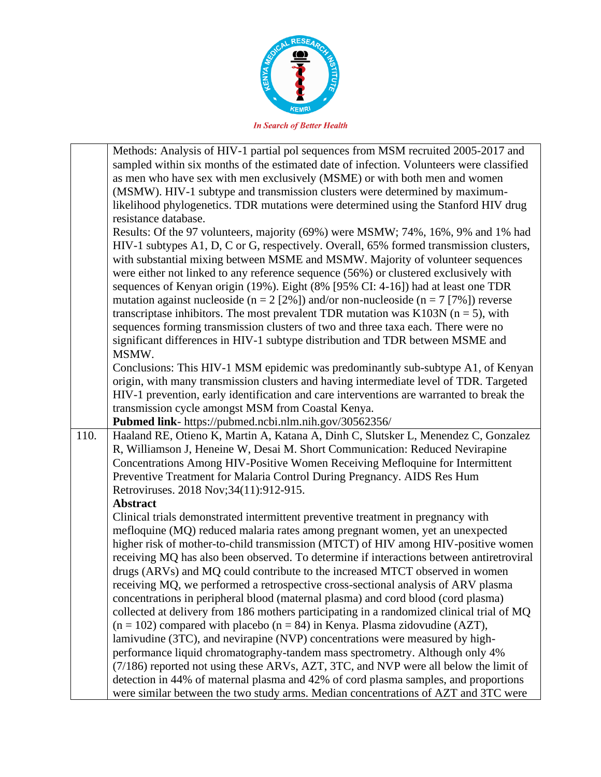

|      | Methods: Analysis of HIV-1 partial pol sequences from MSM recruited 2005-2017 and         |
|------|-------------------------------------------------------------------------------------------|
|      | sampled within six months of the estimated date of infection. Volunteers were classified  |
|      | as men who have sex with men exclusively (MSME) or with both men and women                |
|      | (MSMW). HIV-1 subtype and transmission clusters were determined by maximum-               |
|      | likelihood phylogenetics. TDR mutations were determined using the Stanford HIV drug       |
|      | resistance database.                                                                      |
|      | Results: Of the 97 volunteers, majority (69%) were MSMW; 74%, 16%, 9% and 1% had          |
|      |                                                                                           |
|      | HIV-1 subtypes A1, D, C or G, respectively. Overall, 65% formed transmission clusters,    |
|      | with substantial mixing between MSME and MSMW. Majority of volunteer sequences            |
|      | were either not linked to any reference sequence (56%) or clustered exclusively with      |
|      | sequences of Kenyan origin (19%). Eight (8% [95% CI: 4-16]) had at least one TDR          |
|      | mutation against nucleoside ( $n = 2$ [2%]) and/or non-nucleoside ( $n = 7$ [7%]) reverse |
|      | transcriptase inhibitors. The most prevalent TDR mutation was $K103N$ (n = 5), with       |
|      | sequences forming transmission clusters of two and three taxa each. There were no         |
|      | significant differences in HIV-1 subtype distribution and TDR between MSME and            |
|      | MSMW.                                                                                     |
|      | Conclusions: This HIV-1 MSM epidemic was predominantly sub-subtype A1, of Kenyan          |
|      | origin, with many transmission clusters and having intermediate level of TDR. Targeted    |
|      | HIV-1 prevention, early identification and care interventions are warranted to break the  |
|      | transmission cycle amongst MSM from Coastal Kenya.                                        |
|      | Pubmed link- https://pubmed.ncbi.nlm.nih.gov/30562356/                                    |
| 110. | Haaland RE, Otieno K, Martin A, Katana A, Dinh C, Slutsker L, Menendez C, Gonzalez        |
|      | R, Williamson J, Heneine W, Desai M. Short Communication: Reduced Nevirapine              |
|      | Concentrations Among HIV-Positive Women Receiving Mefloquine for Intermittent             |
|      | Preventive Treatment for Malaria Control During Pregnancy. AIDS Res Hum                   |
|      | Retroviruses. 2018 Nov; 34(11): 912-915.                                                  |
|      | <b>Abstract</b>                                                                           |
|      | Clinical trials demonstrated intermittent preventive treatment in pregnancy with          |
|      | mefloquine (MQ) reduced malaria rates among pregnant women, yet an unexpected             |
|      | higher risk of mother-to-child transmission (MTCT) of HIV among HIV-positive women        |
|      | receiving MQ has also been observed. To determine if interactions between antiretroviral  |
|      | drugs (ARVs) and MQ could contribute to the increased MTCT observed in women              |
|      | receiving MQ, we performed a retrospective cross-sectional analysis of ARV plasma         |
|      | concentrations in peripheral blood (maternal plasma) and cord blood (cord plasma)         |
|      | collected at delivery from 186 mothers participating in a randomized clinical trial of MQ |
|      | $(n = 102)$ compared with placebo $(n = 84)$ in Kenya. Plasma zidovudine (AZT),           |
|      | lamivudine (3TC), and nevirapine (NVP) concentrations were measured by high-              |
|      | performance liquid chromatography-tandem mass spectrometry. Although only 4%              |
|      | (7/186) reported not using these ARVs, AZT, 3TC, and NVP were all below the limit of      |
|      | detection in 44% of maternal plasma and 42% of cord plasma samples, and proportions       |
|      | were similar between the two study arms. Median concentrations of AZT and 3TC were        |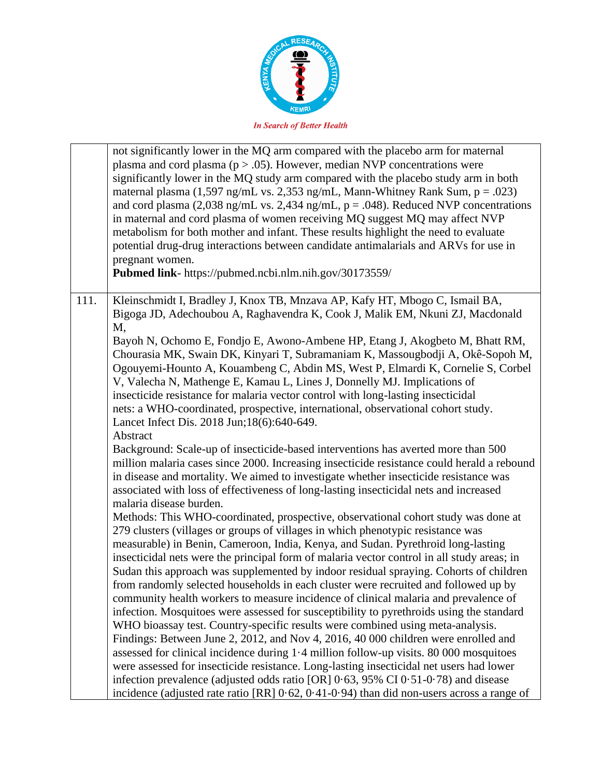

|      | not significantly lower in the MQ arm compared with the placebo arm for maternal<br>plasma and cord plasma ( $p > .05$ ). However, median NVP concentrations were<br>significantly lower in the MQ study arm compared with the placebo study arm in both<br>maternal plasma $(1,597 \text{ ng/mL vs. } 2,353 \text{ ng/mL}, \text{Mann-Whitney Rank Sum}, p = .023)$<br>and cord plasma $(2,038 \text{ ng/mL vs. } 2,434 \text{ ng/mL}, p = .048)$ . Reduced NVP concentrations<br>in maternal and cord plasma of women receiving MQ suggest MQ may affect NVP<br>metabolism for both mother and infant. These results highlight the need to evaluate<br>potential drug-drug interactions between candidate antimalarials and ARVs for use in<br>pregnant women.<br>Pubmed link- https://pubmed.ncbi.nlm.nih.gov/30173559/                                                                                                                                                                                                                                                                                                                                                                                                                                                                                                                                                                                                                                                                                                                                                               |
|------|------------------------------------------------------------------------------------------------------------------------------------------------------------------------------------------------------------------------------------------------------------------------------------------------------------------------------------------------------------------------------------------------------------------------------------------------------------------------------------------------------------------------------------------------------------------------------------------------------------------------------------------------------------------------------------------------------------------------------------------------------------------------------------------------------------------------------------------------------------------------------------------------------------------------------------------------------------------------------------------------------------------------------------------------------------------------------------------------------------------------------------------------------------------------------------------------------------------------------------------------------------------------------------------------------------------------------------------------------------------------------------------------------------------------------------------------------------------------------------------------------------------------------------------------------------------------------------------|
| 111. | Kleinschmidt I, Bradley J, Knox TB, Mnzava AP, Kafy HT, Mbogo C, Ismail BA,<br>Bigoga JD, Adechoubou A, Raghavendra K, Cook J, Malik EM, Nkuni ZJ, Macdonald<br>M,<br>Bayoh N, Ochomo E, Fondjo E, Awono-Ambene HP, Etang J, Akogbeto M, Bhatt RM,<br>Chourasia MK, Swain DK, Kinyari T, Subramaniam K, Massougbodji A, Okê-Sopoh M,<br>Ogouyemi-Hounto A, Kouambeng C, Abdin MS, West P, Elmardi K, Cornelie S, Corbel<br>V, Valecha N, Mathenge E, Kamau L, Lines J, Donnelly MJ. Implications of<br>insecticide resistance for malaria vector control with long-lasting insecticidal<br>nets: a WHO-coordinated, prospective, international, observational cohort study.<br>Lancet Infect Dis. 2018 Jun; 18(6): 640-649.                                                                                                                                                                                                                                                                                                                                                                                                                                                                                                                                                                                                                                                                                                                                                                                                                                                              |
|      | Abstract<br>Background: Scale-up of insecticide-based interventions has averted more than 500<br>million malaria cases since 2000. Increasing insecticide resistance could herald a rebound<br>in disease and mortality. We aimed to investigate whether insecticide resistance was<br>associated with loss of effectiveness of long-lasting insecticidal nets and increased<br>malaria disease burden.<br>Methods: This WHO-coordinated, prospective, observational cohort study was done at<br>279 clusters (villages or groups of villages in which phenotypic resistance was<br>measurable) in Benin, Cameroon, India, Kenya, and Sudan. Pyrethroid long-lasting<br>insecticidal nets were the principal form of malaria vector control in all study areas; in<br>Sudan this approach was supplemented by indoor residual spraying. Cohorts of children<br>from randomly selected households in each cluster were recruited and followed up by<br>community health workers to measure incidence of clinical malaria and prevalence of<br>infection. Mosquitoes were assessed for susceptibility to pyrethroids using the standard<br>WHO bioassay test. Country-specific results were combined using meta-analysis.<br>Findings: Between June 2, 2012, and Nov 4, 2016, 40 000 children were enrolled and<br>assessed for clinical incidence during 1.4 million follow-up visits. 80 000 mosquitoes<br>were assessed for insecticide resistance. Long-lasting insecticidal net users had lower<br>infection prevalence (adjusted odds ratio [OR] 0.63, 95% CI 0.51-0.78) and disease |
|      | incidence (adjusted rate ratio [RR] $0.62$ , $0.41$ - $0.94$ ) than did non-users across a range of                                                                                                                                                                                                                                                                                                                                                                                                                                                                                                                                                                                                                                                                                                                                                                                                                                                                                                                                                                                                                                                                                                                                                                                                                                                                                                                                                                                                                                                                                      |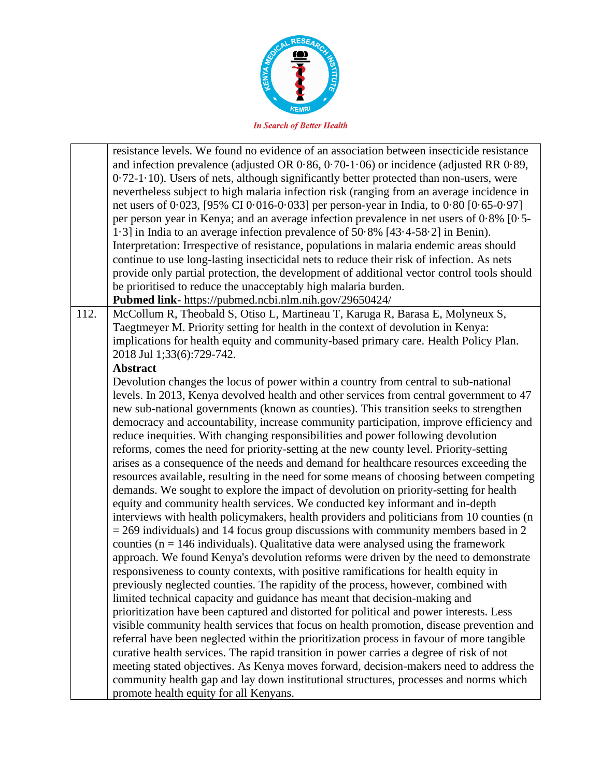

|      | resistance levels. We found no evidence of an association between insecticide resistance<br>and infection prevalence (adjusted OR $0.86$ , $0.70$ -1 $0.06$ ) or incidence (adjusted RR $0.89$ ,<br>0.72-1.10). Users of nets, although significantly better protected than non-users, were<br>nevertheless subject to high malaria infection risk (ranging from an average incidence in<br>net users of $0.023$ , [95% CI $0.016 - 0.033$ ] per person-year in India, to $0.80$ [ $0.65 - 0.97$ ]<br>per person year in Kenya; and an average infection prevalence in net users of $0.8\%$ [ $0.5$ -<br>$1.3$ ] in India to an average infection prevalence of $50.8\%$ [43.4-58.2] in Benin).<br>Interpretation: Irrespective of resistance, populations in malaria endemic areas should<br>continue to use long-lasting insecticidal nets to reduce their risk of infection. As nets<br>provide only partial protection, the development of additional vector control tools should<br>be prioritised to reduce the unacceptably high malaria burden.<br>Pubmed link- https://pubmed.ncbi.nlm.nih.gov/29650424/ |
|------|-------------------------------------------------------------------------------------------------------------------------------------------------------------------------------------------------------------------------------------------------------------------------------------------------------------------------------------------------------------------------------------------------------------------------------------------------------------------------------------------------------------------------------------------------------------------------------------------------------------------------------------------------------------------------------------------------------------------------------------------------------------------------------------------------------------------------------------------------------------------------------------------------------------------------------------------------------------------------------------------------------------------------------------------------------------------------------------------------------------------|
| 112. | McCollum R, Theobald S, Otiso L, Martineau T, Karuga R, Barasa E, Molyneux S,                                                                                                                                                                                                                                                                                                                                                                                                                                                                                                                                                                                                                                                                                                                                                                                                                                                                                                                                                                                                                                     |
|      | Taegtmeyer M. Priority setting for health in the context of devolution in Kenya:<br>implications for health equity and community-based primary care. Health Policy Plan.<br>2018 Jul 1;33(6):729-742.                                                                                                                                                                                                                                                                                                                                                                                                                                                                                                                                                                                                                                                                                                                                                                                                                                                                                                             |
|      | <b>Abstract</b>                                                                                                                                                                                                                                                                                                                                                                                                                                                                                                                                                                                                                                                                                                                                                                                                                                                                                                                                                                                                                                                                                                   |
|      | Devolution changes the locus of power within a country from central to sub-national                                                                                                                                                                                                                                                                                                                                                                                                                                                                                                                                                                                                                                                                                                                                                                                                                                                                                                                                                                                                                               |
|      | levels. In 2013, Kenya devolved health and other services from central government to 47                                                                                                                                                                                                                                                                                                                                                                                                                                                                                                                                                                                                                                                                                                                                                                                                                                                                                                                                                                                                                           |
|      | new sub-national governments (known as counties). This transition seeks to strengthen                                                                                                                                                                                                                                                                                                                                                                                                                                                                                                                                                                                                                                                                                                                                                                                                                                                                                                                                                                                                                             |
|      | democracy and accountability, increase community participation, improve efficiency and                                                                                                                                                                                                                                                                                                                                                                                                                                                                                                                                                                                                                                                                                                                                                                                                                                                                                                                                                                                                                            |
|      | reduce inequities. With changing responsibilities and power following devolution                                                                                                                                                                                                                                                                                                                                                                                                                                                                                                                                                                                                                                                                                                                                                                                                                                                                                                                                                                                                                                  |
|      | reforms, comes the need for priority-setting at the new county level. Priority-setting                                                                                                                                                                                                                                                                                                                                                                                                                                                                                                                                                                                                                                                                                                                                                                                                                                                                                                                                                                                                                            |
|      | arises as a consequence of the needs and demand for healthcare resources exceeding the                                                                                                                                                                                                                                                                                                                                                                                                                                                                                                                                                                                                                                                                                                                                                                                                                                                                                                                                                                                                                            |
|      | resources available, resulting in the need for some means of choosing between competing                                                                                                                                                                                                                                                                                                                                                                                                                                                                                                                                                                                                                                                                                                                                                                                                                                                                                                                                                                                                                           |
|      | demands. We sought to explore the impact of devolution on priority-setting for health                                                                                                                                                                                                                                                                                                                                                                                                                                                                                                                                                                                                                                                                                                                                                                                                                                                                                                                                                                                                                             |
|      | equity and community health services. We conducted key informant and in-depth                                                                                                                                                                                                                                                                                                                                                                                                                                                                                                                                                                                                                                                                                                                                                                                                                                                                                                                                                                                                                                     |
|      | interviews with health policymakers, health providers and politicians from 10 counties (n                                                                                                                                                                                                                                                                                                                                                                                                                                                                                                                                                                                                                                                                                                                                                                                                                                                                                                                                                                                                                         |
|      | $=$ 269 individuals) and 14 focus group discussions with community members based in 2                                                                                                                                                                                                                                                                                                                                                                                                                                                                                                                                                                                                                                                                                                                                                                                                                                                                                                                                                                                                                             |
|      | counties ( $n = 146$ individuals). Qualitative data were analysed using the framework                                                                                                                                                                                                                                                                                                                                                                                                                                                                                                                                                                                                                                                                                                                                                                                                                                                                                                                                                                                                                             |
|      | approach. We found Kenya's devolution reforms were driven by the need to demonstrate                                                                                                                                                                                                                                                                                                                                                                                                                                                                                                                                                                                                                                                                                                                                                                                                                                                                                                                                                                                                                              |
|      | responsiveness to county contexts, with positive ramifications for health equity in                                                                                                                                                                                                                                                                                                                                                                                                                                                                                                                                                                                                                                                                                                                                                                                                                                                                                                                                                                                                                               |
|      | previously neglected counties. The rapidity of the process, however, combined with                                                                                                                                                                                                                                                                                                                                                                                                                                                                                                                                                                                                                                                                                                                                                                                                                                                                                                                                                                                                                                |
|      | limited technical capacity and guidance has meant that decision-making and                                                                                                                                                                                                                                                                                                                                                                                                                                                                                                                                                                                                                                                                                                                                                                                                                                                                                                                                                                                                                                        |
|      | prioritization have been captured and distorted for political and power interests. Less                                                                                                                                                                                                                                                                                                                                                                                                                                                                                                                                                                                                                                                                                                                                                                                                                                                                                                                                                                                                                           |
|      | visible community health services that focus on health promotion, disease prevention and                                                                                                                                                                                                                                                                                                                                                                                                                                                                                                                                                                                                                                                                                                                                                                                                                                                                                                                                                                                                                          |
|      | referral have been neglected within the prioritization process in favour of more tangible                                                                                                                                                                                                                                                                                                                                                                                                                                                                                                                                                                                                                                                                                                                                                                                                                                                                                                                                                                                                                         |
|      | curative health services. The rapid transition in power carries a degree of risk of not                                                                                                                                                                                                                                                                                                                                                                                                                                                                                                                                                                                                                                                                                                                                                                                                                                                                                                                                                                                                                           |
|      | meeting stated objectives. As Kenya moves forward, decision-makers need to address the                                                                                                                                                                                                                                                                                                                                                                                                                                                                                                                                                                                                                                                                                                                                                                                                                                                                                                                                                                                                                            |
|      | community health gap and lay down institutional structures, processes and norms which                                                                                                                                                                                                                                                                                                                                                                                                                                                                                                                                                                                                                                                                                                                                                                                                                                                                                                                                                                                                                             |
|      | promote health equity for all Kenyans.                                                                                                                                                                                                                                                                                                                                                                                                                                                                                                                                                                                                                                                                                                                                                                                                                                                                                                                                                                                                                                                                            |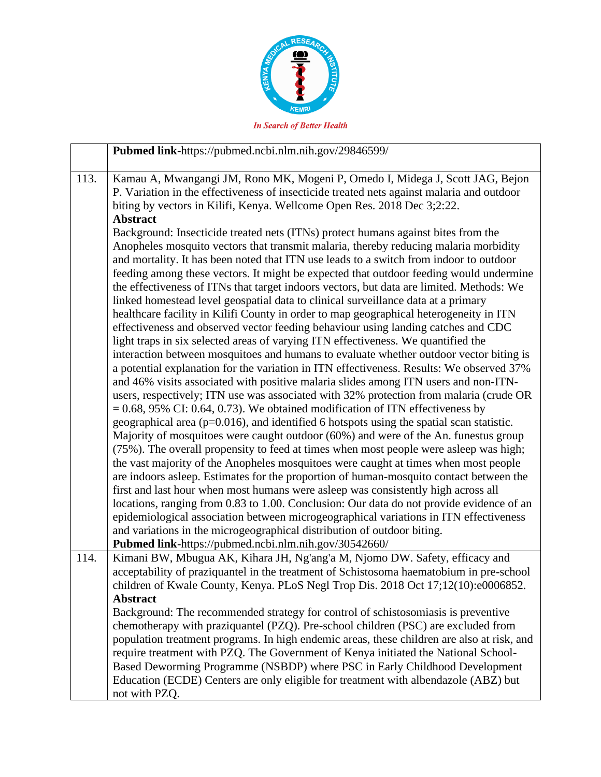

| Kamau A, Mwangangi JM, Rono MK, Mogeni P, Omedo I, Midega J, Scott JAG, Bejon<br>P. Variation in the effectiveness of insecticide treated nets against malaria and outdoor                                                                                                                                                                                     |
|----------------------------------------------------------------------------------------------------------------------------------------------------------------------------------------------------------------------------------------------------------------------------------------------------------------------------------------------------------------|
| Background: Insecticide treated nets (ITNs) protect humans against bites from the<br>Anopheles mosquito vectors that transmit malaria, thereby reducing malaria morbidity<br>and mortality. It has been noted that ITN use leads to a switch from indoor to outdoor<br>feeding among these vectors. It might be expected that outdoor feeding would undermine  |
| the effectiveness of ITNs that target indoors vectors, but data are limited. Methods: We<br>healthcare facility in Kilifi County in order to map geographical heterogeneity in ITN                                                                                                                                                                             |
| effectiveness and observed vector feeding behaviour using landing catches and CDC<br>interaction between mosquitoes and humans to evaluate whether outdoor vector biting is<br>a potential explanation for the variation in ITN effectiveness. Results: We observed 37%                                                                                        |
| and 46% visits associated with positive malaria slides among ITN users and non-ITN-<br>users, respectively; ITN use was associated with 32% protection from malaria (crude OR                                                                                                                                                                                  |
| geographical area ( $p=0.016$ ), and identified 6 hotspots using the spatial scan statistic.<br>Majority of mosquitoes were caught outdoor (60%) and were of the An. funestus group<br>(75%). The overall propensity to feed at times when most people were asleep was high;                                                                                   |
| the vast majority of the Anopheles mosquitoes were caught at times when most people<br>are indoors asleep. Estimates for the proportion of human-mosquito contact between the<br>first and last hour when most humans were asleep was consistently high across all<br>locations, ranging from 0.83 to 1.00. Conclusion: Our data do not provide evidence of an |
| epidemiological association between microgeographical variations in ITN effectiveness                                                                                                                                                                                                                                                                          |
| Kimani BW, Mbugua AK, Kihara JH, Ng'ang'a M, Njomo DW. Safety, efficacy and<br>acceptability of praziquantel in the treatment of Schistosoma haematobium in pre-school<br>children of Kwale County, Kenya. PLoS Negl Trop Dis. 2018 Oct 17;12(10):e0006852.                                                                                                    |
| Background: The recommended strategy for control of schistosomiasis is preventive<br>chemotherapy with praziquantel (PZQ). Pre-school children (PSC) are excluded from                                                                                                                                                                                         |
| population treatment programs. In high endemic areas, these children are also at risk, and<br>require treatment with PZQ. The Government of Kenya initiated the National School-<br>Based Deworming Programme (NSBDP) where PSC in Early Childhood Development<br>Education (ECDE) Centers are only eligible for treatment with albendazole (ABZ) but          |
|                                                                                                                                                                                                                                                                                                                                                                |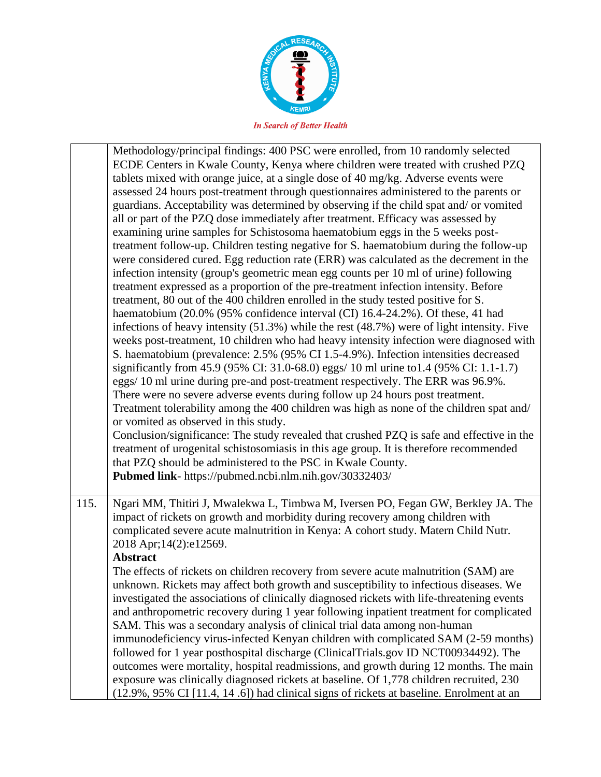

|      | Methodology/principal findings: 400 PSC were enrolled, from 10 randomly selected<br>ECDE Centers in Kwale County, Kenya where children were treated with crushed PZQ<br>tablets mixed with orange juice, at a single dose of 40 mg/kg. Adverse events were<br>assessed 24 hours post-treatment through questionnaires administered to the parents or<br>guardians. Acceptability was determined by observing if the child spat and/ or vomited<br>all or part of the PZQ dose immediately after treatment. Efficacy was assessed by<br>examining urine samples for Schistosoma haematobium eggs in the 5 weeks post-<br>treatment follow-up. Children testing negative for S. haematobium during the follow-up<br>were considered cured. Egg reduction rate (ERR) was calculated as the decrement in the<br>infection intensity (group's geometric mean egg counts per 10 ml of urine) following<br>treatment expressed as a proportion of the pre-treatment infection intensity. Before<br>treatment, 80 out of the 400 children enrolled in the study tested positive for S.<br>haematobium (20.0% (95% confidence interval (CI) 16.4-24.2%). Of these, 41 had<br>infections of heavy intensity (51.3%) while the rest (48.7%) were of light intensity. Five<br>weeks post-treatment, 10 children who had heavy intensity infection were diagnosed with<br>S. haematobium (prevalence: 2.5% (95% CI 1.5-4.9%). Infection intensities decreased<br>significantly from 45.9 (95% CI: 31.0-68.0) eggs/ 10 ml urine to1.4 (95% CI: 1.1-1.7)<br>eggs/ 10 ml urine during pre-and post-treatment respectively. The ERR was 96.9%.<br>There were no severe adverse events during follow up 24 hours post treatment.<br>Treatment tolerability among the 400 children was high as none of the children spat and/<br>or vomited as observed in this study.<br>Conclusion/significance: The study revealed that crushed PZQ is safe and effective in the<br>treatment of urogenital schistosomiasis in this age group. It is therefore recommended<br>that PZQ should be administered to the PSC in Kwale County.<br>Pubmed link- https://pubmed.ncbi.nlm.nih.gov/30332403/ |
|------|---------------------------------------------------------------------------------------------------------------------------------------------------------------------------------------------------------------------------------------------------------------------------------------------------------------------------------------------------------------------------------------------------------------------------------------------------------------------------------------------------------------------------------------------------------------------------------------------------------------------------------------------------------------------------------------------------------------------------------------------------------------------------------------------------------------------------------------------------------------------------------------------------------------------------------------------------------------------------------------------------------------------------------------------------------------------------------------------------------------------------------------------------------------------------------------------------------------------------------------------------------------------------------------------------------------------------------------------------------------------------------------------------------------------------------------------------------------------------------------------------------------------------------------------------------------------------------------------------------------------------------------------------------------------------------------------------------------------------------------------------------------------------------------------------------------------------------------------------------------------------------------------------------------------------------------------------------------------------------------------------------------------------------------------------------------------------------------------------------------------------------------------------------------------|
| 115. | Ngari MM, Thitiri J, Mwalekwa L, Timbwa M, Iversen PO, Fegan GW, Berkley JA. The<br>impact of rickets on growth and morbidity during recovery among children with<br>complicated severe acute malnutrition in Kenya: A cohort study. Matern Child Nutr.<br>2018 Apr;14(2):e12569.<br><b>Abstract</b><br>The effects of rickets on children recovery from severe acute malnutrition (SAM) are<br>unknown. Rickets may affect both growth and susceptibility to infectious diseases. We<br>investigated the associations of clinically diagnosed rickets with life-threatening events<br>and anthropometric recovery during 1 year following inpatient treatment for complicated<br>SAM. This was a secondary analysis of clinical trial data among non-human<br>immunodeficiency virus-infected Kenyan children with complicated SAM (2-59 months)<br>followed for 1 year posthospital discharge (ClinicalTrials.gov ID NCT00934492). The<br>outcomes were mortality, hospital readmissions, and growth during 12 months. The main<br>exposure was clinically diagnosed rickets at baseline. Of 1,778 children recruited, 230<br>(12.9%, 95% CI [11.4, 14.6]) had clinical signs of rickets at baseline. Enrolment at an                                                                                                                                                                                                                                                                                                                                                                                                                                                                                                                                                                                                                                                                                                                                                                                                                                                                                                                                             |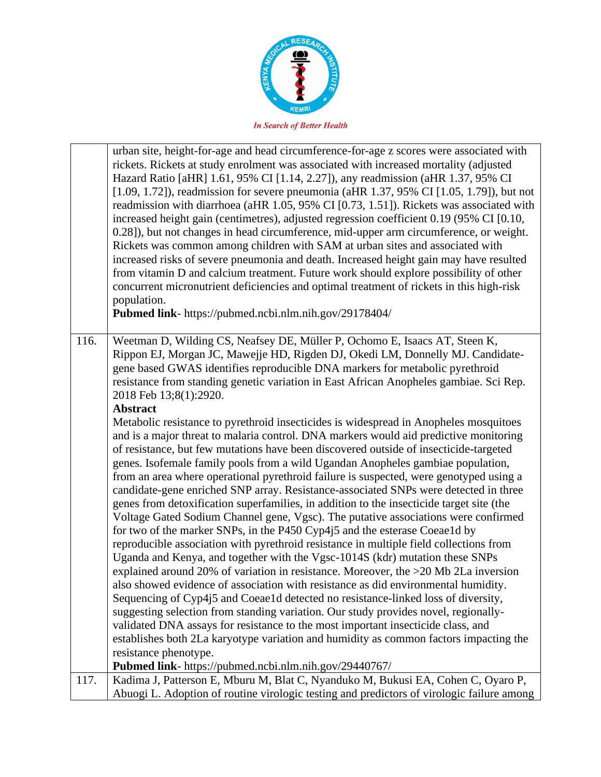

|      | urban site, height-for-age and head circumference-for-age z scores were associated with<br>rickets. Rickets at study enrolment was associated with increased mortality (adjusted<br>Hazard Ratio [aHR] 1.61, 95% CI [1.14, 2.27]), any readmission (aHR 1.37, 95% CI<br>$[1.09, 1.72]$ ), readmission for severe pneumonia (aHR 1.37, 95% CI [1.05, 1.79]), but not<br>readmission with diarrhoea (aHR 1.05, 95% CI [0.73, 1.51]). Rickets was associated with<br>increased height gain (centimetres), adjusted regression coefficient 0.19 (95% CI [0.10,<br>0.28]), but not changes in head circumference, mid-upper arm circumference, or weight.<br>Rickets was common among children with SAM at urban sites and associated with<br>increased risks of severe pneumonia and death. Increased height gain may have resulted<br>from vitamin D and calcium treatment. Future work should explore possibility of other<br>concurrent micronutrient deficiencies and optimal treatment of rickets in this high-risk<br>population.<br>Pubmed link- https://pubmed.ncbi.nlm.nih.gov/29178404/ |
|------|-----------------------------------------------------------------------------------------------------------------------------------------------------------------------------------------------------------------------------------------------------------------------------------------------------------------------------------------------------------------------------------------------------------------------------------------------------------------------------------------------------------------------------------------------------------------------------------------------------------------------------------------------------------------------------------------------------------------------------------------------------------------------------------------------------------------------------------------------------------------------------------------------------------------------------------------------------------------------------------------------------------------------------------------------------------------------------------------------|
| 116. | Weetman D, Wilding CS, Neafsey DE, Müller P, Ochomo E, Isaacs AT, Steen K,                                                                                                                                                                                                                                                                                                                                                                                                                                                                                                                                                                                                                                                                                                                                                                                                                                                                                                                                                                                                                    |
|      | Rippon EJ, Morgan JC, Mawejje HD, Rigden DJ, Okedi LM, Donnelly MJ. Candidate-                                                                                                                                                                                                                                                                                                                                                                                                                                                                                                                                                                                                                                                                                                                                                                                                                                                                                                                                                                                                                |
|      | gene based GWAS identifies reproducible DNA markers for metabolic pyrethroid                                                                                                                                                                                                                                                                                                                                                                                                                                                                                                                                                                                                                                                                                                                                                                                                                                                                                                                                                                                                                  |
|      | resistance from standing genetic variation in East African Anopheles gambiae. Sci Rep.                                                                                                                                                                                                                                                                                                                                                                                                                                                                                                                                                                                                                                                                                                                                                                                                                                                                                                                                                                                                        |
|      | 2018 Feb 13;8(1):2920.<br><b>Abstract</b>                                                                                                                                                                                                                                                                                                                                                                                                                                                                                                                                                                                                                                                                                                                                                                                                                                                                                                                                                                                                                                                     |
|      | Metabolic resistance to pyrethroid insecticides is widespread in Anopheles mosquitoes                                                                                                                                                                                                                                                                                                                                                                                                                                                                                                                                                                                                                                                                                                                                                                                                                                                                                                                                                                                                         |
|      | and is a major threat to malaria control. DNA markers would aid predictive monitoring                                                                                                                                                                                                                                                                                                                                                                                                                                                                                                                                                                                                                                                                                                                                                                                                                                                                                                                                                                                                         |
|      | of resistance, but few mutations have been discovered outside of insecticide-targeted                                                                                                                                                                                                                                                                                                                                                                                                                                                                                                                                                                                                                                                                                                                                                                                                                                                                                                                                                                                                         |
|      | genes. Isofemale family pools from a wild Ugandan Anopheles gambiae population,                                                                                                                                                                                                                                                                                                                                                                                                                                                                                                                                                                                                                                                                                                                                                                                                                                                                                                                                                                                                               |
|      | from an area where operational pyrethroid failure is suspected, were genotyped using a                                                                                                                                                                                                                                                                                                                                                                                                                                                                                                                                                                                                                                                                                                                                                                                                                                                                                                                                                                                                        |
|      | candidate-gene enriched SNP array. Resistance-associated SNPs were detected in three<br>genes from detoxification superfamilies, in addition to the insecticide target site (the                                                                                                                                                                                                                                                                                                                                                                                                                                                                                                                                                                                                                                                                                                                                                                                                                                                                                                              |
|      | Voltage Gated Sodium Channel gene, Vgsc). The putative associations were confirmed                                                                                                                                                                                                                                                                                                                                                                                                                                                                                                                                                                                                                                                                                                                                                                                                                                                                                                                                                                                                            |
|      | for two of the marker SNPs, in the P450 Cyp4j5 and the esterase Coeae1d by                                                                                                                                                                                                                                                                                                                                                                                                                                                                                                                                                                                                                                                                                                                                                                                                                                                                                                                                                                                                                    |
|      | reproducible association with pyrethroid resistance in multiple field collections from                                                                                                                                                                                                                                                                                                                                                                                                                                                                                                                                                                                                                                                                                                                                                                                                                                                                                                                                                                                                        |
|      | Uganda and Kenya, and together with the Vgsc-1014S (kdr) mutation these SNPs                                                                                                                                                                                                                                                                                                                                                                                                                                                                                                                                                                                                                                                                                                                                                                                                                                                                                                                                                                                                                  |
|      | explained around 20% of variation in resistance. Moreover, the $>20$ Mb 2La inversion                                                                                                                                                                                                                                                                                                                                                                                                                                                                                                                                                                                                                                                                                                                                                                                                                                                                                                                                                                                                         |
|      | also showed evidence of association with resistance as did environmental humidity.<br>Sequencing of Cyp4j5 and Coeae1d detected no resistance-linked loss of diversity,                                                                                                                                                                                                                                                                                                                                                                                                                                                                                                                                                                                                                                                                                                                                                                                                                                                                                                                       |
|      | suggesting selection from standing variation. Our study provides novel, regionally-                                                                                                                                                                                                                                                                                                                                                                                                                                                                                                                                                                                                                                                                                                                                                                                                                                                                                                                                                                                                           |
|      | validated DNA assays for resistance to the most important insecticide class, and                                                                                                                                                                                                                                                                                                                                                                                                                                                                                                                                                                                                                                                                                                                                                                                                                                                                                                                                                                                                              |
|      | establishes both 2La karyotype variation and humidity as common factors impacting the                                                                                                                                                                                                                                                                                                                                                                                                                                                                                                                                                                                                                                                                                                                                                                                                                                                                                                                                                                                                         |
|      | resistance phenotype.                                                                                                                                                                                                                                                                                                                                                                                                                                                                                                                                                                                                                                                                                                                                                                                                                                                                                                                                                                                                                                                                         |
|      | Pubmed link- https://pubmed.ncbi.nlm.nih.gov/29440767/                                                                                                                                                                                                                                                                                                                                                                                                                                                                                                                                                                                                                                                                                                                                                                                                                                                                                                                                                                                                                                        |
| 117. | Kadima J, Patterson E, Mburu M, Blat C, Nyanduko M, Bukusi EA, Cohen C, Oyaro P,                                                                                                                                                                                                                                                                                                                                                                                                                                                                                                                                                                                                                                                                                                                                                                                                                                                                                                                                                                                                              |
|      | Abuogi L. Adoption of routine virologic testing and predictors of virologic failure among                                                                                                                                                                                                                                                                                                                                                                                                                                                                                                                                                                                                                                                                                                                                                                                                                                                                                                                                                                                                     |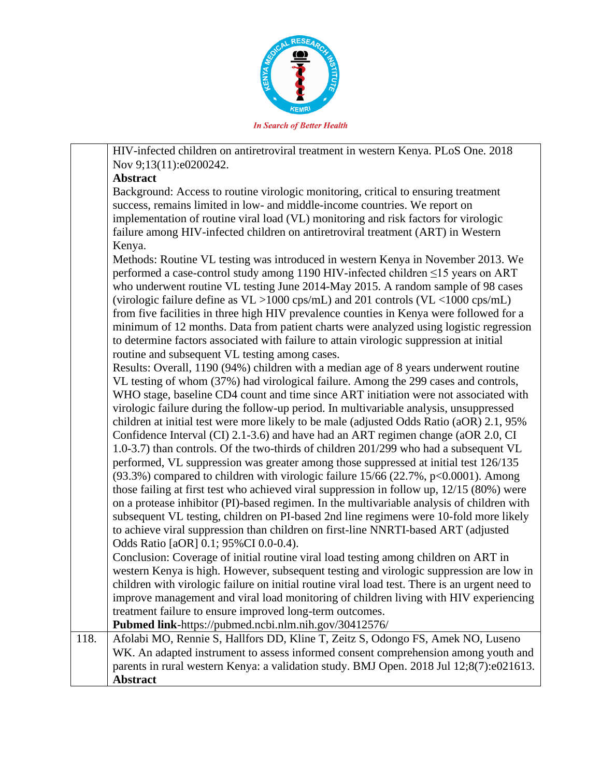

|      | HIV-infected children on antiretroviral treatment in western Kenya. PLoS One. 2018<br>Nov 9;13(11):e0200242. |
|------|--------------------------------------------------------------------------------------------------------------|
|      | <b>Abstract</b>                                                                                              |
|      | Background: Access to routine virologic monitoring, critical to ensuring treatment                           |
|      | success, remains limited in low- and middle-income countries. We report on                                   |
|      | implementation of routine viral load (VL) monitoring and risk factors for virologic                          |
|      | failure among HIV-infected children on antiretroviral treatment (ART) in Western                             |
|      | Kenya.                                                                                                       |
|      | Methods: Routine VL testing was introduced in western Kenya in November 2013. We                             |
|      | performed a case-control study among 1190 HIV-infected children ≤15 years on ART                             |
|      | who underwent routine VL testing June 2014-May 2015. A random sample of 98 cases                             |
|      | (virologic failure define as $VL > 1000$ cps/mL) and 201 controls ( $VL < 1000$ cps/mL)                      |
|      | from five facilities in three high HIV prevalence counties in Kenya were followed for a                      |
|      | minimum of 12 months. Data from patient charts were analyzed using logistic regression                       |
|      | to determine factors associated with failure to attain virologic suppression at initial                      |
|      | routine and subsequent VL testing among cases.                                                               |
|      | Results: Overall, 1190 (94%) children with a median age of 8 years underwent routine                         |
|      | VL testing of whom (37%) had virological failure. Among the 299 cases and controls,                          |
|      | WHO stage, baseline CD4 count and time since ART initiation were not associated with                         |
|      | virologic failure during the follow-up period. In multivariable analysis, unsuppressed                       |
|      | children at initial test were more likely to be male (adjusted Odds Ratio (aOR) 2.1, 95%                     |
|      | Confidence Interval (CI) 2.1-3.6) and have had an ART regimen change (aOR 2.0, CI                            |
|      | 1.0-3.7) than controls. Of the two-thirds of children 201/299 who had a subsequent VL                        |
|      | performed, VL suppression was greater among those suppressed at initial test 126/135                         |
|      | (93.3%) compared to children with virologic failure 15/66 (22.7%, p<0.0001). Among                           |
|      | those failing at first test who achieved viral suppression in follow up, 12/15 (80%) were                    |
|      | on a protease inhibitor (PI)-based regimen. In the multivariable analysis of children with                   |
|      | subsequent VL testing, children on PI-based 2nd line regimens were 10-fold more likely                       |
|      | to achieve viral suppression than children on first-line NNRTI-based ART (adjusted                           |
|      | Odds Ratio [aOR] 0.1; 95% CI 0.0-0.4).                                                                       |
|      | Conclusion: Coverage of initial routine viral load testing among children on ART in                          |
|      | western Kenya is high. However, subsequent testing and virologic suppression are low in                      |
|      | children with virologic failure on initial routine viral load test. There is an urgent need to               |
|      | improve management and viral load monitoring of children living with HIV experiencing                        |
|      | treatment failure to ensure improved long-term outcomes.                                                     |
|      | Pubmed link-https://pubmed.ncbi.nlm.nih.gov/30412576/                                                        |
| 118. | Afolabi MO, Rennie S, Hallfors DD, Kline T, Zeitz S, Odongo FS, Amek NO, Luseno                              |
|      | WK. An adapted instrument to assess informed consent comprehension among youth and                           |
|      | parents in rural western Kenya: a validation study. BMJ Open. 2018 Jul 12;8(7):e021613.                      |
|      | <b>Abstract</b>                                                                                              |
|      |                                                                                                              |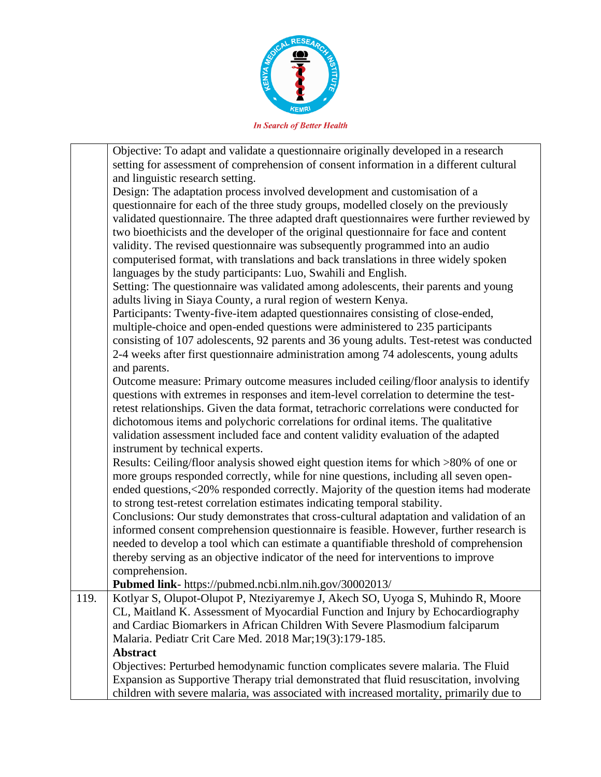

|      | Objective: To adapt and validate a questionnaire originally developed in a research<br>setting for assessment of comprehension of consent information in a different cultural<br>and linguistic research setting. |
|------|-------------------------------------------------------------------------------------------------------------------------------------------------------------------------------------------------------------------|
|      | Design: The adaptation process involved development and customisation of a                                                                                                                                        |
|      | questionnaire for each of the three study groups, modelled closely on the previously                                                                                                                              |
|      | validated questionnaire. The three adapted draft questionnaires were further reviewed by                                                                                                                          |
|      | two bioethicists and the developer of the original questionnaire for face and content                                                                                                                             |
|      |                                                                                                                                                                                                                   |
|      | validity. The revised questionnaire was subsequently programmed into an audio                                                                                                                                     |
|      | computerised format, with translations and back translations in three widely spoken                                                                                                                               |
|      | languages by the study participants: Luo, Swahili and English.                                                                                                                                                    |
|      | Setting: The questionnaire was validated among adolescents, their parents and young                                                                                                                               |
|      | adults living in Siaya County, a rural region of western Kenya.                                                                                                                                                   |
|      | Participants: Twenty-five-item adapted questionnaires consisting of close-ended,                                                                                                                                  |
|      | multiple-choice and open-ended questions were administered to 235 participants                                                                                                                                    |
|      | consisting of 107 adolescents, 92 parents and 36 young adults. Test-retest was conducted                                                                                                                          |
|      | 2-4 weeks after first questionnaire administration among 74 adolescents, young adults                                                                                                                             |
|      | and parents.                                                                                                                                                                                                      |
|      | Outcome measure: Primary outcome measures included ceiling/floor analysis to identify                                                                                                                             |
|      | questions with extremes in responses and item-level correlation to determine the test-                                                                                                                            |
|      | retest relationships. Given the data format, tetrachoric correlations were conducted for                                                                                                                          |
|      | dichotomous items and polychoric correlations for ordinal items. The qualitative                                                                                                                                  |
|      | validation assessment included face and content validity evaluation of the adapted                                                                                                                                |
|      | instrument by technical experts.                                                                                                                                                                                  |
|      | Results: Ceiling/floor analysis showed eight question items for which >80% of one or                                                                                                                              |
|      | more groups responded correctly, while for nine questions, including all seven open-                                                                                                                              |
|      | ended questions,<20% responded correctly. Majority of the question items had moderate                                                                                                                             |
|      | to strong test-retest correlation estimates indicating temporal stability.                                                                                                                                        |
|      | Conclusions: Our study demonstrates that cross-cultural adaptation and validation of an                                                                                                                           |
|      | informed consent comprehension questionnaire is feasible. However, further research is                                                                                                                            |
|      | needed to develop a tool which can estimate a quantifiable threshold of comprehension                                                                                                                             |
|      | thereby serving as an objective indicator of the need for interventions to improve                                                                                                                                |
|      | comprehension.                                                                                                                                                                                                    |
|      | Pubmed link- https://pubmed.ncbi.nlm.nih.gov/30002013/                                                                                                                                                            |
| 119. | Kotlyar S, Olupot-Olupot P, Nteziyaremye J, Akech SO, Uyoga S, Muhindo R, Moore                                                                                                                                   |
|      | CL, Maitland K. Assessment of Myocardial Function and Injury by Echocardiography                                                                                                                                  |
|      | and Cardiac Biomarkers in African Children With Severe Plasmodium falciparum                                                                                                                                      |
|      | Malaria. Pediatr Crit Care Med. 2018 Mar; 19(3): 179-185.                                                                                                                                                         |
|      | <b>Abstract</b>                                                                                                                                                                                                   |
|      | Objectives: Perturbed hemodynamic function complicates severe malaria. The Fluid                                                                                                                                  |
|      | Expansion as Supportive Therapy trial demonstrated that fluid resuscitation, involving                                                                                                                            |
|      | children with severe malaria, was associated with increased mortality, primarily due to                                                                                                                           |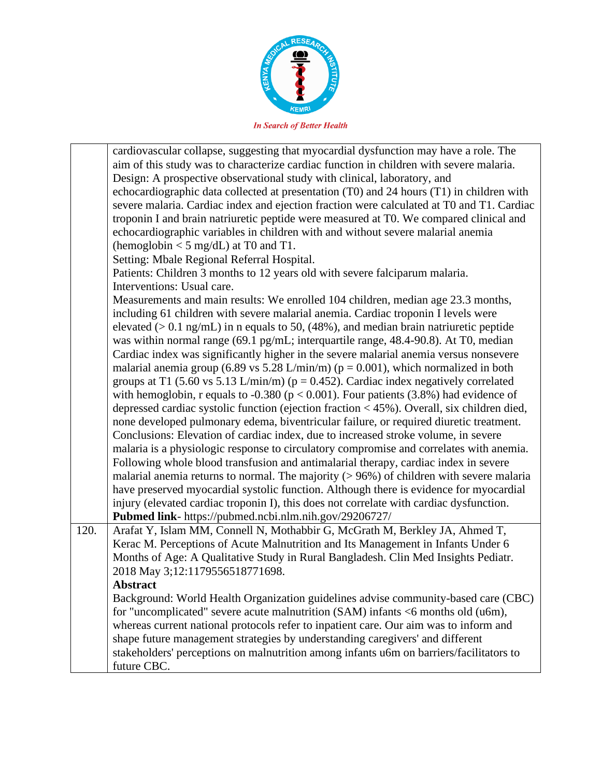

| aim of this study was to characterize cardiac function in children with severe malaria.<br>Design: A prospective observational study with clinical, laboratory, and<br>echocardiographic data collected at presentation (T0) and 24 hours (T1) in children with<br>troponin I and brain natriuretic peptide were measured at T0. We compared clinical and<br>echocardiographic variables in children with and without severe malarial anemia<br>(hemoglobin $<$ 5 mg/dL) at T0 and T1.<br>Setting: Mbale Regional Referral Hospital.<br>Patients: Children 3 months to 12 years old with severe falciparum malaria.<br>Interventions: Usual care.<br>Measurements and main results: We enrolled 104 children, median age 23.3 months,<br>including 61 children with severe malarial anemia. Cardiac troponin I levels were<br>elevated ( $> 0.1$ ng/mL) in n equals to 50, (48%), and median brain natriuretic peptide<br>was within normal range (69.1 pg/mL; interquartile range, 48.4-90.8). At T0, median<br>Cardiac index was significantly higher in the severe malarial anemia versus nonsevere<br>malarial anemia group (6.89 vs 5.28 L/min/m) ( $p = 0.001$ ), which normalized in both<br>groups at T1 (5.60 vs 5.13 L/min/m) ( $p = 0.452$ ). Cardiac index negatively correlated<br>with hemoglobin, r equals to -0.380 ( $p < 0.001$ ). Four patients (3.8%) had evidence of<br>depressed cardiac systolic function (ejection fraction < 45%). Overall, six children died,<br>none developed pulmonary edema, biventricular failure, or required diuretic treatment.<br>Conclusions: Elevation of cardiac index, due to increased stroke volume, in severe<br>malaria is a physiologic response to circulatory compromise and correlates with anemia.<br>Following whole blood transfusion and antimalarial therapy, cardiac index in severe<br>malarial anemia returns to normal. The majority $(> 96\%)$ of children with severe malaria<br>have preserved myocardial systolic function. Although there is evidence for myocardial<br>injury (elevated cardiac troponin I), this does not correlate with cardiac dysfunction.<br>Pubmed link- https://pubmed.ncbi.nlm.nih.gov/29206727/<br>Arafat Y, Islam MM, Connell N, Mothabbir G, McGrath M, Berkley JA, Ahmed T,<br>120.<br>Kerac M. Perceptions of Acute Malnutrition and Its Management in Infants Under 6<br>Months of Age: A Qualitative Study in Rural Bangladesh. Clin Med Insights Pediatr.<br>2018 May 3;12:1179556518771698.<br><b>Abstract</b><br>Background: World Health Organization guidelines advise community-based care (CBC)<br>for "uncomplicated" severe acute malnutrition (SAM) infants <6 months old (u6m),<br>whereas current national protocols refer to inpatient care. Our aim was to inform and<br>shape future management strategies by understanding caregivers' and different<br>stakeholders' perceptions on malnutrition among infants u6m on barriers/facilitators to<br>future CBC. |                                                                                                                                                                                   |
|---------------------------------------------------------------------------------------------------------------------------------------------------------------------------------------------------------------------------------------------------------------------------------------------------------------------------------------------------------------------------------------------------------------------------------------------------------------------------------------------------------------------------------------------------------------------------------------------------------------------------------------------------------------------------------------------------------------------------------------------------------------------------------------------------------------------------------------------------------------------------------------------------------------------------------------------------------------------------------------------------------------------------------------------------------------------------------------------------------------------------------------------------------------------------------------------------------------------------------------------------------------------------------------------------------------------------------------------------------------------------------------------------------------------------------------------------------------------------------------------------------------------------------------------------------------------------------------------------------------------------------------------------------------------------------------------------------------------------------------------------------------------------------------------------------------------------------------------------------------------------------------------------------------------------------------------------------------------------------------------------------------------------------------------------------------------------------------------------------------------------------------------------------------------------------------------------------------------------------------------------------------------------------------------------------------------------------------------------------------------------------------------------------------------------------------------------------------------------------------------------------------------------------------------------------------------------------------------------------------------------------------------------------------------------------------------------------------------------------------------------------------------------------------------------------------------------------------------------------------------------------------------------------------------------------------------------------------------------------------------|-----------------------------------------------------------------------------------------------------------------------------------------------------------------------------------|
|                                                                                                                                                                                                                                                                                                                                                                                                                                                                                                                                                                                                                                                                                                                                                                                                                                                                                                                                                                                                                                                                                                                                                                                                                                                                                                                                                                                                                                                                                                                                                                                                                                                                                                                                                                                                                                                                                                                                                                                                                                                                                                                                                                                                                                                                                                                                                                                                                                                                                                                                                                                                                                                                                                                                                                                                                                                                                                                                                                                             | cardiovascular collapse, suggesting that myocardial dysfunction may have a role. The<br>severe malaria. Cardiac index and ejection fraction were calculated at T0 and T1. Cardiac |
|                                                                                                                                                                                                                                                                                                                                                                                                                                                                                                                                                                                                                                                                                                                                                                                                                                                                                                                                                                                                                                                                                                                                                                                                                                                                                                                                                                                                                                                                                                                                                                                                                                                                                                                                                                                                                                                                                                                                                                                                                                                                                                                                                                                                                                                                                                                                                                                                                                                                                                                                                                                                                                                                                                                                                                                                                                                                                                                                                                                             |                                                                                                                                                                                   |
|                                                                                                                                                                                                                                                                                                                                                                                                                                                                                                                                                                                                                                                                                                                                                                                                                                                                                                                                                                                                                                                                                                                                                                                                                                                                                                                                                                                                                                                                                                                                                                                                                                                                                                                                                                                                                                                                                                                                                                                                                                                                                                                                                                                                                                                                                                                                                                                                                                                                                                                                                                                                                                                                                                                                                                                                                                                                                                                                                                                             |                                                                                                                                                                                   |
|                                                                                                                                                                                                                                                                                                                                                                                                                                                                                                                                                                                                                                                                                                                                                                                                                                                                                                                                                                                                                                                                                                                                                                                                                                                                                                                                                                                                                                                                                                                                                                                                                                                                                                                                                                                                                                                                                                                                                                                                                                                                                                                                                                                                                                                                                                                                                                                                                                                                                                                                                                                                                                                                                                                                                                                                                                                                                                                                                                                             |                                                                                                                                                                                   |
|                                                                                                                                                                                                                                                                                                                                                                                                                                                                                                                                                                                                                                                                                                                                                                                                                                                                                                                                                                                                                                                                                                                                                                                                                                                                                                                                                                                                                                                                                                                                                                                                                                                                                                                                                                                                                                                                                                                                                                                                                                                                                                                                                                                                                                                                                                                                                                                                                                                                                                                                                                                                                                                                                                                                                                                                                                                                                                                                                                                             |                                                                                                                                                                                   |
|                                                                                                                                                                                                                                                                                                                                                                                                                                                                                                                                                                                                                                                                                                                                                                                                                                                                                                                                                                                                                                                                                                                                                                                                                                                                                                                                                                                                                                                                                                                                                                                                                                                                                                                                                                                                                                                                                                                                                                                                                                                                                                                                                                                                                                                                                                                                                                                                                                                                                                                                                                                                                                                                                                                                                                                                                                                                                                                                                                                             |                                                                                                                                                                                   |
|                                                                                                                                                                                                                                                                                                                                                                                                                                                                                                                                                                                                                                                                                                                                                                                                                                                                                                                                                                                                                                                                                                                                                                                                                                                                                                                                                                                                                                                                                                                                                                                                                                                                                                                                                                                                                                                                                                                                                                                                                                                                                                                                                                                                                                                                                                                                                                                                                                                                                                                                                                                                                                                                                                                                                                                                                                                                                                                                                                                             |                                                                                                                                                                                   |
|                                                                                                                                                                                                                                                                                                                                                                                                                                                                                                                                                                                                                                                                                                                                                                                                                                                                                                                                                                                                                                                                                                                                                                                                                                                                                                                                                                                                                                                                                                                                                                                                                                                                                                                                                                                                                                                                                                                                                                                                                                                                                                                                                                                                                                                                                                                                                                                                                                                                                                                                                                                                                                                                                                                                                                                                                                                                                                                                                                                             |                                                                                                                                                                                   |
|                                                                                                                                                                                                                                                                                                                                                                                                                                                                                                                                                                                                                                                                                                                                                                                                                                                                                                                                                                                                                                                                                                                                                                                                                                                                                                                                                                                                                                                                                                                                                                                                                                                                                                                                                                                                                                                                                                                                                                                                                                                                                                                                                                                                                                                                                                                                                                                                                                                                                                                                                                                                                                                                                                                                                                                                                                                                                                                                                                                             |                                                                                                                                                                                   |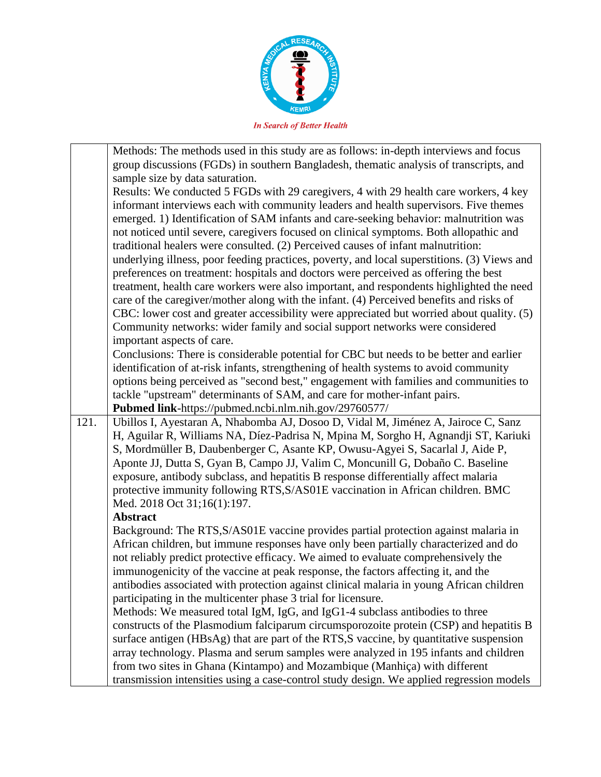

|      | Methods: The methods used in this study are as follows: in-depth interviews and focus       |
|------|---------------------------------------------------------------------------------------------|
|      | group discussions (FGDs) in southern Bangladesh, thematic analysis of transcripts, and      |
|      | sample size by data saturation.                                                             |
|      | Results: We conducted 5 FGDs with 29 caregivers, 4 with 29 health care workers, 4 key       |
|      | informant interviews each with community leaders and health supervisors. Five themes        |
|      | emerged. 1) Identification of SAM infants and care-seeking behavior: malnutrition was       |
|      | not noticed until severe, caregivers focused on clinical symptoms. Both allopathic and      |
|      | traditional healers were consulted. (2) Perceived causes of infant malnutrition:            |
|      | underlying illness, poor feeding practices, poverty, and local superstitions. (3) Views and |
|      | preferences on treatment: hospitals and doctors were perceived as offering the best         |
|      | treatment, health care workers were also important, and respondents highlighted the need    |
|      | care of the caregiver/mother along with the infant. (4) Perceived benefits and risks of     |
|      | CBC: lower cost and greater accessibility were appreciated but worried about quality. (5)   |
|      | Community networks: wider family and social support networks were considered                |
|      | important aspects of care.                                                                  |
|      | Conclusions: There is considerable potential for CBC but needs to be better and earlier     |
|      | identification of at-risk infants, strengthening of health systems to avoid community       |
|      | options being perceived as "second best," engagement with families and communities to       |
|      | tackle "upstream" determinants of SAM, and care for mother-infant pairs.                    |
|      | Pubmed link-https://pubmed.ncbi.nlm.nih.gov/29760577/                                       |
| 121. | Ubillos I, Ayestaran A, Nhabomba AJ, Dosoo D, Vidal M, Jiménez A, Jairoce C, Sanz           |
|      | H, Aguilar R, Williams NA, Díez-Padrisa N, Mpina M, Sorgho H, Agnandji ST, Kariuki          |
|      | S, Mordmüller B, Daubenberger C, Asante KP, Owusu-Agyei S, Sacarlal J, Aide P,              |
|      | Aponte JJ, Dutta S, Gyan B, Campo JJ, Valim C, Moncunill G, Dobaño C. Baseline              |
|      | exposure, antibody subclass, and hepatitis B response differentially affect malaria         |
|      | protective immunity following RTS, S/AS01E vaccination in African children. BMC             |
|      | Med. 2018 Oct 31;16(1):197.                                                                 |
|      | <b>Abstract</b>                                                                             |
|      | Background: The RTS, S/AS01E vaccine provides partial protection against malaria in         |
|      | African children, but immune responses have only been partially characterized and do        |
|      | not reliably predict protective efficacy. We aimed to evaluate comprehensively the          |
|      | immunogenicity of the vaccine at peak response, the factors affecting it, and the           |
|      | antibodies associated with protection against clinical malaria in young African children    |
|      | participating in the multicenter phase 3 trial for licensure.                               |
|      | Methods: We measured total IgM, IgG, and IgG1-4 subclass antibodies to three                |
|      | constructs of the Plasmodium falciparum circumsporozoite protein (CSP) and hepatitis B      |
|      | surface antigen (HBsAg) that are part of the RTS,S vaccine, by quantitative suspension      |
|      | array technology. Plasma and serum samples were analyzed in 195 infants and children        |
|      | from two sites in Ghana (Kintampo) and Mozambique (Manhiça) with different                  |
|      |                                                                                             |
|      | transmission intensities using a case-control study design. We applied regression models    |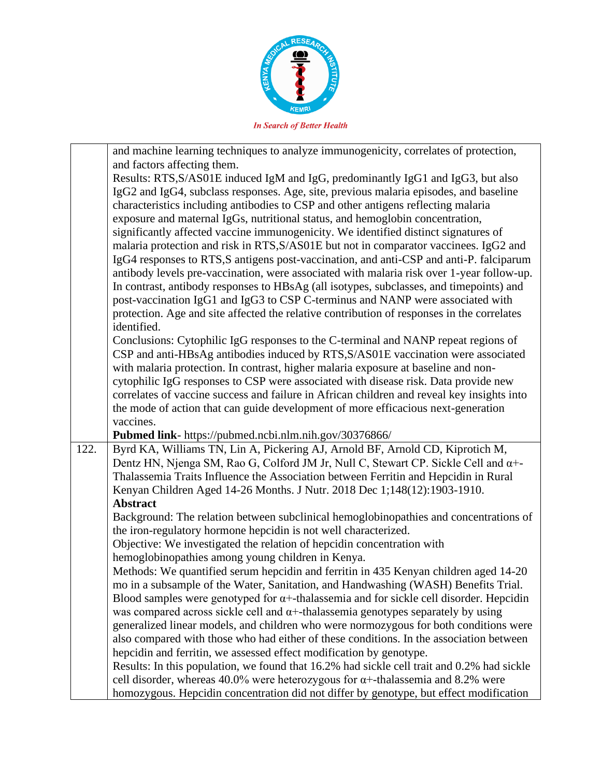

|      | and machine learning techniques to analyze immunogenicity, correlates of protection,           |
|------|------------------------------------------------------------------------------------------------|
|      | and factors affecting them.                                                                    |
|      | Results: RTS, S/AS01E induced IgM and IgG, predominantly IgG1 and IgG3, but also               |
|      | IgG2 and IgG4, subclass responses. Age, site, previous malaria episodes, and baseline          |
|      | characteristics including antibodies to CSP and other antigens reflecting malaria              |
|      | exposure and maternal IgGs, nutritional status, and hemoglobin concentration,                  |
|      | significantly affected vaccine immunogenicity. We identified distinct signatures of            |
|      | malaria protection and risk in RTS, S/AS01E but not in comparator vaccinees. IgG2 and          |
|      | IgG4 responses to RTS,S antigens post-vaccination, and anti-CSP and anti-P. falciparum         |
|      | antibody levels pre-vaccination, were associated with malaria risk over 1-year follow-up.      |
|      | In contrast, antibody responses to HBsAg (all isotypes, subclasses, and timepoints) and        |
|      | post-vaccination IgG1 and IgG3 to CSP C-terminus and NANP were associated with                 |
|      | protection. Age and site affected the relative contribution of responses in the correlates     |
|      | identified.                                                                                    |
|      | Conclusions: Cytophilic IgG responses to the C-terminal and NANP repeat regions of             |
|      | CSP and anti-HBsAg antibodies induced by RTS, S/AS01E vaccination were associated              |
|      | with malaria protection. In contrast, higher malaria exposure at baseline and non-             |
|      | cytophilic IgG responses to CSP were associated with disease risk. Data provide new            |
|      | correlates of vaccine success and failure in African children and reveal key insights into     |
|      | the mode of action that can guide development of more efficacious next-generation              |
|      | vaccines.                                                                                      |
|      | Pubmed link- https://pubmed.ncbi.nlm.nih.gov/30376866/                                         |
| 122. | Byrd KA, Williams TN, Lin A, Pickering AJ, Arnold BF, Arnold CD, Kiprotich M,                  |
|      | Dentz HN, Njenga SM, Rao G, Colford JM Jr, Null C, Stewart CP. Sickle Cell and $\alpha$ +-     |
|      | Thalassemia Traits Influence the Association between Ferritin and Hepcidin in Rural            |
|      | Kenyan Children Aged 14-26 Months. J Nutr. 2018 Dec 1;148(12):1903-1910.                       |
|      | <b>Abstract</b>                                                                                |
|      | Background: The relation between subclinical hemoglobinopathies and concentrations of          |
|      | the iron-regulatory hormone hepcidin is not well characterized.                                |
|      | Objective: We investigated the relation of hepcidin concentration with                         |
|      | hemoglobinopathies among young children in Kenya.                                              |
|      | Methods: We quantified serum hepcidin and ferritin in 435 Kenyan children aged 14-20           |
|      | mo in a subsample of the Water, Sanitation, and Handwashing (WASH) Benefits Trial.             |
|      | Blood samples were genotyped for $\alpha$ +-thalassemia and for sickle cell disorder. Hepcidin |
|      | was compared across sickle cell and $\alpha$ +-thalassemia genotypes separately by using       |
|      | generalized linear models, and children who were normozygous for both conditions were          |
|      | also compared with those who had either of these conditions. In the association between        |
|      | hepcidin and ferritin, we assessed effect modification by genotype.                            |
|      | Results: In this population, we found that 16.2% had sickle cell trait and 0.2% had sickle     |
|      |                                                                                                |
|      | cell disorder, whereas 40.0% were heterozygous for $\alpha$ +-thalassemia and 8.2% were        |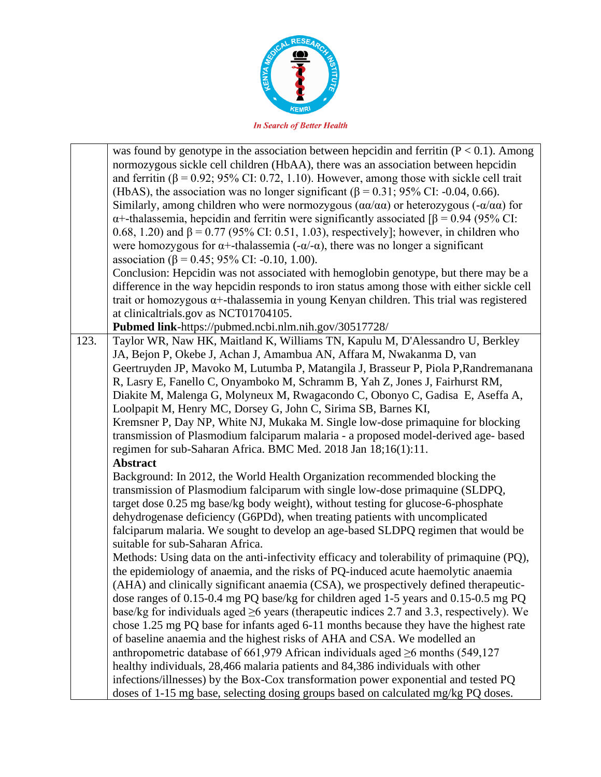

|      | was found by genotype in the association between hepcidin and ferritin $(P < 0.1)$ . Among                                   |
|------|------------------------------------------------------------------------------------------------------------------------------|
|      | normozygous sickle cell children (HbAA), there was an association between hepcidin                                           |
|      | and ferritin ( $\beta$ = 0.92; 95% CI: 0.72, 1.10). However, among those with sickle cell trait                              |
|      | (HbAS), the association was no longer significant ( $\beta$ = 0.31; 95% CI: -0.04, 0.66).                                    |
|      | Similarly, among children who were normozygous $(\alpha \alpha/\alpha \alpha)$ or heterozygous $(-\alpha/\alpha \alpha)$ for |
|      | $\alpha$ +-thalassemia, hepcidin and ferritin were significantly associated [ $\beta$ = 0.94 (95% CI:                        |
|      | 0.68, 1.20) and $\beta$ = 0.77 (95% CI: 0.51, 1.03), respectively]; however, in children who                                 |
|      | were homozygous for $\alpha$ +-thalassemia (- $\alpha$ /- $\alpha$ ), there was no longer a significant                      |
|      | association ( $\beta$ = 0.45; 95% CI: -0.10, 1.00).                                                                          |
|      | Conclusion: Hepcidin was not associated with hemoglobin genotype, but there may be a                                         |
|      |                                                                                                                              |
|      | difference in the way hepcidin responds to iron status among those with either sickle cell                                   |
|      | trait or homozygous $\alpha$ +-thalassemia in young Kenyan children. This trial was registered                               |
|      | at clinicaltrials.gov as NCT01704105.                                                                                        |
|      | Pubmed link-https://pubmed.ncbi.nlm.nih.gov/30517728/                                                                        |
| 123. | Taylor WR, Naw HK, Maitland K, Williams TN, Kapulu M, D'Alessandro U, Berkley                                                |
|      | JA, Bejon P, Okebe J, Achan J, Amambua AN, Affara M, Nwakanma D, van                                                         |
|      | Geertruyden JP, Mavoko M, Lutumba P, Matangila J, Brasseur P, Piola P, Randremanana                                          |
|      | R, Lasry E, Fanello C, Onyamboko M, Schramm B, Yah Z, Jones J, Fairhurst RM,                                                 |
|      | Diakite M, Malenga G, Molyneux M, Rwagacondo C, Obonyo C, Gadisa E, Aseffa A,                                                |
|      | Loolpapit M, Henry MC, Dorsey G, John C, Sirima SB, Barnes KI,                                                               |
|      | Kremsner P, Day NP, White NJ, Mukaka M. Single low-dose primaquine for blocking                                              |
|      | transmission of Plasmodium falciparum malaria - a proposed model-derived age- based                                          |
|      | regimen for sub-Saharan Africa. BMC Med. 2018 Jan 18;16(1):11.                                                               |
|      | <b>Abstract</b>                                                                                                              |
|      | Background: In 2012, the World Health Organization recommended blocking the                                                  |
|      | transmission of Plasmodium falciparum with single low-dose primaquine (SLDPQ,                                                |
|      | target dose 0.25 mg base/kg body weight), without testing for glucose-6-phosphate                                            |
|      | dehydrogenase deficiency (G6PDd), when treating patients with uncomplicated                                                  |
|      | falciparum malaria. We sought to develop an age-based SLDPQ regimen that would be                                            |
|      | suitable for sub-Saharan Africa.                                                                                             |
|      | Methods: Using data on the anti-infectivity efficacy and tolerability of primaquine (PQ),                                    |
|      | the epidemiology of anaemia, and the risks of PQ-induced acute haemolytic anaemia                                            |
|      | (AHA) and clinically significant anaemia (CSA), we prospectively defined therapeutic-                                        |
|      | dose ranges of 0.15-0.4 mg PQ base/kg for children aged 1-5 years and 0.15-0.5 mg PQ                                         |
|      | base/kg for individuals aged $\geq$ 6 years (therapeutic indices 2.7 and 3.3, respectively). We                              |
|      | chose 1.25 mg PQ base for infants aged 6-11 months because they have the highest rate                                        |
|      | of baseline anaemia and the highest risks of AHA and CSA. We modelled an                                                     |
|      | anthropometric database of 661,979 African individuals aged $\geq$ 6 months (549,127                                         |
|      |                                                                                                                              |
|      | healthy individuals, 28,466 malaria patients and 84,386 individuals with other                                               |
|      | infections/illnesses) by the Box-Cox transformation power exponential and tested PQ                                          |
|      | doses of 1-15 mg base, selecting dosing groups based on calculated mg/kg PQ doses.                                           |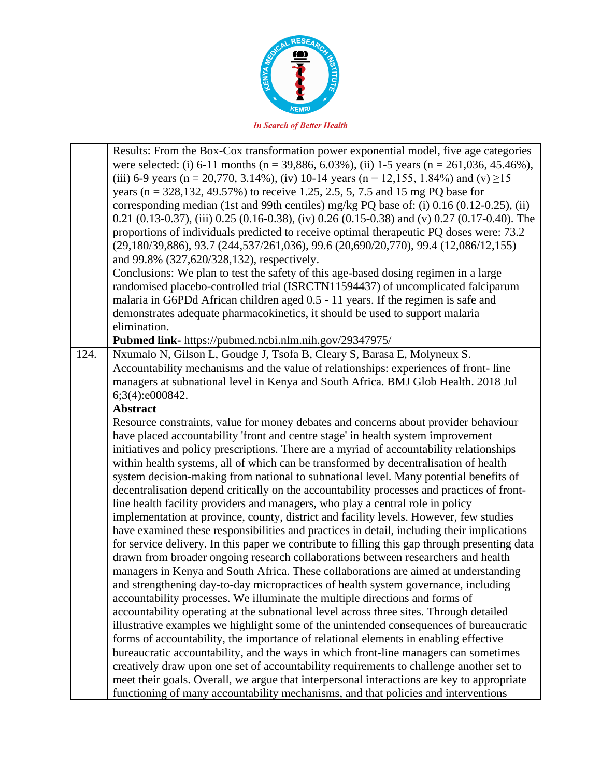

|      | Results: From the Box-Cox transformation power exponential model, five age categories           |
|------|-------------------------------------------------------------------------------------------------|
|      | were selected: (i) 6-11 months (n = 39,886, 6.03%), (ii) 1-5 years (n = 261,036, 45.46%),       |
|      | (iii) 6-9 years (n = 20,770, 3.14%), (iv) 10-14 years (n = 12,155, 1.84%) and (v) $\geq$ 15     |
|      | years (n = 328,132, 49.57%) to receive 1.25, 2.5, 5, 7.5 and 15 mg PQ base for                  |
|      | corresponding median (1st and 99th centiles) mg/kg PQ base of: (i) 0.16 (0.12-0.25), (ii)       |
|      | $0.21$ (0.13-0.37), (iii) 0.25 (0.16-0.38), (iv) 0.26 (0.15-0.38) and (v) 0.27 (0.17-0.40). The |
|      | proportions of individuals predicted to receive optimal therapeutic PQ doses were: 73.2         |
|      | (29,180/39,886), 93.7 (244,537/261,036), 99.6 (20,690/20,770), 99.4 (12,086/12,155)             |
|      | and 99.8% (327,620/328,132), respectively.                                                      |
|      | Conclusions: We plan to test the safety of this age-based dosing regimen in a large             |
|      | randomised placebo-controlled trial (ISRCTN11594437) of uncomplicated falciparum                |
|      |                                                                                                 |
|      | malaria in G6PDd African children aged 0.5 - 11 years. If the regimen is safe and               |
|      | demonstrates adequate pharmacokinetics, it should be used to support malaria                    |
|      | elimination.                                                                                    |
|      | Pubmed link- https://pubmed.ncbi.nlm.nih.gov/29347975/                                          |
| 124. | Nxumalo N, Gilson L, Goudge J, Tsofa B, Cleary S, Barasa E, Molyneux S.                         |
|      | Accountability mechanisms and the value of relationships: experiences of front-line             |
|      | managers at subnational level in Kenya and South Africa. BMJ Glob Health. 2018 Jul              |
|      | 6;3(4):e000842.                                                                                 |
|      | <b>Abstract</b>                                                                                 |
|      | Resource constraints, value for money debates and concerns about provider behaviour             |
|      | have placed accountability 'front and centre stage' in health system improvement                |
|      | initiatives and policy prescriptions. There are a myriad of accountability relationships        |
|      | within health systems, all of which can be transformed by decentralisation of health            |
|      | system decision-making from national to subnational level. Many potential benefits of           |
|      | decentralisation depend critically on the accountability processes and practices of front-      |
|      | line health facility providers and managers, who play a central role in policy                  |
|      | implementation at province, county, district and facility levels. However, few studies          |
|      | have examined these responsibilities and practices in detail, including their implications      |
|      | for service delivery. In this paper we contribute to filling this gap through presenting data   |
|      | drawn from broader ongoing research collaborations between researchers and health               |
|      | managers in Kenya and South Africa. These collaborations are aimed at understanding             |
|      | and strengthening day-to-day micropractices of health system governance, including              |
|      | accountability processes. We illuminate the multiple directions and forms of                    |
|      | accountability operating at the subnational level across three sites. Through detailed          |
|      | illustrative examples we highlight some of the unintended consequences of bureaucratic          |
|      | forms of accountability, the importance of relational elements in enabling effective            |
|      | bureaucratic accountability, and the ways in which front-line managers can sometimes            |
|      |                                                                                                 |
|      | creatively draw upon one set of accountability requirements to challenge another set to         |
|      | meet their goals. Overall, we argue that interpersonal interactions are key to appropriate      |
|      | functioning of many accountability mechanisms, and that policies and interventions              |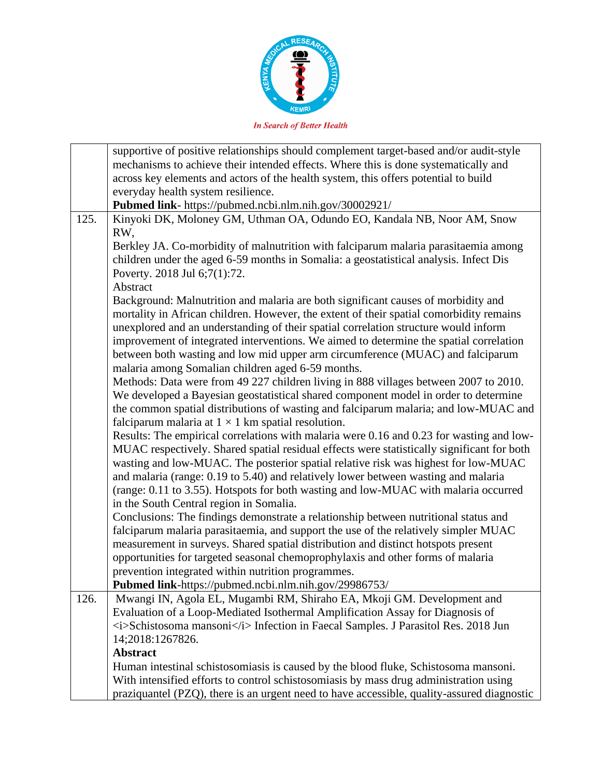

|      | supportive of positive relationships should complement target-based and/or audit-style<br>mechanisms to achieve their intended effects. Where this is done systematically and<br>across key elements and actors of the health system, this offers potential to build<br>everyday health system resilience.                                                                                                                                                                                                                                                        |
|------|-------------------------------------------------------------------------------------------------------------------------------------------------------------------------------------------------------------------------------------------------------------------------------------------------------------------------------------------------------------------------------------------------------------------------------------------------------------------------------------------------------------------------------------------------------------------|
|      | Pubmed link- https://pubmed.ncbi.nlm.nih.gov/30002921/                                                                                                                                                                                                                                                                                                                                                                                                                                                                                                            |
| 125. | Kinyoki DK, Moloney GM, Uthman OA, Odundo EO, Kandala NB, Noor AM, Snow<br>RW,                                                                                                                                                                                                                                                                                                                                                                                                                                                                                    |
|      | Berkley JA. Co-morbidity of malnutrition with falciparum malaria parasitaemia among<br>children under the aged 6-59 months in Somalia: a geostatistical analysis. Infect Dis<br>Poverty. 2018 Jul 6;7(1):72.                                                                                                                                                                                                                                                                                                                                                      |
|      | Abstract                                                                                                                                                                                                                                                                                                                                                                                                                                                                                                                                                          |
|      | Background: Malnutrition and malaria are both significant causes of morbidity and<br>mortality in African children. However, the extent of their spatial comorbidity remains<br>unexplored and an understanding of their spatial correlation structure would inform<br>improvement of integrated interventions. We aimed to determine the spatial correlation<br>between both wasting and low mid upper arm circumference (MUAC) and falciparum<br>malaria among Somalian children aged 6-59 months.                                                              |
|      | Methods: Data were from 49 227 children living in 888 villages between 2007 to 2010.<br>We developed a Bayesian geostatistical shared component model in order to determine<br>the common spatial distributions of wasting and falciparum malaria; and low-MUAC and                                                                                                                                                                                                                                                                                               |
|      | falciparum malaria at $1 \times 1$ km spatial resolution.<br>Results: The empirical correlations with malaria were 0.16 and 0.23 for wasting and low-<br>MUAC respectively. Shared spatial residual effects were statistically significant for both<br>wasting and low-MUAC. The posterior spatial relative risk was highest for low-MUAC<br>and malaria (range: 0.19 to 5.40) and relatively lower between wasting and malaria<br>(range: 0.11 to 3.55). Hotspots for both wasting and low-MUAC with malaria occurred<br>in the South Central region in Somalia. |
|      | Conclusions: The findings demonstrate a relationship between nutritional status and<br>falciparum malaria parasitaemia, and support the use of the relatively simpler MUAC<br>measurement in surveys. Shared spatial distribution and distinct hotspots present<br>opportunities for targeted seasonal chemoprophylaxis and other forms of malaria<br>prevention integrated within nutrition programmes.                                                                                                                                                          |
|      | Pubmed link-https://pubmed.ncbi.nlm.nih.gov/29986753/                                                                                                                                                                                                                                                                                                                                                                                                                                                                                                             |
| 126. | Mwangi IN, Agola EL, Mugambi RM, Shiraho EA, Mkoji GM. Development and<br>Evaluation of a Loop-Mediated Isothermal Amplification Assay for Diagnosis of<br><i>Schistosoma mansoni</i> Infection in Faecal Samples. J Parasitol Res. 2018 Jun<br>14;2018:1267826.                                                                                                                                                                                                                                                                                                  |
|      | <b>Abstract</b><br>Human intestinal schistosomiasis is caused by the blood fluke, Schistosoma mansoni.<br>With intensified efforts to control schistosomiasis by mass drug administration using<br>praziquantel (PZQ), there is an urgent need to have accessible, quality-assured diagnostic                                                                                                                                                                                                                                                                     |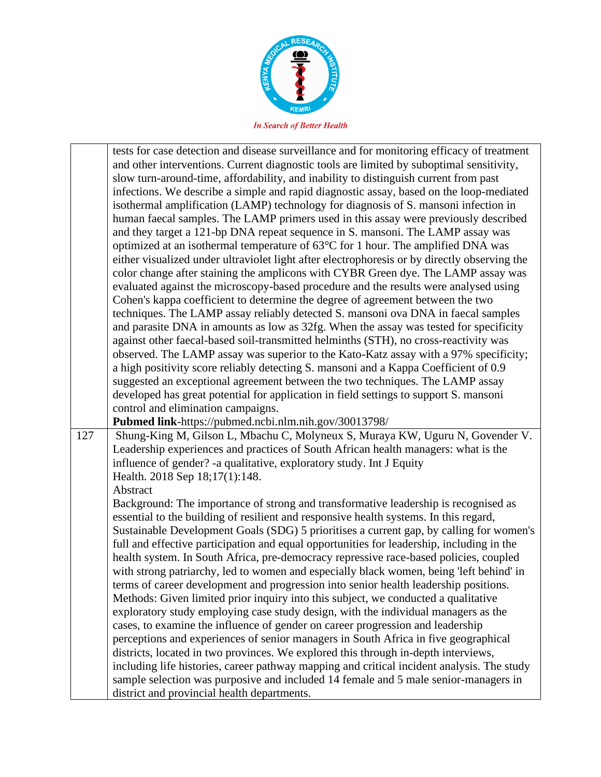

|     | tests for case detection and disease surveillance and for monitoring efficacy of treatment                                         |
|-----|------------------------------------------------------------------------------------------------------------------------------------|
|     | and other interventions. Current diagnostic tools are limited by suboptimal sensitivity,                                           |
|     | slow turn-around-time, affordability, and inability to distinguish current from past                                               |
|     | infections. We describe a simple and rapid diagnostic assay, based on the loop-mediated                                            |
|     | isothermal amplification (LAMP) technology for diagnosis of S. mansoni infection in                                                |
|     | human faecal samples. The LAMP primers used in this assay were previously described                                                |
|     | and they target a 121-bp DNA repeat sequence in S. mansoni. The LAMP assay was                                                     |
|     | optimized at an isothermal temperature of 63°C for 1 hour. The amplified DNA was                                                   |
|     | either visualized under ultraviolet light after electrophoresis or by directly observing the                                       |
|     | color change after staining the amplicons with CYBR Green dye. The LAMP assay was                                                  |
|     | evaluated against the microscopy-based procedure and the results were analysed using                                               |
|     | Cohen's kappa coefficient to determine the degree of agreement between the two                                                     |
|     | techniques. The LAMP assay reliably detected S. mansoni ova DNA in faecal samples                                                  |
|     | and parasite DNA in amounts as low as 32fg. When the assay was tested for specificity                                              |
|     | against other faecal-based soil-transmitted helminths (STH), no cross-reactivity was                                               |
|     | observed. The LAMP assay was superior to the Kato-Katz assay with a 97% specificity;                                               |
|     | a high positivity score reliably detecting S. mansoni and a Kappa Coefficient of 0.9                                               |
|     | suggested an exceptional agreement between the two techniques. The LAMP assay                                                      |
|     | developed has great potential for application in field settings to support S. mansoni                                              |
|     | control and elimination campaigns.                                                                                                 |
|     | Pubmed link-https://pubmed.ncbi.nlm.nih.gov/30013798/                                                                              |
| 127 | Shung-King M, Gilson L, Mbachu C, Molyneux S, Muraya KW, Uguru N, Govender V.                                                      |
|     | Leadership experiences and practices of South African health managers: what is the                                                 |
|     | influence of gender? -a qualitative, exploratory study. Int J Equity                                                               |
|     | Health. 2018 Sep 18;17(1):148.                                                                                                     |
|     | Abstract                                                                                                                           |
|     | Background: The importance of strong and transformative leadership is recognised as                                                |
|     | essential to the building of resilient and responsive health systems. In this regard,                                              |
|     | Sustainable Development Goals (SDG) 5 prioritises a current gap, by calling for women's                                            |
|     | full and effective participation and equal opportunities for leadership, including in the                                          |
|     | health system. In South Africa, pre-democracy repressive race-based policies, coupled                                              |
|     | with strong patriarchy, led to women and especially black women, being 'left behind' in                                            |
|     | terms of career development and progression into senior health leadership positions.                                               |
|     | Methods: Given limited prior inquiry into this subject, we conducted a qualitative                                                 |
|     | exploratory study employing case study design, with the individual managers as the                                                 |
|     | cases, to examine the influence of gender on career progression and leadership                                                     |
|     | perceptions and experiences of senior managers in South Africa in five geographical                                                |
|     |                                                                                                                                    |
|     |                                                                                                                                    |
|     | districts, located in two provinces. We explored this through in-depth interviews,                                                 |
|     | including life histories, career pathway mapping and critical incident analysis. The study                                         |
|     | sample selection was purposive and included 14 female and 5 male senior-managers in<br>district and provincial health departments. |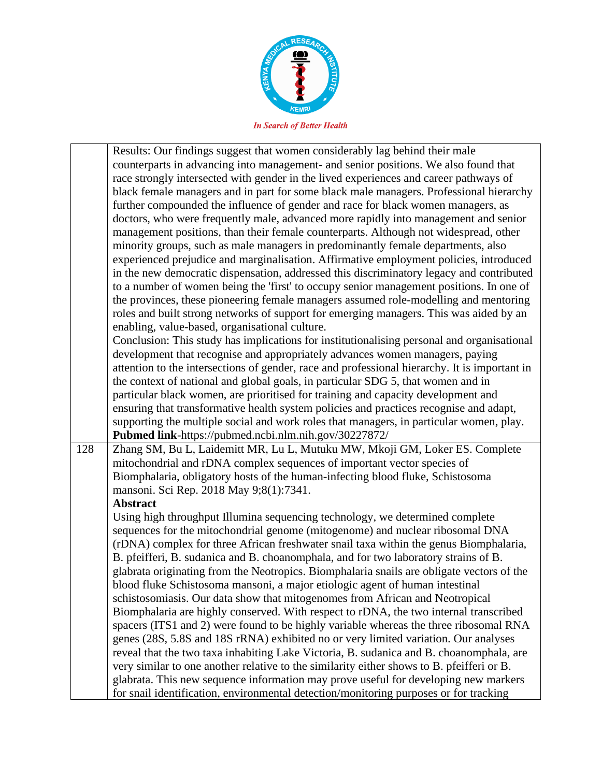

|     | Results: Our findings suggest that women considerably lag behind their male                   |
|-----|-----------------------------------------------------------------------------------------------|
|     | counterparts in advancing into management- and senior positions. We also found that           |
|     | race strongly intersected with gender in the lived experiences and career pathways of         |
|     | black female managers and in part for some black male managers. Professional hierarchy        |
|     | further compounded the influence of gender and race for black women managers, as              |
|     | doctors, who were frequently male, advanced more rapidly into management and senior           |
|     | management positions, than their female counterparts. Although not widespread, other          |
|     | minority groups, such as male managers in predominantly female departments, also              |
|     |                                                                                               |
|     | experienced prejudice and marginalisation. Affirmative employment policies, introduced        |
|     | in the new democratic dispensation, addressed this discriminatory legacy and contributed      |
|     | to a number of women being the 'first' to occupy senior management positions. In one of       |
|     | the provinces, these pioneering female managers assumed role-modelling and mentoring          |
|     | roles and built strong networks of support for emerging managers. This was aided by an        |
|     | enabling, value-based, organisational culture.                                                |
|     | Conclusion: This study has implications for institutionalising personal and organisational    |
|     | development that recognise and appropriately advances women managers, paying                  |
|     | attention to the intersections of gender, race and professional hierarchy. It is important in |
|     | the context of national and global goals, in particular SDG 5, that women and in              |
|     | particular black women, are prioritised for training and capacity development and             |
|     | ensuring that transformative health system policies and practices recognise and adapt,        |
|     | supporting the multiple social and work roles that managers, in particular women, play.       |
|     | Pubmed link-https://pubmed.ncbi.nlm.nih.gov/30227872/                                         |
| 128 | Zhang SM, Bu L, Laidemitt MR, Lu L, Mutuku MW, Mkoji GM, Loker ES. Complete                   |
|     | mitochondrial and rDNA complex sequences of important vector species of                       |
|     | Biomphalaria, obligatory hosts of the human-infecting blood fluke, Schistosoma                |
|     | mansoni. Sci Rep. 2018 May 9;8(1):7341.                                                       |
|     | <b>Abstract</b>                                                                               |
|     | Using high throughput Illumina sequencing technology, we determined complete                  |
|     |                                                                                               |
|     | sequences for the mitochondrial genome (mitogenome) and nuclear ribosomal DNA                 |
|     | (rDNA) complex for three African freshwater snail taxa within the genus Biomphalaria,         |
|     | B. pfeifferi, B. sudanica and B. choanomphala, and for two laboratory strains of B.           |
|     | glabrata originating from the Neotropics. Biomphalaria snails are obligate vectors of the     |
|     | blood fluke Schistosoma mansoni, a major etiologic agent of human intestinal                  |
|     | schistosomiasis. Our data show that mitogenomes from African and Neotropical                  |
|     | Biomphalaria are highly conserved. With respect to rDNA, the two internal transcribed         |
|     | spacers (ITS1 and 2) were found to be highly variable whereas the three ribosomal RNA         |
|     | genes (28S, 5.8S and 18S rRNA) exhibited no or very limited variation. Our analyses           |
|     | reveal that the two taxa inhabiting Lake Victoria, B. sudanica and B. choanomphala, are       |
|     | very similar to one another relative to the similarity either shows to B. pfeifferi or B.     |
|     | glabrata. This new sequence information may prove useful for developing new markers           |
|     | for snail identification, environmental detection/monitoring purposes or for tracking         |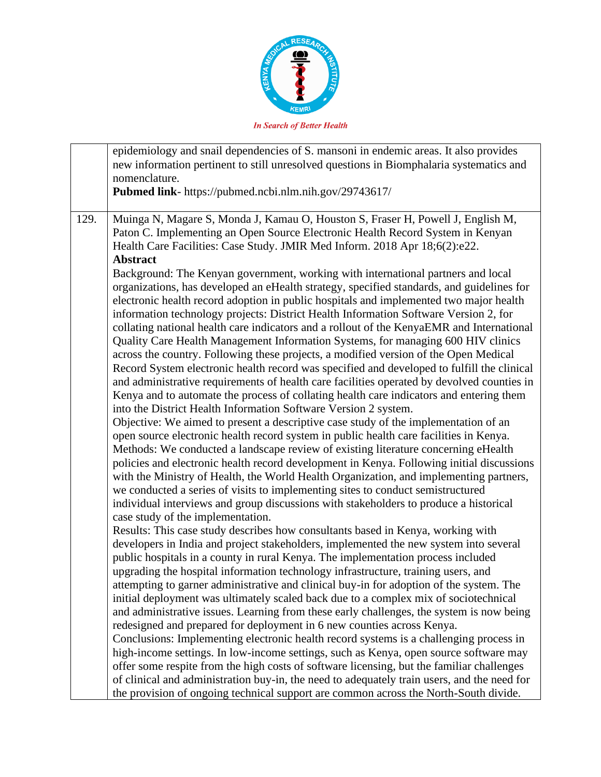

|      | epidemiology and snail dependencies of S. mansoni in endemic areas. It also provides<br>new information pertinent to still unresolved questions in Biomphalaria systematics and<br>nomenclature.<br>Pubmed link- https://pubmed.ncbi.nlm.nih.gov/29743617/                                                                                                                                                                                                                                                                                                                                                                                                                                                                                                                                                                                                                                                                                                                                                                                                                                                                                                                                                                                                                                                                                                                                                                                                                                                                                                                                                                                                                                                                                                                                                                                                                                                                                                                                                                                                                                                                                                                                                                                                                                                                                                                                                                                                                                                                                                                                                                                                                                                                                                                                                                                                                                                                                                                                                                                           |
|------|------------------------------------------------------------------------------------------------------------------------------------------------------------------------------------------------------------------------------------------------------------------------------------------------------------------------------------------------------------------------------------------------------------------------------------------------------------------------------------------------------------------------------------------------------------------------------------------------------------------------------------------------------------------------------------------------------------------------------------------------------------------------------------------------------------------------------------------------------------------------------------------------------------------------------------------------------------------------------------------------------------------------------------------------------------------------------------------------------------------------------------------------------------------------------------------------------------------------------------------------------------------------------------------------------------------------------------------------------------------------------------------------------------------------------------------------------------------------------------------------------------------------------------------------------------------------------------------------------------------------------------------------------------------------------------------------------------------------------------------------------------------------------------------------------------------------------------------------------------------------------------------------------------------------------------------------------------------------------------------------------------------------------------------------------------------------------------------------------------------------------------------------------------------------------------------------------------------------------------------------------------------------------------------------------------------------------------------------------------------------------------------------------------------------------------------------------------------------------------------------------------------------------------------------------------------------------------------------------------------------------------------------------------------------------------------------------------------------------------------------------------------------------------------------------------------------------------------------------------------------------------------------------------------------------------------------------------------------------------------------------------------------------------------------------|
| 129. | Muinga N, Magare S, Monda J, Kamau O, Houston S, Fraser H, Powell J, English M,<br>Paton C. Implementing an Open Source Electronic Health Record System in Kenyan<br>Health Care Facilities: Case Study. JMIR Med Inform. 2018 Apr 18;6(2):e22.<br><b>Abstract</b><br>Background: The Kenyan government, working with international partners and local<br>organizations, has developed an eHealth strategy, specified standards, and guidelines for<br>electronic health record adoption in public hospitals and implemented two major health<br>information technology projects: District Health Information Software Version 2, for<br>collating national health care indicators and a rollout of the KenyaEMR and International<br>Quality Care Health Management Information Systems, for managing 600 HIV clinics<br>across the country. Following these projects, a modified version of the Open Medical<br>Record System electronic health record was specified and developed to fulfill the clinical<br>and administrative requirements of health care facilities operated by devolved counties in<br>Kenya and to automate the process of collating health care indicators and entering them<br>into the District Health Information Software Version 2 system.<br>Objective: We aimed to present a descriptive case study of the implementation of an<br>open source electronic health record system in public health care facilities in Kenya.<br>Methods: We conducted a landscape review of existing literature concerning eHealth<br>policies and electronic health record development in Kenya. Following initial discussions<br>with the Ministry of Health, the World Health Organization, and implementing partners,<br>we conducted a series of visits to implementing sites to conduct semistructured<br>individual interviews and group discussions with stakeholders to produce a historical<br>case study of the implementation.<br>Results: This case study describes how consultants based in Kenya, working with<br>developers in India and project stakeholders, implemented the new system into several<br>public hospitals in a county in rural Kenya. The implementation process included<br>upgrading the hospital information technology infrastructure, training users, and<br>attempting to garner administrative and clinical buy-in for adoption of the system. The<br>initial deployment was ultimately scaled back due to a complex mix of sociotechnical<br>and administrative issues. Learning from these early challenges, the system is now being<br>redesigned and prepared for deployment in 6 new counties across Kenya.<br>Conclusions: Implementing electronic health record systems is a challenging process in<br>high-income settings. In low-income settings, such as Kenya, open source software may<br>offer some respite from the high costs of software licensing, but the familiar challenges<br>of clinical and administration buy-in, the need to adequately train users, and the need for |
|      | the provision of ongoing technical support are common across the North-South divide.                                                                                                                                                                                                                                                                                                                                                                                                                                                                                                                                                                                                                                                                                                                                                                                                                                                                                                                                                                                                                                                                                                                                                                                                                                                                                                                                                                                                                                                                                                                                                                                                                                                                                                                                                                                                                                                                                                                                                                                                                                                                                                                                                                                                                                                                                                                                                                                                                                                                                                                                                                                                                                                                                                                                                                                                                                                                                                                                                                 |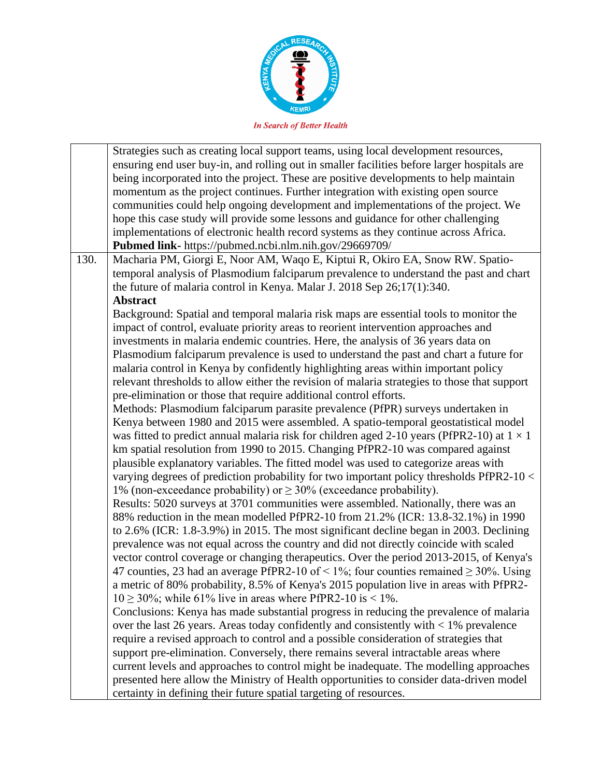

|      | Strategies such as creating local support teams, using local development resources,<br>ensuring end user buy-in, and rolling out in smaller facilities before larger hospitals are<br>being incorporated into the project. These are positive developments to help maintain<br>momentum as the project continues. Further integration with existing open source<br>communities could help ongoing development and implementations of the project. We<br>hope this case study will provide some lessons and guidance for other challenging<br>implementations of electronic health record systems as they continue across Africa.<br>Pubmed link- https://pubmed.ncbi.nlm.nih.gov/29669709/                                                                                                                                                                                                                                                                                                                                                                                                                                                                                                                                                                                                                                                                                                                                                                                                                                                                                                                                                                                                                                                                                                                                                                                                                                                                                                                                                                                                                                                                                                                                                                                                                                                                                                                                                                                                                                                                                                           |
|------|------------------------------------------------------------------------------------------------------------------------------------------------------------------------------------------------------------------------------------------------------------------------------------------------------------------------------------------------------------------------------------------------------------------------------------------------------------------------------------------------------------------------------------------------------------------------------------------------------------------------------------------------------------------------------------------------------------------------------------------------------------------------------------------------------------------------------------------------------------------------------------------------------------------------------------------------------------------------------------------------------------------------------------------------------------------------------------------------------------------------------------------------------------------------------------------------------------------------------------------------------------------------------------------------------------------------------------------------------------------------------------------------------------------------------------------------------------------------------------------------------------------------------------------------------------------------------------------------------------------------------------------------------------------------------------------------------------------------------------------------------------------------------------------------------------------------------------------------------------------------------------------------------------------------------------------------------------------------------------------------------------------------------------------------------------------------------------------------------------------------------------------------------------------------------------------------------------------------------------------------------------------------------------------------------------------------------------------------------------------------------------------------------------------------------------------------------------------------------------------------------------------------------------------------------------------------------------------------------|
| 130. | Macharia PM, Giorgi E, Noor AM, Waqo E, Kiptui R, Okiro EA, Snow RW. Spatio-<br>temporal analysis of Plasmodium falciparum prevalence to understand the past and chart<br>the future of malaria control in Kenya. Malar J. 2018 Sep 26;17(1):340.<br><b>Abstract</b>                                                                                                                                                                                                                                                                                                                                                                                                                                                                                                                                                                                                                                                                                                                                                                                                                                                                                                                                                                                                                                                                                                                                                                                                                                                                                                                                                                                                                                                                                                                                                                                                                                                                                                                                                                                                                                                                                                                                                                                                                                                                                                                                                                                                                                                                                                                                 |
|      | Background: Spatial and temporal malaria risk maps are essential tools to monitor the<br>impact of control, evaluate priority areas to reorient intervention approaches and<br>investments in malaria endemic countries. Here, the analysis of 36 years data on<br>Plasmodium falciparum prevalence is used to understand the past and chart a future for<br>malaria control in Kenya by confidently highlighting areas within important policy<br>relevant thresholds to allow either the revision of malaria strategies to those that support<br>pre-elimination or those that require additional control efforts.<br>Methods: Plasmodium falciparum parasite prevalence (PfPR) surveys undertaken in<br>Kenya between 1980 and 2015 were assembled. A spatio-temporal geostatistical model<br>was fitted to predict annual malaria risk for children aged 2-10 years (PfPR2-10) at $1 \times 1$<br>km spatial resolution from 1990 to 2015. Changing PfPR2-10 was compared against<br>plausible explanatory variables. The fitted model was used to categorize areas with<br>varying degrees of prediction probability for two important policy thresholds PfPR2-10 <<br>1% (non-exceedance probability) or $\geq$ 30% (exceedance probability).<br>Results: 5020 surveys at 3701 communities were assembled. Nationally, there was an<br>88% reduction in the mean modelled PfPR2-10 from 21.2% (ICR: 13.8-32.1%) in 1990<br>to 2.6% (ICR: 1.8-3.9%) in 2015. The most significant decline began in 2003. Declining<br>prevalence was not equal across the country and did not directly coincide with scaled<br>vector control coverage or changing therapeutics. Over the period 2013-2015, of Kenya's<br>47 counties, 23 had an average PfPR2-10 of < 1%; four counties remained $\geq$ 30%. Using<br>a metric of 80% probability, 8.5% of Kenya's 2015 population live in areas with PfPR2-<br>$10 \ge 30\%$ ; while 61% live in areas where PfPR2-10 is < 1%.<br>Conclusions: Kenya has made substantial progress in reducing the prevalence of malaria<br>over the last 26 years. Areas today confidently and consistently with $<$ 1% prevalence<br>require a revised approach to control and a possible consideration of strategies that<br>support pre-elimination. Conversely, there remains several intractable areas where<br>current levels and approaches to control might be inadequate. The modelling approaches<br>presented here allow the Ministry of Health opportunities to consider data-driven model<br>certainty in defining their future spatial targeting of resources. |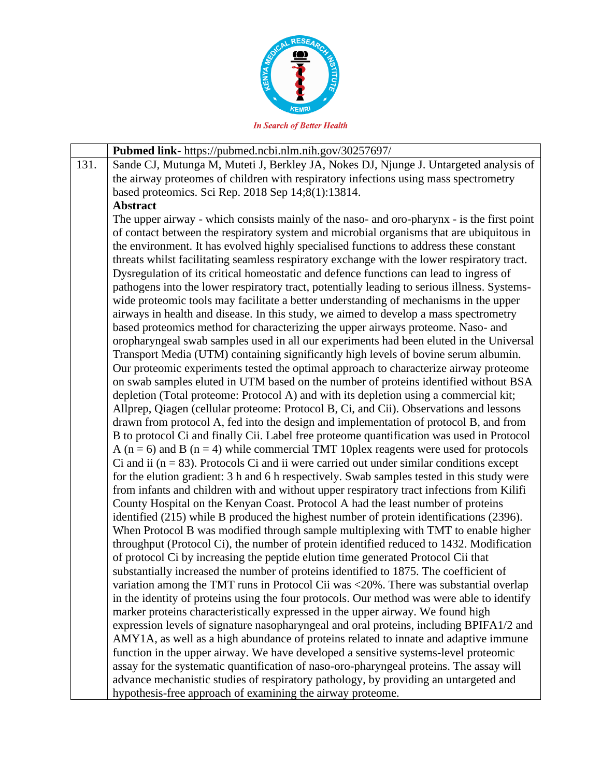

| 131.<br>Sande CJ, Mutunga M, Muteti J, Berkley JA, Nokes DJ, Njunge J. Untargeted analysis of<br>the airway proteomes of children with respiratory infections using mass spectrometry<br>based proteomics. Sci Rep. 2018 Sep 14;8(1):13814.<br><b>Abstract</b><br>The upper airway - which consists mainly of the naso- and oro-pharynx - is the first point<br>of contact between the respiratory system and microbial organisms that are ubiquitous in<br>the environment. It has evolved highly specialised functions to address these constant<br>threats whilst facilitating seamless respiratory exchange with the lower respiratory tract.<br>Dysregulation of its critical homeostatic and defence functions can lead to ingress of<br>pathogens into the lower respiratory tract, potentially leading to serious illness. Systems-<br>wide proteomic tools may facilitate a better understanding of mechanisms in the upper<br>airways in health and disease. In this study, we aimed to develop a mass spectrometry<br>based proteomics method for characterizing the upper airways proteome. Naso- and | Pubmed link- https://pubmed.ncbi.nlm.nih.gov/30257697/                                  |
|-------------------------------------------------------------------------------------------------------------------------------------------------------------------------------------------------------------------------------------------------------------------------------------------------------------------------------------------------------------------------------------------------------------------------------------------------------------------------------------------------------------------------------------------------------------------------------------------------------------------------------------------------------------------------------------------------------------------------------------------------------------------------------------------------------------------------------------------------------------------------------------------------------------------------------------------------------------------------------------------------------------------------------------------------------------------------------------------------------------------|-----------------------------------------------------------------------------------------|
|                                                                                                                                                                                                                                                                                                                                                                                                                                                                                                                                                                                                                                                                                                                                                                                                                                                                                                                                                                                                                                                                                                                   |                                                                                         |
|                                                                                                                                                                                                                                                                                                                                                                                                                                                                                                                                                                                                                                                                                                                                                                                                                                                                                                                                                                                                                                                                                                                   |                                                                                         |
|                                                                                                                                                                                                                                                                                                                                                                                                                                                                                                                                                                                                                                                                                                                                                                                                                                                                                                                                                                                                                                                                                                                   |                                                                                         |
|                                                                                                                                                                                                                                                                                                                                                                                                                                                                                                                                                                                                                                                                                                                                                                                                                                                                                                                                                                                                                                                                                                                   |                                                                                         |
|                                                                                                                                                                                                                                                                                                                                                                                                                                                                                                                                                                                                                                                                                                                                                                                                                                                                                                                                                                                                                                                                                                                   |                                                                                         |
|                                                                                                                                                                                                                                                                                                                                                                                                                                                                                                                                                                                                                                                                                                                                                                                                                                                                                                                                                                                                                                                                                                                   |                                                                                         |
|                                                                                                                                                                                                                                                                                                                                                                                                                                                                                                                                                                                                                                                                                                                                                                                                                                                                                                                                                                                                                                                                                                                   |                                                                                         |
|                                                                                                                                                                                                                                                                                                                                                                                                                                                                                                                                                                                                                                                                                                                                                                                                                                                                                                                                                                                                                                                                                                                   |                                                                                         |
|                                                                                                                                                                                                                                                                                                                                                                                                                                                                                                                                                                                                                                                                                                                                                                                                                                                                                                                                                                                                                                                                                                                   |                                                                                         |
|                                                                                                                                                                                                                                                                                                                                                                                                                                                                                                                                                                                                                                                                                                                                                                                                                                                                                                                                                                                                                                                                                                                   |                                                                                         |
|                                                                                                                                                                                                                                                                                                                                                                                                                                                                                                                                                                                                                                                                                                                                                                                                                                                                                                                                                                                                                                                                                                                   |                                                                                         |
|                                                                                                                                                                                                                                                                                                                                                                                                                                                                                                                                                                                                                                                                                                                                                                                                                                                                                                                                                                                                                                                                                                                   |                                                                                         |
|                                                                                                                                                                                                                                                                                                                                                                                                                                                                                                                                                                                                                                                                                                                                                                                                                                                                                                                                                                                                                                                                                                                   |                                                                                         |
|                                                                                                                                                                                                                                                                                                                                                                                                                                                                                                                                                                                                                                                                                                                                                                                                                                                                                                                                                                                                                                                                                                                   | oropharyngeal swab samples used in all our experiments had been eluted in the Universal |
| Transport Media (UTM) containing significantly high levels of bovine serum albumin.                                                                                                                                                                                                                                                                                                                                                                                                                                                                                                                                                                                                                                                                                                                                                                                                                                                                                                                                                                                                                               |                                                                                         |
| Our proteomic experiments tested the optimal approach to characterize airway proteome                                                                                                                                                                                                                                                                                                                                                                                                                                                                                                                                                                                                                                                                                                                                                                                                                                                                                                                                                                                                                             |                                                                                         |
| on swab samples eluted in UTM based on the number of proteins identified without BSA                                                                                                                                                                                                                                                                                                                                                                                                                                                                                                                                                                                                                                                                                                                                                                                                                                                                                                                                                                                                                              |                                                                                         |
| depletion (Total proteome: Protocol A) and with its depletion using a commercial kit;                                                                                                                                                                                                                                                                                                                                                                                                                                                                                                                                                                                                                                                                                                                                                                                                                                                                                                                                                                                                                             |                                                                                         |
| Allprep, Qiagen (cellular proteome: Protocol B, Ci, and Cii). Observations and lessons                                                                                                                                                                                                                                                                                                                                                                                                                                                                                                                                                                                                                                                                                                                                                                                                                                                                                                                                                                                                                            |                                                                                         |
| drawn from protocol A, fed into the design and implementation of protocol B, and from                                                                                                                                                                                                                                                                                                                                                                                                                                                                                                                                                                                                                                                                                                                                                                                                                                                                                                                                                                                                                             |                                                                                         |
| B to protocol Ci and finally Cii. Label free proteome quantification was used in Protocol                                                                                                                                                                                                                                                                                                                                                                                                                                                                                                                                                                                                                                                                                                                                                                                                                                                                                                                                                                                                                         |                                                                                         |
| A ( $n = 6$ ) and B ( $n = 4$ ) while commercial TMT 10plex reagents were used for protocols                                                                                                                                                                                                                                                                                                                                                                                                                                                                                                                                                                                                                                                                                                                                                                                                                                                                                                                                                                                                                      |                                                                                         |
| Ci and ii $(n = 83)$ . Protocols Ci and ii were carried out under similar conditions except                                                                                                                                                                                                                                                                                                                                                                                                                                                                                                                                                                                                                                                                                                                                                                                                                                                                                                                                                                                                                       |                                                                                         |
| for the elution gradient: 3 h and 6 h respectively. Swab samples tested in this study were                                                                                                                                                                                                                                                                                                                                                                                                                                                                                                                                                                                                                                                                                                                                                                                                                                                                                                                                                                                                                        |                                                                                         |
| from infants and children with and without upper respiratory tract infections from Kilifi                                                                                                                                                                                                                                                                                                                                                                                                                                                                                                                                                                                                                                                                                                                                                                                                                                                                                                                                                                                                                         |                                                                                         |
| County Hospital on the Kenyan Coast. Protocol A had the least number of proteins                                                                                                                                                                                                                                                                                                                                                                                                                                                                                                                                                                                                                                                                                                                                                                                                                                                                                                                                                                                                                                  |                                                                                         |
| identified (215) while B produced the highest number of protein identifications (2396).                                                                                                                                                                                                                                                                                                                                                                                                                                                                                                                                                                                                                                                                                                                                                                                                                                                                                                                                                                                                                           |                                                                                         |
| When Protocol B was modified through sample multiplexing with TMT to enable higher                                                                                                                                                                                                                                                                                                                                                                                                                                                                                                                                                                                                                                                                                                                                                                                                                                                                                                                                                                                                                                |                                                                                         |
| throughput (Protocol Ci), the number of protein identified reduced to 1432. Modification                                                                                                                                                                                                                                                                                                                                                                                                                                                                                                                                                                                                                                                                                                                                                                                                                                                                                                                                                                                                                          |                                                                                         |
| of protocol Ci by increasing the peptide elution time generated Protocol Cii that                                                                                                                                                                                                                                                                                                                                                                                                                                                                                                                                                                                                                                                                                                                                                                                                                                                                                                                                                                                                                                 |                                                                                         |
| substantially increased the number of proteins identified to 1875. The coefficient of                                                                                                                                                                                                                                                                                                                                                                                                                                                                                                                                                                                                                                                                                                                                                                                                                                                                                                                                                                                                                             |                                                                                         |
| variation among the TMT runs in Protocol Cii was <20%. There was substantial overlap                                                                                                                                                                                                                                                                                                                                                                                                                                                                                                                                                                                                                                                                                                                                                                                                                                                                                                                                                                                                                              |                                                                                         |
| in the identity of proteins using the four protocols. Our method was were able to identify                                                                                                                                                                                                                                                                                                                                                                                                                                                                                                                                                                                                                                                                                                                                                                                                                                                                                                                                                                                                                        |                                                                                         |
| marker proteins characteristically expressed in the upper airway. We found high                                                                                                                                                                                                                                                                                                                                                                                                                                                                                                                                                                                                                                                                                                                                                                                                                                                                                                                                                                                                                                   |                                                                                         |
| expression levels of signature nasopharyngeal and oral proteins, including BPIFA1/2 and                                                                                                                                                                                                                                                                                                                                                                                                                                                                                                                                                                                                                                                                                                                                                                                                                                                                                                                                                                                                                           |                                                                                         |
| AMY1A, as well as a high abundance of proteins related to innate and adaptive immune                                                                                                                                                                                                                                                                                                                                                                                                                                                                                                                                                                                                                                                                                                                                                                                                                                                                                                                                                                                                                              |                                                                                         |
| function in the upper airway. We have developed a sensitive systems-level proteomic<br>assay for the systematic quantification of naso-oro-pharyngeal proteins. The assay will                                                                                                                                                                                                                                                                                                                                                                                                                                                                                                                                                                                                                                                                                                                                                                                                                                                                                                                                    |                                                                                         |
| advance mechanistic studies of respiratory pathology, by providing an untargeted and                                                                                                                                                                                                                                                                                                                                                                                                                                                                                                                                                                                                                                                                                                                                                                                                                                                                                                                                                                                                                              |                                                                                         |
| hypothesis-free approach of examining the airway proteome.                                                                                                                                                                                                                                                                                                                                                                                                                                                                                                                                                                                                                                                                                                                                                                                                                                                                                                                                                                                                                                                        |                                                                                         |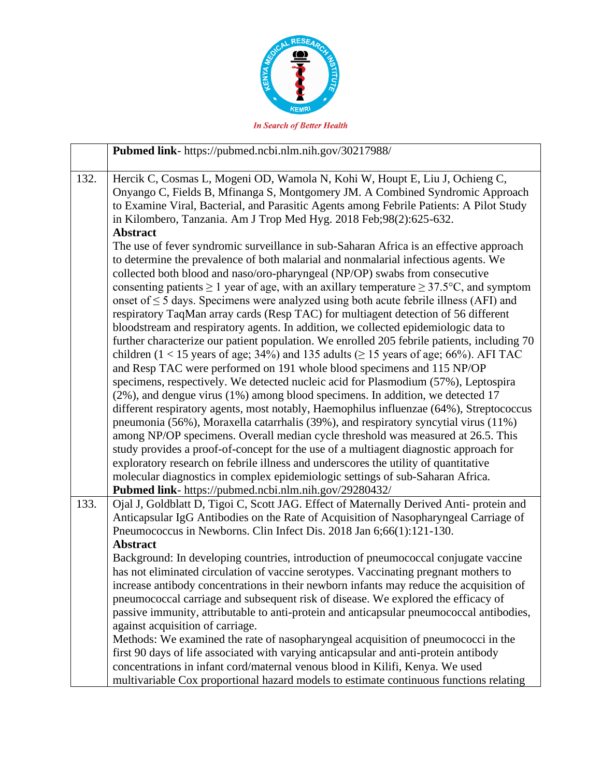

|      | Pubmed link- https://pubmed.ncbi.nlm.nih.gov/30217988/                                                                                                                                                                                                                                                                                                                                                                                                                                                                                                                                                                                                                                                                                                                                                                                                                                                                                                                                                                                                                                                                                                                                    |
|------|-------------------------------------------------------------------------------------------------------------------------------------------------------------------------------------------------------------------------------------------------------------------------------------------------------------------------------------------------------------------------------------------------------------------------------------------------------------------------------------------------------------------------------------------------------------------------------------------------------------------------------------------------------------------------------------------------------------------------------------------------------------------------------------------------------------------------------------------------------------------------------------------------------------------------------------------------------------------------------------------------------------------------------------------------------------------------------------------------------------------------------------------------------------------------------------------|
| 132. | Hercik C, Cosmas L, Mogeni OD, Wamola N, Kohi W, Houpt E, Liu J, Ochieng C,<br>Onyango C, Fields B, Mfinanga S, Montgomery JM. A Combined Syndromic Approach<br>to Examine Viral, Bacterial, and Parasitic Agents among Febrile Patients: A Pilot Study<br>in Kilombero, Tanzania. Am J Trop Med Hyg. 2018 Feb;98(2):625-632.                                                                                                                                                                                                                                                                                                                                                                                                                                                                                                                                                                                                                                                                                                                                                                                                                                                             |
|      | <b>Abstract</b>                                                                                                                                                                                                                                                                                                                                                                                                                                                                                                                                                                                                                                                                                                                                                                                                                                                                                                                                                                                                                                                                                                                                                                           |
|      | The use of fever syndromic surveillance in sub-Saharan Africa is an effective approach<br>to determine the prevalence of both malarial and nonmalarial infectious agents. We<br>collected both blood and naso/oro-pharyngeal (NP/OP) swabs from consecutive<br>consenting patients $\geq 1$ year of age, with an axillary temperature $\geq 37.5$ °C, and symptom<br>onset of $\leq$ 5 days. Specimens were analyzed using both acute febrile illness (AFI) and<br>respiratory TaqMan array cards (Resp TAC) for multiagent detection of 56 different<br>bloodstream and respiratory agents. In addition, we collected epidemiologic data to<br>further characterize our patient population. We enrolled 205 febrile patients, including 70<br>children ( $1 < 15$ years of age; 34%) and 135 adults ( $\geq 15$ years of age; 66%). AFI TAC<br>and Resp TAC were performed on 191 whole blood specimens and 115 NP/OP<br>specimens, respectively. We detected nucleic acid for Plasmodium (57%), Leptospira<br>(2%), and dengue virus (1%) among blood specimens. In addition, we detected 17<br>different respiratory agents, most notably, Haemophilus influenzae (64%), Streptococcus |
|      | pneumonia (56%), Moraxella catarrhalis (39%), and respiratory syncytial virus (11%)                                                                                                                                                                                                                                                                                                                                                                                                                                                                                                                                                                                                                                                                                                                                                                                                                                                                                                                                                                                                                                                                                                       |
|      | among NP/OP specimens. Overall median cycle threshold was measured at 26.5. This<br>study provides a proof-of-concept for the use of a multiagent diagnostic approach for<br>exploratory research on febrile illness and underscores the utility of quantitative<br>molecular diagnostics in complex epidemiologic settings of sub-Saharan Africa.<br>Pubmed link- https://pubmed.ncbi.nlm.nih.gov/29280432/                                                                                                                                                                                                                                                                                                                                                                                                                                                                                                                                                                                                                                                                                                                                                                              |
| 133. | Ojal J, Goldblatt D, Tigoi C, Scott JAG. Effect of Maternally Derived Anti- protein and<br>Anticapsular IgG Antibodies on the Rate of Acquisition of Nasopharyngeal Carriage of<br>Pneumococcus in Newborns. Clin Infect Dis. 2018 Jan 6;66(1):121-130.<br><b>Abstract</b>                                                                                                                                                                                                                                                                                                                                                                                                                                                                                                                                                                                                                                                                                                                                                                                                                                                                                                                |
|      | Background: In developing countries, introduction of pneumococcal conjugate vaccine<br>has not eliminated circulation of vaccine serotypes. Vaccinating pregnant mothers to<br>increase antibody concentrations in their newborn infants may reduce the acquisition of<br>pneumococcal carriage and subsequent risk of disease. We explored the efficacy of<br>passive immunity, attributable to anti-protein and anticapsular pneumococcal antibodies,<br>against acquisition of carriage.<br>Methods: We examined the rate of nasopharyngeal acquisition of pneumococci in the                                                                                                                                                                                                                                                                                                                                                                                                                                                                                                                                                                                                          |
|      | first 90 days of life associated with varying anticapsular and anti-protein antibody                                                                                                                                                                                                                                                                                                                                                                                                                                                                                                                                                                                                                                                                                                                                                                                                                                                                                                                                                                                                                                                                                                      |
|      | concentrations in infant cord/maternal venous blood in Kilifi, Kenya. We used<br>multivariable Cox proportional hazard models to estimate continuous functions relating                                                                                                                                                                                                                                                                                                                                                                                                                                                                                                                                                                                                                                                                                                                                                                                                                                                                                                                                                                                                                   |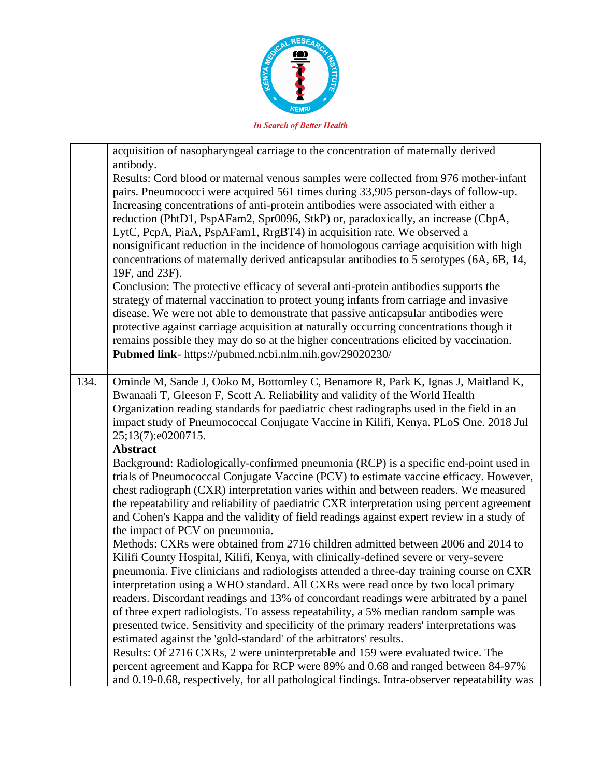

| acquisition of nasopharyngeal carriage to the concentration of maternally derived<br>antibody.                                                                                                                                                                                                                                                                                                                                                                                                                                                                                                                                                                                                                                                                                                                                                                                                                                                                                                                                                                                                                                                                                                                                                                                                                                                                                                                                                                                           |
|------------------------------------------------------------------------------------------------------------------------------------------------------------------------------------------------------------------------------------------------------------------------------------------------------------------------------------------------------------------------------------------------------------------------------------------------------------------------------------------------------------------------------------------------------------------------------------------------------------------------------------------------------------------------------------------------------------------------------------------------------------------------------------------------------------------------------------------------------------------------------------------------------------------------------------------------------------------------------------------------------------------------------------------------------------------------------------------------------------------------------------------------------------------------------------------------------------------------------------------------------------------------------------------------------------------------------------------------------------------------------------------------------------------------------------------------------------------------------------------|
| Results: Cord blood or maternal venous samples were collected from 976 mother-infant<br>pairs. Pneumococci were acquired 561 times during 33,905 person-days of follow-up.<br>Increasing concentrations of anti-protein antibodies were associated with either a<br>reduction (PhtD1, PspAFam2, Spr0096, StkP) or, paradoxically, an increase (CbpA,<br>LytC, PcpA, PiaA, PspAFam1, RrgBT4) in acquisition rate. We observed a<br>nonsignificant reduction in the incidence of homologous carriage acquisition with high<br>concentrations of maternally derived anticapsular antibodies to 5 serotypes (6A, 6B, 14,<br>19F, and 23F).<br>Conclusion: The protective efficacy of several anti-protein antibodies supports the<br>strategy of maternal vaccination to protect young infants from carriage and invasive<br>disease. We were not able to demonstrate that passive anticapsular antibodies were<br>protective against carriage acquisition at naturally occurring concentrations though it<br>remains possible they may do so at the higher concentrations elicited by vaccination.<br>Pubmed link- https://pubmed.ncbi.nlm.nih.gov/29020230/                                                                                                                                                                                                                                                                                                                                |
| Ominde M, Sande J, Ooko M, Bottomley C, Benamore R, Park K, Ignas J, Maitland K,<br>Bwanaali T, Gleeson F, Scott A. Reliability and validity of the World Health<br>Organization reading standards for paediatric chest radiographs used in the field in an<br>impact study of Pneumococcal Conjugate Vaccine in Kilifi, Kenya. PLoS One. 2018 Jul<br>25;13(7):e0200715.<br><b>Abstract</b>                                                                                                                                                                                                                                                                                                                                                                                                                                                                                                                                                                                                                                                                                                                                                                                                                                                                                                                                                                                                                                                                                              |
| Background: Radiologically-confirmed pneumonia (RCP) is a specific end-point used in<br>trials of Pneumococcal Conjugate Vaccine (PCV) to estimate vaccine efficacy. However,<br>chest radiograph (CXR) interpretation varies within and between readers. We measured<br>the repeatability and reliability of paediatric CXR interpretation using percent agreement<br>and Cohen's Kappa and the validity of field readings against expert review in a study of<br>the impact of PCV on pneumonia.<br>Methods: CXRs were obtained from 2716 children admitted between 2006 and 2014 to<br>Kilifi County Hospital, Kilifi, Kenya, with clinically-defined severe or very-severe<br>pneumonia. Five clinicians and radiologists attended a three-day training course on CXR<br>interpretation using a WHO standard. All CXRs were read once by two local primary<br>readers. Discordant readings and 13% of concordant readings were arbitrated by a panel<br>of three expert radiologists. To assess repeatability, a 5% median random sample was<br>presented twice. Sensitivity and specificity of the primary readers' interpretations was<br>estimated against the 'gold-standard' of the arbitrators' results.<br>Results: Of 2716 CXRs, 2 were uninterpretable and 159 were evaluated twice. The<br>percent agreement and Kappa for RCP were 89% and 0.68 and ranged between 84-97%<br>and 0.19-0.68, respectively, for all pathological findings. Intra-observer repeatability was |
|                                                                                                                                                                                                                                                                                                                                                                                                                                                                                                                                                                                                                                                                                                                                                                                                                                                                                                                                                                                                                                                                                                                                                                                                                                                                                                                                                                                                                                                                                          |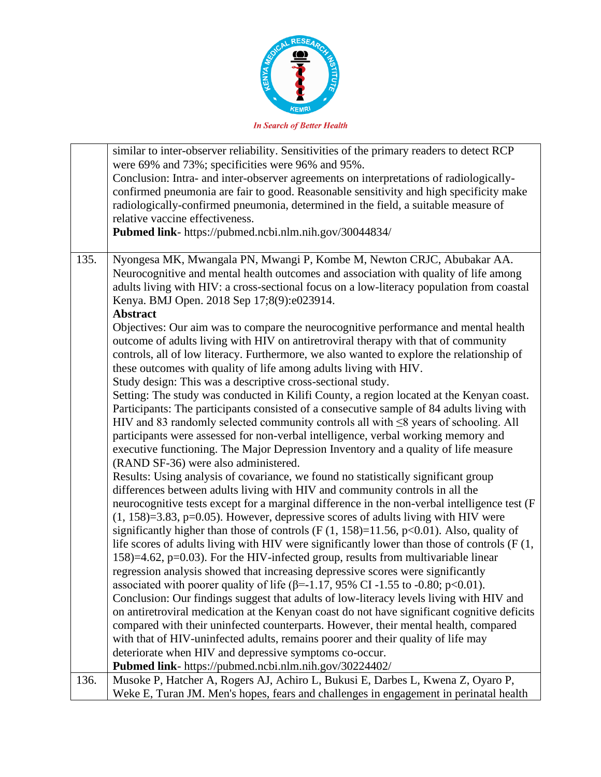

|      | similar to inter-observer reliability. Sensitivities of the primary readers to detect RCP<br>were 69% and 73%; specificities were 96% and 95%.<br>Conclusion: Intra- and inter-observer agreements on interpretations of radiologically-<br>confirmed pneumonia are fair to good. Reasonable sensitivity and high specificity make<br>radiologically-confirmed pneumonia, determined in the field, a suitable measure of<br>relative vaccine effectiveness.<br>Pubmed link- https://pubmed.ncbi.nlm.nih.gov/30044834/ |
|------|-----------------------------------------------------------------------------------------------------------------------------------------------------------------------------------------------------------------------------------------------------------------------------------------------------------------------------------------------------------------------------------------------------------------------------------------------------------------------------------------------------------------------|
| 135. | Nyongesa MK, Mwangala PN, Mwangi P, Kombe M, Newton CRJC, Abubakar AA.<br>Neurocognitive and mental health outcomes and association with quality of life among<br>adults living with HIV: a cross-sectional focus on a low-literacy population from coastal<br>Kenya. BMJ Open. 2018 Sep 17;8(9):e023914.<br><b>Abstract</b>                                                                                                                                                                                          |
|      | Objectives: Our aim was to compare the neurocognitive performance and mental health<br>outcome of adults living with HIV on antiretroviral therapy with that of community<br>controls, all of low literacy. Furthermore, we also wanted to explore the relationship of<br>these outcomes with quality of life among adults living with HIV.<br>Study design: This was a descriptive cross-sectional study.                                                                                                            |
|      | Setting: The study was conducted in Kilifi County, a region located at the Kenyan coast.<br>Participants: The participants consisted of a consecutive sample of 84 adults living with<br>HIV and 83 randomly selected community controls all with $\leq$ 8 years of schooling. All<br>participants were assessed for non-verbal intelligence, verbal working memory and<br>executive functioning. The Major Depression Inventory and a quality of life measure                                                        |
|      | (RAND SF-36) were also administered.<br>Results: Using analysis of covariance, we found no statistically significant group<br>differences between adults living with HIV and community controls in all the<br>neurocognitive tests except for a marginal difference in the non-verbal intelligence test (F<br>$(1, 158)=3.83$ , p=0.05). However, depressive scores of adults living with HIV were                                                                                                                    |
|      | significantly higher than those of controls (F $(1, 158)=11.56$ , p<0.01). Also, quality of<br>life scores of adults living with HIV were significantly lower than those of controls $(F(1,$<br>158)=4.62, p=0.03). For the HIV-infected group, results from multivariable linear<br>regression analysis showed that increasing depressive scores were significantly                                                                                                                                                  |
|      | associated with poorer quality of life ( $\beta$ =-1.17, 95% CI-1.55 to -0.80; p<0.01).<br>Conclusion: Our findings suggest that adults of low-literacy levels living with HIV and<br>on antiretroviral medication at the Kenyan coast do not have significant cognitive deficits<br>compared with their uninfected counterparts. However, their mental health, compared<br>with that of HIV-uninfected adults, remains poorer and their quality of life may                                                          |
|      | deteriorate when HIV and depressive symptoms co-occur.<br>Pubmed link- https://pubmed.ncbi.nlm.nih.gov/30224402/                                                                                                                                                                                                                                                                                                                                                                                                      |
| 136. | Musoke P, Hatcher A, Rogers AJ, Achiro L, Bukusi E, Darbes L, Kwena Z, Oyaro P,<br>Weke E, Turan JM. Men's hopes, fears and challenges in engagement in perinatal health                                                                                                                                                                                                                                                                                                                                              |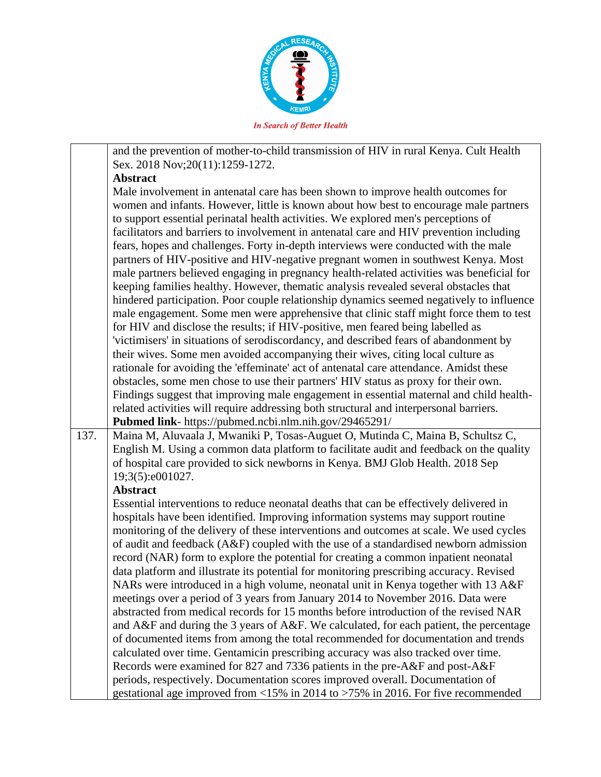

|      | and the prevention of mother-to-child transmission of HIV in rural Kenya. Cult Health     |
|------|-------------------------------------------------------------------------------------------|
|      | Sex. 2018 Nov;20(11):1259-1272.                                                           |
|      | <b>Abstract</b>                                                                           |
|      | Male involvement in antenatal care has been shown to improve health outcomes for          |
|      | women and infants. However, little is known about how best to encourage male partners     |
|      | to support essential perinatal health activities. We explored men's perceptions of        |
|      | facilitators and barriers to involvement in antenatal care and HIV prevention including   |
|      | fears, hopes and challenges. Forty in-depth interviews were conducted with the male       |
|      | partners of HIV-positive and HIV-negative pregnant women in southwest Kenya. Most         |
|      | male partners believed engaging in pregnancy health-related activities was beneficial for |
|      | keeping families healthy. However, thematic analysis revealed several obstacles that      |
|      | hindered participation. Poor couple relationship dynamics seemed negatively to influence  |
|      |                                                                                           |
|      | male engagement. Some men were apprehensive that clinic staff might force them to test    |
|      | for HIV and disclose the results; if HIV-positive, men feared being labelled as           |
|      | 'victimisers' in situations of serodiscordancy, and described fears of abandonment by     |
|      | their wives. Some men avoided accompanying their wives, citing local culture as           |
|      | rationale for avoiding the 'effeminate' act of antenatal care attendance. Amidst these    |
|      | obstacles, some men chose to use their partners' HIV status as proxy for their own.       |
|      | Findings suggest that improving male engagement in essential maternal and child health-   |
|      | related activities will require addressing both structural and interpersonal barriers.    |
|      | Pubmed link- https://pubmed.ncbi.nlm.nih.gov/29465291/                                    |
| 137. | Maina M, Aluvaala J, Mwaniki P, Tosas-Auguet O, Mutinda C, Maina B, Schultsz C,           |
|      | English M. Using a common data platform to facilitate audit and feedback on the quality   |
|      | of hospital care provided to sick newborns in Kenya. BMJ Glob Health. 2018 Sep            |
|      | 19;3(5):e001027.                                                                          |
|      | <b>Abstract</b>                                                                           |
|      | Essential interventions to reduce neonatal deaths that can be effectively delivered in    |
|      | hospitals have been identified. Improving information systems may support routine         |
|      | monitoring of the delivery of these interventions and outcomes at scale. We used cycles   |
|      | of audit and feedback $(A&F)$ coupled with the use of a standardised newborn admission    |
|      | record (NAR) form to explore the potential for creating a common inpatient neonatal       |
|      | data platform and illustrate its potential for monitoring prescribing accuracy. Revised   |
|      | NARs were introduced in a high volume, neonatal unit in Kenya together with 13 A&F        |
|      | meetings over a period of 3 years from January 2014 to November 2016. Data were           |
|      | abstracted from medical records for 15 months before introduction of the revised NAR      |
|      | and A&F and during the 3 years of A&F. We calculated, for each patient, the percentage    |
|      | of documented items from among the total recommended for documentation and trends         |
|      | calculated over time. Gentamicin prescribing accuracy was also tracked over time.         |
|      | Records were examined for 827 and 7336 patients in the pre-A&F and post-A&F               |
|      |                                                                                           |
|      | periods, respectively. Documentation scores improved overall. Documentation of            |
|      | gestational age improved from <15% in 2014 to >75% in 2016. For five recommended          |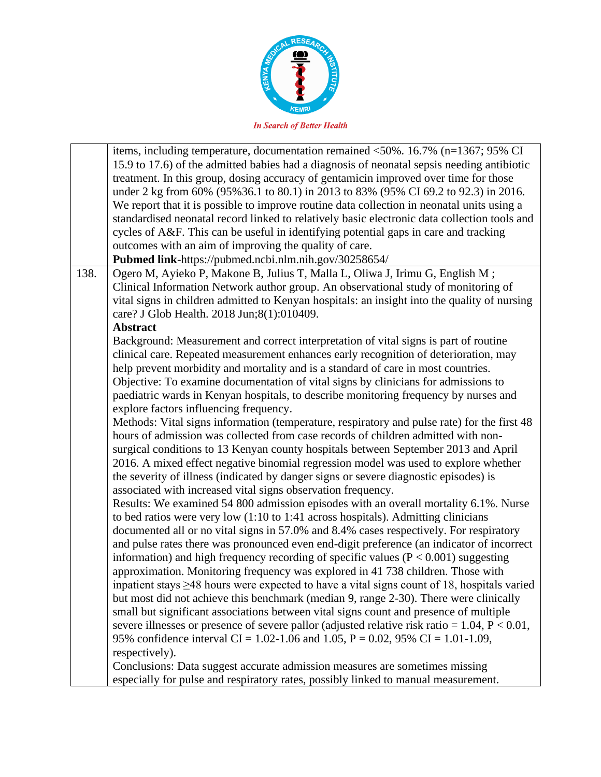

|      | items, including temperature, documentation remained <50%. 16.7% (n=1367; 95% CI<br>15.9 to 17.6) of the admitted babies had a diagnosis of neonatal sepsis needing antibiotic<br>treatment. In this group, dosing accuracy of gentamicin improved over time for those<br>under 2 kg from 60% (95%36.1 to 80.1) in 2013 to 83% (95% CI 69.2 to 92.3) in 2016.<br>We report that it is possible to improve routine data collection in neonatal units using a<br>standardised neonatal record linked to relatively basic electronic data collection tools and<br>cycles of A&F. This can be useful in identifying potential gaps in care and tracking<br>outcomes with an aim of improving the quality of care.<br>Pubmed link-https://pubmed.ncbi.nlm.nih.gov/30258654/ |
|------|------------------------------------------------------------------------------------------------------------------------------------------------------------------------------------------------------------------------------------------------------------------------------------------------------------------------------------------------------------------------------------------------------------------------------------------------------------------------------------------------------------------------------------------------------------------------------------------------------------------------------------------------------------------------------------------------------------------------------------------------------------------------|
| 138. | Ogero M, Ayieko P, Makone B, Julius T, Malla L, Oliwa J, Irimu G, English M;                                                                                                                                                                                                                                                                                                                                                                                                                                                                                                                                                                                                                                                                                           |
|      | Clinical Information Network author group. An observational study of monitoring of<br>vital signs in children admitted to Kenyan hospitals: an insight into the quality of nursing<br>care? J Glob Health. 2018 Jun;8(1):010409.<br><b>Abstract</b>                                                                                                                                                                                                                                                                                                                                                                                                                                                                                                                    |
|      |                                                                                                                                                                                                                                                                                                                                                                                                                                                                                                                                                                                                                                                                                                                                                                        |
|      | Background: Measurement and correct interpretation of vital signs is part of routine<br>clinical care. Repeated measurement enhances early recognition of deterioration, may<br>help prevent morbidity and mortality and is a standard of care in most countries.                                                                                                                                                                                                                                                                                                                                                                                                                                                                                                      |
|      | Objective: To examine documentation of vital signs by clinicians for admissions to                                                                                                                                                                                                                                                                                                                                                                                                                                                                                                                                                                                                                                                                                     |
|      | paediatric wards in Kenyan hospitals, to describe monitoring frequency by nurses and<br>explore factors influencing frequency.                                                                                                                                                                                                                                                                                                                                                                                                                                                                                                                                                                                                                                         |
|      | Methods: Vital signs information (temperature, respiratory and pulse rate) for the first 48<br>hours of admission was collected from case records of children admitted with non-<br>surgical conditions to 13 Kenyan county hospitals between September 2013 and April<br>2016. A mixed effect negative binomial regression model was used to explore whether<br>the severity of illness (indicated by danger signs or severe diagnostic episodes) is                                                                                                                                                                                                                                                                                                                  |
|      | associated with increased vital signs observation frequency.                                                                                                                                                                                                                                                                                                                                                                                                                                                                                                                                                                                                                                                                                                           |
|      | Results: We examined 54 800 admission episodes with an overall mortality 6.1%. Nurse<br>to bed ratios were very low $(1:10 \text{ to } 1:41 \text{ across hospitals})$ . Admitting clinicians<br>documented all or no vital signs in 57.0% and 8.4% cases respectively. For respiratory<br>and pulse rates there was pronounced even end-digit preference (an indicator of incorrect<br>information) and high frequency recording of specific values ( $P < 0.001$ ) suggesting                                                                                                                                                                                                                                                                                        |
|      | approximation. Monitoring frequency was explored in 41 738 children. Those with<br>inpatient stays $\geq$ 48 hours were expected to have a vital signs count of 18, hospitals varied<br>but most did not achieve this benchmark (median 9, range 2-30). There were clinically                                                                                                                                                                                                                                                                                                                                                                                                                                                                                          |
|      | small but significant associations between vital signs count and presence of multiple<br>severe illnesses or presence of severe pallor (adjusted relative risk ratio = $1.04$ , $P < 0.01$ ,<br>95% confidence interval CI = 1.02-1.06 and 1.05, P = 0.02, 95% CI = 1.01-1.09,                                                                                                                                                                                                                                                                                                                                                                                                                                                                                         |
|      | respectively).                                                                                                                                                                                                                                                                                                                                                                                                                                                                                                                                                                                                                                                                                                                                                         |
|      | Conclusions: Data suggest accurate admission measures are sometimes missing<br>especially for pulse and respiratory rates, possibly linked to manual measurement.                                                                                                                                                                                                                                                                                                                                                                                                                                                                                                                                                                                                      |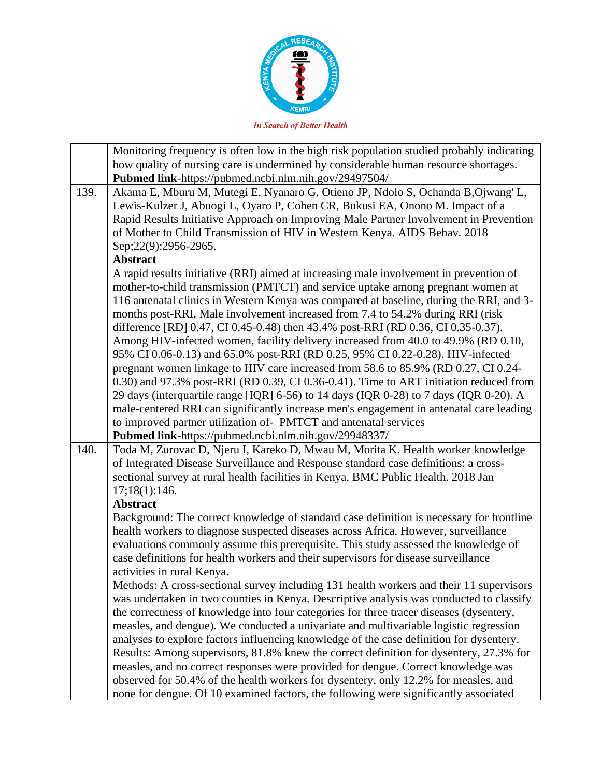

|      | Monitoring frequency is often low in the high risk population studied probably indicating                                                                                                                                                                                                                                                                                                                                                                                                                                                                                                                                                                                                                                                                                                                                                                                                                                                                                                                                                                                                                          |
|------|--------------------------------------------------------------------------------------------------------------------------------------------------------------------------------------------------------------------------------------------------------------------------------------------------------------------------------------------------------------------------------------------------------------------------------------------------------------------------------------------------------------------------------------------------------------------------------------------------------------------------------------------------------------------------------------------------------------------------------------------------------------------------------------------------------------------------------------------------------------------------------------------------------------------------------------------------------------------------------------------------------------------------------------------------------------------------------------------------------------------|
|      | how quality of nursing care is undermined by considerable human resource shortages.                                                                                                                                                                                                                                                                                                                                                                                                                                                                                                                                                                                                                                                                                                                                                                                                                                                                                                                                                                                                                                |
|      | Pubmed link-https://pubmed.ncbi.nlm.nih.gov/29497504/                                                                                                                                                                                                                                                                                                                                                                                                                                                                                                                                                                                                                                                                                                                                                                                                                                                                                                                                                                                                                                                              |
| 139. | Akama E, Mburu M, Mutegi E, Nyanaro G, Otieno JP, Ndolo S, Ochanda B, Ojwang' L,<br>Lewis-Kulzer J, Abuogi L, Oyaro P, Cohen CR, Bukusi EA, Onono M. Impact of a<br>Rapid Results Initiative Approach on Improving Male Partner Involvement in Prevention<br>of Mother to Child Transmission of HIV in Western Kenya. AIDS Behav. 2018<br>Sep;22(9):2956-2965.                                                                                                                                                                                                                                                                                                                                                                                                                                                                                                                                                                                                                                                                                                                                                     |
|      | <b>Abstract</b>                                                                                                                                                                                                                                                                                                                                                                                                                                                                                                                                                                                                                                                                                                                                                                                                                                                                                                                                                                                                                                                                                                    |
|      | A rapid results initiative (RRI) aimed at increasing male involvement in prevention of<br>mother-to-child transmission (PMTCT) and service uptake among pregnant women at<br>116 antenatal clinics in Western Kenya was compared at baseline, during the RRI, and 3-<br>months post-RRI. Male involvement increased from 7.4 to 54.2% during RRI (risk<br>difference [RD] 0.47, CI 0.45-0.48) then 43.4% post-RRI (RD 0.36, CI 0.35-0.37).<br>Among HIV-infected women, facility delivery increased from 40.0 to 49.9% (RD 0.10,<br>95% CI 0.06-0.13) and 65.0% post-RRI (RD 0.25, 95% CI 0.22-0.28). HIV-infected<br>pregnant women linkage to HIV care increased from 58.6 to 85.9% (RD 0.27, CI 0.24-<br>0.30) and 97.3% post-RRI (RD 0.39, CI 0.36-0.41). Time to ART initiation reduced from<br>29 days (interquartile range [IQR] 6-56) to 14 days (IQR 0-28) to 7 days (IQR 0-20). A<br>male-centered RRI can significantly increase men's engagement in antenatal care leading<br>to improved partner utilization of-PMTCT and antenatal services<br>Pubmed link-https://pubmed.ncbi.nlm.nih.gov/29948337/ |
|      |                                                                                                                                                                                                                                                                                                                                                                                                                                                                                                                                                                                                                                                                                                                                                                                                                                                                                                                                                                                                                                                                                                                    |
| 140. | Toda M, Zurovac D, Njeru I, Kareko D, Mwau M, Morita K. Health worker knowledge<br>of Integrated Disease Surveillance and Response standard case definitions: a cross-<br>sectional survey at rural health facilities in Kenya. BMC Public Health. 2018 Jan<br>17;18(1):146.                                                                                                                                                                                                                                                                                                                                                                                                                                                                                                                                                                                                                                                                                                                                                                                                                                       |
|      | <b>Abstract</b>                                                                                                                                                                                                                                                                                                                                                                                                                                                                                                                                                                                                                                                                                                                                                                                                                                                                                                                                                                                                                                                                                                    |
|      | Background: The correct knowledge of standard case definition is necessary for frontline<br>health workers to diagnose suspected diseases across Africa. However, surveillance<br>evaluations commonly assume this prerequisite. This study assessed the knowledge of<br>case definitions for health workers and their supervisors for disease surveillance<br>activities in rural Kenya.                                                                                                                                                                                                                                                                                                                                                                                                                                                                                                                                                                                                                                                                                                                          |
|      | Methods: A cross-sectional survey including 131 health workers and their 11 supervisors<br>was undertaken in two counties in Kenya. Descriptive analysis was conducted to classify                                                                                                                                                                                                                                                                                                                                                                                                                                                                                                                                                                                                                                                                                                                                                                                                                                                                                                                                 |
|      | the correctness of knowledge into four categories for three tracer diseases (dysentery,<br>measles, and dengue). We conducted a univariate and multivariable logistic regression                                                                                                                                                                                                                                                                                                                                                                                                                                                                                                                                                                                                                                                                                                                                                                                                                                                                                                                                   |
|      | analyses to explore factors influencing knowledge of the case definition for dysentery.                                                                                                                                                                                                                                                                                                                                                                                                                                                                                                                                                                                                                                                                                                                                                                                                                                                                                                                                                                                                                            |
|      | Results: Among supervisors, 81.8% knew the correct definition for dysentery, 27.3% for<br>measles, and no correct responses were provided for dengue. Correct knowledge was                                                                                                                                                                                                                                                                                                                                                                                                                                                                                                                                                                                                                                                                                                                                                                                                                                                                                                                                        |
|      | observed for 50.4% of the health workers for dysentery, only 12.2% for measles, and                                                                                                                                                                                                                                                                                                                                                                                                                                                                                                                                                                                                                                                                                                                                                                                                                                                                                                                                                                                                                                |
|      | none for dengue. Of 10 examined factors, the following were significantly associated                                                                                                                                                                                                                                                                                                                                                                                                                                                                                                                                                                                                                                                                                                                                                                                                                                                                                                                                                                                                                               |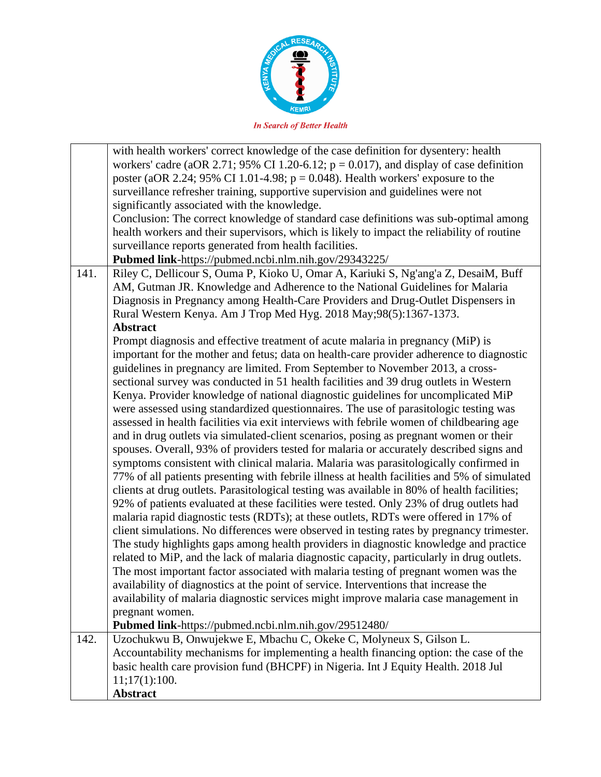

|      | with health workers' correct knowledge of the case definition for dysentery: health          |
|------|----------------------------------------------------------------------------------------------|
|      | workers' cadre (aOR 2.71; 95% CI 1.20-6.12; $p = 0.017$ ), and display of case definition    |
|      | poster (aOR 2.24; 95% CI 1.01-4.98; $p = 0.048$ ). Health workers' exposure to the           |
|      | surveillance refresher training, supportive supervision and guidelines were not              |
|      | significantly associated with the knowledge.                                                 |
|      | Conclusion: The correct knowledge of standard case definitions was sub-optimal among         |
|      | health workers and their supervisors, which is likely to impact the reliability of routine   |
|      | surveillance reports generated from health facilities.                                       |
|      | Pubmed link-https://pubmed.ncbi.nlm.nih.gov/29343225/                                        |
| 141. | Riley C, Dellicour S, Ouma P, Kioko U, Omar A, Kariuki S, Ng'ang'a Z, DesaiM, Buff           |
|      | AM, Gutman JR. Knowledge and Adherence to the National Guidelines for Malaria                |
|      | Diagnosis in Pregnancy among Health-Care Providers and Drug-Outlet Dispensers in             |
|      | Rural Western Kenya. Am J Trop Med Hyg. 2018 May;98(5):1367-1373.                            |
|      | <b>Abstract</b>                                                                              |
|      | Prompt diagnosis and effective treatment of acute malaria in pregnancy (MiP) is              |
|      | important for the mother and fetus; data on health-care provider adherence to diagnostic     |
|      | guidelines in pregnancy are limited. From September to November 2013, a cross-               |
|      | sectional survey was conducted in 51 health facilities and 39 drug outlets in Western        |
|      | Kenya. Provider knowledge of national diagnostic guidelines for uncomplicated MiP            |
|      | were assessed using standardized questionnaires. The use of parasitologic testing was        |
|      | assessed in health facilities via exit interviews with febrile women of childbearing age     |
|      | and in drug outlets via simulated-client scenarios, posing as pregnant women or their        |
|      |                                                                                              |
|      | spouses. Overall, 93% of providers tested for malaria or accurately described signs and      |
|      | symptoms consistent with clinical malaria. Malaria was parasitologically confirmed in        |
|      | 77% of all patients presenting with febrile illness at health facilities and 5% of simulated |
|      | clients at drug outlets. Parasitological testing was available in 80% of health facilities;  |
|      | 92% of patients evaluated at these facilities were tested. Only 23% of drug outlets had      |
|      | malaria rapid diagnostic tests (RDTs); at these outlets, RDTs were offered in 17% of         |
|      | client simulations. No differences were observed in testing rates by pregnancy trimester.    |
|      | The study highlights gaps among health providers in diagnostic knowledge and practice        |
|      | related to MiP, and the lack of malaria diagnostic capacity, particularly in drug outlets.   |
|      | The most important factor associated with malaria testing of pregnant women was the          |
|      | availability of diagnostics at the point of service. Interventions that increase the         |
|      | availability of malaria diagnostic services might improve malaria case management in         |
|      | pregnant women.                                                                              |
|      | Pubmed link-https://pubmed.ncbi.nlm.nih.gov/29512480/                                        |
| 142. | Uzochukwu B, Onwujekwe E, Mbachu C, Okeke C, Molyneux S, Gilson L.                           |
|      | Accountability mechanisms for implementing a health financing option: the case of the        |
|      | basic health care provision fund (BHCPF) in Nigeria. Int J Equity Health. 2018 Jul           |
|      | 11;17(1):100.                                                                                |
|      | <b>Abstract</b>                                                                              |
|      |                                                                                              |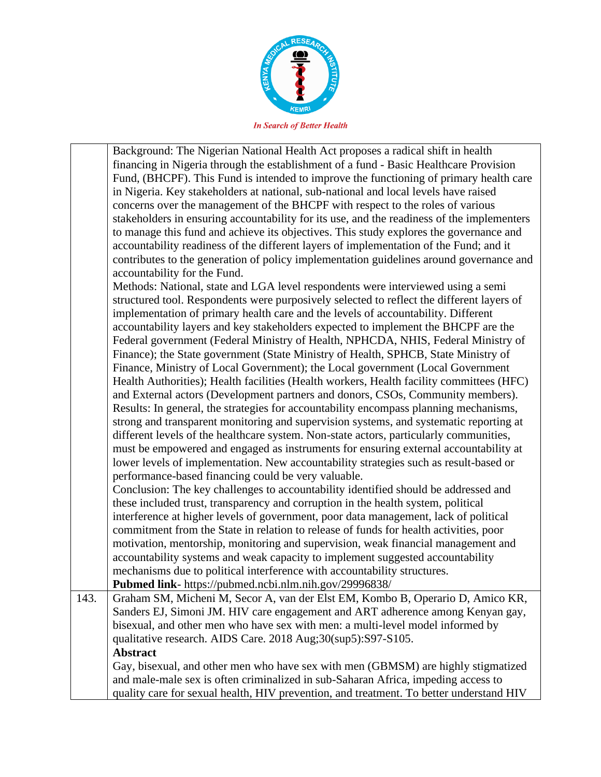

Background: The Nigerian National Health Act proposes a radical shift in health financing in Nigeria through the establishment of a fund - Basic Healthcare Provision Fund, (BHCPF). This Fund is intended to improve the functioning of primary health care in Nigeria. Key stakeholders at national, sub-national and local levels have raised concerns over the management of the BHCPF with respect to the roles of various stakeholders in ensuring accountability for its use, and the readiness of the implementers to manage this fund and achieve its objectives. This study explores the governance and accountability readiness of the different layers of implementation of the Fund; and it contributes to the generation of policy implementation guidelines around governance and accountability for the Fund. Methods: National, state and LGA level respondents were interviewed using a semi structured tool. Respondents were purposively selected to reflect the different layers of implementation of primary health care and the levels of accountability. Different accountability layers and key stakeholders expected to implement the BHCPF are the Federal government (Federal Ministry of Health, NPHCDA, NHIS, Federal Ministry of Finance); the State government (State Ministry of Health, SPHCB, State Ministry of Finance, Ministry of Local Government); the Local government (Local Government Health Authorities); Health facilities (Health workers, Health facility committees (HFC) and External actors (Development partners and donors, CSOs, Community members). Results: In general, the strategies for accountability encompass planning mechanisms, strong and transparent monitoring and supervision systems, and systematic reporting at different levels of the healthcare system. Non-state actors, particularly communities, must be empowered and engaged as instruments for ensuring external accountability at lower levels of implementation. New accountability strategies such as result-based or performance-based financing could be very valuable. Conclusion: The key challenges to accountability identified should be addressed and these included trust, transparency and corruption in the health system, political interference at higher levels of government, poor data management, lack of political commitment from the State in relation to release of funds for health activities, poor motivation, mentorship, monitoring and supervision, weak financial management and accountability systems and weak capacity to implement suggested accountability mechanisms due to political interference with accountability structures. **Pubmed link**- https://pubmed.ncbi.nlm.nih.gov/29996838/ 143. Graham SM, Micheni M, Secor A, van der Elst EM, Kombo B, Operario D, Amico KR, Sanders EJ, Simoni JM. HIV care engagement and ART adherence among Kenyan gay, bisexual, and other men who have sex with men: a multi-level model informed by qualitative research. AIDS Care. 2018 Aug;30(sup5):S97-S105. **Abstract**  Gay, bisexual, and other men who have sex with men (GBMSM) are highly stigmatized and male-male sex is often criminalized in sub-Saharan Africa, impeding access to quality care for sexual health, HIV prevention, and treatment. To better understand HIV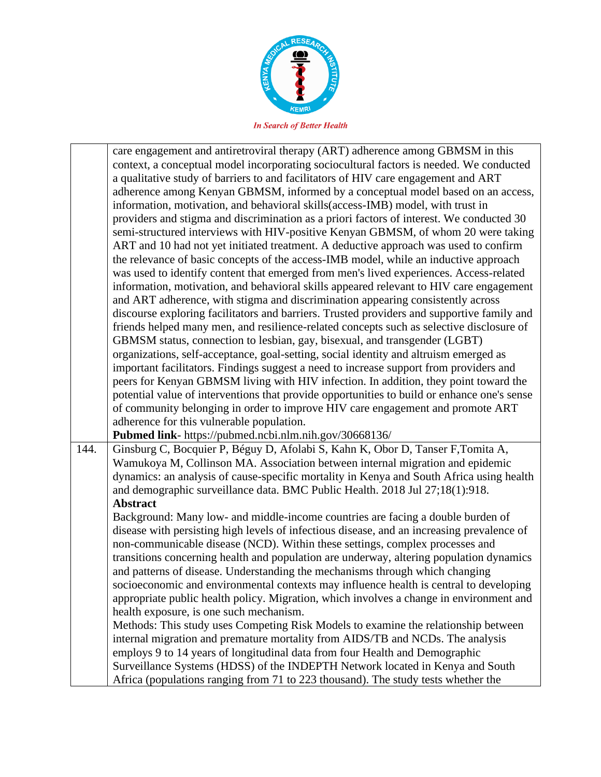

|      | care engagement and antiretroviral therapy (ART) adherence among GBMSM in this              |
|------|---------------------------------------------------------------------------------------------|
|      | context, a conceptual model incorporating sociocultural factors is needed. We conducted     |
|      | a qualitative study of barriers to and facilitators of HIV care engagement and ART          |
|      | adherence among Kenyan GBMSM, informed by a conceptual model based on an access,            |
|      | information, motivation, and behavioral skills(access-IMB) model, with trust in             |
|      | providers and stigma and discrimination as a priori factors of interest. We conducted 30    |
|      | semi-structured interviews with HIV-positive Kenyan GBMSM, of whom 20 were taking           |
|      | ART and 10 had not yet initiated treatment. A deductive approach was used to confirm        |
|      | the relevance of basic concepts of the access-IMB model, while an inductive approach        |
|      | was used to identify content that emerged from men's lived experiences. Access-related      |
|      | information, motivation, and behavioral skills appeared relevant to HIV care engagement     |
|      | and ART adherence, with stigma and discrimination appearing consistently across             |
|      | discourse exploring facilitators and barriers. Trusted providers and supportive family and  |
|      | friends helped many men, and resilience-related concepts such as selective disclosure of    |
|      | GBMSM status, connection to lesbian, gay, bisexual, and transgender (LGBT)                  |
|      | organizations, self-acceptance, goal-setting, social identity and altruism emerged as       |
|      | important facilitators. Findings suggest a need to increase support from providers and      |
|      | peers for Kenyan GBMSM living with HIV infection. In addition, they point toward the        |
|      | potential value of interventions that provide opportunities to build or enhance one's sense |
|      | of community belonging in order to improve HIV care engagement and promote ART              |
|      | adherence for this vulnerable population.                                                   |
|      | Pubmed link- https://pubmed.ncbi.nlm.nih.gov/30668136/                                      |
| 144. | Ginsburg C, Bocquier P, Béguy D, Afolabi S, Kahn K, Obor D, Tanser F, Tomita A,             |
|      | Wamukoya M, Collinson MA. Association between internal migration and epidemic               |
|      | dynamics: an analysis of cause-specific mortality in Kenya and South Africa using health    |
|      | and demographic surveillance data. BMC Public Health. 2018 Jul 27;18(1):918.                |
|      | <b>Abstract</b>                                                                             |
|      | Background: Many low- and middle-income countries are facing a double burden of             |
|      | disease with persisting high levels of infectious disease, and an increasing prevalence of  |
|      | non-communicable disease (NCD). Within these settings, complex processes and                |
|      | transitions concerning health and population are underway, altering population dynamics     |
|      | and patterns of disease. Understanding the mechanisms through which changing                |
|      | socioeconomic and environmental contexts may influence health is central to developing      |
|      | appropriate public health policy. Migration, which involves a change in environment and     |
|      | health exposure, is one such mechanism.                                                     |
|      | Methods: This study uses Competing Risk Models to examine the relationship between          |
|      | internal migration and premature mortality from AIDS/TB and NCDs. The analysis              |
|      | employs 9 to 14 years of longitudinal data from four Health and Demographic                 |
|      | Surveillance Systems (HDSS) of the INDEPTH Network located in Kenya and South               |
|      | Africa (populations ranging from 71 to 223 thousand). The study tests whether the           |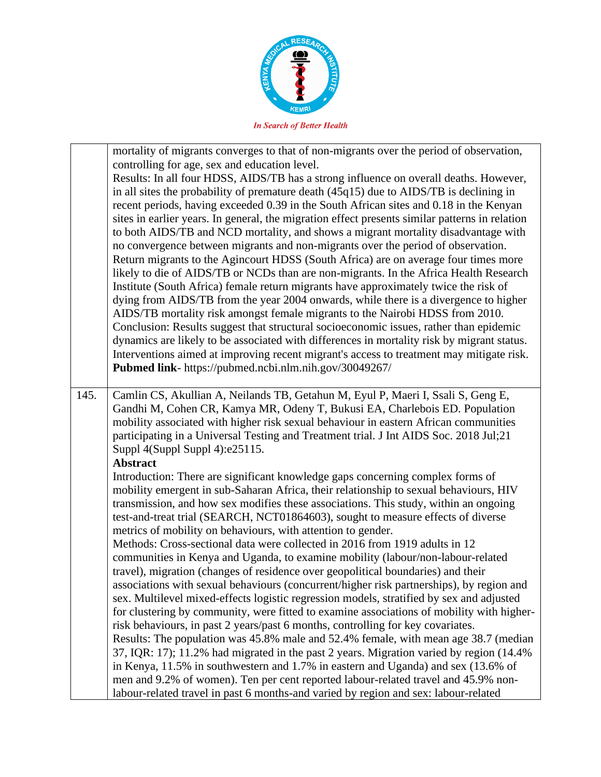

|      | mortality of migrants converges to that of non-migrants over the period of observation,<br>controlling for age, sex and education level.<br>Results: In all four HDSS, AIDS/TB has a strong influence on overall deaths. However,<br>in all sites the probability of premature death (45q15) due to AIDS/TB is declining in<br>recent periods, having exceeded 0.39 in the South African sites and 0.18 in the Kenyan<br>sites in earlier years. In general, the migration effect presents similar patterns in relation<br>to both AIDS/TB and NCD mortality, and shows a migrant mortality disadvantage with<br>no convergence between migrants and non-migrants over the period of observation.<br>Return migrants to the Agincourt HDSS (South Africa) are on average four times more<br>likely to die of AIDS/TB or NCDs than are non-migrants. In the Africa Health Research<br>Institute (South Africa) female return migrants have approximately twice the risk of<br>dying from AIDS/TB from the year 2004 onwards, while there is a divergence to higher<br>AIDS/TB mortality risk amongst female migrants to the Nairobi HDSS from 2010.<br>Conclusion: Results suggest that structural socioeconomic issues, rather than epidemic<br>dynamics are likely to be associated with differences in mortality risk by migrant status.<br>Interventions aimed at improving recent migrant's access to treatment may mitigate risk.<br>Pubmed link- https://pubmed.ncbi.nlm.nih.gov/30049267/                                                                                                                                                                                                                                                                                                                                                                                                               |
|------|----------------------------------------------------------------------------------------------------------------------------------------------------------------------------------------------------------------------------------------------------------------------------------------------------------------------------------------------------------------------------------------------------------------------------------------------------------------------------------------------------------------------------------------------------------------------------------------------------------------------------------------------------------------------------------------------------------------------------------------------------------------------------------------------------------------------------------------------------------------------------------------------------------------------------------------------------------------------------------------------------------------------------------------------------------------------------------------------------------------------------------------------------------------------------------------------------------------------------------------------------------------------------------------------------------------------------------------------------------------------------------------------------------------------------------------------------------------------------------------------------------------------------------------------------------------------------------------------------------------------------------------------------------------------------------------------------------------------------------------------------------------------------------------------------------------------------------------------------------------------------------------------------------------|
| 145. | Camlin CS, Akullian A, Neilands TB, Getahun M, Eyul P, Maeri I, Ssali S, Geng E,<br>Gandhi M, Cohen CR, Kamya MR, Odeny T, Bukusi EA, Charlebois ED. Population<br>mobility associated with higher risk sexual behaviour in eastern African communities<br>participating in a Universal Testing and Treatment trial. J Int AIDS Soc. 2018 Jul;21<br>Suppl 4(Suppl Suppl 4):e25115.<br><b>Abstract</b><br>Introduction: There are significant knowledge gaps concerning complex forms of<br>mobility emergent in sub-Saharan Africa, their relationship to sexual behaviours, HIV<br>transmission, and how sex modifies these associations. This study, within an ongoing<br>test-and-treat trial (SEARCH, NCT01864603), sought to measure effects of diverse<br>metrics of mobility on behaviours, with attention to gender.<br>Methods: Cross-sectional data were collected in 2016 from 1919 adults in 12<br>communities in Kenya and Uganda, to examine mobility (labour/non-labour-related<br>travel), migration (changes of residence over geopolitical boundaries) and their<br>associations with sexual behaviours (concurrent/higher risk partnerships), by region and<br>sex. Multilevel mixed-effects logistic regression models, stratified by sex and adjusted<br>for clustering by community, were fitted to examine associations of mobility with higher-<br>risk behaviours, in past 2 years/past 6 months, controlling for key covariates.<br>Results: The population was 45.8% male and 52.4% female, with mean age 38.7 (median<br>37, IQR: 17); 11.2% had migrated in the past 2 years. Migration varied by region (14.4%<br>in Kenya, 11.5% in southwestern and 1.7% in eastern and Uganda) and sex (13.6% of<br>men and 9.2% of women). Ten per cent reported labour-related travel and 45.9% non-<br>labour-related travel in past 6 months-and varied by region and sex: labour-related |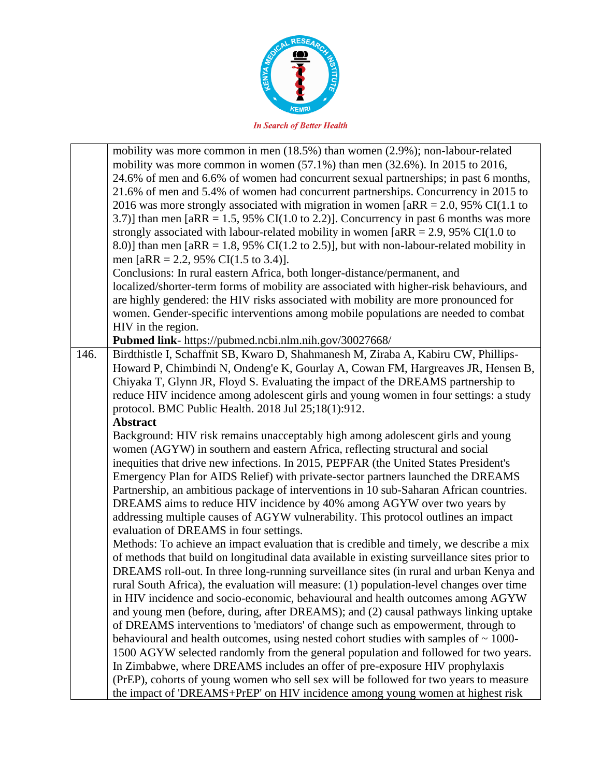

|      | mobility was more common in men $(18.5%)$ than women $(2.9%)$ ; non-labour-related           |
|------|----------------------------------------------------------------------------------------------|
|      | mobility was more common in women $(57.1\%)$ than men $(32.6\%)$ . In 2015 to 2016,          |
|      | 24.6% of men and 6.6% of women had concurrent sexual partnerships; in past 6 months,         |
|      | 21.6% of men and 5.4% of women had concurrent partnerships. Concurrency in 2015 to           |
|      | 2016 was more strongly associated with migration in women [aRR = $2.0$ , 95% CI(1.1 to       |
|      | 3.7)] than men [aRR = 1.5, 95% CI(1.0 to 2.2)]. Concurrency in past 6 months was more        |
|      | strongly associated with labour-related mobility in women [aRR = $2.9$ , 95% CI(1.0 to       |
|      | 8.0)] than men [aRR = 1.8, 95% CI(1.2 to 2.5)], but with non-labour-related mobility in      |
|      | men [aRR = 2.2, 95% CI(1.5 to 3.4)].                                                         |
|      | Conclusions: In rural eastern Africa, both longer-distance/permanent, and                    |
|      | localized/shorter-term forms of mobility are associated with higher-risk behaviours, and     |
|      | are highly gendered: the HIV risks associated with mobility are more pronounced for          |
|      | women. Gender-specific interventions among mobile populations are needed to combat           |
|      | HIV in the region.                                                                           |
|      | Pubmed link- https://pubmed.ncbi.nlm.nih.gov/30027668/                                       |
| 146. | Birdthistle I, Schaffnit SB, Kwaro D, Shahmanesh M, Ziraba A, Kabiru CW, Phillips-           |
|      | Howard P, Chimbindi N, Ondeng'e K, Gourlay A, Cowan FM, Hargreaves JR, Hensen B,             |
|      | Chiyaka T, Glynn JR, Floyd S. Evaluating the impact of the DREAMS partnership to             |
|      | reduce HIV incidence among adolescent girls and young women in four settings: a study        |
|      | protocol. BMC Public Health. 2018 Jul 25;18(1):912.                                          |
|      | <b>Abstract</b>                                                                              |
|      | Background: HIV risk remains unacceptably high among adolescent girls and young              |
|      | women (AGYW) in southern and eastern Africa, reflecting structural and social                |
|      | inequities that drive new infections. In 2015, PEPFAR (the United States President's         |
|      | Emergency Plan for AIDS Relief) with private-sector partners launched the DREAMS             |
|      | Partnership, an ambitious package of interventions in 10 sub-Saharan African countries.      |
|      | DREAMS aims to reduce HIV incidence by 40% among AGYW over two years by                      |
|      | addressing multiple causes of AGYW vulnerability. This protocol outlines an impact           |
|      | evaluation of DREAMS in four settings.                                                       |
|      | Methods: To achieve an impact evaluation that is credible and timely, we describe a mix      |
|      | of methods that build on longitudinal data available in existing surveillance sites prior to |
|      | DREAMS roll-out. In three long-running surveillance sites (in rural and urban Kenya and      |
|      | rural South Africa), the evaluation will measure: (1) population-level changes over time     |
|      | in HIV incidence and socio-economic, behavioural and health outcomes among AGYW              |
|      | and young men (before, during, after DREAMS); and (2) causal pathways linking uptake         |
|      | of DREAMS interventions to 'mediators' of change such as empowerment, through to             |
|      | behavioural and health outcomes, using nested cohort studies with samples of $\sim$ 1000-    |
|      | 1500 AGYW selected randomly from the general population and followed for two years.          |
|      | In Zimbabwe, where DREAMS includes an offer of pre-exposure HIV prophylaxis                  |
|      | (PrEP), cohorts of young women who sell sex will be followed for two years to measure        |
|      | the impact of 'DREAMS+PrEP' on HIV incidence among young women at highest risk               |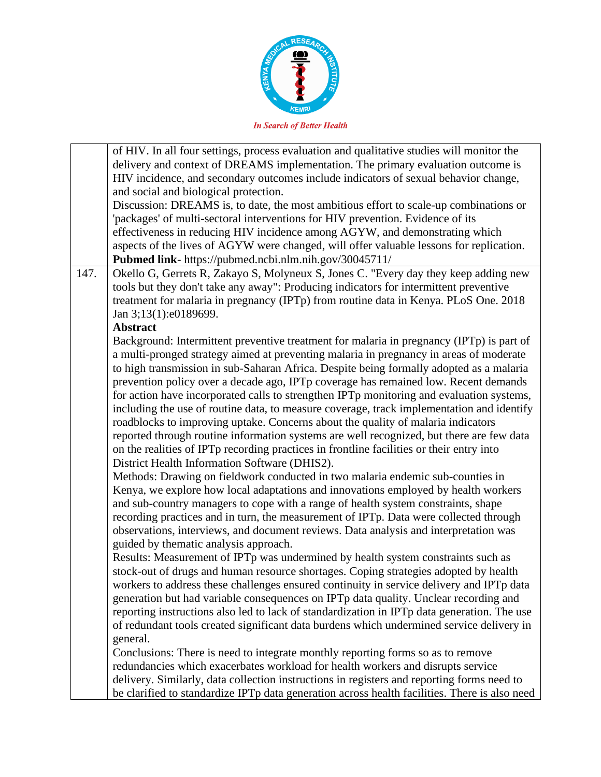

|      | of HIV. In all four settings, process evaluation and qualitative studies will monitor the     |
|------|-----------------------------------------------------------------------------------------------|
|      | delivery and context of DREAMS implementation. The primary evaluation outcome is              |
|      | HIV incidence, and secondary outcomes include indicators of sexual behavior change,           |
|      | and social and biological protection.                                                         |
|      | Discussion: DREAMS is, to date, the most ambitious effort to scale-up combinations or         |
|      | 'packages' of multi-sectoral interventions for HIV prevention. Evidence of its                |
|      | effectiveness in reducing HIV incidence among AGYW, and demonstrating which                   |
|      | aspects of the lives of AGYW were changed, will offer valuable lessons for replication.       |
|      | Pubmed link- https://pubmed.ncbi.nlm.nih.gov/30045711/                                        |
| 147. | Okello G, Gerrets R, Zakayo S, Molyneux S, Jones C. "Every day they keep adding new           |
|      | tools but they don't take any away": Producing indicators for intermittent preventive         |
|      | treatment for malaria in pregnancy (IPTp) from routine data in Kenya. PLoS One. 2018          |
|      | Jan 3;13(1):e0189699.                                                                         |
|      | <b>Abstract</b>                                                                               |
|      | Background: Intermittent preventive treatment for malaria in pregnancy (IPTp) is part of      |
|      | a multi-pronged strategy aimed at preventing malaria in pregnancy in areas of moderate        |
|      | to high transmission in sub-Saharan Africa. Despite being formally adopted as a malaria       |
|      | prevention policy over a decade ago, IPTp coverage has remained low. Recent demands           |
|      | for action have incorporated calls to strengthen IPTp monitoring and evaluation systems,      |
|      | including the use of routine data, to measure coverage, track implementation and identify     |
|      | roadblocks to improving uptake. Concerns about the quality of malaria indicators              |
|      | reported through routine information systems are well recognized, but there are few data      |
|      | on the realities of IPTp recording practices in frontline facilities or their entry into      |
|      | District Health Information Software (DHIS2).                                                 |
|      | Methods: Drawing on fieldwork conducted in two malaria endemic sub-counties in                |
|      | Kenya, we explore how local adaptations and innovations employed by health workers            |
|      |                                                                                               |
|      | and sub-country managers to cope with a range of health system constraints, shape             |
|      | recording practices and in turn, the measurement of IPTp. Data were collected through         |
|      | observations, interviews, and document reviews. Data analysis and interpretation was          |
|      | guided by thematic analysis approach.                                                         |
|      | Results: Measurement of IPTp was undermined by health system constraints such as              |
|      | stock-out of drugs and human resource shortages. Coping strategies adopted by health          |
|      | workers to address these challenges ensured continuity in service delivery and IPTp data      |
|      | generation but had variable consequences on IPTp data quality. Unclear recording and          |
|      | reporting instructions also led to lack of standardization in IPTp data generation. The use   |
|      | of redundant tools created significant data burdens which undermined service delivery in      |
|      | general.                                                                                      |
|      | Conclusions: There is need to integrate monthly reporting forms so as to remove               |
|      | redundancies which exacerbates workload for health workers and disrupts service               |
|      | delivery. Similarly, data collection instructions in registers and reporting forms need to    |
|      | be clarified to standardize IPTp data generation across health facilities. There is also need |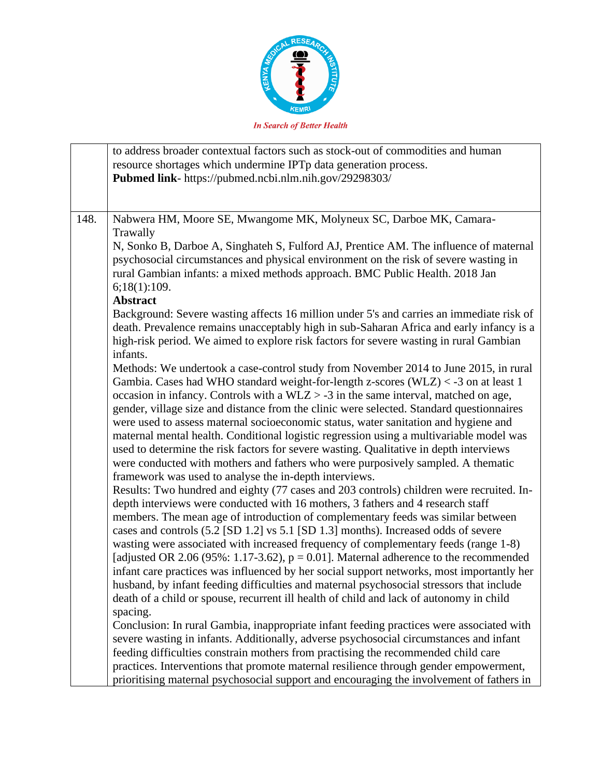

|      | to address broader contextual factors such as stock-out of commodities and human<br>resource shortages which undermine IPTp data generation process.<br>Pubmed link- https://pubmed.ncbi.nlm.nih.gov/29298303/ |
|------|----------------------------------------------------------------------------------------------------------------------------------------------------------------------------------------------------------------|
| 148. | Nabwera HM, Moore SE, Mwangome MK, Molyneux SC, Darboe MK, Camara-                                                                                                                                             |
|      | Trawally                                                                                                                                                                                                       |
|      | N, Sonko B, Darboe A, Singhateh S, Fulford AJ, Prentice AM. The influence of maternal                                                                                                                          |
|      | psychosocial circumstances and physical environment on the risk of severe wasting in                                                                                                                           |
|      | rural Gambian infants: a mixed methods approach. BMC Public Health. 2018 Jan                                                                                                                                   |
|      | 6;18(1):109.                                                                                                                                                                                                   |
|      | <b>Abstract</b>                                                                                                                                                                                                |
|      | Background: Severe wasting affects 16 million under 5's and carries an immediate risk of                                                                                                                       |
|      | death. Prevalence remains unacceptably high in sub-Saharan Africa and early infancy is a                                                                                                                       |
|      | high-risk period. We aimed to explore risk factors for severe wasting in rural Gambian                                                                                                                         |
|      | infants.                                                                                                                                                                                                       |
|      | Methods: We undertook a case-control study from November 2014 to June 2015, in rural                                                                                                                           |
|      | Gambia. Cases had WHO standard weight-for-length z-scores (WLZ) < $-3$ on at least 1                                                                                                                           |
|      | occasion in infancy. Controls with a $WLZ > -3$ in the same interval, matched on age,                                                                                                                          |
|      | gender, village size and distance from the clinic were selected. Standard questionnaires                                                                                                                       |
|      | were used to assess maternal socioeconomic status, water sanitation and hygiene and                                                                                                                            |
|      | maternal mental health. Conditional logistic regression using a multivariable model was                                                                                                                        |
|      | used to determine the risk factors for severe wasting. Qualitative in depth interviews                                                                                                                         |
|      | were conducted with mothers and fathers who were purposively sampled. A thematic                                                                                                                               |
|      | framework was used to analyse the in-depth interviews.                                                                                                                                                         |
|      | Results: Two hundred and eighty (77 cases and 203 controls) children were recruited. In-                                                                                                                       |
|      | depth interviews were conducted with 16 mothers, 3 fathers and 4 research staff                                                                                                                                |
|      | members. The mean age of introduction of complementary feeds was similar between                                                                                                                               |
|      | cases and controls (5.2 [SD 1.2] vs 5.1 [SD 1.3] months). Increased odds of severe                                                                                                                             |
|      | wasting were associated with increased frequency of complementary feeds (range 1-8)                                                                                                                            |
|      | [adjusted OR 2.06 (95%: 1.17-3.62), $p = 0.01$ ]. Maternal adherence to the recommended                                                                                                                        |
|      | infant care practices was influenced by her social support networks, most importantly her                                                                                                                      |
|      | husband, by infant feeding difficulties and maternal psychosocial stressors that include                                                                                                                       |
|      | death of a child or spouse, recurrent ill health of child and lack of autonomy in child                                                                                                                        |
|      | spacing.                                                                                                                                                                                                       |
|      | Conclusion: In rural Gambia, inappropriate infant feeding practices were associated with                                                                                                                       |
|      | severe wasting in infants. Additionally, adverse psychosocial circumstances and infant                                                                                                                         |
|      | feeding difficulties constrain mothers from practising the recommended child care                                                                                                                              |
|      | practices. Interventions that promote maternal resilience through gender empowerment,                                                                                                                          |
|      | prioritising maternal psychosocial support and encouraging the involvement of fathers in                                                                                                                       |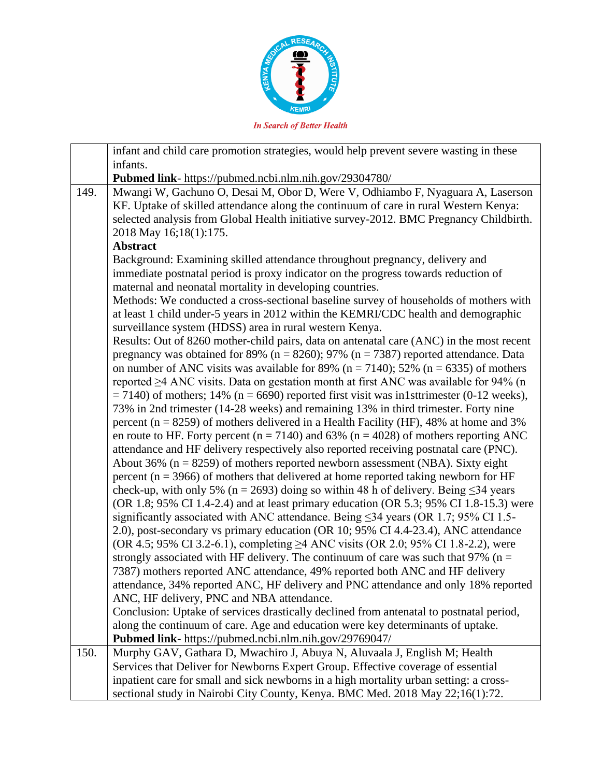

|      | infant and child care promotion strategies, would help prevent severe wasting in these        |
|------|-----------------------------------------------------------------------------------------------|
|      | infants.                                                                                      |
|      | Pubmed link- https://pubmed.ncbi.nlm.nih.gov/29304780/                                        |
| 149. | Mwangi W, Gachuno O, Desai M, Obor D, Were V, Odhiambo F, Nyaguara A, Laserson                |
|      | KF. Uptake of skilled attendance along the continuum of care in rural Western Kenya:          |
|      | selected analysis from Global Health initiative survey-2012. BMC Pregnancy Childbirth.        |
|      | 2018 May 16;18(1):175.                                                                        |
|      | <b>Abstract</b>                                                                               |
|      | Background: Examining skilled attendance throughout pregnancy, delivery and                   |
|      | immediate postnatal period is proxy indicator on the progress towards reduction of            |
|      | maternal and neonatal mortality in developing countries.                                      |
|      | Methods: We conducted a cross-sectional baseline survey of households of mothers with         |
|      | at least 1 child under-5 years in 2012 within the KEMRI/CDC health and demographic            |
|      | surveillance system (HDSS) area in rural western Kenya.                                       |
|      | Results: Out of 8260 mother-child pairs, data on antenatal care (ANC) in the most recent      |
|      | pregnancy was obtained for 89% ( $n = 8260$ ); 97% ( $n = 7387$ ) reported attendance. Data   |
|      | on number of ANC visits was available for 89% ( $n = 7140$ ); 52% ( $n = 6335$ ) of mothers   |
|      | reported $\geq$ 4 ANC visits. Data on gestation month at first ANC was available for 94% (n   |
|      | $= 7140$ ) of mothers; 14% (n = 6690) reported first visit was in1sttrimester (0-12 weeks),   |
|      | 73% in 2nd trimester (14-28 weeks) and remaining 13% in third trimester. Forty nine           |
|      | percent ( $n = 8259$ ) of mothers delivered in a Health Facility (HF), 48% at home and 3%     |
|      | en route to HF. Forty percent ( $n = 7140$ ) and 63% ( $n = 4028$ ) of mothers reporting ANC  |
|      | attendance and HF delivery respectively also reported receiving postnatal care (PNC).         |
|      | About 36% ( $n = 8259$ ) of mothers reported newborn assessment (NBA). Sixty eight            |
|      | percent ( $n = 3966$ ) of mothers that delivered at home reported taking newborn for HF       |
|      | check-up, with only 5% ( $n = 2693$ ) doing so within 48 h of delivery. Being $\leq 34$ years |
|      | (OR 1.8; 95% CI 1.4-2.4) and at least primary education (OR 5.3; 95% CI 1.8-15.3) were        |
|      | significantly associated with ANC attendance. Being $\leq$ 34 years (OR 1.7; 95% CI 1.5-      |
|      | 2.0), post-secondary vs primary education (OR 10; 95% CI 4.4-23.4), ANC attendance            |
|      | (OR 4.5; 95% CI 3.2-6.1), completing $\geq$ 4 ANC visits (OR 2.0; 95% CI 1.8-2.2), were       |
|      | strongly associated with HF delivery. The continuum of care was such that 97% ( $n =$         |
|      | 7387) mothers reported ANC attendance, 49% reported both ANC and HF delivery                  |
|      | attendance, 34% reported ANC, HF delivery and PNC attendance and only 18% reported            |
|      | ANC, HF delivery, PNC and NBA attendance.                                                     |
|      | Conclusion: Uptake of services drastically declined from antenatal to postnatal period,       |
|      | along the continuum of care. Age and education were key determinants of uptake.               |
|      | Pubmed link- https://pubmed.ncbi.nlm.nih.gov/29769047/                                        |
| 150. | Murphy GAV, Gathara D, Mwachiro J, Abuya N, Aluvaala J, English M; Health                     |
|      | Services that Deliver for Newborns Expert Group. Effective coverage of essential              |
|      | inpatient care for small and sick newborns in a high mortality urban setting: a cross-        |
|      | sectional study in Nairobi City County, Kenya. BMC Med. 2018 May 22;16(1):72.                 |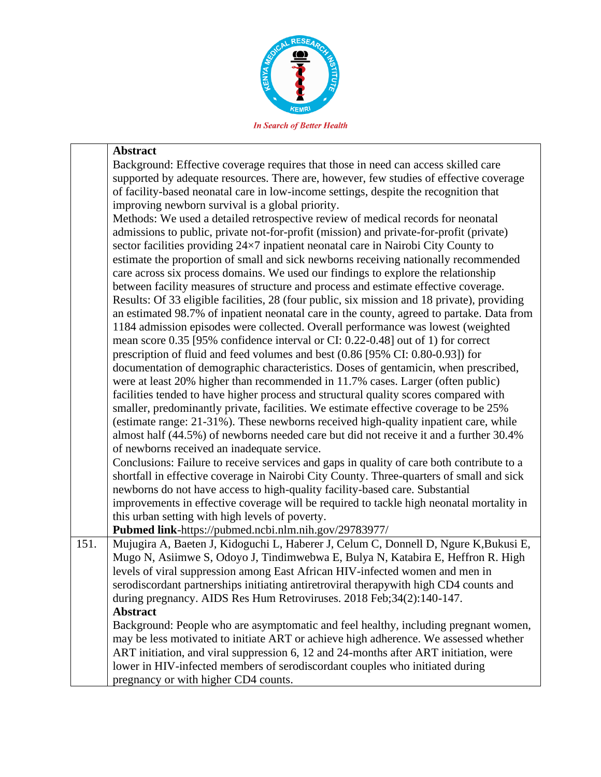

## **Abstract**

|      | Background: Effective coverage requires that those in need can access skilled care          |
|------|---------------------------------------------------------------------------------------------|
|      | supported by adequate resources. There are, however, few studies of effective coverage      |
|      | of facility-based neonatal care in low-income settings, despite the recognition that        |
|      | improving newborn survival is a global priority.                                            |
|      | Methods: We used a detailed retrospective review of medical records for neonatal            |
|      | admissions to public, private not-for-profit (mission) and private-for-profit (private)     |
|      | sector facilities providing 24×7 inpatient neonatal care in Nairobi City County to          |
|      | estimate the proportion of small and sick newborns receiving nationally recommended         |
|      | care across six process domains. We used our findings to explore the relationship           |
|      | between facility measures of structure and process and estimate effective coverage.         |
|      | Results: Of 33 eligible facilities, 28 (four public, six mission and 18 private), providing |
|      | an estimated 98.7% of inpatient neonatal care in the county, agreed to partake. Data from   |
|      | 1184 admission episodes were collected. Overall performance was lowest (weighted            |
|      | mean score 0.35 [95% confidence interval or CI: 0.22-0.48] out of 1) for correct            |
|      | prescription of fluid and feed volumes and best (0.86 [95% CI: 0.80-0.93]) for              |
|      | documentation of demographic characteristics. Doses of gentamicin, when prescribed,         |
|      | were at least 20% higher than recommended in 11.7% cases. Larger (often public)             |
|      | facilities tended to have higher process and structural quality scores compared with        |
|      | smaller, predominantly private, facilities. We estimate effective coverage to be 25%        |
|      | (estimate range: 21-31%). These newborns received high-quality inpatient care, while        |
|      | almost half (44.5%) of newborns needed care but did not receive it and a further 30.4%      |
|      | of newborns received an inadequate service.                                                 |
|      | Conclusions: Failure to receive services and gaps in quality of care both contribute to a   |
|      | shortfall in effective coverage in Nairobi City County. Three-quarters of small and sick    |
|      | newborns do not have access to high-quality facility-based care. Substantial                |
|      | improvements in effective coverage will be required to tackle high neonatal mortality in    |
|      | this urban setting with high levels of poverty.                                             |
|      | Pubmed link-https://pubmed.ncbi.nlm.nih.gov/29783977/                                       |
| 151. | Mujugira A, Baeten J, Kidoguchi L, Haberer J, Celum C, Donnell D, Ngure K, Bukusi E,        |
|      | Mugo N, Asiimwe S, Odoyo J, Tindimwebwa E, Bulya N, Katabira E, Heffron R. High             |
|      | levels of viral suppression among East African HIV-infected women and men in                |
|      | serodiscordant partnerships initiating antiretroviral therapywith high CD4 counts and       |
|      | during pregnancy. AIDS Res Hum Retroviruses. 2018 Feb;34(2):140-147.                        |
|      | <b>Abstract</b>                                                                             |
|      | Background: People who are asymptomatic and feel healthy, including pregnant women,         |
|      | may be less motivated to initiate ART or achieve high adherence. We assessed whether        |
|      | ART initiation, and viral suppression 6, 12 and 24-months after ART initiation, were        |
|      | lower in HIV-infected members of serodiscordant couples who initiated during                |
|      | pregnancy or with higher CD4 counts.                                                        |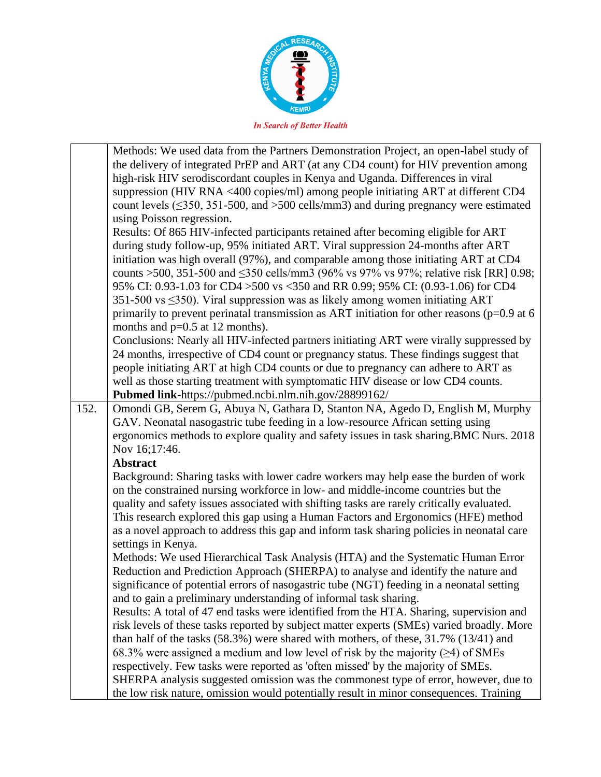

|      | Methods: We used data from the Partners Demonstration Project, an open-label study of          |
|------|------------------------------------------------------------------------------------------------|
|      | the delivery of integrated PrEP and ART (at any CD4 count) for HIV prevention among            |
|      | high-risk HIV serodiscordant couples in Kenya and Uganda. Differences in viral                 |
|      | suppression (HIV RNA <400 copies/ml) among people initiating ART at different CD4              |
|      | count levels $(\leq 350, 351-500,$ and $> 500$ cells/mm3) and during pregnancy were estimated  |
|      | using Poisson regression.                                                                      |
|      | Results: Of 865 HIV-infected participants retained after becoming eligible for ART             |
|      | during study follow-up, 95% initiated ART. Viral suppression 24-months after ART               |
|      | initiation was high overall (97%), and comparable among those initiating ART at CD4            |
|      | counts >500, 351-500 and $\leq$ 350 cells/mm3 (96% vs 97% vs 97%; relative risk [RR] 0.98;     |
|      | 95% CI: 0.93-1.03 for CD4 > 500 vs < 350 and RR 0.99; 95% CI: (0.93-1.06) for CD4              |
|      | 351-500 vs ≤350). Viral suppression was as likely among women initiating ART                   |
|      | primarily to prevent perinatal transmission as ART initiation for other reasons ( $p=0.9$ at 6 |
|      | months and $p=0.5$ at 12 months).                                                              |
|      | Conclusions: Nearly all HIV-infected partners initiating ART were virally suppressed by        |
|      | 24 months, irrespective of CD4 count or pregnancy status. These findings suggest that          |
|      | people initiating ART at high CD4 counts or due to pregnancy can adhere to ART as              |
|      |                                                                                                |
|      | well as those starting treatment with symptomatic HIV disease or low CD4 counts.               |
|      | Pubmed link-https://pubmed.ncbi.nlm.nih.gov/28899162/                                          |
| 152. | Omondi GB, Serem G, Abuya N, Gathara D, Stanton NA, Agedo D, English M, Murphy                 |
|      | GAV. Neonatal nasogastric tube feeding in a low-resource African setting using                 |
|      | ergonomics methods to explore quality and safety issues in task sharing. BMC Nurs. 2018        |
|      | Nov 16;17:46.                                                                                  |
|      | <b>Abstract</b>                                                                                |
|      | Background: Sharing tasks with lower cadre workers may help ease the burden of work            |
|      | on the constrained nursing workforce in low- and middle-income countries but the               |
|      | quality and safety issues associated with shifting tasks are rarely critically evaluated.      |
|      | This research explored this gap using a Human Factors and Ergonomics (HFE) method              |
|      | as a novel approach to address this gap and inform task sharing policies in neonatal care      |
|      | settings in Kenya.                                                                             |
|      | Methods: We used Hierarchical Task Analysis (HTA) and the Systematic Human Error               |
|      | Reduction and Prediction Approach (SHERPA) to analyse and identify the nature and              |
|      | significance of potential errors of nasogastric tube (NGT) feeding in a neonatal setting       |
|      | and to gain a preliminary understanding of informal task sharing.                              |
|      | Results: A total of 47 end tasks were identified from the HTA. Sharing, supervision and        |
|      | risk levels of these tasks reported by subject matter experts (SMEs) varied broadly. More      |
|      | than half of the tasks (58.3%) were shared with mothers, of these, 31.7% (13/41) and           |
|      | 68.3% were assigned a medium and low level of risk by the majority $(≥4)$ of SMEs              |
|      | respectively. Few tasks were reported as 'often missed' by the majority of SMEs.               |
|      | SHERPA analysis suggested omission was the commonest type of error, however, due to            |
|      | the low risk nature, omission would potentially result in minor consequences. Training         |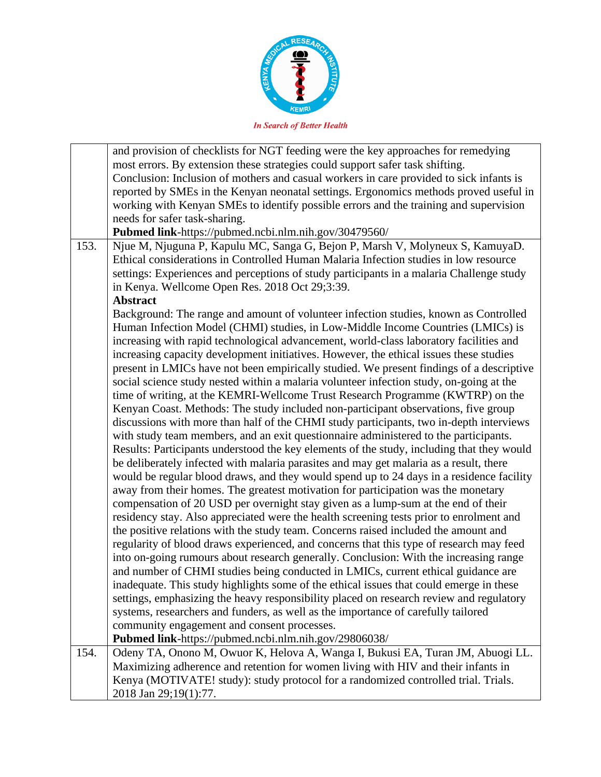

|      | and provision of checklists for NGT feeding were the key approaches for remedying<br>most errors. By extension these strategies could support safer task shifting.<br>Conclusion: Inclusion of mothers and casual workers in care provided to sick infants is<br>reported by SMEs in the Kenyan neonatal settings. Ergonomics methods proved useful in<br>working with Kenyan SMEs to identify possible errors and the training and supervision<br>needs for safer task-sharing.<br>Pubmed link-https://pubmed.ncbi.nlm.nih.gov/30479560/ |
|------|-------------------------------------------------------------------------------------------------------------------------------------------------------------------------------------------------------------------------------------------------------------------------------------------------------------------------------------------------------------------------------------------------------------------------------------------------------------------------------------------------------------------------------------------|
| 153. | Njue M, Njuguna P, Kapulu MC, Sanga G, Bejon P, Marsh V, Molyneux S, KamuyaD.                                                                                                                                                                                                                                                                                                                                                                                                                                                             |
|      | Ethical considerations in Controlled Human Malaria Infection studies in low resource                                                                                                                                                                                                                                                                                                                                                                                                                                                      |
|      | settings: Experiences and perceptions of study participants in a malaria Challenge study                                                                                                                                                                                                                                                                                                                                                                                                                                                  |
|      | in Kenya. Wellcome Open Res. 2018 Oct 29;3:39.                                                                                                                                                                                                                                                                                                                                                                                                                                                                                            |
|      | <b>Abstract</b>                                                                                                                                                                                                                                                                                                                                                                                                                                                                                                                           |
|      | Background: The range and amount of volunteer infection studies, known as Controlled                                                                                                                                                                                                                                                                                                                                                                                                                                                      |
|      | Human Infection Model (CHMI) studies, in Low-Middle Income Countries (LMICs) is                                                                                                                                                                                                                                                                                                                                                                                                                                                           |
|      | increasing with rapid technological advancement, world-class laboratory facilities and                                                                                                                                                                                                                                                                                                                                                                                                                                                    |
|      | increasing capacity development initiatives. However, the ethical issues these studies                                                                                                                                                                                                                                                                                                                                                                                                                                                    |
|      | present in LMICs have not been empirically studied. We present findings of a descriptive                                                                                                                                                                                                                                                                                                                                                                                                                                                  |
|      | social science study nested within a malaria volunteer infection study, on-going at the                                                                                                                                                                                                                                                                                                                                                                                                                                                   |
|      | time of writing, at the KEMRI-Wellcome Trust Research Programme (KWTRP) on the                                                                                                                                                                                                                                                                                                                                                                                                                                                            |
|      | Kenyan Coast. Methods: The study included non-participant observations, five group                                                                                                                                                                                                                                                                                                                                                                                                                                                        |
|      | discussions with more than half of the CHMI study participants, two in-depth interviews                                                                                                                                                                                                                                                                                                                                                                                                                                                   |
|      | with study team members, and an exit questionnaire administered to the participants.                                                                                                                                                                                                                                                                                                                                                                                                                                                      |
|      | Results: Participants understood the key elements of the study, including that they would                                                                                                                                                                                                                                                                                                                                                                                                                                                 |
|      | be deliberately infected with malaria parasites and may get malaria as a result, there                                                                                                                                                                                                                                                                                                                                                                                                                                                    |
|      | would be regular blood draws, and they would spend up to 24 days in a residence facility                                                                                                                                                                                                                                                                                                                                                                                                                                                  |
|      | away from their homes. The greatest motivation for participation was the monetary                                                                                                                                                                                                                                                                                                                                                                                                                                                         |
|      | compensation of 20 USD per overnight stay given as a lump-sum at the end of their                                                                                                                                                                                                                                                                                                                                                                                                                                                         |
|      | residency stay. Also appreciated were the health screening tests prior to enrolment and                                                                                                                                                                                                                                                                                                                                                                                                                                                   |
|      | the positive relations with the study team. Concerns raised included the amount and                                                                                                                                                                                                                                                                                                                                                                                                                                                       |
|      | regularity of blood draws experienced, and concerns that this type of research may feed                                                                                                                                                                                                                                                                                                                                                                                                                                                   |
|      | into on-going rumours about research generally. Conclusion: With the increasing range                                                                                                                                                                                                                                                                                                                                                                                                                                                     |
|      | and number of CHMI studies being conducted in LMICs, current ethical guidance are                                                                                                                                                                                                                                                                                                                                                                                                                                                         |
|      | inadequate. This study highlights some of the ethical issues that could emerge in these                                                                                                                                                                                                                                                                                                                                                                                                                                                   |
|      | settings, emphasizing the heavy responsibility placed on research review and regulatory                                                                                                                                                                                                                                                                                                                                                                                                                                                   |
|      | systems, researchers and funders, as well as the importance of carefully tailored                                                                                                                                                                                                                                                                                                                                                                                                                                                         |
|      | community engagement and consent processes.                                                                                                                                                                                                                                                                                                                                                                                                                                                                                               |
|      | Pubmed link-https://pubmed.ncbi.nlm.nih.gov/29806038/                                                                                                                                                                                                                                                                                                                                                                                                                                                                                     |
| 154. | Odeny TA, Onono M, Owuor K, Helova A, Wanga I, Bukusi EA, Turan JM, Abuogi LL.                                                                                                                                                                                                                                                                                                                                                                                                                                                            |
|      | Maximizing adherence and retention for women living with HIV and their infants in                                                                                                                                                                                                                                                                                                                                                                                                                                                         |
|      | Kenya (MOTIVATE! study): study protocol for a randomized controlled trial. Trials.                                                                                                                                                                                                                                                                                                                                                                                                                                                        |
|      | 2018 Jan 29;19(1):77.                                                                                                                                                                                                                                                                                                                                                                                                                                                                                                                     |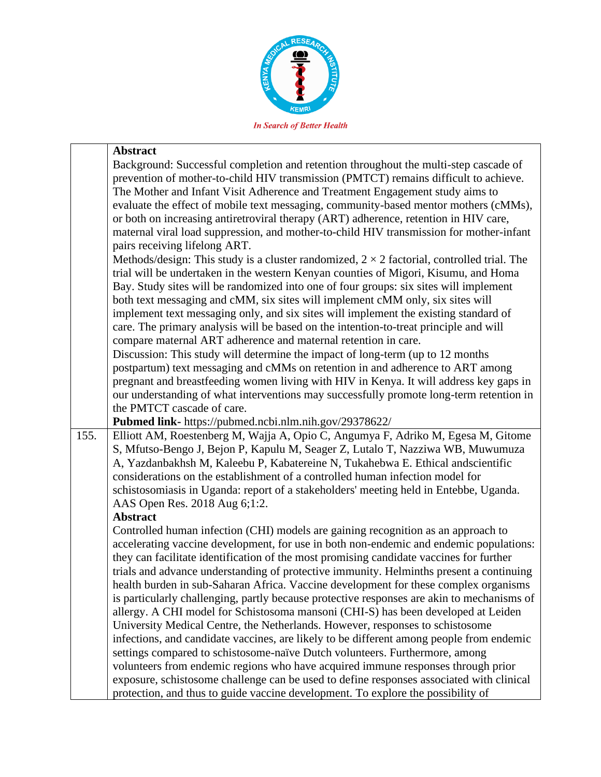

|      | <b>Abstract</b>                                                                                                                                                                          |
|------|------------------------------------------------------------------------------------------------------------------------------------------------------------------------------------------|
|      | Background: Successful completion and retention throughout the multi-step cascade of                                                                                                     |
|      | prevention of mother-to-child HIV transmission (PMTCT) remains difficult to achieve.<br>The Mother and Infant Visit Adherence and Treatment Engagement study aims to                     |
|      | evaluate the effect of mobile text messaging, community-based mentor mothers (cMMs),                                                                                                     |
|      | or both on increasing antiretroviral therapy (ART) adherence, retention in HIV care,                                                                                                     |
|      | maternal viral load suppression, and mother-to-child HIV transmission for mother-infant                                                                                                  |
|      | pairs receiving lifelong ART.                                                                                                                                                            |
|      | Methods/design: This study is a cluster randomized, $2 \times 2$ factorial, controlled trial. The<br>trial will be undertaken in the western Kenyan counties of Migori, Kisumu, and Homa |
|      | Bay. Study sites will be randomized into one of four groups: six sites will implement                                                                                                    |
|      | both text messaging and cMM, six sites will implement cMM only, six sites will                                                                                                           |
|      | implement text messaging only, and six sites will implement the existing standard of                                                                                                     |
|      | care. The primary analysis will be based on the intention-to-treat principle and will                                                                                                    |
|      | compare maternal ART adherence and maternal retention in care.                                                                                                                           |
|      | Discussion: This study will determine the impact of long-term (up to 12 months                                                                                                           |
|      | postpartum) text messaging and cMMs on retention in and adherence to ART among                                                                                                           |
|      | pregnant and breastfeeding women living with HIV in Kenya. It will address key gaps in                                                                                                   |
|      | our understanding of what interventions may successfully promote long-term retention in<br>the PMTCT cascade of care.                                                                    |
|      | Pubmed link- https://pubmed.ncbi.nlm.nih.gov/29378622/                                                                                                                                   |
|      |                                                                                                                                                                                          |
|      |                                                                                                                                                                                          |
| 155. | Elliott AM, Roestenberg M, Wajja A, Opio C, Angumya F, Adriko M, Egesa M, Gitome                                                                                                         |
|      | S, Mfutso-Bengo J, Bejon P, Kapulu M, Seager Z, Lutalo T, Nazziwa WB, Muwumuza<br>A, Yazdanbakhsh M, Kaleebu P, Kabatereine N, Tukahebwa E. Ethical andscientific                        |
|      | considerations on the establishment of a controlled human infection model for                                                                                                            |
|      | schistosomiasis in Uganda: report of a stakeholders' meeting held in Entebbe, Uganda.                                                                                                    |
|      | AAS Open Res. 2018 Aug 6;1:2.                                                                                                                                                            |
|      | <b>Abstract</b>                                                                                                                                                                          |
|      | Controlled human infection (CHI) models are gaining recognition as an approach to                                                                                                        |
|      | accelerating vaccine development, for use in both non-endemic and endemic populations:                                                                                                   |
|      | they can facilitate identification of the most promising candidate vaccines for further                                                                                                  |
|      | trials and advance understanding of protective immunity. Helminths present a continuing                                                                                                  |
|      | health burden in sub-Saharan Africa. Vaccine development for these complex organisms<br>is particularly challenging, partly because protective responses are akin to mechanisms of       |
|      | allergy. A CHI model for Schistosoma mansoni (CHI-S) has been developed at Leiden                                                                                                        |
|      | University Medical Centre, the Netherlands. However, responses to schistosome                                                                                                            |
|      | infections, and candidate vaccines, are likely to be different among people from endemic                                                                                                 |
|      | settings compared to schistosome-naïve Dutch volunteers. Furthermore, among                                                                                                              |
|      | volunteers from endemic regions who have acquired immune responses through prior                                                                                                         |
|      | exposure, schistosome challenge can be used to define responses associated with clinical<br>protection, and thus to guide vaccine development. To explore the possibility of             |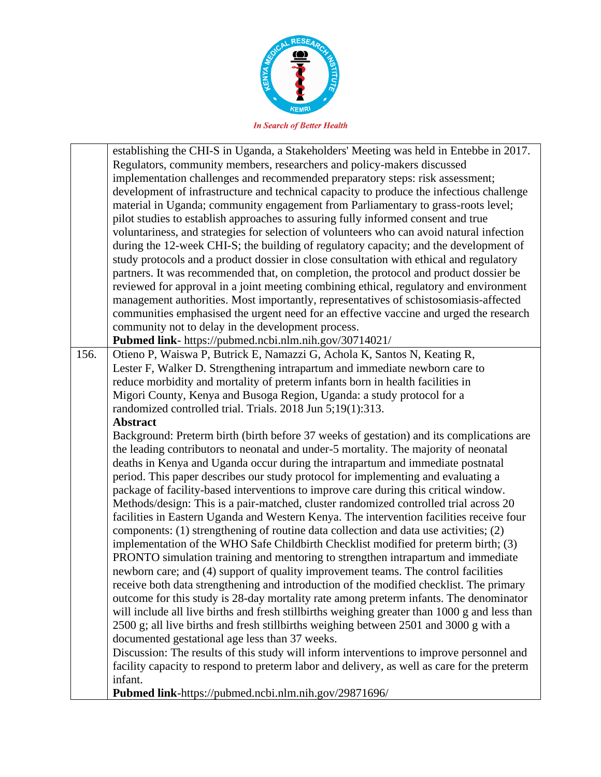

|      | establishing the CHI-S in Uganda, a Stakeholders' Meeting was held in Entebbe in 2017.        |
|------|-----------------------------------------------------------------------------------------------|
|      | Regulators, community members, researchers and policy-makers discussed                        |
|      | implementation challenges and recommended preparatory steps: risk assessment;                 |
|      | development of infrastructure and technical capacity to produce the infectious challenge      |
|      |                                                                                               |
|      | material in Uganda; community engagement from Parliamentary to grass-roots level;             |
|      | pilot studies to establish approaches to assuring fully informed consent and true             |
|      | voluntariness, and strategies for selection of volunteers who can avoid natural infection     |
|      | during the 12-week CHI-S; the building of regulatory capacity; and the development of         |
|      | study protocols and a product dossier in close consultation with ethical and regulatory       |
|      | partners. It was recommended that, on completion, the protocol and product dossier be         |
|      | reviewed for approval in a joint meeting combining ethical, regulatory and environment        |
|      | management authorities. Most importantly, representatives of schistosomiasis-affected         |
|      | communities emphasised the urgent need for an effective vaccine and urged the research        |
|      | community not to delay in the development process.                                            |
|      | Pubmed link- https://pubmed.ncbi.nlm.nih.gov/30714021/                                        |
| 156. | Otieno P, Waiswa P, Butrick E, Namazzi G, Achola K, Santos N, Keating R,                      |
|      | Lester F, Walker D. Strengthening intrapartum and immediate newborn care to                   |
|      | reduce morbidity and mortality of preterm infants born in health facilities in                |
|      | Migori County, Kenya and Busoga Region, Uganda: a study protocol for a                        |
|      | randomized controlled trial. Trials. 2018 Jun 5;19(1):313.                                    |
|      | <b>Abstract</b>                                                                               |
|      | Background: Preterm birth (birth before 37 weeks of gestation) and its complications are      |
|      | the leading contributors to neonatal and under-5 mortality. The majority of neonatal          |
|      | deaths in Kenya and Uganda occur during the intrapartum and immediate postnatal               |
|      | period. This paper describes our study protocol for implementing and evaluating a             |
|      | package of facility-based interventions to improve care during this critical window.          |
|      | Methods/design: This is a pair-matched, cluster randomized controlled trial across 20         |
|      | facilities in Eastern Uganda and Western Kenya. The intervention facilities receive four      |
|      | components: (1) strengthening of routine data collection and data use activities; (2)         |
|      | implementation of the WHO Safe Childbirth Checklist modified for preterm birth; (3)           |
|      | PRONTO simulation training and mentoring to strengthen intrapartum and immediate              |
|      | newborn care; and (4) support of quality improvement teams. The control facilities            |
|      | receive both data strengthening and introduction of the modified checklist. The primary       |
|      | outcome for this study is 28-day mortality rate among preterm infants. The denominator        |
|      |                                                                                               |
|      | will include all live births and fresh stillbirths weighing greater than 1000 g and less than |
|      | 2500 g; all live births and fresh stillbirths weighing between 2501 and 3000 g with a         |
|      | documented gestational age less than 37 weeks.                                                |
|      | Discussion: The results of this study will inform interventions to improve personnel and      |
|      | facility capacity to respond to preterm labor and delivery, as well as care for the preterm   |
|      | infant.                                                                                       |
|      | Pubmed link-https://pubmed.ncbi.nlm.nih.gov/29871696/                                         |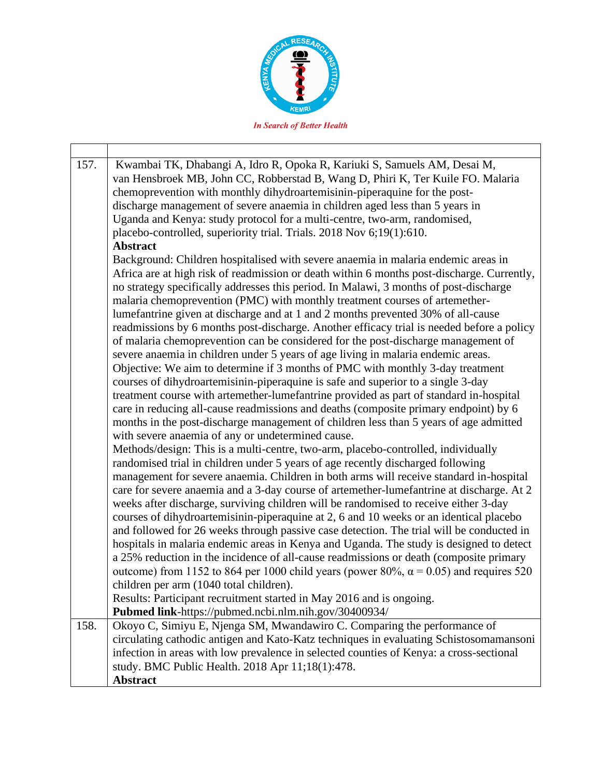

| 157. | Kwambai TK, Dhabangi A, Idro R, Opoka R, Kariuki S, Samuels AM, Desai M,                     |
|------|----------------------------------------------------------------------------------------------|
|      | van Hensbroek MB, John CC, Robberstad B, Wang D, Phiri K, Ter Kuile FO. Malaria              |
|      | chemoprevention with monthly dihydroartemisinin-piperaquine for the post-                    |
|      | discharge management of severe anaemia in children aged less than 5 years in                 |
|      | Uganda and Kenya: study protocol for a multi-centre, two-arm, randomised,                    |
|      | placebo-controlled, superiority trial. Trials. 2018 Nov 6;19(1):610.                         |
|      | <b>Abstract</b>                                                                              |
|      | Background: Children hospitalised with severe anaemia in malaria endemic areas in            |
|      | Africa are at high risk of readmission or death within 6 months post-discharge. Currently,   |
|      | no strategy specifically addresses this period. In Malawi, 3 months of post-discharge        |
|      | malaria chemoprevention (PMC) with monthly treatment courses of artemether-                  |
|      | lumefantrine given at discharge and at 1 and 2 months prevented 30% of all-cause             |
|      | readmissions by 6 months post-discharge. Another efficacy trial is needed before a policy    |
|      | of malaria chemoprevention can be considered for the post-discharge management of            |
|      | severe anaemia in children under 5 years of age living in malaria endemic areas.             |
|      | Objective: We aim to determine if 3 months of PMC with monthly 3-day treatment               |
|      | courses of dihydroartemisinin-piperaquine is safe and superior to a single 3-day             |
|      | treatment course with artemether-lumefantrine provided as part of standard in-hospital       |
|      | care in reducing all-cause readmissions and deaths (composite primary endpoint) by 6         |
|      | months in the post-discharge management of children less than 5 years of age admitted        |
|      | with severe anaemia of any or undetermined cause.                                            |
|      | Methods/design: This is a multi-centre, two-arm, placebo-controlled, individually            |
|      | randomised trial in children under 5 years of age recently discharged following              |
|      | management for severe anaemia. Children in both arms will receive standard in-hospital       |
|      | care for severe anaemia and a 3-day course of artemether-lumefantrine at discharge. At 2     |
|      | weeks after discharge, surviving children will be randomised to receive either 3-day         |
|      | courses of dihydroartemisinin-piperaquine at 2, 6 and 10 weeks or an identical placebo       |
|      | and followed for 26 weeks through passive case detection. The trial will be conducted in     |
|      | hospitals in malaria endemic areas in Kenya and Uganda. The study is designed to detect      |
|      | a 25% reduction in the incidence of all-cause readmissions or death (composite primary       |
|      | outcome) from 1152 to 864 per 1000 child years (power 80%, $\alpha$ = 0.05) and requires 520 |
|      | children per arm (1040 total children).                                                      |
|      | Results: Participant recruitment started in May 2016 and is ongoing.                         |
|      | Pubmed link-https://pubmed.ncbi.nlm.nih.gov/30400934/                                        |
| 158. | Okoyo C, Simiyu E, Njenga SM, Mwandawiro C. Comparing the performance of                     |
|      | circulating cathodic antigen and Kato-Katz techniques in evaluating Schistosomamansoni       |
|      | infection in areas with low prevalence in selected counties of Kenya: a cross-sectional      |
|      | study. BMC Public Health. 2018 Apr 11;18(1):478.                                             |
|      | <b>Abstract</b>                                                                              |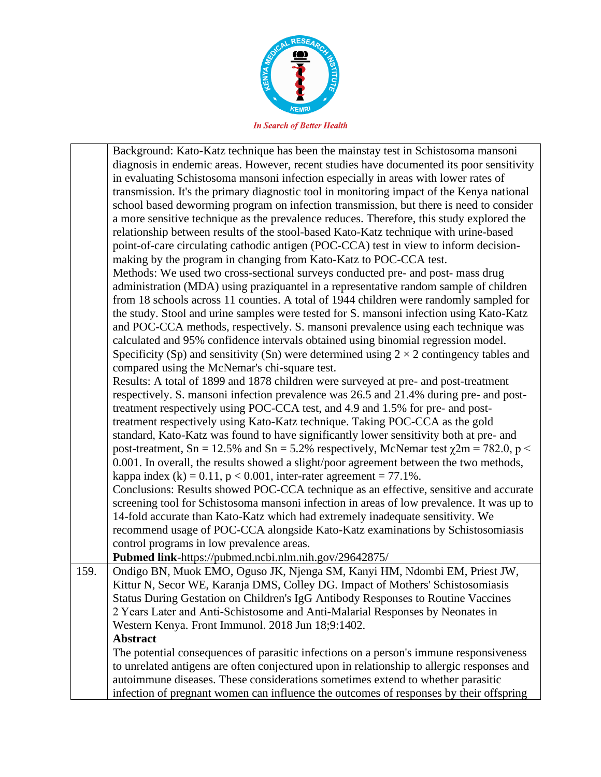

|      | Background: Kato-Katz technique has been the mainstay test in Schistosoma mansoni<br>diagnosis in endemic areas. However, recent studies have documented its poor sensitivity<br>in evaluating Schistosoma mansoni infection especially in areas with lower rates of<br>transmission. It's the primary diagnostic tool in monitoring impact of the Kenya national<br>school based deworming program on infection transmission, but there is need to consider<br>a more sensitive technique as the prevalence reduces. Therefore, this study explored the<br>relationship between results of the stool-based Kato-Katz technique with urine-based<br>point-of-care circulating cathodic antigen (POC-CCA) test in view to inform decision-<br>making by the program in changing from Kato-Katz to POC-CCA test.<br>Methods: We used two cross-sectional surveys conducted pre- and post- mass drug<br>administration (MDA) using praziquantel in a representative random sample of children<br>from 18 schools across 11 counties. A total of 1944 children were randomly sampled for<br>the study. Stool and urine samples were tested for S. mansoni infection using Kato-Katz<br>and POC-CCA methods, respectively. S. mansoni prevalence using each technique was<br>calculated and 95% confidence intervals obtained using binomial regression model.<br>Specificity (Sp) and sensitivity (Sn) were determined using $2 \times 2$ contingency tables and<br>compared using the McNemar's chi-square test.<br>Results: A total of 1899 and 1878 children were surveyed at pre- and post-treatment<br>respectively. S. mansoni infection prevalence was 26.5 and 21.4% during pre- and post-<br>treatment respectively using POC-CCA test, and 4.9 and 1.5% for pre- and post-<br>treatment respectively using Kato-Katz technique. Taking POC-CCA as the gold<br>standard, Kato-Katz was found to have significantly lower sensitivity both at pre- and<br>post-treatment, Sn = 12.5% and Sn = 5.2% respectively, McNemar test $\gamma$ 2m = 782.0, p <<br>0.001. In overall, the results showed a slight/poor agreement between the two methods,<br>kappa index (k) = $0.11$ , p < $0.001$ , inter-rater agreement = 77.1%.<br>Conclusions: Results showed POC-CCA technique as an effective, sensitive and accurate<br>screening tool for Schistosoma mansoni infection in areas of low prevalence. It was up to<br>14-fold accurate than Kato-Katz which had extremely inadequate sensitivity. We<br>recommend usage of POC-CCA alongside Kato-Katz examinations by Schistosomiasis<br>control programs in low prevalence areas.<br>Pubmed link-https://pubmed.ncbi.nlm.nih.gov/29642875/ |
|------|-------------------------------------------------------------------------------------------------------------------------------------------------------------------------------------------------------------------------------------------------------------------------------------------------------------------------------------------------------------------------------------------------------------------------------------------------------------------------------------------------------------------------------------------------------------------------------------------------------------------------------------------------------------------------------------------------------------------------------------------------------------------------------------------------------------------------------------------------------------------------------------------------------------------------------------------------------------------------------------------------------------------------------------------------------------------------------------------------------------------------------------------------------------------------------------------------------------------------------------------------------------------------------------------------------------------------------------------------------------------------------------------------------------------------------------------------------------------------------------------------------------------------------------------------------------------------------------------------------------------------------------------------------------------------------------------------------------------------------------------------------------------------------------------------------------------------------------------------------------------------------------------------------------------------------------------------------------------------------------------------------------------------------------------------------------------------------------------------------------------------------------------------------------------------------------------------------------------------------------------------------------------------------------------------------------------------------------------------------------------------------------------------------------------------------------------------------------------------------------------------------------------------------------------------------------------------------------------------------------------------------------------------------------------------------------------------|
| 159. | Ondigo BN, Muok EMO, Oguso JK, Njenga SM, Kanyi HM, Ndombi EM, Priest JW,                                                                                                                                                                                                                                                                                                                                                                                                                                                                                                                                                                                                                                                                                                                                                                                                                                                                                                                                                                                                                                                                                                                                                                                                                                                                                                                                                                                                                                                                                                                                                                                                                                                                                                                                                                                                                                                                                                                                                                                                                                                                                                                                                                                                                                                                                                                                                                                                                                                                                                                                                                                                                       |
|      | Kittur N, Secor WE, Karanja DMS, Colley DG. Impact of Mothers' Schistosomiasis                                                                                                                                                                                                                                                                                                                                                                                                                                                                                                                                                                                                                                                                                                                                                                                                                                                                                                                                                                                                                                                                                                                                                                                                                                                                                                                                                                                                                                                                                                                                                                                                                                                                                                                                                                                                                                                                                                                                                                                                                                                                                                                                                                                                                                                                                                                                                                                                                                                                                                                                                                                                                  |
|      | Status During Gestation on Children's IgG Antibody Responses to Routine Vaccines<br>2 Years Later and Anti-Schistosome and Anti-Malarial Responses by Neonates in                                                                                                                                                                                                                                                                                                                                                                                                                                                                                                                                                                                                                                                                                                                                                                                                                                                                                                                                                                                                                                                                                                                                                                                                                                                                                                                                                                                                                                                                                                                                                                                                                                                                                                                                                                                                                                                                                                                                                                                                                                                                                                                                                                                                                                                                                                                                                                                                                                                                                                                               |
|      |                                                                                                                                                                                                                                                                                                                                                                                                                                                                                                                                                                                                                                                                                                                                                                                                                                                                                                                                                                                                                                                                                                                                                                                                                                                                                                                                                                                                                                                                                                                                                                                                                                                                                                                                                                                                                                                                                                                                                                                                                                                                                                                                                                                                                                                                                                                                                                                                                                                                                                                                                                                                                                                                                                 |
|      | Western Kenya. Front Immunol. 2018 Jun 18;9:1402.<br><b>Abstract</b>                                                                                                                                                                                                                                                                                                                                                                                                                                                                                                                                                                                                                                                                                                                                                                                                                                                                                                                                                                                                                                                                                                                                                                                                                                                                                                                                                                                                                                                                                                                                                                                                                                                                                                                                                                                                                                                                                                                                                                                                                                                                                                                                                                                                                                                                                                                                                                                                                                                                                                                                                                                                                            |
|      | The potential consequences of parasitic infections on a person's immune responsiveness                                                                                                                                                                                                                                                                                                                                                                                                                                                                                                                                                                                                                                                                                                                                                                                                                                                                                                                                                                                                                                                                                                                                                                                                                                                                                                                                                                                                                                                                                                                                                                                                                                                                                                                                                                                                                                                                                                                                                                                                                                                                                                                                                                                                                                                                                                                                                                                                                                                                                                                                                                                                          |
|      | to unrelated antigens are often conjectured upon in relationship to allergic responses and                                                                                                                                                                                                                                                                                                                                                                                                                                                                                                                                                                                                                                                                                                                                                                                                                                                                                                                                                                                                                                                                                                                                                                                                                                                                                                                                                                                                                                                                                                                                                                                                                                                                                                                                                                                                                                                                                                                                                                                                                                                                                                                                                                                                                                                                                                                                                                                                                                                                                                                                                                                                      |
|      | autoimmune diseases. These considerations sometimes extend to whether parasitic                                                                                                                                                                                                                                                                                                                                                                                                                                                                                                                                                                                                                                                                                                                                                                                                                                                                                                                                                                                                                                                                                                                                                                                                                                                                                                                                                                                                                                                                                                                                                                                                                                                                                                                                                                                                                                                                                                                                                                                                                                                                                                                                                                                                                                                                                                                                                                                                                                                                                                                                                                                                                 |
|      | infection of pregnant women can influence the outcomes of responses by their offspring                                                                                                                                                                                                                                                                                                                                                                                                                                                                                                                                                                                                                                                                                                                                                                                                                                                                                                                                                                                                                                                                                                                                                                                                                                                                                                                                                                                                                                                                                                                                                                                                                                                                                                                                                                                                                                                                                                                                                                                                                                                                                                                                                                                                                                                                                                                                                                                                                                                                                                                                                                                                          |
|      |                                                                                                                                                                                                                                                                                                                                                                                                                                                                                                                                                                                                                                                                                                                                                                                                                                                                                                                                                                                                                                                                                                                                                                                                                                                                                                                                                                                                                                                                                                                                                                                                                                                                                                                                                                                                                                                                                                                                                                                                                                                                                                                                                                                                                                                                                                                                                                                                                                                                                                                                                                                                                                                                                                 |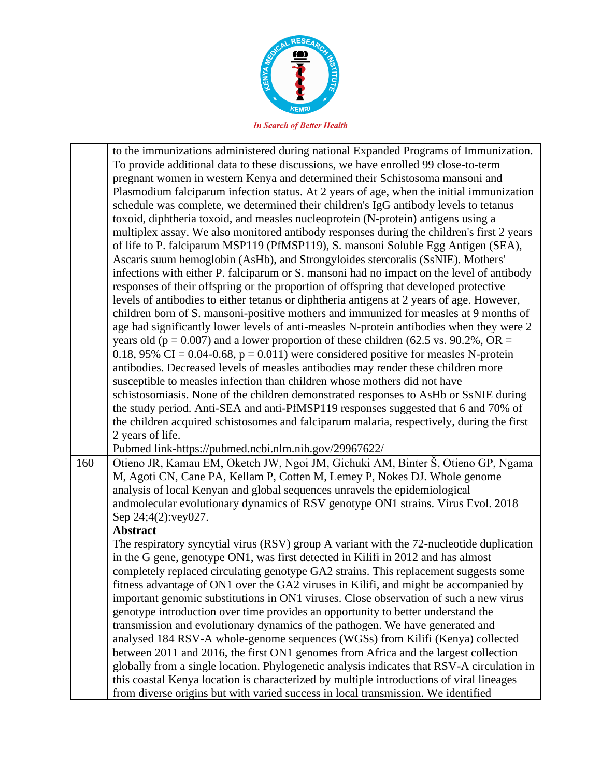

|     | to the immunizations administered during national Expanded Programs of Immunization.       |
|-----|--------------------------------------------------------------------------------------------|
|     | To provide additional data to these discussions, we have enrolled 99 close-to-term         |
|     | pregnant women in western Kenya and determined their Schistosoma mansoni and               |
|     |                                                                                            |
|     | Plasmodium falciparum infection status. At 2 years of age, when the initial immunization   |
|     | schedule was complete, we determined their children's IgG antibody levels to tetanus       |
|     | toxoid, diphtheria toxoid, and measles nucleoprotein (N-protein) antigens using a          |
|     | multiplex assay. We also monitored antibody responses during the children's first 2 years  |
|     | of life to P. falciparum MSP119 (PfMSP119), S. mansoni Soluble Egg Antigen (SEA),          |
|     | Ascaris suum hemoglobin (AsHb), and Strongyloides stercoralis (SsNIE). Mothers'            |
|     | infections with either P. falciparum or S. mansoni had no impact on the level of antibody  |
|     | responses of their offspring or the proportion of offspring that developed protective      |
|     | levels of antibodies to either tetanus or diphtheria antigens at 2 years of age. However,  |
|     |                                                                                            |
|     | children born of S. mansoni-positive mothers and immunized for measles at 9 months of      |
|     | age had significantly lower levels of anti-measles N-protein antibodies when they were 2   |
|     | years old ( $p = 0.007$ ) and a lower proportion of these children (62.5 vs. 90.2%, OR =   |
|     | 0.18, 95% CI = 0.04-0.68, $p = 0.011$ ) were considered positive for measles N-protein     |
|     | antibodies. Decreased levels of measles antibodies may render these children more          |
|     | susceptible to measles infection than children whose mothers did not have                  |
|     | schistosomiasis. None of the children demonstrated responses to AsHb or SsNIE during       |
|     | the study period. Anti-SEA and anti-PfMSP119 responses suggested that 6 and 70% of         |
|     | the children acquired schistosomes and falciparum malaria, respectively, during the first  |
|     | 2 years of life.                                                                           |
|     |                                                                                            |
|     | Pubmed link-https://pubmed.ncbi.nlm.nih.gov/29967622/                                      |
| 160 | Otieno JR, Kamau EM, Oketch JW, Ngoi JM, Gichuki AM, Binter Š, Otieno GP, Ngama            |
|     | M, Agoti CN, Cane PA, Kellam P, Cotten M, Lemey P, Nokes DJ. Whole genome                  |
|     | analysis of local Kenyan and global sequences unravels the epidemiological                 |
|     | andmolecular evolutionary dynamics of RSV genotype ON1 strains. Virus Evol. 2018           |
|     | Sep 24;4(2): vey 027.                                                                      |
|     | <b>Abstract</b>                                                                            |
|     | The respiratory syncytial virus (RSV) group A variant with the 72-nucleotide duplication   |
|     | in the G gene, genotype ON1, was first detected in Kilifi in 2012 and has almost           |
|     | completely replaced circulating genotype GA2 strains. This replacement suggests some       |
|     | fitness advantage of ON1 over the GA2 viruses in Kilifi, and might be accompanied by       |
|     | important genomic substitutions in ON1 viruses. Close observation of such a new virus      |
|     |                                                                                            |
|     | genotype introduction over time provides an opportunity to better understand the           |
|     | transmission and evolutionary dynamics of the pathogen. We have generated and              |
|     | analysed 184 RSV-A whole-genome sequences (WGSs) from Kilifi (Kenya) collected             |
|     | between 2011 and 2016, the first ON1 genomes from Africa and the largest collection        |
|     | globally from a single location. Phylogenetic analysis indicates that RSV-A circulation in |
|     |                                                                                            |
|     | this coastal Kenya location is characterized by multiple introductions of viral lineages   |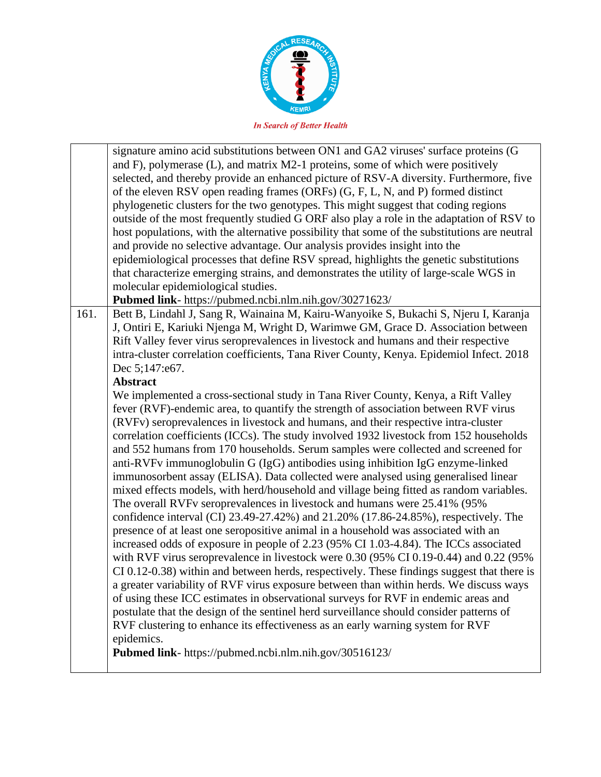

|      | signature amino acid substitutions between ON1 and GA2 viruses' surface proteins (G<br>and F), polymerase (L), and matrix M2-1 proteins, some of which were positively<br>selected, and thereby provide an enhanced picture of RSV-A diversity. Furthermore, five<br>of the eleven RSV open reading frames (ORFs) (G, F, L, N, and P) formed distinct<br>phylogenetic clusters for the two genotypes. This might suggest that coding regions<br>outside of the most frequently studied G ORF also play a role in the adaptation of RSV to<br>host populations, with the alternative possibility that some of the substitutions are neutral<br>and provide no selective advantage. Our analysis provides insight into the<br>epidemiological processes that define RSV spread, highlights the genetic substitutions<br>that characterize emerging strains, and demonstrates the utility of large-scale WGS in<br>molecular epidemiological studies.<br>Pubmed link- https://pubmed.ncbi.nlm.nih.gov/30271623/                                                                                                                                                                                                                                                                                                                                                                                                                                                                                                                                                                                                                                                                                    |
|------|-------------------------------------------------------------------------------------------------------------------------------------------------------------------------------------------------------------------------------------------------------------------------------------------------------------------------------------------------------------------------------------------------------------------------------------------------------------------------------------------------------------------------------------------------------------------------------------------------------------------------------------------------------------------------------------------------------------------------------------------------------------------------------------------------------------------------------------------------------------------------------------------------------------------------------------------------------------------------------------------------------------------------------------------------------------------------------------------------------------------------------------------------------------------------------------------------------------------------------------------------------------------------------------------------------------------------------------------------------------------------------------------------------------------------------------------------------------------------------------------------------------------------------------------------------------------------------------------------------------------------------------------------------------------------------------------------|
| 161. | Bett B, Lindahl J, Sang R, Wainaina M, Kairu-Wanyoike S, Bukachi S, Njeru I, Karanja<br>J, Ontiri E, Kariuki Njenga M, Wright D, Warimwe GM, Grace D. Association between<br>Rift Valley fever virus seroprevalences in livestock and humans and their respective<br>intra-cluster correlation coefficients, Tana River County, Kenya. Epidemiol Infect. 2018<br>Dec 5;147:e67.<br><b>Abstract</b>                                                                                                                                                                                                                                                                                                                                                                                                                                                                                                                                                                                                                                                                                                                                                                                                                                                                                                                                                                                                                                                                                                                                                                                                                                                                                              |
|      | We implemented a cross-sectional study in Tana River County, Kenya, a Rift Valley<br>fever (RVF)-endemic area, to quantify the strength of association between RVF virus<br>(RVFv) seroprevalences in livestock and humans, and their respective intra-cluster<br>correlation coefficients (ICCs). The study involved 1932 livestock from 152 households<br>and 552 humans from 170 households. Serum samples were collected and screened for<br>anti-RVFv immunoglobulin G (IgG) antibodies using inhibition IgG enzyme-linked<br>immunosorbent assay (ELISA). Data collected were analysed using generalised linear<br>mixed effects models, with herd/household and village being fitted as random variables.<br>The overall RVFv seroprevalences in livestock and humans were 25.41% (95%)<br>confidence interval (CI) 23.49-27.42%) and 21.20% (17.86-24.85%), respectively. The<br>presence of at least one seropositive animal in a household was associated with an<br>increased odds of exposure in people of 2.23 (95% CI 1.03-4.84). The ICCs associated<br>with RVF virus seroprevalence in livestock were 0.30 (95% CI 0.19-0.44) and 0.22 (95%<br>CI 0.12-0.38) within and between herds, respectively. These findings suggest that there is<br>a greater variability of RVF virus exposure between than within herds. We discuss ways<br>of using these ICC estimates in observational surveys for RVF in endemic areas and<br>postulate that the design of the sentinel herd surveillance should consider patterns of<br>RVF clustering to enhance its effectiveness as an early warning system for RVF<br>epidemics.<br>Pubmed link- https://pubmed.ncbi.nlm.nih.gov/30516123/ |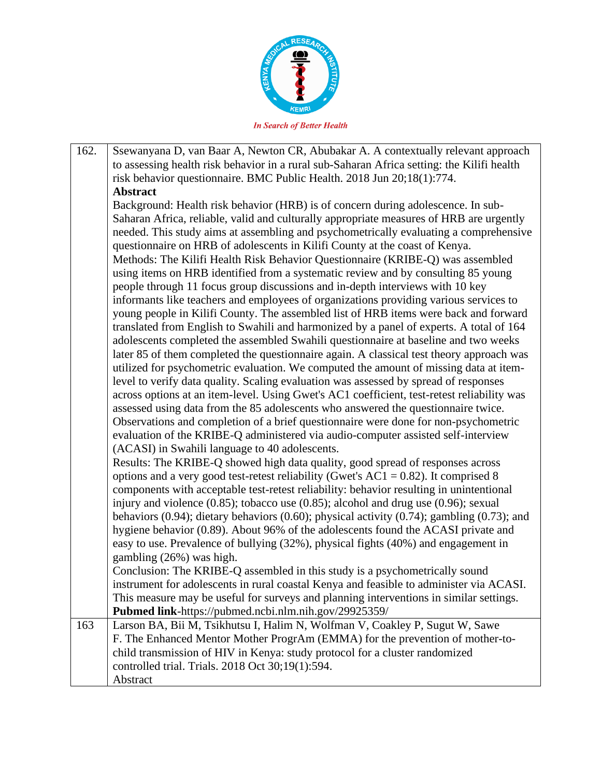

| 162. | Ssewanyana D, van Baar A, Newton CR, Abubakar A. A contextually relevant approach                      |
|------|--------------------------------------------------------------------------------------------------------|
|      | to assessing health risk behavior in a rural sub-Saharan Africa setting: the Kilifi health             |
|      | risk behavior questionnaire. BMC Public Health. 2018 Jun 20;18(1):774.                                 |
|      | <b>Abstract</b>                                                                                        |
|      | Background: Health risk behavior (HRB) is of concern during adolescence. In sub-                       |
|      | Saharan Africa, reliable, valid and culturally appropriate measures of HRB are urgently                |
|      | needed. This study aims at assembling and psychometrically evaluating a comprehensive                  |
|      | questionnaire on HRB of adolescents in Kilifi County at the coast of Kenya.                            |
|      | Methods: The Kilifi Health Risk Behavior Questionnaire (KRIBE-Q) was assembled                         |
|      | using items on HRB identified from a systematic review and by consulting 85 young                      |
|      | people through 11 focus group discussions and in-depth interviews with 10 key                          |
|      | informants like teachers and employees of organizations providing various services to                  |
|      | young people in Kilifi County. The assembled list of HRB items were back and forward                   |
|      | translated from English to Swahili and harmonized by a panel of experts. A total of 164                |
|      | adolescents completed the assembled Swahili questionnaire at baseline and two weeks                    |
|      | later 85 of them completed the questionnaire again. A classical test theory approach was               |
|      | utilized for psychometric evaluation. We computed the amount of missing data at item-                  |
|      | level to verify data quality. Scaling evaluation was assessed by spread of responses                   |
|      | across options at an item-level. Using Gwet's AC1 coefficient, test-retest reliability was             |
|      | assessed using data from the 85 adolescents who answered the questionnaire twice.                      |
|      | Observations and completion of a brief questionnaire were done for non-psychometric                    |
|      | evaluation of the KRIBE-Q administered via audio-computer assisted self-interview                      |
|      | (ACASI) in Swahili language to 40 adolescents.                                                         |
|      | Results: The KRIBE-Q showed high data quality, good spread of responses across                         |
|      | options and a very good test-retest reliability (Gwet's $AC1 = 0.82$ ). It comprised 8                 |
|      | components with acceptable test-retest reliability: behavior resulting in unintentional                |
|      | injury and violence $(0.85)$ ; tobacco use $(0.85)$ ; alcohol and drug use $(0.96)$ ; sexual           |
|      | behaviors $(0.94)$ ; dietary behaviors $(0.60)$ ; physical activity $(0.74)$ ; gambling $(0.73)$ ; and |
|      | hygiene behavior (0.89). About 96% of the adolescents found the ACASI private and                      |
|      | easy to use. Prevalence of bullying (32%), physical fights (40%) and engagement in                     |
|      | gambling (26%) was high.                                                                               |
|      | Conclusion: The KRIBE-Q assembled in this study is a psychometrically sound                            |
|      | instrument for adolescents in rural coastal Kenya and feasible to administer via ACASI.                |
|      | This measure may be useful for surveys and planning interventions in similar settings.                 |
|      | Pubmed link-https://pubmed.ncbi.nlm.nih.gov/29925359/                                                  |
| 163  | Larson BA, Bii M, Tsikhutsu I, Halim N, Wolfman V, Coakley P, Sugut W, Sawe                            |
|      | F. The Enhanced Mentor Mother ProgrAm (EMMA) for the prevention of mother-to-                          |
|      | child transmission of HIV in Kenya: study protocol for a cluster randomized                            |
|      | controlled trial. Trials. 2018 Oct 30;19(1):594.                                                       |
|      | Abstract                                                                                               |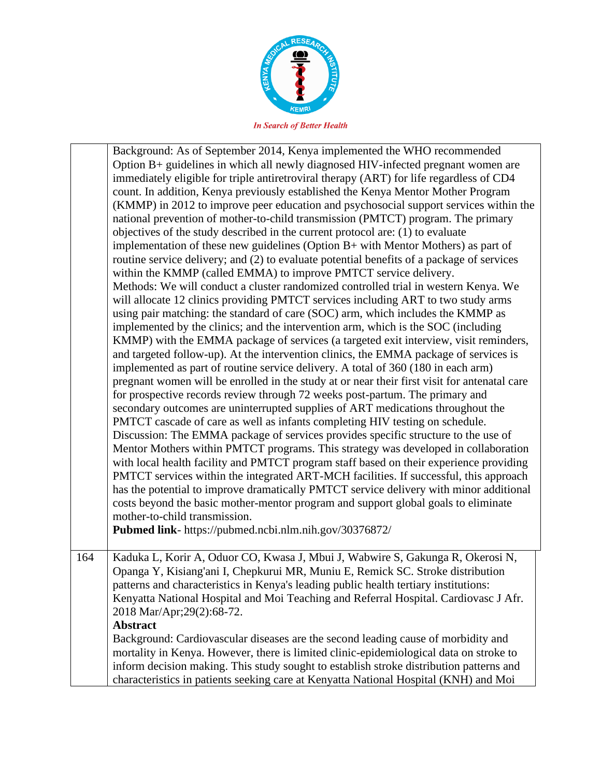

|     | Background: As of September 2014, Kenya implemented the WHO recommended<br>Option B+ guidelines in which all newly diagnosed HIV-infected pregnant women are<br>immediately eligible for triple antiretroviral therapy (ART) for life regardless of CD4<br>count. In addition, Kenya previously established the Kenya Mentor Mother Program<br>(KMMP) in 2012 to improve peer education and psychosocial support services within the<br>national prevention of mother-to-child transmission (PMTCT) program. The primary<br>objectives of the study described in the current protocol are: (1) to evaluate<br>implementation of these new guidelines (Option B+ with Mentor Mothers) as part of<br>routine service delivery; and (2) to evaluate potential benefits of a package of services<br>within the KMMP (called EMMA) to improve PMTCT service delivery.                                                                                                                                                                                                                                                                                                                                                                                                                                                                                                                                                                                                                                                                                                                                                    |
|-----|---------------------------------------------------------------------------------------------------------------------------------------------------------------------------------------------------------------------------------------------------------------------------------------------------------------------------------------------------------------------------------------------------------------------------------------------------------------------------------------------------------------------------------------------------------------------------------------------------------------------------------------------------------------------------------------------------------------------------------------------------------------------------------------------------------------------------------------------------------------------------------------------------------------------------------------------------------------------------------------------------------------------------------------------------------------------------------------------------------------------------------------------------------------------------------------------------------------------------------------------------------------------------------------------------------------------------------------------------------------------------------------------------------------------------------------------------------------------------------------------------------------------------------------------------------------------------------------------------------------------|
|     | Methods: We will conduct a cluster randomized controlled trial in western Kenya. We<br>will allocate 12 clinics providing PMTCT services including ART to two study arms<br>using pair matching: the standard of care (SOC) arm, which includes the KMMP as<br>implemented by the clinics; and the intervention arm, which is the SOC (including<br>KMMP) with the EMMA package of services (a targeted exit interview, visit reminders,<br>and targeted follow-up). At the intervention clinics, the EMMA package of services is<br>implemented as part of routine service delivery. A total of 360 (180 in each arm)<br>pregnant women will be enrolled in the study at or near their first visit for antenatal care<br>for prospective records review through 72 weeks post-partum. The primary and<br>secondary outcomes are uninterrupted supplies of ART medications throughout the<br>PMTCT cascade of care as well as infants completing HIV testing on schedule.<br>Discussion: The EMMA package of services provides specific structure to the use of<br>Mentor Mothers within PMTCT programs. This strategy was developed in collaboration<br>with local health facility and PMTCT program staff based on their experience providing<br>PMTCT services within the integrated ART-MCH facilities. If successful, this approach<br>has the potential to improve dramatically PMTCT service delivery with minor additional<br>costs beyond the basic mother-mentor program and support global goals to eliminate<br>mother-to-child transmission.<br>Pubmed link- https://pubmed.ncbi.nlm.nih.gov/30376872/ |
| 164 | Kaduka L, Korir A, Oduor CO, Kwasa J, Mbui J, Wabwire S, Gakunga R, Okerosi N,<br>Opanga Y, Kisiang'ani I, Chepkurui MR, Muniu E, Remick SC. Stroke distribution<br>patterns and characteristics in Kenya's leading public health tertiary institutions:<br>Kenyatta National Hospital and Moi Teaching and Referral Hospital. Cardiovasc J Afr.<br>2018 Mar/Apr;29(2):68-72.<br><b>Abstract</b><br>Background: Cardiovascular diseases are the second leading cause of morbidity and<br>mortality in Kenya. However, there is limited clinic-epidemiological data on stroke to<br>inform decision making. This study sought to establish stroke distribution patterns and<br>characteristics in patients seeking care at Kenyatta National Hospital (KNH) and Moi                                                                                                                                                                                                                                                                                                                                                                                                                                                                                                                                                                                                                                                                                                                                                                                                                                                  |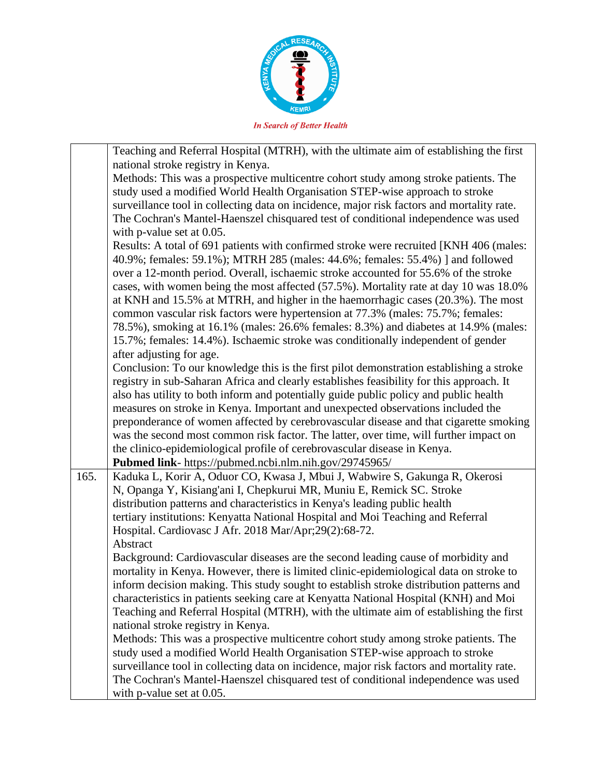

|      | Teaching and Referral Hospital (MTRH), with the ultimate aim of establishing the first<br>national stroke registry in Kenya.<br>Methods: This was a prospective multicentre cohort study among stroke patients. The<br>study used a modified World Health Organisation STEP-wise approach to stroke                                                                                                                                                                                                                                                                                                                                                                                                                                    |
|------|----------------------------------------------------------------------------------------------------------------------------------------------------------------------------------------------------------------------------------------------------------------------------------------------------------------------------------------------------------------------------------------------------------------------------------------------------------------------------------------------------------------------------------------------------------------------------------------------------------------------------------------------------------------------------------------------------------------------------------------|
|      | surveillance tool in collecting data on incidence, major risk factors and mortality rate.<br>The Cochran's Mantel-Haenszel chisquared test of conditional independence was used<br>with p-value set at 0.05.                                                                                                                                                                                                                                                                                                                                                                                                                                                                                                                           |
|      | Results: A total of 691 patients with confirmed stroke were recruited [KNH 406 (males:<br>40.9%; females: 59.1%); MTRH 285 (males: 44.6%; females: 55.4%) ] and followed<br>over a 12-month period. Overall, ischaemic stroke accounted for 55.6% of the stroke<br>cases, with women being the most affected (57.5%). Mortality rate at day 10 was 18.0%<br>at KNH and 15.5% at MTRH, and higher in the haemorrhagic cases (20.3%). The most<br>common vascular risk factors were hypertension at 77.3% (males: 75.7%; females:<br>78.5%), smoking at 16.1% (males: 26.6% females: 8.3%) and diabetes at 14.9% (males:<br>15.7%; females: 14.4%). Ischaemic stroke was conditionally independent of gender<br>after adjusting for age. |
|      | Conclusion: To our knowledge this is the first pilot demonstration establishing a stroke<br>registry in sub-Saharan Africa and clearly establishes feasibility for this approach. It<br>also has utility to both inform and potentially guide public policy and public health<br>measures on stroke in Kenya. Important and unexpected observations included the<br>preponderance of women affected by cerebrovascular disease and that cigarette smoking<br>was the second most common risk factor. The latter, over time, will further impact on                                                                                                                                                                                     |
|      | the clinico-epidemiological profile of cerebrovascular disease in Kenya.<br>Pubmed link- https://pubmed.ncbi.nlm.nih.gov/29745965/                                                                                                                                                                                                                                                                                                                                                                                                                                                                                                                                                                                                     |
| 165. | Kaduka L, Korir A, Oduor CO, Kwasa J, Mbui J, Wabwire S, Gakunga R, Okerosi<br>N, Opanga Y, Kisiang'ani I, Chepkurui MR, Muniu E, Remick SC. Stroke<br>distribution patterns and characteristics in Kenya's leading public health<br>tertiary institutions: Kenyatta National Hospital and Moi Teaching and Referral<br>Hospital. Cardiovasc J Afr. 2018 Mar/Apr;29(2):68-72.<br>Abstract                                                                                                                                                                                                                                                                                                                                              |
|      | Background: Cardiovascular diseases are the second leading cause of morbidity and<br>mortality in Kenya. However, there is limited clinic-epidemiological data on stroke to<br>inform decision making. This study sought to establish stroke distribution patterns and<br>characteristics in patients seeking care at Kenyatta National Hospital (KNH) and Moi<br>Teaching and Referral Hospital (MTRH), with the ultimate aim of establishing the first<br>national stroke registry in Kenya.                                                                                                                                                                                                                                         |
|      | Methods: This was a prospective multicentre cohort study among stroke patients. The<br>study used a modified World Health Organisation STEP-wise approach to stroke<br>surveillance tool in collecting data on incidence, major risk factors and mortality rate.<br>The Cochran's Mantel-Haenszel chisquared test of conditional independence was used<br>with p-value set at 0.05.                                                                                                                                                                                                                                                                                                                                                    |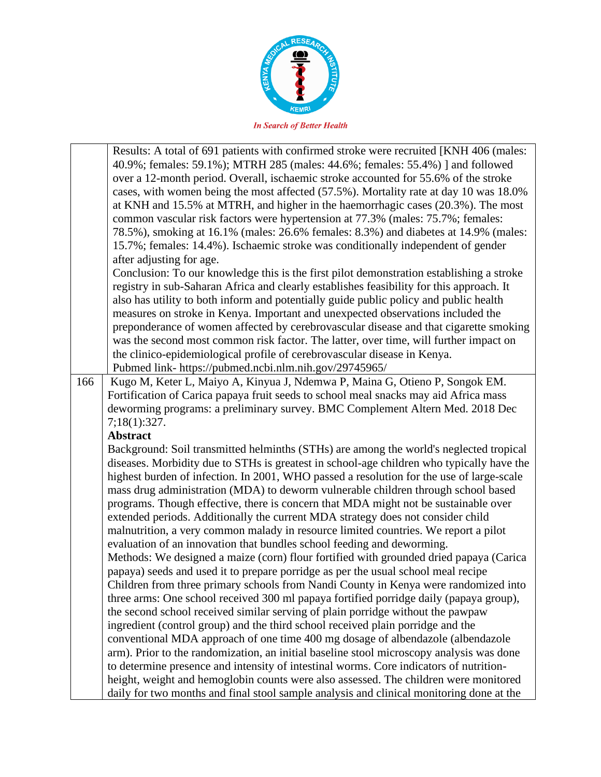

|     | Results: A total of 691 patients with confirmed stroke were recruited [KNH 406 (males:<br>40.9%; females: 59.1%); MTRH 285 (males: 44.6%; females: 55.4%) ] and followed<br>over a 12-month period. Overall, ischaemic stroke accounted for 55.6% of the stroke<br>cases, with women being the most affected (57.5%). Mortality rate at day 10 was 18.0%<br>at KNH and 15.5% at MTRH, and higher in the haemorrhagic cases (20.3%). The most                                                                                                                                                                                          |
|-----|---------------------------------------------------------------------------------------------------------------------------------------------------------------------------------------------------------------------------------------------------------------------------------------------------------------------------------------------------------------------------------------------------------------------------------------------------------------------------------------------------------------------------------------------------------------------------------------------------------------------------------------|
|     | common vascular risk factors were hypertension at 77.3% (males: 75.7%; females:<br>78.5%), smoking at 16.1% (males: 26.6% females: 8.3%) and diabetes at 14.9% (males:<br>15.7%; females: 14.4%). Ischaemic stroke was conditionally independent of gender                                                                                                                                                                                                                                                                                                                                                                            |
|     | after adjusting for age.<br>Conclusion: To our knowledge this is the first pilot demonstration establishing a stroke<br>registry in sub-Saharan Africa and clearly establishes feasibility for this approach. It<br>also has utility to both inform and potentially guide public policy and public health<br>measures on stroke in Kenya. Important and unexpected observations included the<br>preponderance of women affected by cerebrovascular disease and that cigarette smoking<br>was the second most common risk factor. The latter, over time, will further impact on                                                        |
|     | the clinico-epidemiological profile of cerebrovascular disease in Kenya.<br>Pubmed link- https://pubmed.ncbi.nlm.nih.gov/29745965/                                                                                                                                                                                                                                                                                                                                                                                                                                                                                                    |
| 166 | Kugo M, Keter L, Maiyo A, Kinyua J, Ndemwa P, Maina G, Otieno P, Songok EM.<br>Fortification of Carica papaya fruit seeds to school meal snacks may aid Africa mass<br>deworming programs: a preliminary survey. BMC Complement Altern Med. 2018 Dec<br>7;18(1):327.                                                                                                                                                                                                                                                                                                                                                                  |
|     | <b>Abstract</b>                                                                                                                                                                                                                                                                                                                                                                                                                                                                                                                                                                                                                       |
|     | Background: Soil transmitted helminths (STHs) are among the world's neglected tropical<br>diseases. Morbidity due to STHs is greatest in school-age children who typically have the<br>highest burden of infection. In 2001, WHO passed a resolution for the use of large-scale<br>mass drug administration (MDA) to deworm vulnerable children through school based<br>programs. Though effective, there is concern that MDA might not be sustainable over<br>extended periods. Additionally the current MDA strategy does not consider child<br>malnutrition, a very common malady in resource limited countries. We report a pilot |
|     | evaluation of an innovation that bundles school feeding and deworming.<br>Methods: We designed a maize (corn) flour fortified with grounded dried papaya (Carica<br>papaya) seeds and used it to prepare porridge as per the usual school meal recipe<br>Children from three primary schools from Nandi County in Kenya were randomized into                                                                                                                                                                                                                                                                                          |
|     | three arms: One school received 300 ml papaya fortified porridge daily (papaya group),<br>the second school received similar serving of plain porridge without the pawpaw<br>ingredient (control group) and the third school received plain porridge and the                                                                                                                                                                                                                                                                                                                                                                          |
|     | conventional MDA approach of one time 400 mg dosage of albendazole (albendazole<br>arm). Prior to the randomization, an initial baseline stool microscopy analysis was done                                                                                                                                                                                                                                                                                                                                                                                                                                                           |
|     | to determine presence and intensity of intestinal worms. Core indicators of nutrition-                                                                                                                                                                                                                                                                                                                                                                                                                                                                                                                                                |
|     | height, weight and hemoglobin counts were also assessed. The children were monitored<br>daily for two months and final stool sample analysis and clinical monitoring done at the                                                                                                                                                                                                                                                                                                                                                                                                                                                      |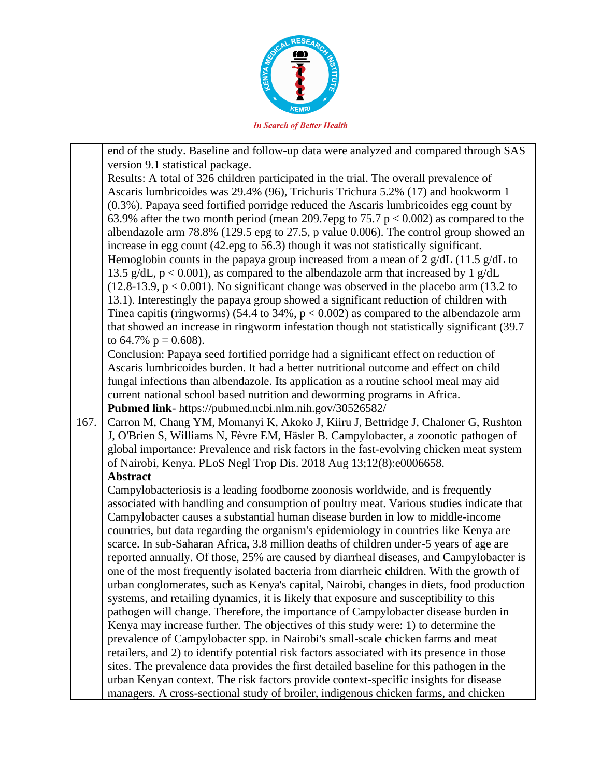

|      | end of the study. Baseline and follow-up data were analyzed and compared through SAS        |
|------|---------------------------------------------------------------------------------------------|
|      | version 9.1 statistical package.                                                            |
|      | Results: A total of 326 children participated in the trial. The overall prevalence of       |
|      | Ascaris lumbricoides was 29.4% (96), Trichuris Trichura 5.2% (17) and hookworm 1            |
|      | (0.3%). Papaya seed fortified porridge reduced the Ascaris lumbricoides egg count by        |
|      | 63.9% after the two month period (mean 209.7epg to 75.7 $p < 0.002$ ) as compared to the    |
|      | albendazole arm 78.8% (129.5 epg to 27.5, p value 0.006). The control group showed an       |
|      | increase in egg count (42.epg to 56.3) though it was not statistically significant.         |
|      | Hemoglobin counts in the papaya group increased from a mean of 2 $g/dL$ (11.5 $g/dL$ to     |
|      | 13.5 g/dL, $p < 0.001$ ), as compared to the albendazole arm that increased by 1 g/dL       |
|      | $(12.8-13.9, p < 0.001)$ . No significant change was observed in the placebo arm (13.2 to   |
|      | 13.1). Interestingly the papaya group showed a significant reduction of children with       |
|      | Tinea capitis (ringworms) (54.4 to 34%, $p < 0.002$ ) as compared to the albendazole arm    |
|      | that showed an increase in ringworm infestation though not statistically significant (39.7) |
|      | to 64.7% $p = 0.608$ ).                                                                     |
|      | Conclusion: Papaya seed fortified porridge had a significant effect on reduction of         |
|      | Ascaris lumbricoides burden. It had a better nutritional outcome and effect on child        |
|      |                                                                                             |
|      | fungal infections than albendazole. Its application as a routine school meal may aid        |
|      | current national school based nutrition and deworming programs in Africa.                   |
|      | Pubmed link- https://pubmed.ncbi.nlm.nih.gov/30526582/                                      |
| 167. | Carron M, Chang YM, Momanyi K, Akoko J, Kiiru J, Bettridge J, Chaloner G, Rushton           |
|      | J, O'Brien S, Williams N, Fèvre EM, Häsler B. Campylobacter, a zoonotic pathogen of         |
|      | global importance: Prevalence and risk factors in the fast-evolving chicken meat system     |
|      | of Nairobi, Kenya. PLoS Negl Trop Dis. 2018 Aug 13;12(8):e0006658.                          |
|      | <b>Abstract</b>                                                                             |
|      | Campylobacteriosis is a leading foodborne zoonosis worldwide, and is frequently             |
|      | associated with handling and consumption of poultry meat. Various studies indicate that     |
|      | Campylobacter causes a substantial human disease burden in low to middle-income             |
|      | countries, but data regarding the organism's epidemiology in countries like Kenya are       |
|      | scarce. In sub-Saharan Africa, 3.8 million deaths of children under-5 years of age are      |
|      | reported annually. Of those, 25% are caused by diarrheal diseases, and Campylobacter is     |
|      | one of the most frequently isolated bacteria from diarrheic children. With the growth of    |
|      | urban conglomerates, such as Kenya's capital, Nairobi, changes in diets, food production    |
|      | systems, and retailing dynamics, it is likely that exposure and susceptibility to this      |
|      | pathogen will change. Therefore, the importance of Campylobacter disease burden in          |
|      | Kenya may increase further. The objectives of this study were: 1) to determine the          |
|      | prevalence of Campylobacter spp. in Nairobi's small-scale chicken farms and meat            |
|      | retailers, and 2) to identify potential risk factors associated with its presence in those  |
|      | sites. The prevalence data provides the first detailed baseline for this pathogen in the    |
|      | urban Kenyan context. The risk factors provide context-specific insights for disease        |
|      | managers. A cross-sectional study of broiler, indigenous chicken farms, and chicken         |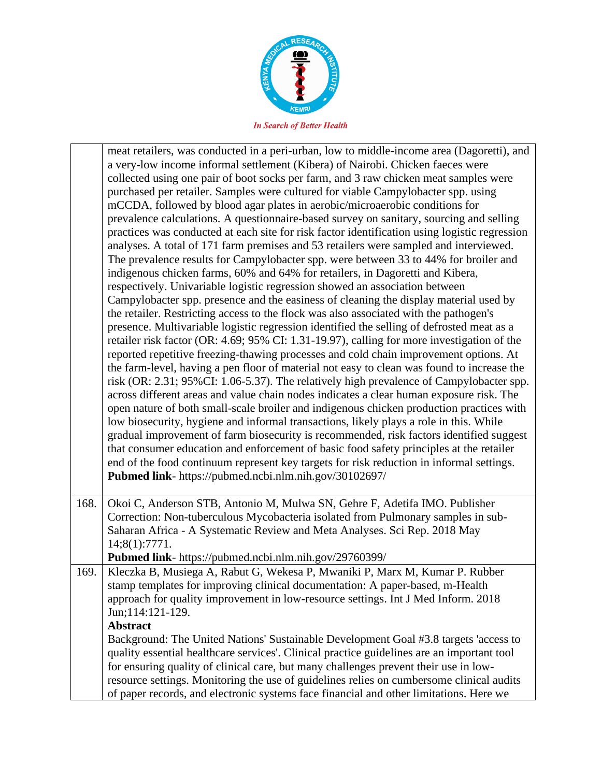

|      | meat retailers, was conducted in a peri-urban, low to middle-income area (Dagoretti), and<br>a very-low income informal settlement (Kibera) of Nairobi. Chicken faeces were<br>collected using one pair of boot socks per farm, and 3 raw chicken meat samples were<br>purchased per retailer. Samples were cultured for viable Campylobacter spp. using<br>mCCDA, followed by blood agar plates in aerobic/microaerobic conditions for<br>prevalence calculations. A questionnaire-based survey on sanitary, sourcing and selling<br>practices was conducted at each site for risk factor identification using logistic regression<br>analyses. A total of 171 farm premises and 53 retailers were sampled and interviewed.<br>The prevalence results for Campylobacter spp. were between 33 to 44% for broiler and<br>indigenous chicken farms, 60% and 64% for retailers, in Dagoretti and Kibera,<br>respectively. Univariable logistic regression showed an association between<br>Campylobacter spp. presence and the easiness of cleaning the display material used by<br>the retailer. Restricting access to the flock was also associated with the pathogen's<br>presence. Multivariable logistic regression identified the selling of defrosted meat as a<br>retailer risk factor (OR: 4.69; 95% CI: 1.31-19.97), calling for more investigation of the<br>reported repetitive freezing-thawing processes and cold chain improvement options. At<br>the farm-level, having a pen floor of material not easy to clean was found to increase the<br>risk (OR: 2.31; 95%CI: 1.06-5.37). The relatively high prevalence of Campylobacter spp.<br>across different areas and value chain nodes indicates a clear human exposure risk. The<br>open nature of both small-scale broiler and indigenous chicken production practices with<br>low biosecurity, hygiene and informal transactions, likely plays a role in this. While<br>gradual improvement of farm biosecurity is recommended, risk factors identified suggest<br>that consumer education and enforcement of basic food safety principles at the retailer<br>end of the food continuum represent key targets for risk reduction in informal settings.<br>Pubmed link- https://pubmed.ncbi.nlm.nih.gov/30102697/ |
|------|----------------------------------------------------------------------------------------------------------------------------------------------------------------------------------------------------------------------------------------------------------------------------------------------------------------------------------------------------------------------------------------------------------------------------------------------------------------------------------------------------------------------------------------------------------------------------------------------------------------------------------------------------------------------------------------------------------------------------------------------------------------------------------------------------------------------------------------------------------------------------------------------------------------------------------------------------------------------------------------------------------------------------------------------------------------------------------------------------------------------------------------------------------------------------------------------------------------------------------------------------------------------------------------------------------------------------------------------------------------------------------------------------------------------------------------------------------------------------------------------------------------------------------------------------------------------------------------------------------------------------------------------------------------------------------------------------------------------------------------------------------------------------------------------------------------------------------------------------------------------------------------------------------------------------------------------------------------------------------------------------------------------------------------------------------------------------------------------------------------------------------------------------------------------------------------------------------------------------------------------------------------------------------|
| 168. | Okoi C, Anderson STB, Antonio M, Mulwa SN, Gehre F, Adetifa IMO. Publisher<br>Correction: Non-tuberculous Mycobacteria isolated from Pulmonary samples in sub-<br>Saharan Africa - A Systematic Review and Meta Analyses. Sci Rep. 2018 May<br>14;8(1):7771.<br>Pubmed link- https://pubmed.ncbi.nlm.nih.gov/29760399/                                                                                                                                                                                                                                                                                                                                                                                                                                                                                                                                                                                                                                                                                                                                                                                                                                                                                                                                                                                                                                                                                                                                                                                                                                                                                                                                                                                                                                                                                                                                                                                                                                                                                                                                                                                                                                                                                                                                                           |
| 169. | Kleczka B, Musiega A, Rabut G, Wekesa P, Mwaniki P, Marx M, Kumar P. Rubber<br>stamp templates for improving clinical documentation: A paper-based, m-Health<br>approach for quality improvement in low-resource settings. Int J Med Inform. 2018<br>Jun;114:121-129.<br><b>Abstract</b><br>Background: The United Nations' Sustainable Development Goal #3.8 targets 'access to<br>quality essential healthcare services'. Clinical practice guidelines are an important tool<br>for ensuring quality of clinical care, but many challenges prevent their use in low-<br>resource settings. Monitoring the use of guidelines relies on cumbersome clinical audits<br>of paper records, and electronic systems face financial and other limitations. Here we                                                                                                                                                                                                                                                                                                                                                                                                                                                                                                                                                                                                                                                                                                                                                                                                                                                                                                                                                                                                                                                                                                                                                                                                                                                                                                                                                                                                                                                                                                                     |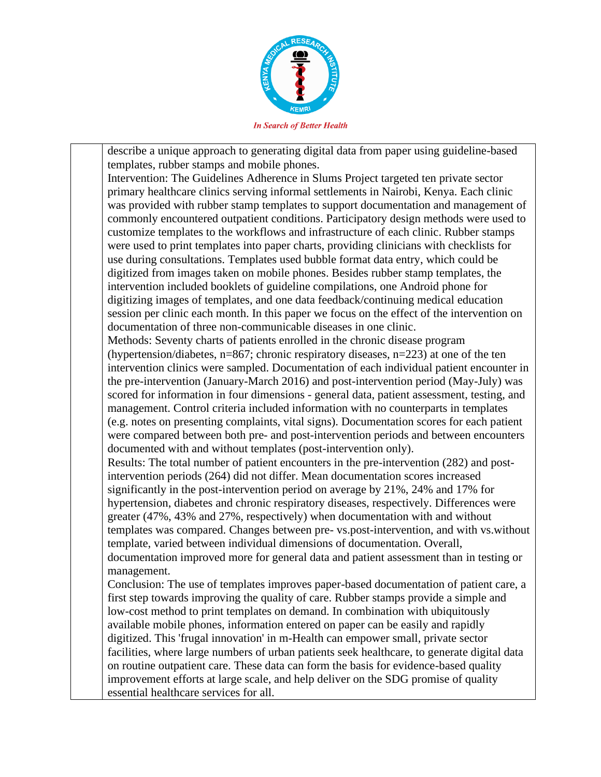

describe a unique approach to generating digital data from paper using guideline-based templates, rubber stamps and mobile phones. Intervention: The Guidelines Adherence in Slums Project targeted ten private sector primary healthcare clinics serving informal settlements in Nairobi, Kenya. Each clinic was provided with rubber stamp templates to support documentation and management of commonly encountered outpatient conditions. Participatory design methods were used to customize templates to the workflows and infrastructure of each clinic. Rubber stamps were used to print templates into paper charts, providing clinicians with checklists for use during consultations. Templates used bubble format data entry, which could be digitized from images taken on mobile phones. Besides rubber stamp templates, the intervention included booklets of guideline compilations, one Android phone for digitizing images of templates, and one data feedback/continuing medical education

session per clinic each month. In this paper we focus on the effect of the intervention on documentation of three non-communicable diseases in one clinic.

Methods: Seventy charts of patients enrolled in the chronic disease program (hypertension/diabetes, n=867; chronic respiratory diseases, n=223) at one of the ten intervention clinics were sampled. Documentation of each individual patient encounter in the pre-intervention (January-March 2016) and post-intervention period (May-July) was scored for information in four dimensions - general data, patient assessment, testing, and management. Control criteria included information with no counterparts in templates (e.g. notes on presenting complaints, vital signs). Documentation scores for each patient were compared between both pre- and post-intervention periods and between encounters documented with and without templates (post-intervention only).

Results: The total number of patient encounters in the pre-intervention (282) and postintervention periods (264) did not differ. Mean documentation scores increased significantly in the post-intervention period on average by 21%, 24% and 17% for hypertension, diabetes and chronic respiratory diseases, respectively. Differences were greater (47%, 43% and 27%, respectively) when documentation with and without templates was compared. Changes between pre- vs.post-intervention, and with vs.without template, varied between individual dimensions of documentation. Overall, documentation improved more for general data and patient assessment than in testing or management.

Conclusion: The use of templates improves paper-based documentation of patient care, a first step towards improving the quality of care. Rubber stamps provide a simple and low-cost method to print templates on demand. In combination with ubiquitously available mobile phones, information entered on paper can be easily and rapidly digitized. This 'frugal innovation' in m-Health can empower small, private sector facilities, where large numbers of urban patients seek healthcare, to generate digital data on routine outpatient care. These data can form the basis for evidence-based quality improvement efforts at large scale, and help deliver on the SDG promise of quality essential healthcare services for all.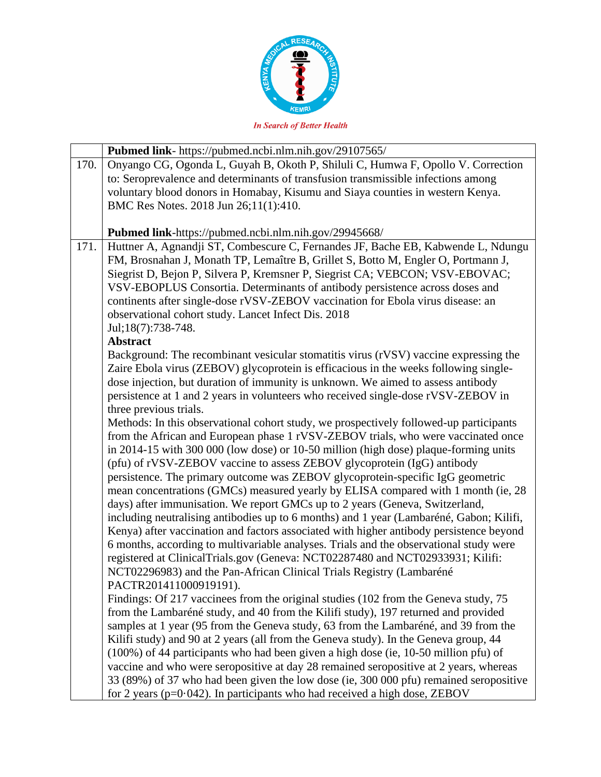

|      | Pubmed link- https://pubmed.ncbi.nlm.nih.gov/29107565/                                  |
|------|-----------------------------------------------------------------------------------------|
| 170. | Onyango CG, Ogonda L, Guyah B, Okoth P, Shiluli C, Humwa F, Opollo V. Correction        |
|      | to: Seroprevalence and determinants of transfusion transmissible infections among       |
|      | voluntary blood donors in Homabay, Kisumu and Siaya counties in western Kenya.          |
|      | BMC Res Notes. 2018 Jun 26;11(1):410.                                                   |
|      |                                                                                         |
|      | Pubmed link-https://pubmed.ncbi.nlm.nih.gov/29945668/                                   |
| 171. | Huttner A, Agnandji ST, Combescure C, Fernandes JF, Bache EB, Kabwende L, Ndungu        |
|      | FM, Brosnahan J, Monath TP, Lemaître B, Grillet S, Botto M, Engler O, Portmann J,       |
|      | Siegrist D, Bejon P, Silvera P, Kremsner P, Siegrist CA; VEBCON; VSV-EBOVAC;            |
|      | VSV-EBOPLUS Consortia. Determinants of antibody persistence across doses and            |
|      | continents after single-dose rVSV-ZEBOV vaccination for Ebola virus disease: an         |
|      | observational cohort study. Lancet Infect Dis. 2018                                     |
|      | Jul;18(7):738-748.                                                                      |
|      | <b>Abstract</b>                                                                         |
|      | Background: The recombinant vesicular stomatitis virus (rVSV) vaccine expressing the    |
|      | Zaire Ebola virus (ZEBOV) glycoprotein is efficacious in the weeks following single-    |
|      | dose injection, but duration of immunity is unknown. We aimed to assess antibody        |
|      | persistence at 1 and 2 years in volunteers who received single-dose rVSV-ZEBOV in       |
|      | three previous trials.                                                                  |
|      | Methods: In this observational cohort study, we prospectively followed-up participants  |
|      | from the African and European phase 1 rVSV-ZEBOV trials, who were vaccinated once       |
|      | in 2014-15 with 300 000 (low dose) or 10-50 million (high dose) plaque-forming units    |
|      | (pfu) of rVSV-ZEBOV vaccine to assess ZEBOV glycoprotein (IgG) antibody                 |
|      | persistence. The primary outcome was ZEBOV glycoprotein-specific IgG geometric          |
|      | mean concentrations (GMCs) measured yearly by ELISA compared with 1 month (ie, 28       |
|      | days) after immunisation. We report GMCs up to 2 years (Geneva, Switzerland,            |
|      | including neutralising antibodies up to 6 months) and 1 year (Lambaréné, Gabon; Kilifi, |
|      | Kenya) after vaccination and factors associated with higher antibody persistence beyond |
|      | 6 months, according to multivariable analyses. Trials and the observational study were  |
|      | registered at ClinicalTrials.gov (Geneva: NCT02287480 and NCT02933931; Kilifi:          |
|      | NCT02296983) and the Pan-African Clinical Trials Registry (Lambaréné                    |
|      | PACTR201411000919191).                                                                  |
|      | Findings: Of 217 vacciness from the original studies (102 from the Geneva study, 75     |
|      | from the Lambaréné study, and 40 from the Kilifi study), 197 returned and provided      |
|      | samples at 1 year (95 from the Geneva study, 63 from the Lambaréné, and 39 from the     |
|      | Kilifi study) and 90 at 2 years (all from the Geneva study). In the Geneva group, 44    |
|      | (100%) of 44 participants who had been given a high dose (ie, 10-50 million pfu) of     |
|      | vaccine and who were seropositive at day 28 remained seropositive at 2 years, whereas   |
|      | 33 (89%) of 37 who had been given the low dose (ie, 300 000 pfu) remained seropositive  |
|      | for 2 years ( $p=0.042$ ). In participants who had received a high dose, ZEBOV          |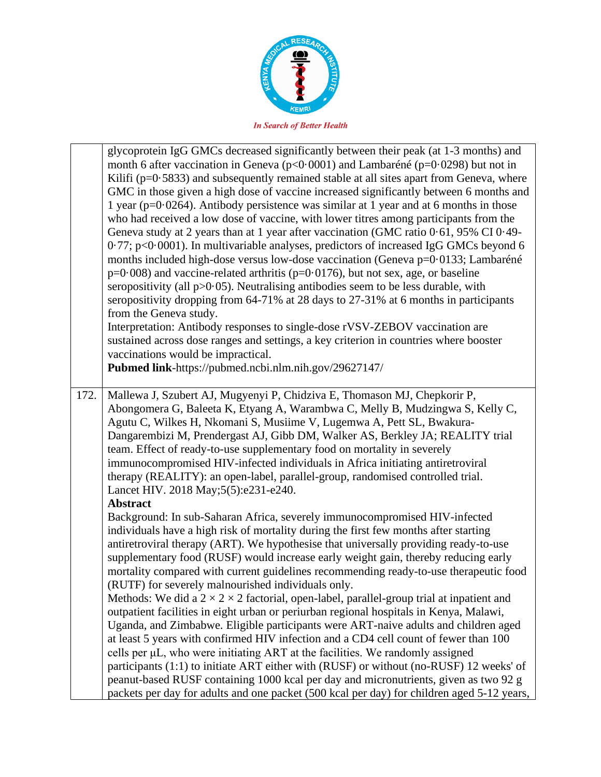

|      | glycoprotein IgG GMCs decreased significantly between their peak (at 1-3 months) and<br>month 6 after vaccination in Geneva ( $p<0.0001$ ) and Lambaréné ( $p=0.0298$ ) but not in<br>Kilifi ( $p=0.5833$ ) and subsequently remained stable at all sites apart from Geneva, where<br>GMC in those given a high dose of vaccine increased significantly between 6 months and<br>1 year ( $p=0.0264$ ). Antibody persistence was similar at 1 year and at 6 months in those<br>who had received a low dose of vaccine, with lower titres among participants from the<br>Geneva study at 2 years than at 1 year after vaccination (GMC ratio 0.61, 95% CI 0.49-<br>0.77; p<0.0001). In multivariable analyses, predictors of increased IgG GMCs beyond 6<br>months included high-dose versus low-dose vaccination (Geneva p=0.0133; Lambaréné<br>p=0.008) and vaccine-related arthritis (p=0.0176), but not sex, age, or baseline<br>seropositivity (all $p>0.05$ ). Neutralising antibodies seem to be less durable, with<br>seropositivity dropping from 64-71% at 28 days to 27-31% at 6 months in participants<br>from the Geneva study.<br>Interpretation: Antibody responses to single-dose rVSV-ZEBOV vaccination are<br>sustained across dose ranges and settings, a key criterion in countries where booster<br>vaccinations would be impractical.<br>Pubmed link-https://pubmed.ncbi.nlm.nih.gov/29627147/ |
|------|--------------------------------------------------------------------------------------------------------------------------------------------------------------------------------------------------------------------------------------------------------------------------------------------------------------------------------------------------------------------------------------------------------------------------------------------------------------------------------------------------------------------------------------------------------------------------------------------------------------------------------------------------------------------------------------------------------------------------------------------------------------------------------------------------------------------------------------------------------------------------------------------------------------------------------------------------------------------------------------------------------------------------------------------------------------------------------------------------------------------------------------------------------------------------------------------------------------------------------------------------------------------------------------------------------------------------------------------------------------------------------------------------------------------|
| 172. | Mallewa J, Szubert AJ, Mugyenyi P, Chidziva E, Thomason MJ, Chepkorir P,<br>Abongomera G, Baleeta K, Etyang A, Warambwa C, Melly B, Mudzingwa S, Kelly C,<br>Agutu C, Wilkes H, Nkomani S, Musiime V, Lugemwa A, Pett SL, Bwakura-<br>Dangarembizi M, Prendergast AJ, Gibb DM, Walker AS, Berkley JA; REALITY trial<br>team. Effect of ready-to-use supplementary food on mortality in severely<br>immunocompromised HIV-infected individuals in Africa initiating antiretroviral<br>therapy (REALITY): an open-label, parallel-group, randomised controlled trial.<br>Lancet HIV. 2018 May;5(5):e231-e240.<br><b>Abstract</b>                                                                                                                                                                                                                                                                                                                                                                                                                                                                                                                                                                                                                                                                                                                                                                                     |
|      | Background: In sub-Saharan Africa, severely immunocompromised HIV-infected<br>individuals have a high risk of mortality during the first few months after starting<br>antiretroviral therapy (ART). We hypothesise that universally providing ready-to-use<br>supplementary food (RUSF) would increase early weight gain, thereby reducing early<br>mortality compared with current guidelines recommending ready-to-use therapeutic food<br>(RUTF) for severely malnourished individuals only.<br>Methods: We did a $2 \times 2 \times 2$ factorial, open-label, parallel-group trial at inpatient and<br>outpatient facilities in eight urban or periurban regional hospitals in Kenya, Malawi,<br>Uganda, and Zimbabwe. Eligible participants were ART-naive adults and children aged<br>at least 5 years with confirmed HIV infection and a CD4 cell count of fewer than 100<br>cells per µL, who were initiating ART at the facilities. We randomly assigned<br>participants (1:1) to initiate ART either with (RUSF) or without (no-RUSF) 12 weeks' of                                                                                                                                                                                                                                                                                                                                                       |
|      | peanut-based RUSF containing 1000 kcal per day and micronutrients, given as two 92 g<br>packets per day for adults and one packet (500 kcal per day) for children aged 5-12 years,                                                                                                                                                                                                                                                                                                                                                                                                                                                                                                                                                                                                                                                                                                                                                                                                                                                                                                                                                                                                                                                                                                                                                                                                                                 |